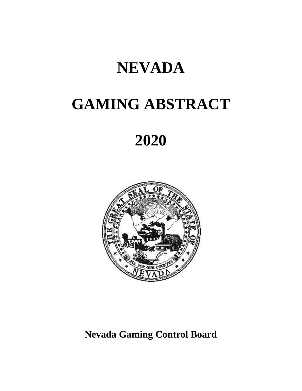# **NEVADA**

# **GAMING ABSTRACT**

# **2020**



# **Nevada Gaming Control Board**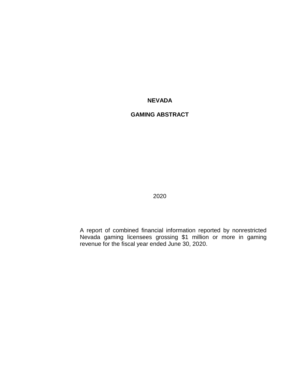# **NEVADA**

# **GAMING ABSTRACT**

2020

A report of combined financial information reported by nonrestricted Nevada gaming licensees grossing \$1 million or more in gaming revenue for the fiscal year ended June 30, 2020.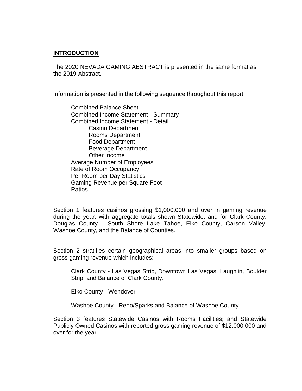# **INTRODUCTION**

The 2020 NEVADA GAMING ABSTRACT is presented in the same format as the 2019 Abstract.

Information is presented in the following sequence throughout this report.

Combined Balance Sheet Combined Income Statement - Summary Combined Income Statement - Detail Casino Department Rooms Department Food Department Beverage Department Other Income Average Number of Employees Rate of Room Occupancy Per Room per Day Statistics Gaming Revenue per Square Foot Ratios

Section 1 features casinos grossing \$1,000,000 and over in gaming revenue during the year, with aggregate totals shown Statewide, and for Clark County, Douglas County - South Shore Lake Tahoe, Elko County, Carson Valley, Washoe County, and the Balance of Counties.

Section 2 stratifies certain geographical areas into smaller groups based on gross gaming revenue which includes:

Clark County - Las Vegas Strip, Downtown Las Vegas, Laughlin, Boulder Strip, and Balance of Clark County.

Elko County - Wendover

Washoe County - Reno/Sparks and Balance of Washoe County

Section 3 features Statewide Casinos with Rooms Facilities; and Statewide Publicly Owned Casinos with reported gross gaming revenue of \$12,000,000 and over for the year.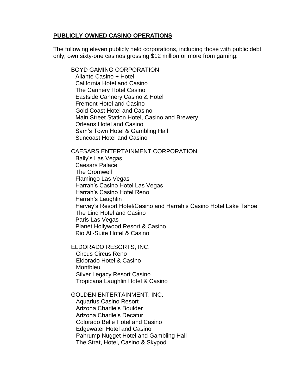# **PUBLICLY OWNED CASINO OPERATIONS**

The following eleven publicly held corporations, including those with public debt only, own sixty-one casinos grossing \$12 million or more from gaming:

BOYD GAMING CORPORATION Aliante Casino + Hotel California Hotel and Casino The Cannery Hotel Casino Eastside Cannery Casino & Hotel Fremont Hotel and Casino Gold Coast Hotel and Casino Main Street Station Hotel, Casino and Brewery Orleans Hotel and Casino Sam's Town Hotel & Gambling Hall Suncoast Hotel and Casino

#### CAESARS ENTERTAINMENT CORPORATION

Bally's Las Vegas Caesars Palace The Cromwell Flamingo Las Vegas Harrah's Casino Hotel Las Vegas Harrah's Casino Hotel Reno Harrah's Laughlin Harvey's Resort Hotel/Casino and Harrah's Casino Hotel Lake Tahoe The Linq Hotel and Casino Paris Las Vegas Planet Hollywood Resort & Casino Rio All-Suite Hotel & Casino

# ELDORADO RESORTS, INC.

 Circus Circus Reno Eldorado Hotel & Casino **Montbleu**  Silver Legacy Resort Casino Tropicana Laughlin Hotel & Casino

#### GOLDEN ENTERTAINMENT, INC.

 Aquarius Casino Resort Arizona Charlie's Boulder Arizona Charlie's Decatur Colorado Belle Hotel and Casino Edgewater Hotel and Casino Pahrump Nugget Hotel and Gambling Hall The Strat, Hotel, Casino & Skypod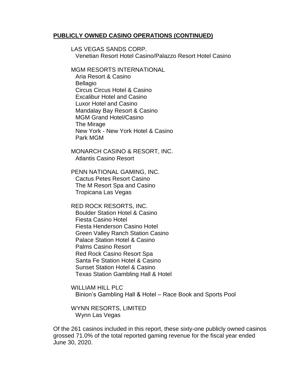#### **PUBLICLY OWNED CASINO OPERATIONS (CONTINUED)**

LAS VEGAS SANDS CORP. Venetian Resort Hotel Casino/Palazzo Resort Hotel Casino

MGM RESORTS INTERNATIONAL

Aria Resort & Casino Bellagio Circus Circus Hotel & Casino Excalibur Hotel and Casino Luxor Hotel and Casino Mandalay Bay Resort & Casino MGM Grand Hotel/Casino The Mirage New York - New York Hotel & Casino Park MGM

MONARCH CASINO & RESORT, INC. Atlantis Casino Resort

PENN NATIONAL GAMING, INC. Cactus Petes Resort Casino The M Resort Spa and Casino Tropicana Las Vegas

RED ROCK RESORTS, INC. Boulder Station Hotel & Casino Fiesta Casino Hotel Fiesta Henderson Casino Hotel Green Valley Ranch Station Casino Palace Station Hotel & Casino Palms Casino Resort Red Rock Casino Resort Spa Santa Fe Station Hotel & Casino Sunset Station Hotel & Casino Texas Station Gambling Hall & Hotel

WILLIAM HILL PLC Binion's Gambling Hall & Hotel – Race Book and Sports Pool

WYNN RESORTS, LIMITED Wynn Las Vegas

Of the 261 casinos included in this report, these sixty-one publicly owned casinos grossed 71.0% of the total reported gaming revenue for the fiscal year ended June 30, 2020.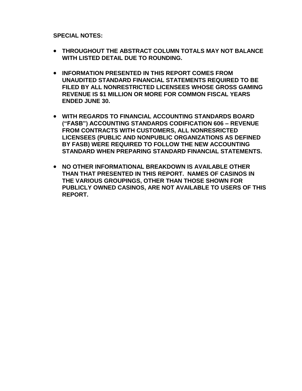**SPECIAL NOTES:**

- **THROUGHOUT THE ABSTRACT COLUMN TOTALS MAY NOT BALANCE WITH LISTED DETAIL DUE TO ROUNDING.**
- **INFORMATION PRESENTED IN THIS REPORT COMES FROM UNAUDITED STANDARD FINANCIAL STATEMENTS REQUIRED TO BE FILED BY ALL NONRESTRICTED LICENSEES WHOSE GROSS GAMING REVENUE IS \$1 MILLION OR MORE FOR COMMON FISCAL YEARS ENDED JUNE 30.**
- **WITH REGARDS TO FINANCIAL ACCOUNTING STANDARDS BOARD ("FASB") ACCOUNTING STANDARDS CODIFICATION 606 – REVENUE FROM CONTRACTS WITH CUSTOMERS, ALL NONRESRICTED LICENSEES (PUBLIC AND NONPUBLIC ORGANIZATIONS AS DEFINED BY FASB) WERE REQUIRED TO FOLLOW THE NEW ACCOUNTING STANDARD WHEN PREPARING STANDARD FINANCIAL STATEMENTS.**
- **NO OTHER INFORMATIONAL BREAKDOWN IS AVAILABLE OTHER THAN THAT PRESENTED IN THIS REPORT. NAMES OF CASINOS IN THE VARIOUS GROUPINGS, OTHER THAN THOSE SHOWN FOR PUBLICLY OWNED CASINOS, ARE NOT AVAILABLE TO USERS OF THIS REPORT.**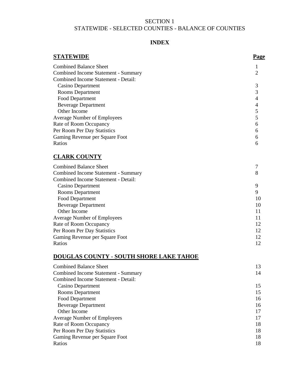# SECTION 1 STATEWIDE - SELECTED COUNTIES - BALANCE OF COUNTIES

# **INDEX**

| <b>STATEWIDE</b>                               | <b>Page</b>    |
|------------------------------------------------|----------------|
| <b>Combined Balance Sheet</b>                  | 1              |
| <b>Combined Income Statement - Summary</b>     | 2              |
| Combined Income Statement - Detail:            |                |
| <b>Casino Department</b>                       | 3              |
| Rooms Department                               | 3              |
| Food Department                                | $\overline{4}$ |
| <b>Beverage Department</b>                     | $\overline{4}$ |
| Other Income                                   | 5              |
| <b>Average Number of Employees</b>             | 5              |
| Rate of Room Occupancy                         | 6              |
| Per Room Per Day Statistics                    | 6              |
| Gaming Revenue per Square Foot                 | 6              |
| Ratios                                         | 6              |
| <b>CLARK COUNTY</b>                            |                |
| <b>Combined Balance Sheet</b>                  | 7              |
| <b>Combined Income Statement - Summary</b>     | 8              |
| <b>Combined Income Statement - Detail:</b>     |                |
| <b>Casino Department</b>                       | 9              |
| Rooms Department                               | 9              |
| <b>Food Department</b>                         | 10             |
| <b>Beverage Department</b>                     | 10             |
| Other Income                                   | 11             |
| <b>Average Number of Employees</b>             | 11             |
| Rate of Room Occupancy                         | 12             |
| Per Room Per Day Statistics                    | 12             |
| Gaming Revenue per Square Foot                 | 12             |
| Ratios                                         | 12             |
| <b>DOUGLAS COUNTY - SOUTH SHORE LAKE TAHOE</b> |                |
| 11.1 <sub>n1</sub><br>$\sim$ $\sim$ 1          |                |

| <b>Combined Balance Sheet</b>       | 13 |
|-------------------------------------|----|
| Combined Income Statement - Summary | 14 |
| Combined Income Statement - Detail: |    |
| Casino Department                   | 15 |
| Rooms Department                    | 15 |
| Food Department                     | 16 |
| <b>Beverage Department</b>          | 16 |
| Other Income                        | 17 |
| <b>Average Number of Employees</b>  | 17 |
| Rate of Room Occupancy              | 18 |
| Per Room Per Day Statistics         | 18 |
| Gaming Revenue per Square Foot      | 18 |
| Ratios                              | 18 |
|                                     |    |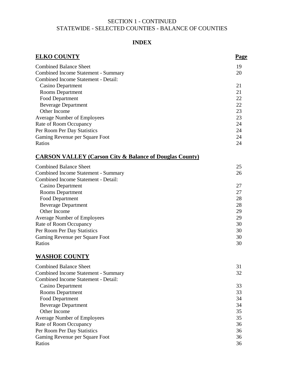# SECTION 1 - CONTINUED STATEWIDE - SELECTED COUNTIES - BALANCE OF COUNTIES

# **INDEX**

| <b>ELKO COUNTY</b>                                                 | <b>Page</b> |
|--------------------------------------------------------------------|-------------|
| <b>Combined Balance Sheet</b>                                      | 19          |
| <b>Combined Income Statement - Summary</b>                         | 20          |
| Combined Income Statement - Detail:                                |             |
| <b>Casino Department</b>                                           | 21          |
| Rooms Department                                                   | 21          |
| Food Department                                                    | 22          |
| <b>Beverage Department</b>                                         | 22          |
| Other Income                                                       | 23          |
| Average Number of Employees                                        | 23          |
| Rate of Room Occupancy                                             | 24          |
| Per Room Per Day Statistics                                        | 24          |
| Gaming Revenue per Square Foot                                     | 24          |
| Ratios                                                             | 24          |
| <b>CARSON VALLEY (Carson City &amp; Balance of Douglas County)</b> |             |
| <b>Combined Balance Sheet</b>                                      | 25          |
| <b>Combined Income Statement - Summary</b>                         | 26          |
| Combined Income Statement - Detail:                                |             |
| Casino Department                                                  | 27          |
| Rooms Department                                                   | 27          |
| Food Department                                                    | 28          |
| <b>Beverage Department</b>                                         | 28          |
| Other Income                                                       | 29          |
| <b>Average Number of Employees</b>                                 | 29          |
| Rate of Room Occupancy                                             | 30          |
| Per Room Per Day Statistics                                        | 30          |
| Gaming Revenue per Square Foot<br>Ratios                           | 30<br>30    |
|                                                                    |             |
| <b>WASHOE COUNTY</b>                                               |             |
| <b>Combined Balance Sheet</b>                                      | 31          |
| Combined Income Statement - Summary                                | 32          |
| Combined Income Statement - Detail:                                |             |
| <b>Casino Department</b>                                           | 33          |
| Rooms Department                                                   | 33          |
| Food Department                                                    | 34          |
| <b>Beverage Department</b>                                         | 34          |
| Other Income                                                       | 35          |
| Average Number of Employees                                        | 35          |
| Rate of Room Occupancy                                             | 36          |
| Per Room Per Day Statistics                                        | 36          |
| Gaming Revenue per Square Foot                                     | 36          |
| Ratios                                                             | 36          |

Ratios 36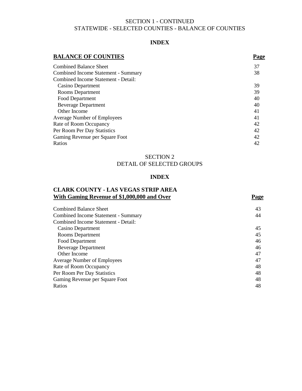# SECTION 1 - CONTINUED STATEWIDE - SELECTED COUNTIES - BALANCE OF COUNTIES

#### **INDEX**

# **BALANCE OF COUNTIES** Page Combined Balance Sheet 37 Combined Income Statement - Summary 38 Combined Income Statement - Detail: Casino Department 39 Rooms Department 39 Food Department 40 Beverage Department 40 Other Income 41 Average Number of Employees 41 Rate of Room Occupancy 42 Per Room Per Day Statistics 42 Gaming Revenue per Square Foot 42 Ratios and the set of the set of the set of the set of the set of the set of the set of the set of the set of the set of the set of the set of the set of the set of the set of the set of the set of the set of the set of th

# SECTION 2 DETAIL OF SELECTED GROUPS

# **INDEX**

# **CLARK COUNTY - LAS VEGAS STRIP AREA With Gaming Revenue of \$1,000,000 and Over Page**

| <b>Combined Balance Sheet</b>       | 43 |
|-------------------------------------|----|
| Combined Income Statement - Summary | 44 |
| Combined Income Statement - Detail: |    |
| Casino Department                   | 45 |
| <b>Rooms Department</b>             | 45 |
| Food Department                     | 46 |
| <b>Beverage Department</b>          | 46 |
| Other Income                        | 47 |
| <b>Average Number of Employees</b>  | 47 |
| Rate of Room Occupancy              | 48 |
| Per Room Per Day Statistics         | 48 |
| Gaming Revenue per Square Foot      | 48 |
| Ratios                              | 48 |
|                                     |    |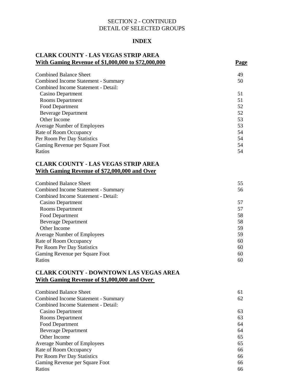# **INDEX**

# **CLARK COUNTY - LAS VEGAS STRIP AREA With Gaming Revenue of \$1,000,000 to \$72,000,000 Page**

| <b>Combined Balance Sheet</b>       | 49 |
|-------------------------------------|----|
| Combined Income Statement - Summary | 50 |
| Combined Income Statement - Detail: |    |
| Casino Department                   | 51 |
| Rooms Department                    | 51 |
| Food Department                     | 52 |
| <b>Beverage Department</b>          | 52 |
| Other Income                        | 53 |
| <b>Average Number of Employees</b>  | 53 |
| Rate of Room Occupancy              | 54 |
| Per Room Per Day Statistics         | 54 |
| Gaming Revenue per Square Foot      | 54 |
| Ratios                              | 54 |

# **CLARK COUNTY - LAS VEGAS STRIP AREA With Gaming Revenue of \$72,000,000 and Over**

| <b>Combined Balance Sheet</b>       | 55 |
|-------------------------------------|----|
| Combined Income Statement - Summary | 56 |
| Combined Income Statement - Detail: |    |
| Casino Department                   | 57 |
| Rooms Department                    | 57 |
| Food Department                     | 58 |
| <b>Beverage Department</b>          | 58 |
| Other Income                        | 59 |
| <b>Average Number of Employees</b>  | 59 |
| Rate of Room Occupancy              | 60 |
| Per Room Per Day Statistics         | 60 |
| Gaming Revenue per Square Foot      | 60 |
| Ratios                              | 60 |

# **CLARK COUNTY - DOWNTOWN LAS VEGAS AREA With Gaming Revenue of \$1,000,000 and Over**

| <b>Combined Balance Sheet</b>       | 61 |
|-------------------------------------|----|
| Combined Income Statement - Summary | 62 |
| Combined Income Statement - Detail: |    |
| Casino Department                   | 63 |
| <b>Rooms Department</b>             | 63 |
| Food Department                     | 64 |
| <b>Beverage Department</b>          | 64 |
| Other Income                        | 65 |
| <b>Average Number of Employees</b>  | 65 |
| Rate of Room Occupancy              | 66 |
| Per Room Per Day Statistics         | 66 |
| Gaming Revenue per Square Foot      | 66 |
| Ratios                              | 66 |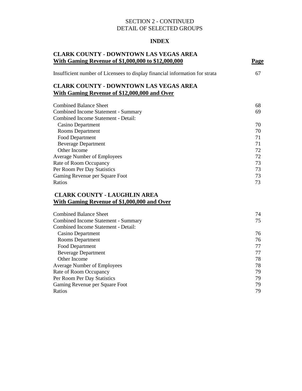# **INDEX**

| <b>CLARK COUNTY - DOWNTOWN LAS VEGAS AREA</b><br><u>With Gaming Revenue of \$1,000,000 to \$12,000,000</u> | <b>Page</b> |
|------------------------------------------------------------------------------------------------------------|-------------|
| Insufficient number of Licensees to display financial information for strata                               | 67          |
| <b>CLARK COUNTY - DOWNTOWN LAS VEGAS AREA</b><br><b>With Gaming Revenue of \$12,000,000 and Over</b>       |             |
| <b>Combined Balance Sheet</b>                                                                              | 68          |
| <b>Combined Income Statement - Summary</b>                                                                 | 69          |
| Combined Income Statement - Detail:                                                                        |             |
| <b>Casino Department</b>                                                                                   | 70          |
| <b>Rooms Department</b>                                                                                    | 70          |
| <b>Food Department</b>                                                                                     | 71          |
| <b>Beverage Department</b>                                                                                 | 71          |
| Other Income                                                                                               | 72          |
| <b>Average Number of Employees</b>                                                                         | 72          |
| Rate of Room Occupancy                                                                                     | 73          |
| Per Room Per Day Statistics                                                                                | 73          |
| Gaming Revenue per Square Foot                                                                             | 73          |
| Ratios                                                                                                     | 73          |
| <b>CLARK COUNTY - LAUGHLIN AREA</b><br><b>With Gaming Revenue of \$1,000,000 and Over</b>                  |             |
|                                                                                                            |             |
| <b>Combined Balance Sheet</b>                                                                              | 74          |
| <b>Combined Income Statement - Summary</b>                                                                 | 75          |
| Combined Income Statement - Detail:                                                                        |             |
| <b>Casino Department</b>                                                                                   | 76          |
| <b>Rooms</b> Department                                                                                    | 76          |
| Food Department                                                                                            | 77          |
| <b>Beverage Department</b>                                                                                 | 77          |
| Other Income                                                                                               | 78          |
| <b>Average Number of Employees</b>                                                                         | 78          |
| Rate of Room Occupancy                                                                                     | 79          |

Per Room Per Day Statistics 79 Gaming Revenue per Square Foot 79 Ratios 79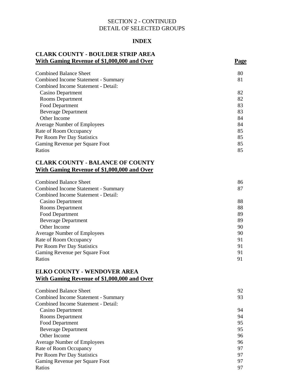# **INDEX**

# **CLARK COUNTY - BOULDER STRIP AREA With Gaming Revenue of \$1,000,000 and Over Page**

| 80 |
|----|
| 81 |
|    |
| 82 |
| 82 |
| 83 |
| 83 |
| 84 |
| 84 |
| 85 |
| 85 |
| 85 |
| 85 |
|    |

# **CLARK COUNTY - BALANCE OF COUNTY With Gaming Revenue of \$1,000,000 and Over**

| <b>Combined Balance Sheet</b>       | 86 |
|-------------------------------------|----|
| Combined Income Statement - Summary | 87 |
| Combined Income Statement - Detail: |    |
| Casino Department                   | 88 |
| Rooms Department                    | 88 |
| Food Department                     | 89 |
| <b>Beverage Department</b>          | 89 |
| Other Income                        | 90 |
| <b>Average Number of Employees</b>  | 90 |
| Rate of Room Occupancy              | 91 |
| Per Room Per Day Statistics         | 91 |
| Gaming Revenue per Square Foot      | 91 |
| Ratios                              | 91 |

# **ELKO COUNTY - WENDOVER AREA With Gaming Revenue of \$1,000,000 and Over**

| Combined Balance Sheet              | 92 |
|-------------------------------------|----|
| Combined Income Statement - Summary | 93 |
| Combined Income Statement - Detail: |    |
| Casino Department                   | 94 |
| Rooms Department                    | 94 |
| Food Department                     | 95 |
| <b>Beverage Department</b>          | 95 |
| Other Income                        | 96 |
| <b>Average Number of Employees</b>  | 96 |
| Rate of Room Occupancy              | 97 |
| Per Room Per Day Statistics         | 97 |
| Gaming Revenue per Square Foot      | 97 |
| Ratios                              | 97 |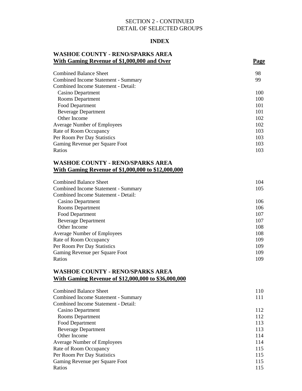### **INDEX**

# **WASHOE COUNTY - RENO/SPARKS AREA With Gaming Revenue of \$1,000,000 and Over Page**

| <b>Combined Balance Sheet</b>       | 98  |
|-------------------------------------|-----|
| Combined Income Statement - Summary | 99  |
| Combined Income Statement - Detail: |     |
| Casino Department                   | 100 |
| <b>Rooms Department</b>             | 100 |
| Food Department                     | 101 |
| <b>Beverage Department</b>          | 101 |
| Other Income                        | 102 |
| <b>Average Number of Employees</b>  | 102 |
| Rate of Room Occupancy              | 103 |
| Per Room Per Day Statistics         | 103 |
| Gaming Revenue per Square Foot      | 103 |
| Ratios                              | 103 |

# **WASHOE COUNTY - RENO/SPARKS AREA With Gaming Revenue of \$1,000,000 to \$12,000,000**

| <b>Combined Balance Sheet</b>       | 104 |
|-------------------------------------|-----|
| Combined Income Statement - Summary | 105 |
| Combined Income Statement - Detail: |     |
| Casino Department                   | 106 |
| Rooms Department                    | 106 |
| Food Department                     | 107 |
| <b>Beverage Department</b>          | 107 |
| Other Income                        | 108 |
| <b>Average Number of Employees</b>  | 108 |
| Rate of Room Occupancy              | 109 |
| Per Room Per Day Statistics         | 109 |
| Gaming Revenue per Square Foot      | 109 |
| Ratios                              | 109 |

# **WASHOE COUNTY - RENO/SPARKS AREA With Gaming Revenue of \$12,000,000 to \$36,000,000**

| <b>Combined Balance Sheet</b>       | 110 |
|-------------------------------------|-----|
| Combined Income Statement - Summary | 111 |
| Combined Income Statement - Detail: |     |
| Casino Department                   | 112 |
| <b>Rooms</b> Department             | 112 |
| Food Department                     | 113 |
| <b>Beverage Department</b>          | 113 |
| Other Income                        | 114 |
| <b>Average Number of Employees</b>  | 114 |
| Rate of Room Occupancy              | 115 |
| Per Room Per Day Statistics         | 115 |
| Gaming Revenue per Square Foot      | 115 |
| Ratios                              | 115 |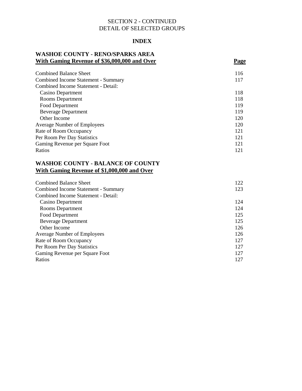# **INDEX**

# **WASHOE COUNTY - RENO/SPARKS AREA With Gaming Revenue of \$36,000,000 and Over Page**

| Combined Balance Sheet                     | 116 |
|--------------------------------------------|-----|
| <b>Combined Income Statement - Summary</b> | 117 |
| Combined Income Statement - Detail:        |     |
| Casino Department                          | 118 |
| <b>Rooms Department</b>                    | 118 |
| Food Department                            | 119 |
| <b>Beverage Department</b>                 | 119 |
| Other Income                               | 120 |
| <b>Average Number of Employees</b>         | 120 |
| Rate of Room Occupancy                     | 121 |
| Per Room Per Day Statistics                | 121 |
| Gaming Revenue per Square Foot             | 121 |
| Ratios                                     | 121 |

# **WASHOE COUNTY - BALANCE OF COUNTY With Gaming Revenue of \$1,000,000 and Over**

| <b>Combined Balance Sheet</b>       | 122 |
|-------------------------------------|-----|
| Combined Income Statement - Summary | 123 |
| Combined Income Statement - Detail: |     |
| Casino Department                   | 124 |
| Rooms Department                    | 124 |
| Food Department                     | 125 |
| <b>Beverage Department</b>          | 125 |
| Other Income                        | 126 |
| <b>Average Number of Employees</b>  | 126 |
| Rate of Room Occupancy              | 127 |
| Per Room Per Day Statistics         | 127 |
| Gaming Revenue per Square Foot      | 127 |
| Ratios                              | 127 |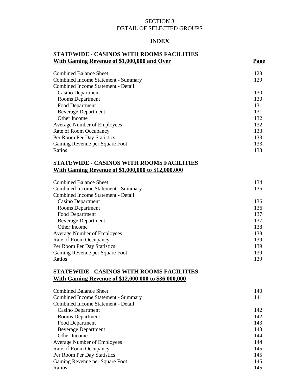# SECTION 3 DETAIL OF SELECTED GROUPS

## **INDEX**

# **STATEWIDE - CASINOS WITH ROOMS FACILITIES With Gaming Revenue of \$1,000,000 and Over Page**

| <b>Combined Balance Sheet</b>       | 128 |
|-------------------------------------|-----|
| Combined Income Statement - Summary | 129 |
| Combined Income Statement - Detail: |     |
| Casino Department                   | 130 |
| Rooms Department                    | 130 |
| Food Department                     | 131 |
| <b>Beverage Department</b>          | 131 |
| Other Income                        | 132 |
| <b>Average Number of Employees</b>  | 132 |
| Rate of Room Occupancy              | 133 |
| Per Room Per Day Statistics         | 133 |
| Gaming Revenue per Square Foot      | 133 |
| Ratios                              | 133 |

# **STATEWIDE - CASINOS WITH ROOMS FACILITIES With Gaming Revenue of \$1,000,000 to \$12,000,000**

| <b>Combined Balance Sheet</b>       | 134 |
|-------------------------------------|-----|
| Combined Income Statement - Summary | 135 |
| Combined Income Statement - Detail: |     |
| Casino Department                   | 136 |
| Rooms Department                    | 136 |
| Food Department                     | 137 |
| <b>Beverage Department</b>          | 137 |
| Other Income                        | 138 |
| <b>Average Number of Employees</b>  | 138 |
| Rate of Room Occupancy              | 139 |
| Per Room Per Day Statistics         | 139 |
| Gaming Revenue per Square Foot      | 139 |
| Ratios                              | 139 |

# **STATEWIDE - CASINOS WITH ROOMS FACILITIES With Gaming Revenue of \$12,000,000 to \$36,000,000**

| <b>Combined Balance Sheet</b>       | 140 |
|-------------------------------------|-----|
| Combined Income Statement - Summary | 141 |
| Combined Income Statement - Detail: |     |
| Casino Department                   | 142 |
| <b>Rooms Department</b>             | 142 |
| Food Department                     | 143 |
| <b>Beverage Department</b>          | 143 |
| Other Income                        | 144 |
| <b>Average Number of Employees</b>  | 144 |
| Rate of Room Occupancy              | 145 |
| Per Room Per Day Statistics         | 145 |
| Gaming Revenue per Square Foot      | 145 |
| Ratios                              | 145 |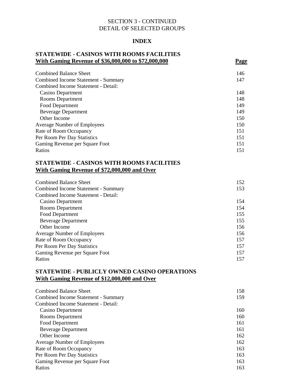# **INDEX**

# **STATEWIDE - CASINOS WITH ROOMS FACILITIES With Gaming Revenue of \$36,000,000 to \$72,000,000 Page**

| <b>Combined Balance Sheet</b>       | 146 |
|-------------------------------------|-----|
| Combined Income Statement - Summary | 147 |
| Combined Income Statement - Detail: |     |
| Casino Department                   | 148 |
| <b>Rooms</b> Department             | 148 |
| Food Department                     | 149 |
| <b>Beverage Department</b>          | 149 |
| Other Income                        | 150 |
| <b>Average Number of Employees</b>  | 150 |
| Rate of Room Occupancy              | 151 |
| Per Room Per Day Statistics         | 151 |
| Gaming Revenue per Square Foot      | 151 |
| Ratios                              | 151 |

# **STATEWIDE - CASINOS WITH ROOMS FACILITIES With Gaming Revenue of \$72,000,000 and Over**

| <b>Combined Balance Sheet</b>       | 152 |
|-------------------------------------|-----|
| Combined Income Statement - Summary | 153 |
| Combined Income Statement - Detail: |     |
| Casino Department                   | 154 |
| Rooms Department                    | 154 |
| Food Department                     | 155 |
| <b>Beverage Department</b>          | 155 |
| Other Income                        | 156 |
| <b>Average Number of Employees</b>  | 156 |
| Rate of Room Occupancy              | 157 |
| Per Room Per Day Statistics         | 157 |
| Gaming Revenue per Square Foot      | 157 |
| Ratios                              | 157 |

# **STATEWIDE - PUBLICLY OWNED CASINO OPERATIONS With Gaming Revenue of \$12,000,000 and Over**

| <b>Combined Balance Sheet</b>       | 158 |
|-------------------------------------|-----|
| Combined Income Statement - Summary | 159 |
| Combined Income Statement - Detail: |     |
| Casino Department                   | 160 |
| <b>Rooms Department</b>             | 160 |
| Food Department                     | 161 |
| <b>Beverage Department</b>          | 161 |
| Other Income                        | 162 |
| <b>Average Number of Employees</b>  | 162 |
| Rate of Room Occupancy              | 163 |
| Per Room Per Day Statistics         | 163 |
| Gaming Revenue per Square Foot      | 163 |
| Ratios                              | 163 |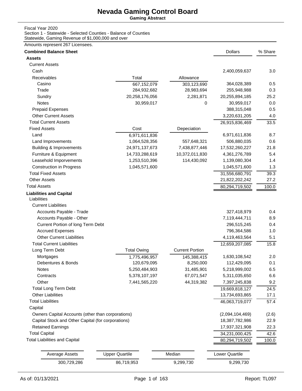**Gaming Abstract**

#### Fiscal Year 2020

Section 1 - Statewide - Selected Counties - Balance of Counties Statewide, Gaming Revenue of \$1,000,000 and over

| <b>Combined Balance Sheet</b>                      |                       |                        | <b>Dollars</b>               | % Share |
|----------------------------------------------------|-----------------------|------------------------|------------------------------|---------|
| <b>Assets</b>                                      |                       |                        |                              |         |
| <b>Current Assets</b>                              |                       |                        |                              |         |
| Cash                                               |                       |                        | 2,400,059,637                | 3.0     |
| Receivables                                        | Total                 | Allowance              |                              |         |
| Casino                                             | 667,152,079           | 303,123,690            | 364,028,389                  | 0.5     |
| Trade                                              | 284,932,682           | 28,983,694             | 255,948,988                  | 0.3     |
| Sundry                                             | 20,258,176,056        | 2,281,871              | 20,255,894,185               | 25.2    |
| <b>Notes</b>                                       | 30,959,017            | 0                      | 30,959,017                   | 0.0     |
| <b>Prepaid Expenses</b>                            |                       |                        | 388,315,048                  | 0.5     |
| <b>Other Current Assets</b>                        |                       |                        | 3,220,631,205                | 4.0     |
| <b>Total Current Assets</b>                        |                       |                        | 26,915,836,469               | 33.5    |
| <b>Fixed Assets</b>                                | Cost                  | Depeciation            |                              |         |
| Land                                               | 6,971,611,836         |                        | 6,971,611,836                | 8.7     |
| Land Improvements                                  | 1,064,528,356         | 557,648,321            | 506,880,035                  | 0.6     |
| <b>Building &amp; Improvements</b>                 | 24,971,137,673        | 7,438,877,446          | 17,532,260,227               | 21.8    |
| Furniture & Equipment                              | 14,733,288,619        | 10,372,011,830         | 4,361,276,789                | 5.4     |
| Leasehold Imporvements                             | 1,253,510,396         | 114,430,092            | 1,139,080,304                | 1.4     |
| <b>Construction in Progress</b>                    | 1,045,571,600         |                        | 1,045,571,600                | 1.3     |
| <b>Total Fixed Assets</b>                          |                       |                        | 31,556,680,791               | 39.3    |
| <b>Other Assets</b>                                |                       |                        | 21,822,202,242               | 27.2    |
| <b>Total Assets</b>                                |                       |                        | 80,294,719,502               | 100.0   |
| <b>Liabilities and Capital</b><br>Liabilities      |                       |                        |                              |         |
|                                                    |                       |                        |                              |         |
| <b>Current Liabilities</b>                         |                       |                        |                              | 0.4     |
| Accounts Payable - Trade                           |                       |                        | 327,418,979<br>7,119,444,711 | 8.9     |
| Accounts Payable - Other                           |                       |                        |                              | 0.4     |
| Current Portion of long Term Debt                  |                       |                        | 296,515,245                  |         |
| <b>Accrued Expenses</b>                            |                       |                        | 796,364,586                  | 1.0     |
| <b>Other Current Liabilities</b>                   |                       |                        | 4,119,463,564                | 5.1     |
| <b>Total Current Liabilities</b>                   |                       |                        | 12,659,207,085               | 15.8    |
| Long Term Debt                                     | <b>Total Owing</b>    | <b>Current Portion</b> |                              |         |
| Mortgages                                          | 1,775,496,957         | 145,388,415            | 1,630,108,542                | 2.0     |
| Debentures & Bonds                                 | 120,679,095           | 8,250,000              | 112,429,095                  | 0.1     |
| Notes                                              | 5,250,484,903         | 31,485,901             | 5,218,999,002                | 6.5     |
| Contracts                                          | 5,378,107,197         | 67,071,547             | 5,311,035,650                | 6.6     |
| Other                                              | 7,441,565,220         | 44,319,382             | 7,397,245,838                | 9.2     |
| <b>Total Long Term Debt</b>                        |                       |                        | 19,669,818,127               | 24.5    |
| <b>Other Liabilities</b>                           |                       |                        | 13,734,693,865               | 17.1    |
| <b>Total Liabilities</b>                           |                       |                        | 46,063,719,077               | 57.4    |
| Capital                                            |                       |                        |                              |         |
| Owners Capital Accounts (other than corporations)  |                       |                        | (2,094,104,469)              | (2.6)   |
| Capital Stock and Other Capital (for corporations) |                       |                        | 18,387,782,986               | 22.9    |
| <b>Retained Earnings</b>                           |                       |                        | 17,937,321,908               | 22.3    |
| <b>Total Capital</b>                               |                       |                        | 34,231,000,425               | 42.6    |
| <b>Total Liabilities and Capital</b>               |                       |                        | 80,294,719,502               | 100.0   |
| <b>Average Assets</b>                              | <b>Upper Quartile</b> | Median                 | Lower Quartile               |         |
|                                                    |                       |                        |                              |         |
| 300,729,286                                        | 86,719,953            | 9,299,730              | 9,299,730                    |         |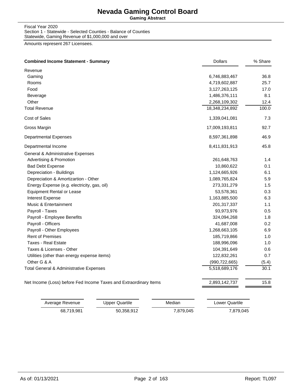**Gaming Abstract**

Fiscal Year 2020 Section 1 - Statewide - Selected Counties - Balance of Counties Statewide, Gaming Revenue of \$1,000,000 and over

| <b>Combined Income Statement - Summary</b>                        | <b>Dollars</b>  | % Share |
|-------------------------------------------------------------------|-----------------|---------|
| Revenue                                                           |                 |         |
| Gaming                                                            | 6,746,883,467   | 36.8    |
| Rooms                                                             | 4,719,602,887   | 25.7    |
| Food                                                              | 3,127,263,125   | 17.0    |
| Beverage                                                          | 1,486,376,111   | 8.1     |
| Other                                                             | 2,268,109,302   | 12.4    |
| <b>Total Revenue</b>                                              | 18,348,234,892  | 100.0   |
| Cost of Sales                                                     | 1,339,041,081   | 7.3     |
| Gross Margin                                                      | 17,009,193,811  | 92.7    |
| <b>Departmental Expenses</b>                                      | 8,597,361,898   | 46.9    |
| Departmental Income                                               | 8,411,831,913   | 45.8    |
| General & Administrative Expenses                                 |                 |         |
| <b>Advertising &amp; Promotion</b>                                | 261,648,763     | 1.4     |
| <b>Bad Debt Expense</b>                                           | 10,860,622      | 0.1     |
| Depreciation - Buildings                                          | 1,124,665,926   | 6.1     |
| Depreciation & Amortizartion - Other                              | 1,089,765,824   | 5.9     |
| Energy Expense (e.g. electricity, gas, oil)                       | 273,331,279     | 1.5     |
| <b>Equipment Rental or Lease</b>                                  | 53,578,361      | 0.3     |
| <b>Interest Expense</b>                                           | 1,163,885,500   | 6.3     |
| Music & Entertainment                                             | 201,317,337     | 1.1     |
| Payroll - Taxes                                                   | 93,973,976      | 0.5     |
| Payroll - Employee Benefits                                       | 324,094,268     | 1.8     |
| Payroll - Officers                                                | 41,687,008      | 0.2     |
| Payroll - Other Employees                                         | 1,268,663,105   | 6.9     |
| <b>Rent of Premises</b>                                           | 185,719,866     | 1.0     |
| <b>Taxes - Real Estate</b>                                        | 188,996,096     | 1.0     |
| Taxes & Licenses - Other                                          | 104,391,649     | 0.6     |
| Utilities (other than energy expense items)                       | 122,832,261     | 0.7     |
| Other G & A                                                       | (990, 722, 665) | (5.4)   |
| Total General & Administrative Expenses                           | 5,518,689,176   | 30.1    |
| Net Income (Loss) before Fed Income Taxes and Extraordinary Items | 2,893,142,737   | 15.8    |

| Average Revenue | Upper Quartile | Median    | Lower Quartile |
|-----------------|----------------|-----------|----------------|
| 68.719.981      | 50.358.912     | 7,879,045 | 7,879,045      |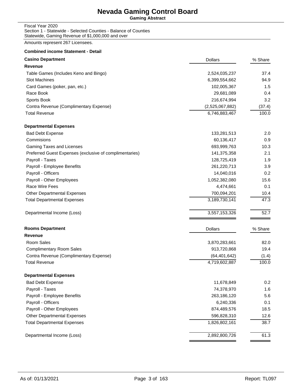**Gaming Abstract**

Fiscal Year 2020 Section 1 - Statewide - Selected Counties - Balance of Counties Statewide, Gaming Revenue of \$1,000,000 and over

Amounts represent 267 Licensees.

# **Combined income Statement - Detail Casino Department** % Share **Casino Department** % Share **Casino Department** % Share **Casino Department** % Share **Casino Accounts to the Casino Accounts of the Casino Accounts of the Casino Accounts of the Casino Accounts o Revenue** Table Games (Includes Keno and Bingo) 2,524,035,237 37.4 Slot Machines 6,399,554,662 94.9 Card Games (poker, pan, etc.) 102,005,367 1.5 Race Book 29,681,089 0.4 Sports Book 216,674,994 3.2 Contra Revenue (Complimentary Expense) (2,525,067,882) (37.4) Total Revenue 6,746,883,467 100.0 **Departmental Expenses** Bad Debt Expense 133,281,513 2.0 Commisions 60,136,417 0.9 Gaming Taxes and Licenses 693,999,763 10.3 Preferred Guest Expenses (exclusive of complimentaries) 141,375,358 2.1 Payroll - Taxes 128,725,419 1.9 Payroll - Employee Benefits 261,220,713 3.9 Payroll - Officers 0.2 Payroll - Other Employees 1,052,382,080 15.6 Race Wire Fees **6.1 Contract 1.1 Contract 1.1 Contract 1.1** Contract 1.1 Contract 1.1 Contract 1.1 Contract 1.1 Contract 1.1 Contract 1.1 Contract 1.1 Contract 1.1 Contract 1.1 Contract 1.1 Contract 1.1 Contract 1.1 Contra Other Departmental Expenses 700,094,201 10.4 Total Departmental Expenses 47.3 Departmental Income (Loss) 3,557,153,326 52.7 **Rooms Department** % Share **Community Share 2008** Share 2008 2009 2012 2013 2014 2015 2016 2017 2018 2019 2014 2015 2016 2017 2018 2017 2018 2017 2018 2017 2018 2017 2018 2017 2018 2017 2018 2017 2018 2017 2018 2017 2018 2 **Revenue** Room Sales 3,870,283,661 82.0 Complimentary Room Sales **19.4** 2013, 2013 19:42 19:42 19:42 Contra Revenue (Complimentary Expense) (64,401,642) (1.4) Total Revenue 4,719,602,887 100.0 **Departmental Expenses** Bad Debt Expense 11,678,849 0.2 Payroll - Taxes 74,378,970 1.6 Payroll - Employee Benefits 263,186,120 5.6 Payroll - Officers 6.240,336 0.1

Payroll - Other Employees **874,489,576** 18.5 Other Departmental Expenses 696,828,310 12.6 Total Departmental Expenses 1,826,802,161 38.7

Departmental Income (Loss) 2,892,800,726 61.3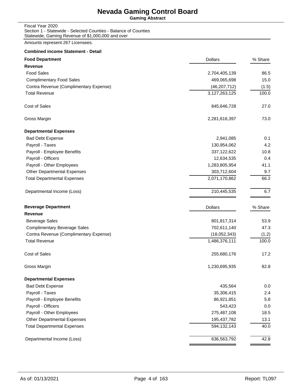**Gaming Abstract**

Fiscal Year 2020 Section 1 - Statewide - Selected Counties - Balance of Counties Statewide, Gaming Revenue of \$1,000,000 and over

Amounts represent 267 Licensees.

#### **Combined income Statement - Detail**

| <b>Food Department</b>                 | <b>Dollars</b> | % Share |
|----------------------------------------|----------------|---------|
| <b>Revenue</b>                         |                |         |
| <b>Food Sales</b>                      | 2,704,405,139  | 86.5    |
| <b>Complimentary Food Sales</b>        | 469,065,698    | 15.0    |
| Contra Revenue (Complimentary Expense) | (46, 207, 712) | (1.5)   |
| <b>Total Revenue</b>                   | 3,127,263,125  | 100.0   |
| Cost of Sales                          | 845,646,728    | 27.0    |
| Gross Margin                           | 2,281,616,397  | 73.0    |
| <b>Departmental Expenses</b>           |                |         |
| <b>Bad Debt Expense</b>                | 2,941,085      | 0.1     |
| Payroll - Taxes                        | 130,954,062    | 4.2     |
| Payroll - Employee Benefits            | 337,122,622    | 10.8    |
| Payroll - Officers                     | 12,634,535     | 0.4     |
| Payroll - Other Employees              | 1,283,805,954  | 41.1    |
| <b>Other Departmental Expenses</b>     | 303,712,604    | 9.7     |
| <b>Total Departmental Expenses</b>     | 2,071,170,862  | 66.2    |
| Departmental Income (Loss)             | 210,445,535    | 6.7     |
| <b>Beverage Department</b>             | <b>Dollars</b> | % Share |
| Revenue                                |                |         |
| <b>Beverage Sales</b>                  | 801,817,314    | 53.9    |
| <b>Complimentary Beverage Sales</b>    | 702,611,140    | 47.3    |
| Contra Revenue (Complimentary Expense) | (18,052,343)   | (1.2)   |
| <b>Total Revenue</b>                   | 1,486,376,111  | 100.0   |
| Cost of Sales                          | 255,680,176    | 17.2    |
| Gross Margin                           | 1,230,695,935  | 82.8    |
| <b>Departmental Expenses</b>           |                |         |
| <b>Bad Debt Expense</b>                | 435,564        | 0.0     |
| Payroll - Taxes                        | 35,306,415     | 2.4     |
| Payroll - Employee Benefits            | 86,921,851     | 5.8     |
| Payroll - Officers                     | 543,423        | 0.0     |
| Payroll - Other Employees              | 275,487,108    | 18.5    |
| <b>Other Departmental Expenses</b>     | 195,437,782    | 13.1    |
| <b>Total Departmental Expenses</b>     | 594,132,143    | 40.0    |
| Departmental Income (Loss)             | 636,563,792    | 42.8    |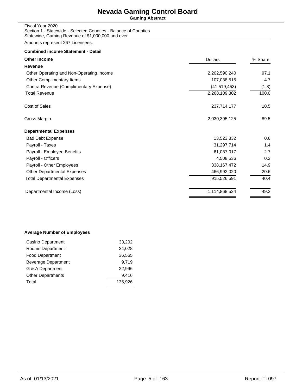**Gaming Abstract**

Fiscal Year 2020 Section 1 - Statewide - Selected Counties - Balance of Counties Statewide, Gaming Revenue of \$1,000,000 and over

Amounts represent 267 Licensees.

#### **Combined income Statement - Detail**

| <b>Other Income</b>                      | <b>Dollars</b> | % Share |  |
|------------------------------------------|----------------|---------|--|
| <b>Revenue</b>                           |                |         |  |
| Other Operating and Non-Operating Income | 2,202,590,240  | 97.1    |  |
| Other Complimentary Items                | 107,038,515    | 4.7     |  |
| Contra Revenue (Complimentary Expense)   | (41, 519, 453) | (1.8)   |  |
| <b>Total Revenue</b>                     | 2,268,109,302  | 100.0   |  |
| Cost of Sales                            | 237,714,177    | 10.5    |  |
| Gross Margin                             | 2,030,395,125  | 89.5    |  |
| <b>Departmental Expenses</b>             |                |         |  |
| <b>Bad Debt Expense</b>                  | 13,523,832     | 0.6     |  |
| Payroll - Taxes                          | 31,297,714     | 1.4     |  |
| Payroll - Employee Benefits              | 61,037,017     | 2.7     |  |
| Payroll - Officers                       | 4,508,536      | 0.2     |  |
| Payroll - Other Employees                | 338, 167, 472  | 14.9    |  |
| <b>Other Departmental Expenses</b>       | 466,992,020    | 20.6    |  |
| <b>Total Departmental Expenses</b>       | 915,526,591    | 40.4    |  |
| Departmental Income (Loss)               | 1,114,868,534  | 49.2    |  |
|                                          |                |         |  |

#### **Average Number of Employees**

| Casino Department        | 33,202  |
|--------------------------|---------|
| Rooms Department         | 24,028  |
| <b>Food Department</b>   | 36,565  |
| Beverage Department      | 9.719   |
| G & A Department         | 22.996  |
| <b>Other Departments</b> | 9,416   |
| Total                    | 135.926 |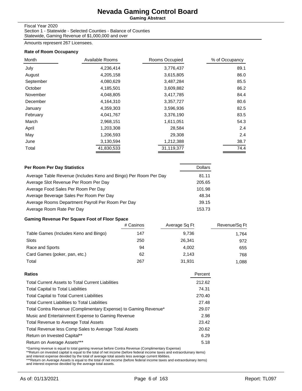**Gaming Abstract**

#### Fiscal Year 2020

Section 1 - Statewide - Selected Counties - Balance of Counties Statewide, Gaming Revenue of \$1,000,000 and over

Amounts represent 267 Licensees.

#### **Rate of Room Occupancy**

| Month     | Available Rooms | Rooms Occupied | % of Occupancy |
|-----------|-----------------|----------------|----------------|
| July      | 4,236,414       | 3,776,437      | 89.1           |
| August    | 4,205,158       | 3,615,805      | 86.0           |
| September | 4,080,629       | 3,487,284      | 85.5           |
| October   | 4,185,501       | 3,609,882      | 86.2           |
| November  | 4,048,805       | 3,417,785      | 84.4           |
| December  | 4,164,310       | 3,357,727      | 80.6           |
| January   | 4,359,303       | 3,596,936      | 82.5           |
| February  | 4,041,767       | 3,376,190      | 83.5           |
| March     | 2,968,151       | 1,611,051      | 54.3           |
| April     | 1,203,308       | 28,584         | 2.4            |
| May       | 1,206,593       | 29,308         | 2.4            |
| June      | 3,130,594       | 1,212,388      | 38.7           |
| Total     | 41,830,533      | 31,119,377     | 74.4           |

| Per Room Per Day Statistics                                      | <b>Dollars</b> |
|------------------------------------------------------------------|----------------|
| Average Table Revenue (Includes Keno and Bingo) Per Room Per Day | 81.11          |
| Average Slot Revenue Per Room Per Day                            | 205.65         |
| Average Food Sales Per Room Per Day                              | 101.98         |
| Average Beverage Sales Per Room Per Day                          | 48.34          |
| Average Rooms Department Payroll Per Room Per Day                | 39.15          |
| Average Room Rate Per Day                                        | 153.73         |

#### **Gaming Revenue Per Square Foot of Floor Space**

|                                       | # Casinos | Average Sq Ft | Revenue/Sq Ft |
|---------------------------------------|-----------|---------------|---------------|
| Table Games (Includes Keno and Bingo) | 147       | 9.736         | 1.764         |
| Slots                                 | 250       | 26.341        | 972           |
| Race and Sports                       | 94        | 4.002         | 655           |
| Card Games (poker, pan, etc.)         | 62        | 2.143         | 768           |
| Total                                 | 267       | 31.931        | 1.088         |

| Ratios                                                          | Percent |
|-----------------------------------------------------------------|---------|
| <b>Total Current Assets to Total Current Liabilities</b>        | 212.62  |
| <b>Total Capital to Total Liabilities</b>                       | 74.31   |
| <b>Total Capital to Total Current Liabilities</b>               | 270.40  |
| <b>Total Current Liabilities to Total Liabilities</b>           | 27.48   |
| Total Contra Revenue (Complimentary Expense) to Gaming Revenue* | 29.07   |
| Music and Entertainment Expense to Gaming Revenue               | 2.98    |
| <b>Total Revenue to Average Total Assets</b>                    | 23.42   |
| Total Revenue less Comp Sales to Average Total Assets           | 20.62   |
| Return on Invested Capital**                                    | 6.29    |
| Return on Average Assets***                                     | 5.18    |
|                                                                 |         |

\*Gaming revenue is equal to total gaming revenue before Contra Revenue (Complimentary Expense)<br>\*\*Return on invested capital is equal to the total of net income (before federal income taxes and extraorduinary items)<br>and int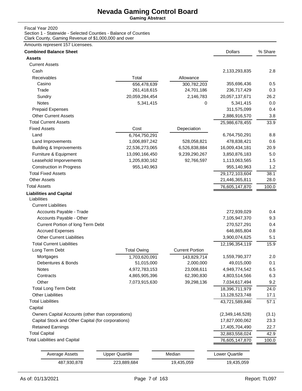**Gaming Abstract**

#### Fiscal Year 2020

Section 1 - Statewide - Selected Counties - Balance of Counties Clark County, Gaming Revenue of \$1,000,000 and over

| <b>Combined Balance Sheet</b>                      |                       |                        | <b>Dollars</b>        | % Share |
|----------------------------------------------------|-----------------------|------------------------|-----------------------|---------|
| <b>Assets</b>                                      |                       |                        |                       |         |
| <b>Current Assets</b>                              |                       |                        |                       |         |
| Cash                                               |                       |                        | 2,133,293,835         | 2.8     |
| Receivables                                        | Total                 | Allowance              |                       |         |
| Casino                                             | 656,478,639           | 300,782,203            | 355,696,436           | 0.5     |
| Trade                                              | 261,418,615           | 24,701,186             | 236,717,429           | 0.3     |
| Sundry                                             | 20,059,284,454        | 2,146,783              | 20,057,137,671        | 26.2    |
| Notes                                              | 5,341,415             | 0                      | 5,341,415             | 0.0     |
| <b>Prepaid Expenses</b>                            |                       |                        | 311,575,099           | 0.4     |
| <b>Other Current Assets</b>                        |                       |                        | 2,886,916,570         | 3.8     |
| <b>Total Current Assets</b>                        |                       |                        | 25,986,678,455        | 33.9    |
| <b>Fixed Assets</b>                                | Cost                  | Depeciation            |                       |         |
| Land                                               | 6,764,750,291         |                        | 6,764,750,291         | 8.8     |
| Land Improvements                                  | 1,006,897,242         | 528,058,821            | 478,838,421           | 0.6     |
| <b>Building &amp; Improvements</b>                 | 22,536,273,065        | 6,526,838,884          | 16,009,434,181        | 20.9    |
| Furniture & Equipment                              | 13,090,166,450        | 9,239,290,267          | 3,850,876,183         | 5.0     |
| Leasehold Imporvements                             | 1,205,830,162         | 92,766,597             | 1,113,063,565         | 1.5     |
| <b>Construction in Progress</b>                    | 955,140,963           |                        | 955,140,963           | 1.2     |
| <b>Total Fixed Assets</b>                          |                       |                        | 29,172,103,604        | 38.1    |
| <b>Other Assets</b>                                |                       |                        | 21,446,365,811        | 28.0    |
| <b>Total Assets</b>                                |                       |                        | 76,605,147,870        | 100.0   |
| <b>Liabilities and Capital</b><br>Liabilities      |                       |                        |                       |         |
| <b>Current Liabilities</b>                         |                       |                        |                       |         |
| Accounts Payable - Trade                           |                       |                        | 272,939,029           | 0.4     |
| Accounts Payable - Other                           |                       |                        | 7,105,947,370         | 9.3     |
| Current Portion of long Term Debt                  |                       |                        | 270,527,291           | 0.4     |
| <b>Accrued Expenses</b>                            |                       |                        | 646,865,804           | 0.8     |
| <b>Other Current Liabilities</b>                   |                       |                        | 3,900,074,625         | 5.1     |
| <b>Total Current Liabilities</b>                   |                       |                        | 12,196,354,119        | 15.9    |
| Long Term Debt                                     | <b>Total Owing</b>    | <b>Current Portion</b> |                       |         |
| Mortgages                                          | 1,703,620,091         | 143,829,714            | 1,559,790,377         | 2.0     |
| Debentures & Bonds                                 | 51,015,000            | 2,000,000              | 49,015,000            | 0.1     |
| Notes                                              | 4,972,783,153         | 23,008,611             | 4,949,774,542         | 6.5     |
| Contracts                                          | 4,865,905,396         | 62,390,830             | 4,803,514,566         | 6.3     |
| Other                                              | 7,073,915,630         | 39,298,136             | 7,034,617,494         | 9.2     |
| <b>Total Long Term Debt</b>                        |                       |                        | 18,396,711,979        | 24.0    |
| <b>Other Liabilities</b>                           |                       |                        | 13,128,523,748        | 17.1    |
| <b>Total Liabilities</b>                           |                       |                        | 43,721,589,846        | 57.1    |
| Capital                                            |                       |                        |                       |         |
| Owners Capital Accounts (other than corporations)  |                       |                        | (2,349,146,528)       | (3.1)   |
| Capital Stock and Other Capital (for corporations) |                       |                        | 17,827,000,062        | 23.3    |
| <b>Retained Earnings</b>                           |                       |                        | 17,405,704,490        | 22.7    |
| <b>Total Capital</b>                               |                       |                        | 32,883,558,024        | 42.9    |
| <b>Total Liabilities and Capital</b>               |                       |                        | 76,605,147,870        | 100.0   |
| <b>Average Assets</b>                              | <b>Upper Quartile</b> | Median                 | <b>Lower Quartile</b> |         |
| 487,930,878                                        | 223,889,684           | 19,435,059             | 19,435,059            |         |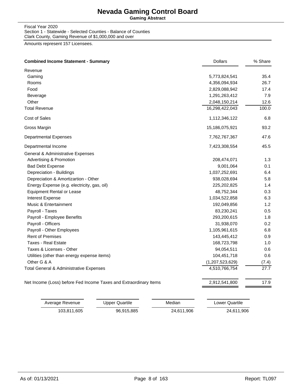**Gaming Abstract**

Fiscal Year 2020 Section 1 - Statewide - Selected Counties - Balance of Counties Clark County, Gaming Revenue of \$1,000,000 and over

| <b>Combined Income Statement - Summary</b><br><b>Dollars</b>                       | % Share            |
|------------------------------------------------------------------------------------|--------------------|
| Revenue                                                                            |                    |
| Gaming<br>5,773,824,541                                                            | 35.4               |
| Rooms<br>4,356,094,934                                                             | 26.7               |
| Food<br>2,829,088,942                                                              | 17.4               |
| 1,291,263,412<br>Beverage                                                          | 7.9                |
| Other<br>2,048,150,214                                                             | 12.6               |
| <b>Total Revenue</b><br>16,298,422,043                                             | 100.0              |
| Cost of Sales<br>1,112,346,122                                                     | 6.8                |
| Gross Margin<br>15,186,075,921                                                     | 93.2               |
| <b>Departmental Expenses</b><br>7,762,767,367                                      | 47.6               |
| Departmental Income<br>7,423,308,554                                               | 45.5               |
| General & Administrative Expenses                                                  |                    |
| <b>Advertising &amp; Promotion</b><br>208,474,071                                  | 1.3                |
| <b>Bad Debt Expense</b>                                                            | 0.1<br>9,001,064   |
| 1,037,252,691<br>Depreciation - Buildings                                          | 6.4                |
| Depreciation & Amortizartion - Other                                               | 5.8<br>938,028,694 |
| Energy Expense (e.g. electricity, gas, oil)<br>225,202,825                         | 1.4                |
| <b>Equipment Rental or Lease</b>                                                   | 0.3<br>48,752,344  |
| 1,034,522,858<br><b>Interest Expense</b>                                           | 6.3                |
| Music & Entertainment<br>192,049,856                                               | 1.2                |
| Payroll - Taxes                                                                    | 0.5<br>83,230,241  |
| Payroll - Employee Benefits<br>293,200,615                                         | 1.8                |
| Payroll - Officers                                                                 | 0.2<br>31,938,070  |
| Payroll - Other Employees<br>1,105,961,615                                         | 6.8                |
| <b>Rent of Premises</b><br>143,445,412                                             | 0.9                |
| Taxes - Real Estate<br>168,723,798                                                 | 1.0                |
| Taxes & Licenses - Other                                                           | 94,054,511<br>0.6  |
| 104,451,718<br>Utilities (other than energy expense items)                         | 0.6                |
| Other G & A<br>(1,207,523,629)                                                     | (7.4)              |
| 4,510,766,754<br><b>Total General &amp; Administrative Expenses</b>                | 27.7               |
| Net Income (Loss) before Fed Income Taxes and Extraordinary Items<br>2,912,541,800 | 17.9               |

| Average Revenue | Upper Quartile | Median     | Lower Quartile |
|-----------------|----------------|------------|----------------|
| 103.811.605     | 96.915.885     | 24.611.906 | 24,611,906     |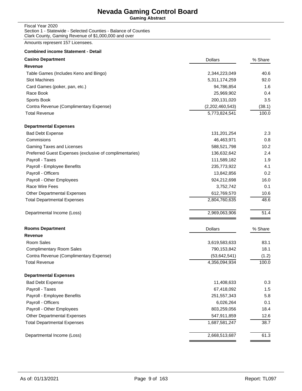**Gaming Abstract**

Fiscal Year 2020 Section 1 - Statewide - Selected Counties - Balance of Counties Clark County, Gaming Revenue of \$1,000,000 and over

| <b>Combined income Statement - Detail</b>               |                 |         |
|---------------------------------------------------------|-----------------|---------|
| <b>Casino Department</b>                                | <b>Dollars</b>  | % Share |
| <b>Revenue</b>                                          |                 |         |
| Table Games (Includes Keno and Bingo)                   | 2,344,223,049   | 40.6    |
| <b>Slot Machines</b>                                    | 5,311,174,259   | 92.0    |
| Card Games (poker, pan, etc.)                           | 94,786,854      | 1.6     |
| Race Book                                               | 25,969,902      | 0.4     |
| Sports Book                                             | 200,131,020     | 3.5     |
| Contra Revenue (Complimentary Expense)                  | (2,202,460,543) | (38.1)  |
| <b>Total Revenue</b>                                    | 5,773,824,541   | 100.0   |
| <b>Departmental Expenses</b>                            |                 |         |
| <b>Bad Debt Expense</b>                                 | 131,201,254     | 2.3     |
| Commisions                                              | 46,463,971      | 0.8     |
| Gaming Taxes and Licenses                               | 588,521,798     | 10.2    |
| Preferred Guest Expenses (exclusive of complimentaries) | 136,632,642     | 2.4     |
| Payroll - Taxes                                         | 111,589,182     | 1.9     |
| Payroll - Employee Benefits                             | 235,773,922     | 4.1     |
| Payroll - Officers                                      | 13,842,856      | 0.2     |
| Payroll - Other Employees                               | 924,212,698     | 16.0    |
| Race Wire Fees                                          | 3,752,742       | 0.1     |
| Other Departmental Expenses                             | 612,769,570     | 10.6    |
| <b>Total Departmental Expenses</b>                      | 2,804,760,635   | 48.6    |
| Departmental Income (Loss)                              | 2,969,063,906   | 51.4    |
| <b>Rooms Department</b>                                 | <b>Dollars</b>  | % Share |
| Revenue                                                 |                 |         |
| Room Sales                                              | 3,619,583,633   | 83.1    |
| <b>Complimentary Room Sales</b>                         | 790,153,842     | 18.1    |
| Contra Revenue (Complimentary Expense)                  | (53, 642, 541)  | (1.2)   |
| <b>Total Revenue</b>                                    | 4,356,094,934   | 100.0   |
| <b>Departmental Expenses</b>                            |                 |         |
| <b>Bad Debt Expense</b>                                 | 11,408,633      | 0.3     |
| Payroll - Taxes                                         | 67,418,092      | 1.5     |
| Payroll - Employee Benefits                             | 251,557,343     | 5.8     |
| Payroll - Officers                                      | 6,026,264       | 0.1     |
| Payroll - Other Employees                               | 803,259,056     | 18.4    |
| <b>Other Departmental Expenses</b>                      | 547,911,859     | 12.6    |
| <b>Total Departmental Expenses</b>                      | 1,687,581,247   | 38.7    |
| Departmental Income (Loss)                              | 2,668,513,687   | 61.3    |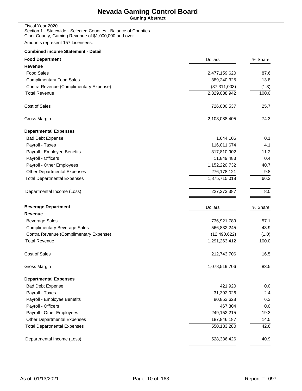**Gaming Abstract**

Fiscal Year 2020 Section 1 - Statewide - Selected Counties - Balance of Counties Clark County, Gaming Revenue of \$1,000,000 and over

| <b>Food Department</b>                 | <b>Dollars</b> | % Share |
|----------------------------------------|----------------|---------|
| <b>Revenue</b>                         |                |         |
| <b>Food Sales</b>                      | 2,477,159,620  | 87.6    |
| <b>Complimentary Food Sales</b>        | 389,240,325    | 13.8    |
| Contra Revenue (Complimentary Expense) | (37, 311, 003) | (1.3)   |
| <b>Total Revenue</b>                   | 2,829,088,942  | 100.0   |
| Cost of Sales                          | 726,000,537    | 25.7    |
| Gross Margin                           | 2,103,088,405  | 74.3    |
| <b>Departmental Expenses</b>           |                |         |
| <b>Bad Debt Expense</b>                | 1,644,106      | 0.1     |
| Payroll - Taxes                        | 116,011,674    | 4.1     |
| Payroll - Employee Benefits            | 317,810,902    | 11.2    |
| Payroll - Officers                     | 11,849,483     | 0.4     |
| Payroll - Other Employees              | 1,152,220,732  | 40.7    |
| <b>Other Departmental Expenses</b>     | 276,178,121    | 9.8     |
| <b>Total Departmental Expenses</b>     | 1,875,715,018  | 66.3    |
| Departmental Income (Loss)             | 227, 373, 387  | 8.0     |
| <b>Beverage Department</b>             | <b>Dollars</b> | % Share |
| <b>Revenue</b>                         |                |         |
| <b>Beverage Sales</b>                  | 736,921,789    | 57.1    |
| <b>Complimentary Beverage Sales</b>    | 566,832,245    | 43.9    |
| Contra Revenue (Complimentary Expense) | (12, 490, 622) | (1.0)   |
| <b>Total Revenue</b>                   | 1,291,263,412  | 100.0   |
| Cost of Sales                          | 212,743,706    | 16.5    |
| Gross Margin                           | 1,078,519,706  | 83.5    |
| <b>Departmental Expenses</b>           |                |         |
| <b>Bad Debt Expense</b>                | 421,920        | 0.0     |
| Payroll - Taxes                        | 31,392,026     | 2.4     |
| Payroll - Employee Benefits            | 80,853,628     | 6.3     |
| Payroll - Officers                     | 467,304        | 0.0     |
| Payroll - Other Employees              | 249,152,215    | 19.3    |
| Other Departmental Expenses            | 187,846,187    | 14.5    |
| <b>Total Departmental Expenses</b>     | 550,133,280    | 42.6    |
| Departmental Income (Loss)             | 528,386,426    | 40.9    |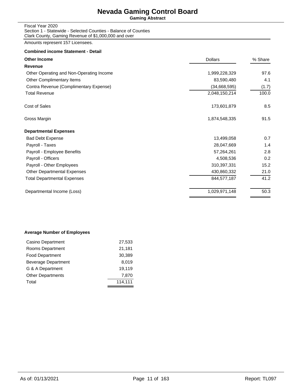**Gaming Abstract**

Fiscal Year 2020 Section 1 - Statewide - Selected Counties - Balance of Counties Clark County, Gaming Revenue of \$1,000,000 and over

Amounts represent 157 Licensees.

#### **Combined income Statement - Detail**

| <b>Other Income</b>                      | <b>Dollars</b> | % Share |
|------------------------------------------|----------------|---------|
| Revenue                                  |                |         |
| Other Operating and Non-Operating Income | 1,999,228,329  | 97.6    |
| Other Complimentary Items                | 83,590,480     | 4.1     |
| Contra Revenue (Complimentary Expense)   | (34,668,595)   | (1.7)   |
| <b>Total Revenue</b>                     | 2,048,150,214  | 100.0   |
| Cost of Sales                            | 173,601,879    | 8.5     |
| Gross Margin                             | 1,874,548,335  | 91.5    |
| <b>Departmental Expenses</b>             |                |         |
| <b>Bad Debt Expense</b>                  | 13,499,058     | 0.7     |
| Payroll - Taxes                          | 28,047,669     | 1.4     |
| Payroll - Employee Benefits              | 57,264,261     | 2.8     |
| Payroll - Officers                       | 4,508,536      | 0.2     |
| Payroll - Other Employees                | 310,397,331    | 15.2    |
| <b>Other Departmental Expenses</b>       | 430,860,332    | 21.0    |
| <b>Total Departmental Expenses</b>       | 844,577,187    | 41.2    |
| Departmental Income (Loss)               | 1,029,971,148  | 50.3    |
|                                          |                |         |

#### **Average Number of Employees**

| Casino Department        | 27,533  |
|--------------------------|---------|
| Rooms Department         | 21,181  |
| <b>Food Department</b>   | 30,389  |
| Beverage Department      | 8.019   |
| G & A Department         | 19.119  |
| <b>Other Departments</b> | 7,870   |
| Total                    | 114,111 |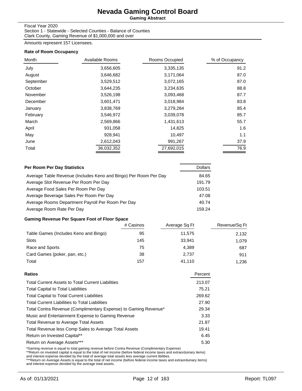**Gaming Abstract**

#### Fiscal Year 2020

Section 1 - Statewide - Selected Counties - Balance of Counties Clark County, Gaming Revenue of \$1,000,000 and over

Amounts represent 157 Licensees.

#### **Rate of Room Occupancy**

| Month     | Available Rooms | Rooms Occupied | % of Occupancy |
|-----------|-----------------|----------------|----------------|
| July      | 3,656,605       | 3,335,135      | 91.2           |
| August    | 3,646,682       | 3,171,064      | 87.0           |
| September | 3,529,512       | 3,072,165      | 87.0           |
| October   | 3,644,235       | 3,234,635      | 88.8           |
| November  | 3,526,198       | 3,093,468      | 87.7           |
| December  | 3,601,471       | 3,018,984      | 83.8           |
| January   | 3,838,769       | 3,279,284      | 85.4           |
| February  | 3,546,972       | 3,039,078      | 85.7           |
| March     | 2,569,866       | 1,431,613      | 55.7           |
| April     | 931,058         | 14,825         | 1.6            |
| May       | 928,941         | 10,497         | 1.1            |
| June      | 2,612,043       | 991,267        | 37.9           |
| Total     | 36,032,352      | 27,692,015     | 76.9           |

| Per Room Per Day Statistics                                      | <b>Dollars</b> |
|------------------------------------------------------------------|----------------|
| Average Table Revenue (Includes Keno and Bingo) Per Room Per Day | 84.65          |
| Average Slot Revenue Per Room Per Day                            | 191.79         |
| Average Food Sales Per Room Per Day                              | 103.51         |
| Average Beverage Sales Per Room Per Day                          | 47.08          |
| Average Rooms Department Payroll Per Room Per Day                | 40.74          |
| Average Room Rate Per Day                                        | 159.24         |

#### **Gaming Revenue Per Square Foot of Floor Space**

|                                       | # Casinos | Average Sq Ft | Revenue/Sq Ft |
|---------------------------------------|-----------|---------------|---------------|
| Table Games (Includes Keno and Bingo) | 95        | 11,575        | 2,132         |
| Slots                                 | 145       | 33.941        | 1.079         |
| Race and Sports                       | 75        | 4.389         | 687           |
| Card Games (poker, pan, etc.)         | 38        | 2,737         | 911           |
| Total                                 | 157       | 41.110        | 1.236         |

| Ratios                                                          | Percent |
|-----------------------------------------------------------------|---------|
| <b>Total Current Assets to Total Current Liabilities</b>        | 213.07  |
| <b>Total Capital to Total Liabilities</b>                       | 75.21   |
| <b>Total Capital to Total Current Liabilities</b>               | 269.62  |
| <b>Total Current Liabilities to Total Liabilities</b>           | 27.90   |
| Total Contra Revenue (Complimentary Expense) to Gaming Revenue* | 29.34   |
| Music and Entertainment Expense to Gaming Revenue               | 3.33    |
| <b>Total Revenue to Average Total Assets</b>                    | 21.87   |
| Total Revenue less Comp Sales to Average Total Assets           | 19.41   |
| Return on Invested Capital**                                    | 6.45    |
| Return on Average Assets***                                     | 5.30    |
|                                                                 |         |

\*Gaming revenue is equal to total gaming revenue before Contra Revenue (Complimentary Expense)<br>\*\*Return on invested capital is equal to the total of net income (before federal income taxes and extraorduinary items)<br>and int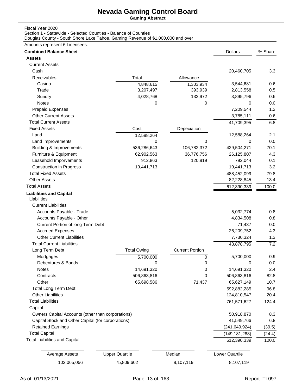**Gaming Abstract**

Fiscal Year 2020

Section 1 - Statewide - Selected Counties - Balance of Counties

Douglas County - South Shore Lake Tahoe, Gaming Revenue of \$1,000,000 and over

| <b>Combined Balance Sheet</b>                      |                       |                        | <b>Dollars</b>             | % Share      |
|----------------------------------------------------|-----------------------|------------------------|----------------------------|--------------|
| <b>Assets</b>                                      |                       |                        |                            |              |
| <b>Current Assets</b>                              |                       |                        |                            |              |
| Cash                                               |                       |                        | 20,460,705                 | 3.3          |
| Receivables                                        | Total                 | Allowance              |                            |              |
| Casino                                             | 4,848,615             | 1,303,934              | 3,544,681                  | 0.6          |
| Trade                                              | 3,207,497             | 393,939                | 2,813,558                  | 0.5          |
| Sundry                                             | 4,028,768             | 132,972                | 3,895,796                  | 0.6          |
| Notes                                              | 0                     | $\Omega$               | 0                          | 0.0          |
| <b>Prepaid Expenses</b>                            |                       |                        | 7,209,544                  | 1.2          |
| <b>Other Current Assets</b>                        |                       |                        | 3,785,111                  | 0.6          |
| <b>Total Current Assets</b>                        |                       |                        | 41,709,395                 | 6.8          |
| <b>Fixed Assets</b>                                | Cost                  | Depeciation            |                            |              |
| Land                                               | 12,588,264            |                        | 12,588,264                 | 2.1          |
| Land Improvements                                  | 0                     | 0                      | 0                          | 0.0          |
| <b>Building &amp; Improvements</b>                 | 536,286,643           | 106,782,372            | 429,504,271                | 70.1         |
| Furniture & Equipment                              | 62,902,563            | 36,776,756             | 26,125,807                 | 4.3          |
| Leasehold Imporvements                             | 912,863               | 120,819                | 792,044                    | 0.1          |
| <b>Construction in Progress</b>                    | 19,441,713            |                        | 19,441,713                 | 3.2          |
| <b>Total Fixed Assets</b>                          |                       |                        | 488,452,099                | 79.8         |
| <b>Other Assets</b>                                |                       |                        | 82,228,845                 | 13.4         |
| <b>Total Assets</b>                                |                       |                        | 612,390,339                | 100.0        |
| <b>Liabilities and Capital</b>                     |                       |                        |                            |              |
| Liabilities                                        |                       |                        |                            |              |
| <b>Current Liabilities</b>                         |                       |                        |                            |              |
| Accounts Payable - Trade                           |                       |                        | 5,032,774                  | 0.8          |
| Accounts Payable - Other                           |                       |                        | 4,834,508                  | 0.8          |
| Current Portion of long Term Debt                  |                       |                        | 71,437                     | 0.0          |
| <b>Accrued Expenses</b>                            |                       |                        | 26,209,752                 | 4.3          |
| <b>Other Current Liabilities</b>                   |                       |                        | 7,730,324                  | 1.3          |
| <b>Total Current Liabilities</b>                   |                       |                        | 43,878,795                 | 7.2          |
| Long Term Debt                                     | <b>Total Owing</b>    | <b>Current Portion</b> |                            |              |
| Mortgages                                          | 5,700,000             | $\mathbf 0$            | 5,700,000                  | 0.9          |
| Debentures & Bonds                                 | 0                     | 0                      | 0                          | 0.0          |
| <b>Notes</b>                                       | 14,691,320            | 0                      | 14,691,320                 | 2.4          |
| Contracts                                          | 506,863,816           | 0                      | 506,863,816                | 82.8         |
| Other                                              | 65,698,586            | 71,437                 | 65,627,149                 | 10.7         |
| <b>Total Long Term Debt</b>                        |                       |                        |                            |              |
| <b>Other Liabilities</b>                           |                       |                        | 592,882,285<br>124,810,547 | 96.8<br>20.4 |
| <b>Total Liabilities</b>                           |                       |                        |                            |              |
|                                                    |                       |                        | 761,571,627                | 124.4        |
| Capital                                            |                       |                        |                            |              |
| Owners Capital Accounts (other than corporations)  |                       |                        | 50,918,870                 | 8.3          |
| Capital Stock and Other Capital (for corporations) |                       |                        | 41,549,766                 | 6.8          |
| <b>Retained Earnings</b>                           |                       |                        | (241, 649, 924)            | (39.5)       |
| <b>Total Capital</b>                               |                       |                        | (149, 181, 288)            | (24.4)       |
| <b>Total Liabilities and Capital</b>               |                       |                        | 612,390,339                | 100.0        |
|                                                    |                       |                        |                            |              |
| <b>Average Assets</b>                              | <b>Upper Quartile</b> | Median                 | Lower Quartile             |              |
| 102,065,056                                        | 75,809,602            | 8,107,119              | 8,107,119                  |              |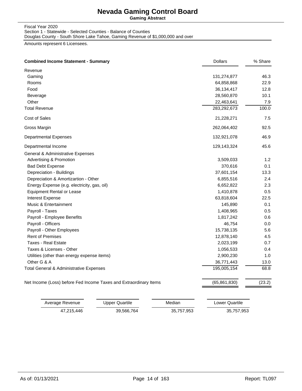**Gaming Abstract**

#### Fiscal Year 2020 Section 1 - Statewide - Selected Counties - Balance of Counties Douglas County - South Shore Lake Tahoe, Gaming Revenue of \$1,000,000 and over

| <b>Combined Income Statement - Summary</b>                        | <b>Dollars</b> | % Share |
|-------------------------------------------------------------------|----------------|---------|
| Revenue                                                           |                |         |
| Gaming                                                            | 131,274,877    | 46.3    |
| Rooms                                                             | 64,858,868     | 22.9    |
| Food                                                              | 36, 134, 417   | 12.8    |
| Beverage                                                          | 28,560,870     | 10.1    |
| Other                                                             | 22,463,641     | 7.9     |
| <b>Total Revenue</b>                                              | 283,292,673    | 100.0   |
| Cost of Sales                                                     | 21,228,271     | 7.5     |
| Gross Margin                                                      | 262,064,402    | 92.5    |
| <b>Departmental Expenses</b>                                      | 132,921,078    | 46.9    |
| Departmental Income                                               | 129,143,324    | 45.6    |
| General & Administrative Expenses                                 |                |         |
| <b>Advertising &amp; Promotion</b>                                | 3,509,033      | 1.2     |
| <b>Bad Debt Expense</b>                                           | 370,616        | 0.1     |
| Depreciation - Buildings                                          | 37,601,154     | 13.3    |
| Depreciation & Amortizartion - Other                              | 6,855,516      | 2.4     |
| Energy Expense (e.g. electricity, gas, oil)                       | 6,652,822      | 2.3     |
| <b>Equipment Rental or Lease</b>                                  | 1,410,878      | 0.5     |
| Interest Expense                                                  | 63,818,604     | 22.5    |
| Music & Entertainment                                             | 145,890        | 0.1     |
| Payroll - Taxes                                                   | 1,408,965      | 0.5     |
| Payroll - Employee Benefits                                       | 1,817,242      | 0.6     |
| Payroll - Officers                                                | 46,754         | 0.0     |
| Payroll - Other Employees                                         | 15,738,135     | 5.6     |
| <b>Rent of Premises</b>                                           | 12,878,140     | 4.5     |
| <b>Taxes - Real Estate</b>                                        | 2,023,199      | 0.7     |
| Taxes & Licenses - Other                                          | 1,056,533      | 0.4     |
| Utilities (other than energy expense items)                       | 2,900,230      | 1.0     |
| Other G & A                                                       | 36,771,443     | 13.0    |
| Total General & Administrative Expenses                           | 195,005,154    | 68.8    |
| Net Income (Loss) before Fed Income Taxes and Extraordinary Items | (65, 861, 830) | (23.2)  |

| Average Revenue | Upper Quartile | Median     | Lower Quartile |
|-----------------|----------------|------------|----------------|
| 47,215,446      | 39,566,764     | 35,757,953 | 35,757,953     |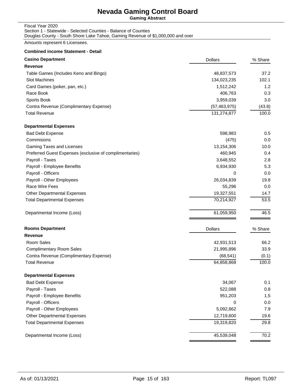**Gaming Abstract**

# Fiscal Year 2020 Section 1 - Statewide - Selected Counties - Balance of Counties

Douglas County - South Shore Lake Tahoe, Gaming Revenue of \$1,000,000 and over

Amounts represent 6 Licensees.

#### **Combined income Statement - Detail**

| <b>Casino Department</b>                                | <b>Dollars</b> | % Share |
|---------------------------------------------------------|----------------|---------|
| Revenue                                                 |                |         |
| Table Games (Includes Keno and Bingo)                   | 48,837,573     | 37.2    |
| <b>Slot Machines</b>                                    | 134,023,235    | 102.1   |
| Card Games (poker, pan, etc.)                           | 1,512,242      | 1.2     |
| Race Book                                               | 406,763        | 0.3     |
| Sports Book                                             | 3,959,039      | 3.0     |
| Contra Revenue (Complimentary Expense)                  | (57, 463, 975) | (43.8)  |
| <b>Total Revenue</b>                                    | 131,274,877    | 100.0   |
| <b>Departmental Expenses</b>                            |                |         |
| <b>Bad Debt Expense</b>                                 | 598,983        | 0.5     |
| Commisions                                              | (475)          | 0.0     |
| Gaming Taxes and Licenses                               | 13,154,306     | 10.0    |
| Preferred Guest Expenses (exclusive of complimentaries) | 460,945        | 0.4     |
| Payroll - Taxes                                         | 3,648,552      | 2.8     |
| Payroll - Employee Benefits                             | 6,934,930      | 5.3     |
| Payroll - Officers                                      | 0              | 0.0     |
| Payroll - Other Employees                               | 26,034,839     | 19.8    |
| Race Wire Fees                                          | 55,296         | 0.0     |
| Other Departmental Expenses                             | 19,327,551     | 14.7    |
| <b>Total Departmental Expenses</b>                      | 70,214,927     | 53.5    |
| Departmental Income (Loss)                              | 61,059,950     | 46.5    |
| <b>Rooms Department</b>                                 | <b>Dollars</b> | % Share |
| Revenue                                                 |                |         |
| Room Sales                                              | 42,931,513     | 66.2    |
| <b>Complimentary Room Sales</b>                         | 21,995,896     | 33.9    |
| Contra Revenue (Complimentary Expense)                  | (68, 541)      | (0.1)   |
| <b>Total Revenue</b>                                    | 64,858,868     | 100.0   |
| <b>Departmental Expenses</b>                            |                |         |
| <b>Bad Debt Expense</b>                                 | 34,067         | 0.1     |
| Payroll - Taxes                                         | 522,088        | 0.8     |
| Payroll - Employee Benefits                             | 951,203        | 1.5     |
| Payroll - Officers                                      | 0              | 0.0     |
| Payroll - Other Employees                               | 5,092,862      | 7.9     |
| Other Departmental Expenses                             | 12,719,600     | 19.6    |
| <b>Total Departmental Expenses</b>                      | 19,319,820     | 29.8    |
| Departmental Income (Loss)                              | 45,539,048     | 70.2    |
|                                                         |                |         |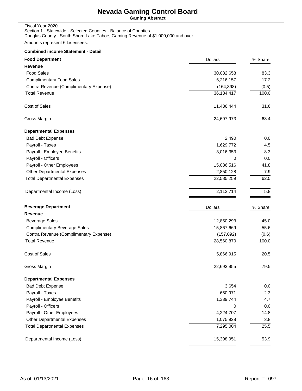**Gaming Abstract**

| Fiscal Year 2020                                                                |
|---------------------------------------------------------------------------------|
| Section 1 - Statewide - Selected Counties - Balance of Counties                 |
| Douglas County - South Shore Lake Tahoe, Gaming Revenue of \$1,000,000 and over |

Amounts represent 6 Licensees.

#### **Combined income Statement - Detail**

| <b>Food Department</b>                 | <b>Dollars</b> | % Share |
|----------------------------------------|----------------|---------|
| <b>Revenue</b>                         |                |         |
| <b>Food Sales</b>                      | 30,082,658     | 83.3    |
| <b>Complimentary Food Sales</b>        | 6,216,157      | 17.2    |
| Contra Revenue (Complimentary Expense) | (164, 398)     | (0.5)   |
| <b>Total Revenue</b>                   | 36,134,417     | 100.0   |
| Cost of Sales                          | 11,436,444     | 31.6    |
| Gross Margin                           | 24,697,973     | 68.4    |
| <b>Departmental Expenses</b>           |                |         |
| <b>Bad Debt Expense</b>                | 2,490          | 0.0     |
| Payroll - Taxes                        | 1,629,772      | 4.5     |
| Payroll - Employee Benefits            | 3,016,353      | 8.3     |
| Payroll - Officers                     | 0              | 0.0     |
| Payroll - Other Employees              | 15,086,516     | 41.8    |
| <b>Other Departmental Expenses</b>     | 2,850,128      | 7.9     |
| <b>Total Departmental Expenses</b>     | 22,585,259     | 62.5    |
| Departmental Income (Loss)             | 2,112,714      | 5.8     |
| <b>Beverage Department</b>             | <b>Dollars</b> | % Share |
| <b>Revenue</b>                         |                |         |
| <b>Beverage Sales</b>                  | 12,850,293     | 45.0    |
| <b>Complimentary Beverage Sales</b>    | 15,867,669     | 55.6    |
| Contra Revenue (Complimentary Expense) | (157,092)      | (0.6)   |
| <b>Total Revenue</b>                   | 28,560,870     | 100.0   |
| <b>Cost of Sales</b>                   | 5,866,915      | 20.5    |
| Gross Margin                           | 22,693,955     | 79.5    |
| <b>Departmental Expenses</b>           |                |         |
| <b>Bad Debt Expense</b>                | 3,654          | 0.0     |
| Payroll - Taxes                        | 650,971        | 2.3     |
| Payroll - Employee Benefits            | 1,339,744      | 4.7     |
| Payroll - Officers                     | 0              | 0.0     |
| Payroll - Other Employees              | 4,224,707      | 14.8    |
| Other Departmental Expenses            | 1,075,928      | 3.8     |
| <b>Total Departmental Expenses</b>     | 7,295,004      | 25.5    |
| Departmental Income (Loss)             | 15,398,951     | 53.9    |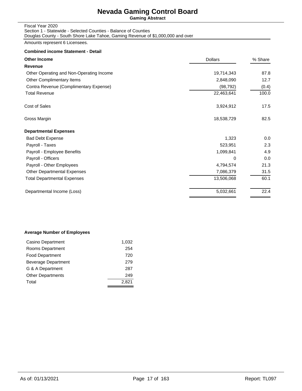**Gaming Abstract**

| Fiscal Year 2020                                                                |
|---------------------------------------------------------------------------------|
| Section 1 - Statewide - Selected Counties - Balance of Counties                 |
| Douglas County - South Shore Lake Tahoe, Gaming Revenue of \$1,000,000 and over |

Amounts represent 6 Licensees.

#### **Combined income Statement - Detail**

| <b>Other Income</b>                      | <b>Dollars</b> | % Share |
|------------------------------------------|----------------|---------|
| Revenue                                  |                |         |
| Other Operating and Non-Operating Income | 19,714,343     | 87.8    |
| Other Complimentary Items                | 2,848,090      | 12.7    |
| Contra Revenue (Complimentary Expense)   | (98, 792)      | (0.4)   |
| <b>Total Revenue</b>                     | 22,463,641     | 100.0   |
| Cost of Sales                            | 3,924,912      | 17.5    |
| Gross Margin                             | 18,538,729     | 82.5    |
| <b>Departmental Expenses</b>             |                |         |
| <b>Bad Debt Expense</b>                  | 1,323          | 0.0     |
| Payroll - Taxes                          | 523,951        | 2.3     |
| Payroll - Employee Benefits              | 1,099,841      | 4.9     |
| Payroll - Officers                       | 0              | 0.0     |
| Payroll - Other Employees                | 4,794,574      | 21.3    |
| <b>Other Departmental Expenses</b>       | 7,086,379      | 31.5    |
| Total Departmental Expenses              | 13,506,068     | 60.1    |
| Departmental Income (Loss)               | 5,032,661      | 22.4    |
|                                          |                |         |

#### **Average Number of Employees**

| Casino Department        | 1,032 |
|--------------------------|-------|
| Rooms Department         | 254   |
| <b>Food Department</b>   | 720   |
| Beverage Department      | 279   |
| G & A Department         | 287   |
| <b>Other Departments</b> | 249   |
| Total                    | 2.821 |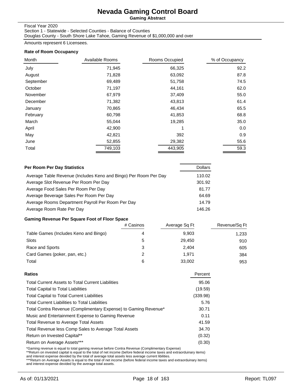**Gaming Abstract**

#### Fiscal Year 2020

Section 1 - Statewide - Selected Counties - Balance of Counties Douglas County - South Shore Lake Tahoe, Gaming Revenue of \$1,000,000 and over

Amounts represent 6 Licensees.

#### **Rate of Room Occupancy**

| Month     | Available Rooms | Rooms Occupied | % of Occupancy |
|-----------|-----------------|----------------|----------------|
| July      | 71,945          | 66,325         | 92.2           |
| August    | 71,828          | 63,092         | 87.8           |
| September | 69,489          | 51,758         | 74.5           |
| October   | 71,197          | 44,161         | 62.0           |
| November  | 67,979          | 37,409         | 55.0           |
| December  | 71,382          | 43,813         | 61.4           |
| January   | 70,865          | 46,434         | 65.5           |
| February  | 60,798          | 41,853         | 68.8           |
| March     | 55,044          | 19,285         | 35.0           |
| April     | 42,900          | 1              | 0.0            |
| May       | 42,821          | 392            | 0.9            |
| June      | 52,855          | 29,382         | 55.6           |
| Total     | 749,103         | 443,905        | 59.3           |

| Per Room Per Day Statistics                                      | <b>Dollars</b> |
|------------------------------------------------------------------|----------------|
| Average Table Revenue (Includes Keno and Bingo) Per Room Per Day | 110.02         |
| Average Slot Revenue Per Room Per Day                            | 301.92         |
| Average Food Sales Per Room Per Day                              | 81.77          |
| Average Beverage Sales Per Room Per Day                          | 64.69          |
| Average Rooms Department Payroll Per Room Per Day                | 14.79          |
| Average Room Rate Per Day                                        | 146.26         |

#### **Gaming Revenue Per Square Foot of Floor Space**

|                                       | # Casinos | Average Sq Ft | Revenue/Sq Ft |
|---------------------------------------|-----------|---------------|---------------|
| Table Games (Includes Keno and Bingo) |           | 9.903         | 1,233         |
| <b>Slots</b>                          | 5         | 29.450        | 910           |
| Race and Sports                       | 3         | 2.404         | 605           |
| Card Games (poker, pan, etc.)         | 2         | 1.971         | 384           |
| Total                                 | 6         | 33,002        | 953           |

| Percent  |
|----------|
| 95.06    |
| (19.59)  |
| (339.98) |
| 5.76     |
| 30.71    |
| 0.11     |
| 41.59    |
| 34.70    |
| (0.32)   |
| (0.30)   |
|          |

\*Gaming revenue is equal to total gaming revenue before Contra Revenue (Complimentary Expense)<br>\*\*Return on invested capital is equal to the total of net income (before federal income taxes and extraorduinary items)<br>and int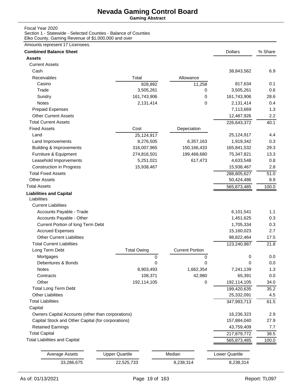**Gaming Abstract**

#### Fiscal Year 2020

Section 1 - Statewide - Selected Counties - Balance of Counties Elko County, Gaming Revenue of \$1,000,000 and over

| <b>Combined Balance Sheet</b>                      |                       |                        | <b>Dollars</b>        | % Share |
|----------------------------------------------------|-----------------------|------------------------|-----------------------|---------|
| <b>Assets</b>                                      |                       |                        |                       |         |
| <b>Current Assets</b>                              |                       |                        |                       |         |
| Cash                                               |                       |                        | 38,843,562            | 6.9     |
| Receivables                                        | Total                 | Allowance              |                       |         |
| Casino                                             | 828,892               | 11,258                 | 817,634               | 0.1     |
| Trade                                              | 3,505,261             | 0                      | 3,505,261             | 0.6     |
| Sundry                                             | 161,743,906           | 0                      | 161,743,906           | 28.6    |
| <b>Notes</b>                                       | 2,131,414             | 0                      | 2,131,414             | 0.4     |
| <b>Prepaid Expenses</b>                            |                       |                        | 7,113,669             | 1.3     |
| <b>Other Current Assets</b>                        |                       |                        | 12,487,926            | 2.2     |
| <b>Total Current Assets</b>                        |                       |                        | 226,643,372           | 40.1    |
| <b>Fixed Assets</b>                                | Cost                  | Depeciation            |                       |         |
| Land                                               | 25,124,917            |                        | 25,124,917            | 4.4     |
| Land Improvements                                  | 8,276,505             | 6,357,163              | 1,919,342             | 0.3     |
| <b>Building &amp; Improvements</b>                 | 316,007,965           | 150,166,433            | 165,841,532           | 29.3    |
| Furniture & Equipment                              | 274,816,501           | 199,468,680            | 75,347,821            | 13.3    |
| Leasehold Imporvements                             | 5,251,021             | 617,473                | 4,633,548             | 0.8     |
| <b>Construction in Progress</b>                    | 15,938,467            |                        | 15,938,467            | 2.8     |
| <b>Total Fixed Assets</b>                          |                       |                        | 288,805,627           | 51.0    |
| <b>Other Assets</b>                                |                       |                        | 50,424,486            | 8.9     |
| <b>Total Assets</b>                                |                       |                        | 565,873,485           | 100.0   |
| <b>Liabilities and Capital</b>                     |                       |                        |                       |         |
| Liabilities                                        |                       |                        |                       |         |
| <b>Current Liabilities</b>                         |                       |                        |                       |         |
| Accounts Payable - Trade                           |                       |                        | 6,101,541             | 1.1     |
| Accounts Payable - Other                           |                       |                        | 1,451,625             | 0.3     |
| Current Portion of long Term Debt                  |                       |                        | 1,705,334             | 0.3     |
| <b>Accrued Expenses</b>                            |                       |                        | 15,160,023            | 2.7     |
| <b>Other Current Liabilities</b>                   |                       |                        | 98,822,464            | 17.5    |
| <b>Total Current Liabilities</b>                   |                       |                        | 123,240,987           | 21.8    |
| Long Term Debt                                     | <b>Total Owing</b>    | <b>Current Portion</b> |                       |         |
| Mortgages                                          | 0                     | 0                      | 0                     | 0.0     |
| Debentures & Bonds                                 | 0                     | 0                      | 0                     | 0.0     |
| <b>Notes</b>                                       | 8,903,493             | 1,662,354              | 7,241,139             | 1.3     |
| Contracts                                          | 108,371               | 42,980                 | 65,391                | $0.0\,$ |
| Other                                              | 192,114,105           | 0                      | 192,114,105           | 34.0    |
| <b>Total Long Term Debt</b>                        |                       |                        | 199,420,635           | 35.2    |
| <b>Other Liabilities</b>                           |                       |                        | 25,332,091            | 4.5     |
| <b>Total Liabilities</b>                           |                       |                        | 347,993,713           | 61.5    |
| Capital                                            |                       |                        |                       |         |
| Owners Capital Accounts (other than corporations)  |                       |                        | 16,236,323            | 2.9     |
| Capital Stock and Other Capital (for corporations) |                       |                        | 157,884,040           | 27.9    |
| <b>Retained Earnings</b>                           |                       |                        | 43,759,409            | 7.7     |
| <b>Total Capital</b>                               |                       |                        | 217,879,772           | 38.5    |
| <b>Total Liabilities and Capital</b>               |                       |                        | 565,873,485           | 100.0   |
|                                                    |                       |                        |                       |         |
| <b>Average Assets</b>                              | <b>Upper Quartile</b> | Median                 | <b>Lower Quartile</b> |         |
|                                                    |                       |                        |                       |         |
| 33,286,675                                         | 22,525,733            | 8,238,314              | 8,238,314             |         |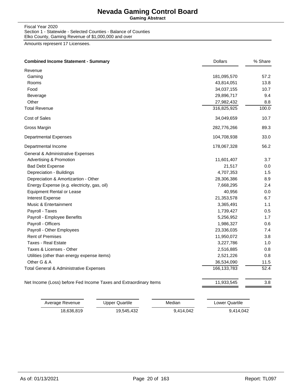**Gaming Abstract**

Fiscal Year 2020 Section 1 - Statewide - Selected Counties - Balance of Counties Elko County, Gaming Revenue of \$1,000,000 and over

| Revenue                                                           |               |         |
|-------------------------------------------------------------------|---------------|---------|
| Gaming                                                            | 181,095,570   | 57.2    |
| Rooms                                                             | 43,814,051    | 13.8    |
| Food                                                              | 34,037,155    | 10.7    |
| Beverage                                                          | 29,896,717    | 9.4     |
| Other                                                             | 27,982,432    | 8.8     |
| <b>Total Revenue</b>                                              | 316,825,925   | 100.0   |
| Cost of Sales                                                     | 34,049,659    | 10.7    |
| Gross Margin                                                      | 282,776,266   | 89.3    |
| <b>Departmental Expenses</b>                                      | 104,708,938   | 33.0    |
| Departmental Income                                               | 178,067,328   | 56.2    |
| General & Administrative Expenses                                 |               |         |
| Advertising & Promotion                                           | 11,601,407    | 3.7     |
| <b>Bad Debt Expense</b>                                           | 21,517        | 0.0     |
| Depreciation - Buildings                                          | 4,707,353     | 1.5     |
| Depreciation & Amortizartion - Other                              | 28,306,386    | 8.9     |
| Energy Expense (e.g. electricity, gas, oil)                       | 7,668,295     | 2.4     |
| <b>Equipment Rental or Lease</b>                                  | 40,956        | 0.0     |
| Interest Expense                                                  | 21,353,578    | 6.7     |
| Music & Entertainment                                             | 3,365,491     | 1.1     |
| Payroll - Taxes                                                   | 1,739,427     | 0.5     |
| Payroll - Employee Benefits                                       | 5,256,952     | 1.7     |
| Payroll - Officers                                                | 1,986,327     | 0.6     |
| Payroll - Other Employees                                         | 23,336,035    | 7.4     |
| <b>Rent of Premises</b>                                           | 11,950,072    | 3.8     |
| <b>Taxes - Real Estate</b>                                        | 3,227,786     | 1.0     |
| Taxes & Licenses - Other                                          | 2,516,885     | 0.8     |
| Utilities (other than energy expense items)                       | 2,521,226     | 0.8     |
| Other G & A                                                       | 36,534,090    | 11.5    |
| Total General & Administrative Expenses                           | 166, 133, 783 | 52.4    |
| Net Income (Loss) before Fed Income Taxes and Extraordinary Items | 11,933,545    | $3.8\,$ |

| Average Revenue | Upper Quartile | Median    | Lower Quartile |
|-----------------|----------------|-----------|----------------|
| 18.636.819      | 19.545.432     | 9.414.042 | 9.414.042      |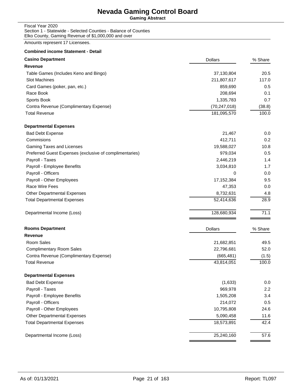**Gaming Abstract**

Fiscal Year 2020 Section 1 - Statewide - Selected Counties - Balance of Counties Elko County, Gaming Revenue of \$1,000,000 and over

| <b>Casino Department</b>                                | <b>Dollars</b> | % Share |
|---------------------------------------------------------|----------------|---------|
| Revenue                                                 |                |         |
| Table Games (Includes Keno and Bingo)                   | 37,130,804     | 20.5    |
| <b>Slot Machines</b>                                    | 211,807,617    | 117.0   |
| Card Games (poker, pan, etc.)                           | 859,690        | 0.5     |
| Race Book                                               | 208,694        | 0.1     |
| Sports Book                                             | 1,335,783      | 0.7     |
| Contra Revenue (Complimentary Expense)                  | (70, 247, 018) | (38.8)  |
| <b>Total Revenue</b>                                    | 181,095,570    | 100.0   |
| <b>Departmental Expenses</b>                            |                |         |
| <b>Bad Debt Expense</b>                                 | 21,467         | 0.0     |
| Commisions                                              | 412,711        | 0.2     |
| Gaming Taxes and Licenses                               | 19,588,027     | 10.8    |
| Preferred Guest Expenses (exclusive of complimentaries) | 979,034        | 0.5     |
| Payroll - Taxes                                         | 2,446,219      | 1.4     |
| Payroll - Employee Benefits                             | 3,034,810      | 1.7     |
| Payroll - Officers                                      | 0              | 0.0     |
| Payroll - Other Employees                               | 17,152,384     | 9.5     |
| Race Wire Fees                                          | 47,353         | 0.0     |
| <b>Other Departmental Expenses</b>                      | 8,732,631      | 4.8     |
| <b>Total Departmental Expenses</b>                      | 52,414,636     | 28.9    |
| Departmental Income (Loss)                              | 128,680,934    | 71.1    |
| <b>Rooms Department</b>                                 | <b>Dollars</b> | % Share |
| Revenue                                                 |                |         |
| Room Sales                                              | 21,682,851     | 49.5    |
| <b>Complimentary Room Sales</b>                         | 22,796,681     | 52.0    |
| Contra Revenue (Complimentary Expense)                  | (665, 481)     | (1.5)   |
| <b>Total Revenue</b>                                    | 43,814,051     | 100.0   |
| <b>Departmental Expenses</b>                            |                |         |
| <b>Bad Debt Expense</b>                                 | (1,633)        | 0.0     |
| Payroll - Taxes                                         | 969,978        | 2.2     |
| Payroll - Employee Benefits                             | 1,505,208      | 3.4     |
| Payroll - Officers                                      | 214,072        | 0.5     |
| Payroll - Other Employees                               | 10,795,808     | 24.6    |
| <b>Other Departmental Expenses</b>                      | 5,090,458      | 11.6    |
| <b>Total Departmental Expenses</b>                      | 18,573,891     | 42.4    |
| Departmental Income (Loss)                              | 25,240,160     | 57.6    |
|                                                         |                |         |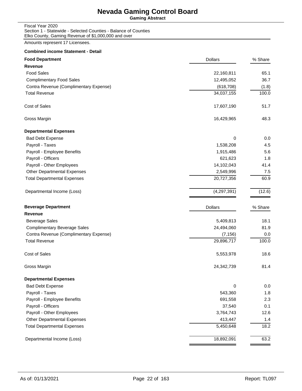**Gaming Abstract**

Fiscal Year 2020 Section 1 - Statewide - Selected Counties - Balance of Counties Elko County, Gaming Revenue of \$1,000,000 and over

Amounts represent 17 Licensees.

#### **Combined income Statement - Detail**

| <b>Food Department</b>                 | <b>Dollars</b> | % Share |
|----------------------------------------|----------------|---------|
| Revenue                                |                |         |
| <b>Food Sales</b>                      | 22,160,811     | 65.1    |
| <b>Complimentary Food Sales</b>        | 12,495,052     | 36.7    |
| Contra Revenue (Complimentary Expense) | (618, 708)     | (1.8)   |
| <b>Total Revenue</b>                   | 34,037,155     | 100.0   |
| Cost of Sales                          | 17,607,190     | 51.7    |
| Gross Margin                           | 16,429,965     | 48.3    |
| <b>Departmental Expenses</b>           |                |         |
| <b>Bad Debt Expense</b>                | 0              | 0.0     |
| Payroll - Taxes                        | 1,538,208      | 4.5     |
| Payroll - Employee Benefits            | 1,915,486      | 5.6     |
| Payroll - Officers                     | 621,623        | 1.8     |
| Payroll - Other Employees              | 14,102,043     | 41.4    |
| <b>Other Departmental Expenses</b>     | 2,549,996      | 7.5     |
| <b>Total Departmental Expenses</b>     | 20,727,356     | 60.9    |
| Departmental Income (Loss)             | (4,297,391)    | (12.6)  |
| <b>Beverage Department</b>             | <b>Dollars</b> | % Share |
| <b>Revenue</b>                         |                |         |
| <b>Beverage Sales</b>                  | 5,409,813      | 18.1    |
| <b>Complimentary Beverage Sales</b>    | 24,494,060     | 81.9    |
| Contra Revenue (Complimentary Expense) | (7, 156)       | 0.0     |
| <b>Total Revenue</b>                   | 29,896,717     | 100.0   |
| <b>Cost of Sales</b>                   | 5,553,978      | 18.6    |
| Gross Margin                           | 24,342,739     | 81.4    |
| <b>Departmental Expenses</b>           |                |         |
| <b>Bad Debt Expense</b>                | 0              | 0.0     |
| Payroll - Taxes                        | 543,360        | 1.8     |
| Payroll - Employee Benefits            | 691,558        | 2.3     |
| Payroll - Officers                     | 37,540         | 0.1     |
| Payroll - Other Employees              | 3,764,743      | 12.6    |
| <b>Other Departmental Expenses</b>     | 413,447        | 1.4     |
| <b>Total Departmental Expenses</b>     | 5,450,648      | 18.2    |
| Departmental Income (Loss)             | 18,892,091     | 63.2    |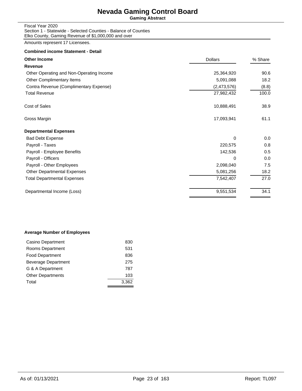**Gaming Abstract**

Fiscal Year 2020 Section 1 - Statewide - Selected Counties - Balance of Counties Elko County, Gaming Revenue of \$1,000,000 and over

Amounts represent 17 Licensees.

#### **Combined income Statement - Detail**

| <b>Other Income</b>                      | <b>Dollars</b> | % Share |
|------------------------------------------|----------------|---------|
| Revenue                                  |                |         |
| Other Operating and Non-Operating Income | 25,364,920     | 90.6    |
| Other Complimentary Items                | 5,091,088      | 18.2    |
| Contra Revenue (Complimentary Expense)   | (2,473,576)    | (8.8)   |
| <b>Total Revenue</b>                     | 27,982,432     | 100.0   |
| Cost of Sales                            | 10,888,491     | 38.9    |
| Gross Margin                             | 17,093,941     | 61.1    |
| <b>Departmental Expenses</b>             |                |         |
| <b>Bad Debt Expense</b>                  | 0              | 0.0     |
| Payroll - Taxes                          | 220,575        | 0.8     |
| Payroll - Employee Benefits              | 142,536        | 0.5     |
| Payroll - Officers                       | 0              | 0.0     |
| Payroll - Other Employees                | 2,098,040      | 7.5     |
| Other Departmental Expenses              | 5,081,256      | 18.2    |
| <b>Total Departmental Expenses</b>       | 7,542,407      | 27.0    |
| Departmental Income (Loss)               | 9,551,534      | 34.1    |

#### **Average Number of Employees**

| Casino Department          | 830   |
|----------------------------|-------|
| Rooms Department           | 531   |
| <b>Food Department</b>     | 836   |
| <b>Beverage Department</b> | 275   |
| G & A Department           | 787   |
| <b>Other Departments</b>   | 103   |
| Total                      | 3.362 |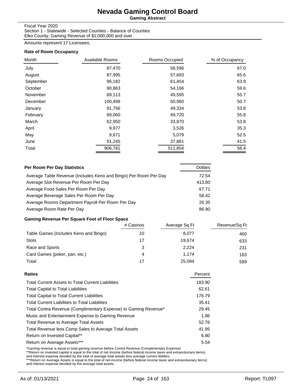**Gaming Abstract**

#### Fiscal Year 2020

Section 1 - Statewide - Selected Counties - Balance of Counties Elko County, Gaming Revenue of \$1,000,000 and over

Amounts represent 17 Licensees.

#### **Rate of Room Occupancy**

| Month     | Available Rooms | Rooms Occupied | % of Occupancy |
|-----------|-----------------|----------------|----------------|
| July      | 87,470          | 58,596         | 67.0           |
| August    | 87,995          | 57,693         | 65.6           |
| September | 96,182          | 61,454         | 63.9           |
| October   | 90,863          | 54,166         | 59.6           |
| November  | 89,113          | 49,595         | 55.7           |
| December  | 100,499         | 50,960         | 50.7           |
| January   | 91,756          | 49,334         | 53.8           |
| February  | 89,060          | 49,720         | 55.8           |
| March     | 62,950          | 33,870         | 53.8           |
| April     | 9,977           | 3,526          | 35.3           |
| May       | 9,671           | 5,079          | 52.5           |
| June      | 91,245          | 37,861         | 41.5           |
| Total     | 906,781         | 511,854        | 56.4           |

| Per Room Per Day Statistics                                      | <b>Dollars</b> |
|------------------------------------------------------------------|----------------|
| Average Table Revenue (Includes Keno and Bingo) Per Room Per Day | 72.54          |
| Average Slot Revenue Per Room Per Day                            | 413.80         |
| Average Food Sales Per Room Per Day                              | 67.71          |
| Average Beverage Sales Per Room Per Day                          | 58.42          |
| Average Rooms Department Payroll Per Room Per Day                | 26.35          |
| Average Room Rate Per Day                                        | 86.90          |

### **Gaming Revenue Per Square Foot of Floor Space**

|                                       | # Casinos | Average Sq Ft | Revenue/Sq Ft |
|---------------------------------------|-----------|---------------|---------------|
| Table Games (Includes Keno and Bingo) | 10        | 8,077         | 460           |
| <b>Slots</b>                          | 17        | 19.674        | 633           |
| Race and Sports                       | 3         | 2.224         | 231           |
| Card Games (poker, pan, etc.)         | 4         | 1.174         | 183           |
| Total                                 | 17        | 25.094        | 589           |

| Ratios                                                          | Percent |
|-----------------------------------------------------------------|---------|
| <b>Total Current Assets to Total Current Liabilities</b>        | 183.90  |
| <b>Total Capital to Total Liabilities</b>                       | 62.61   |
| <b>Total Capital to Total Current Liabilities</b>               | 176.79  |
| <b>Total Current Liabilities to Total Liabilities</b>           | 35.41   |
| Total Contra Revenue (Complimentary Expense) to Gaming Revenue* | 29.45   |
| Music and Entertainment Expense to Gaming Revenue               | 1.86    |
| <b>Total Revenue to Average Total Assets</b>                    | 52.76   |
| Total Revenue less Comp Sales to Average Total Assets           | 41.95   |
| Return on Invested Capital**                                    | 6.80    |
| Return on Average Assets***                                     | 5.54    |
|                                                                 |         |

\*Gaming revenue is equal to total gaming revenue before Contra Revenue (Complimentary Expense)<br>\*\*Return on invested capital is equal to the total of net income (before federal income taxes and extraorduinary items)<br>and int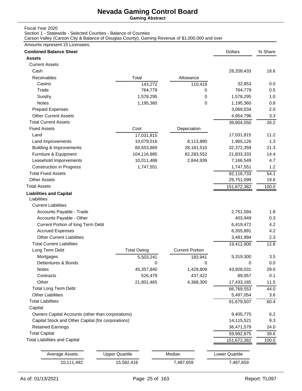**Gaming Abstract**

Fiscal Year 2020

Section 1 - Statewide - Selected Counties - Balance of Counties

Carson Valley (Carson City & Balance of Douglas County), Gaming Revenue of \$1,000,000 and over

| Amounts represent 15 Licensees.                    |                       |                        |                |         |
|----------------------------------------------------|-----------------------|------------------------|----------------|---------|
| <b>Combined Balance Sheet</b>                      |                       |                        | <b>Dollars</b> | % Share |
| <b>Assets</b>                                      |                       |                        |                |         |
| <b>Current Assets</b>                              |                       |                        |                |         |
| Cash                                               |                       |                        | 28,209,433     | 18.6    |
| Receivables                                        | Total                 | Allowance              |                |         |
| Casino                                             | 143,272               | 110,419                | 32,853         | 0.0     |
| Trade                                              | 764,779               | 0                      | 764,779        | 0.5     |
| Sundry                                             | 1,578,295             | 0                      | 1,578,295      | 1.0     |
| Notes                                              | 1,195,360             | 0                      | 1,195,360      | 0.8     |
| <b>Prepaid Expenses</b>                            |                       |                        | 3,069,034      | 2.0     |
| <b>Other Current Assets</b>                        |                       |                        | 4,954,796      | 3.3     |
| <b>Total Current Assets</b>                        |                       |                        | 39,804,550     | 26.2    |
| <b>Fixed Assets</b>                                | Cost                  | Depeciation            |                |         |
| Land                                               | 17,031,815            |                        | 17,031,815     | 11.2    |
| Land Improvements                                  | 10,079,016            | 8,113,890              | 1,965,126      | 1.3     |
| <b>Building &amp; Improvements</b>                 | 60,553,869            | 28,181,510             | 32,372,359     | 21.3    |
| Furniture & Equipment                              | 104,116,885           | 82,283,552             | 21,833,333     | 14.4    |
| Leasehold Imporvements                             | 10,011,488            | 2,844,939              | 7,166,549      | 4.7     |
| <b>Construction in Progress</b>                    | 1,747,551             |                        | 1,747,551      | 1.2     |
| <b>Total Fixed Assets</b>                          |                       |                        | 82,116,733     | 54.1    |
| <b>Other Assets</b>                                |                       |                        | 29,751,099     | 19.6    |
| <b>Total Assets</b>                                |                       |                        | 151,672,382    | 100.0   |
| <b>Liabilities and Capital</b><br>Liabilities      |                       |                        |                |         |
| <b>Current Liabilities</b>                         |                       |                        |                |         |
| Accounts Payable - Trade                           |                       |                        | 2,751,594      | 1.8     |
| Accounts Payable - Other                           |                       |                        | 403,949        | 0.3     |
| Current Portion of long Term Debt                  |                       |                        | 6,419,472      | 4.2     |
| <b>Accrued Expenses</b>                            |                       |                        | 6,355,891      | 4.2     |
| <b>Other Current Liabilities</b>                   |                       |                        | 3,481,994      | 2.3     |
| <b>Total Current Liabilities</b>                   |                       |                        | 19,412,900     | 12.8    |
| Long Term Debt                                     | <b>Total Owing</b>    | <b>Current Portion</b> |                |         |
| Mortgages                                          | 5,503,241             | 183,941                | 5,319,300      | 3.5     |
| Debentures & Bonds                                 | 0                     | 0                      | $\Omega$       | 0.0     |
| <b>Notes</b>                                       | 45,357,840            | 1,429,809              | 43,928,031     | 29.0    |
| Contracts                                          | 526,479               | 437,422                | 89,057         | 0.1     |
| Other                                              | 21,801,465            | 4,368,300              | 17,433,165     | 11.5    |
| <b>Total Long Term Debt</b>                        |                       |                        | 66,769,553     | 44.0    |
| <b>Other Liabilities</b>                           |                       |                        | 5,497,054      | 3.6     |
| <b>Total Liabilities</b>                           |                       |                        | 91,679,507     | 60.4    |
| Capital                                            |                       |                        |                |         |
| Owners Capital Accounts (other than corporations)  |                       |                        | 9,405,775      | 6.2     |
| Capital Stock and Other Capital (for corporations) |                       |                        | 14,115,521     | 9.3     |
| <b>Retained Earnings</b>                           |                       |                        | 36,471,579     | 24.0    |
| <b>Total Capital</b>                               |                       |                        | 59,992,875     | 39.6    |
| <b>Total Liabilities and Capital</b>               |                       |                        | 151,672,382    |         |
|                                                    |                       |                        |                | 100.0   |
| <b>Average Assets</b>                              | <b>Upper Quartile</b> | Median                 | Lower Quartile |         |
| 10,111,492                                         | 15,582,416            | 7,487,659              | 7,487,659      |         |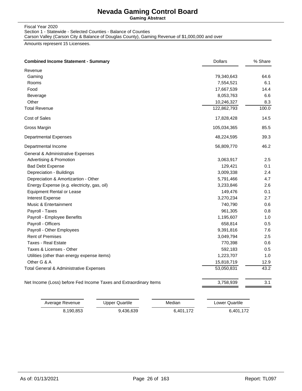**Gaming Abstract**

#### Fiscal Year 2020 Section 1 - Statewide - Selected Counties - Balance of Counties Carson Valley (Carson City & Balance of Douglas County), Gaming Revenue of \$1,000,000 and over

| <b>Combined Income Statement - Summary</b>                        | <b>Dollars</b> | % Share |
|-------------------------------------------------------------------|----------------|---------|
| Revenue                                                           |                |         |
| Gaming                                                            | 79,340,643     | 64.6    |
| Rooms                                                             | 7,554,521      | 6.1     |
| Food                                                              | 17,667,539     | 14.4    |
| Beverage                                                          | 8,053,763      | 6.6     |
| Other                                                             | 10,246,327     | 8.3     |
| <b>Total Revenue</b>                                              | 122,862,793    | 100.0   |
| Cost of Sales                                                     | 17,828,428     | 14.5    |
| Gross Margin                                                      | 105,034,365    | 85.5    |
| <b>Departmental Expenses</b>                                      | 48,224,595     | 39.3    |
| Departmental Income                                               | 56,809,770     | 46.2    |
| <b>General &amp; Administrative Expenses</b>                      |                |         |
| Advertising & Promotion                                           | 3,063,917      | 2.5     |
| <b>Bad Debt Expense</b>                                           | 129,421        | 0.1     |
| Depreciation - Buildings                                          | 3,009,338      | 2.4     |
| Depreciation & Amortizartion - Other                              | 5,791,466      | 4.7     |
| Energy Expense (e.g. electricity, gas, oil)                       | 3,233,846      | 2.6     |
| <b>Equipment Rental or Lease</b>                                  | 149,476        | 0.1     |
| <b>Interest Expense</b>                                           | 3,270,234      | 2.7     |
| Music & Entertainment                                             | 740,790        | 0.6     |
| Payroll - Taxes                                                   | 961,305        | 0.8     |
| Payroll - Employee Benefits                                       | 1,195,607      | 1.0     |
| Payroll - Officers                                                | 658,814        | 0.5     |
| Payroll - Other Employees                                         | 9,391,816      | 7.6     |
| <b>Rent of Premises</b>                                           | 3,049,794      | 2.5     |
| <b>Taxes - Real Estate</b>                                        | 770,398        | 0.6     |
| Taxes & Licenses - Other                                          | 592,183        | 0.5     |
| Utilities (other than energy expense items)                       | 1,223,707      | 1.0     |
| Other G & A                                                       | 15,818,719     | 12.9    |
| Total General & Administrative Expenses                           | 53,050,831     | 43.2    |
| Net Income (Loss) before Fed Income Taxes and Extraordinary Items | 3,758,939      | 3.1     |

| Average Revenue | Upper Quartile | Median    | Lower Quartile |
|-----------------|----------------|-----------|----------------|
| 8.190.853       | 9.436.639      | 6.401.172 | 6.401.172      |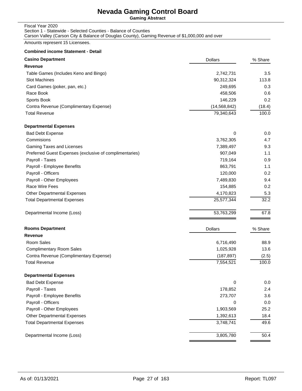**Gaming Abstract**

### Fiscal Year 2020

Section 1 - Statewide - Selected Counties - Balance of Counties

Carson Valley (Carson City & Balance of Douglas County), Gaming Revenue of \$1,000,000 and over

Amounts represent 15 Licensees.

#### **Combined income Statement - Detail**

| <b>Casino Department</b>                                | <b>Dollars</b> | % Share |
|---------------------------------------------------------|----------------|---------|
| Revenue                                                 |                |         |
| Table Games (Includes Keno and Bingo)                   | 2,742,731      | 3.5     |
| Slot Machines                                           | 90,312,324     | 113.8   |
| Card Games (poker, pan, etc.)                           | 249,695        | 0.3     |
| Race Book                                               | 458,506        | 0.6     |
| Sports Book                                             | 146,229        | 0.2     |
| Contra Revenue (Complimentary Expense)                  | (14, 568, 842) | (18.4)  |
| <b>Total Revenue</b>                                    | 79,340,643     | 100.0   |
| <b>Departmental Expenses</b>                            |                |         |
| <b>Bad Debt Expense</b>                                 | 0              | 0.0     |
| Commisions                                              | 3,762,305      | 4.7     |
| Gaming Taxes and Licenses                               | 7,389,497      | 9.3     |
| Preferred Guest Expenses (exclusive of complimentaries) | 907,049        | 1.1     |
| Payroll - Taxes                                         | 719,164        | 0.9     |
| Payroll - Employee Benefits                             | 863,791        | 1.1     |
| Payroll - Officers                                      | 120,000        | 0.2     |
| Payroll - Other Employees                               | 7,489,830      | 9.4     |
| Race Wire Fees                                          | 154,885        | 0.2     |
| Other Departmental Expenses                             | 4,170,823      | 5.3     |
| <b>Total Departmental Expenses</b>                      | 25,577,344     | 32.2    |
| Departmental Income (Loss)                              | 53,763,299     | 67.8    |
| <b>Rooms Department</b>                                 | <b>Dollars</b> | % Share |
| Revenue                                                 |                |         |
| Room Sales                                              | 6,716,490      | 88.9    |
| <b>Complimentary Room Sales</b>                         | 1,025,928      | 13.6    |
| Contra Revenue (Complimentary Expense)                  | (187, 897)     | (2.5)   |
| <b>Total Revenue</b>                                    | 7,554,521      | 100.0   |
| <b>Departmental Expenses</b>                            |                |         |
| <b>Bad Debt Expense</b>                                 | $\pmb{0}$      | 0.0     |
| Payroll - Taxes                                         | 178,852        | 2.4     |
| Payroll - Employee Benefits                             | 273,707        | 3.6     |
| Payroll - Officers                                      | 0              | 0.0     |
| Payroll - Other Employees                               | 1,903,569      | 25.2    |
| Other Departmental Expenses                             | 1,392,613      | 18.4    |
| <b>Total Departmental Expenses</b>                      | 3,748,741      | 49.6    |
| Departmental Income (Loss)                              | 3,805,780      | 50.4    |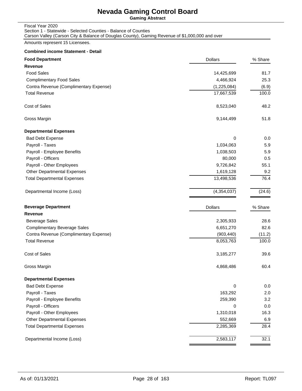**Gaming Abstract**

### Fiscal Year 2020

Section 1 - Statewide - Selected Counties - Balance of Counties

Carson Valley (Carson City & Balance of Douglas County), Gaming Revenue of \$1,000,000 and over

Amounts represent 15 Licensees.

#### **Combined income Statement - Detail**

| <b>Food Department</b>                 | <b>Dollars</b> | % Share |
|----------------------------------------|----------------|---------|
| Revenue                                |                |         |
| <b>Food Sales</b>                      | 14,425,699     | 81.7    |
| <b>Complimentary Food Sales</b>        | 4,466,924      | 25.3    |
| Contra Revenue (Complimentary Expense) | (1,225,084)    | (6.9)   |
| <b>Total Revenue</b>                   | 17,667,539     | 100.0   |
| <b>Cost of Sales</b>                   | 8,523,040      | 48.2    |
| Gross Margin                           | 9,144,499      | 51.8    |
| <b>Departmental Expenses</b>           |                |         |
| <b>Bad Debt Expense</b>                | 0              | 0.0     |
| Payroll - Taxes                        | 1,034,063      | 5.9     |
| Payroll - Employee Benefits            | 1,038,503      | 5.9     |
| Payroll - Officers                     | 80,000         | 0.5     |
| Payroll - Other Employees              | 9,726,842      | 55.1    |
| <b>Other Departmental Expenses</b>     | 1,619,128      | 9.2     |
| <b>Total Departmental Expenses</b>     | 13,498,536     | 76.4    |
| Departmental Income (Loss)             | (4,354,037)    | (24.6)  |
| <b>Beverage Department</b>             | <b>Dollars</b> | % Share |
| <b>Revenue</b>                         |                |         |
| <b>Beverage Sales</b>                  | 2,305,933      | 28.6    |
| <b>Complimentary Beverage Sales</b>    | 6,651,270      | 82.6    |
| Contra Revenue (Complimentary Expense) | (903, 440)     | (11.2)  |
| <b>Total Revenue</b>                   | 8,053,763      | 100.0   |
| Cost of Sales                          | 3,185,277      | 39.6    |
| Gross Margin                           | 4,868,486      | 60.4    |
| <b>Departmental Expenses</b>           |                |         |
| <b>Bad Debt Expense</b>                | 0              | 0.0     |
| Payroll - Taxes                        | 163,292        | 2.0     |
| Payroll - Employee Benefits            | 259,390        | 3.2     |
| Payroll - Officers                     | 0              | 0.0     |
| Payroll - Other Employees              | 1,310,018      | 16.3    |
| Other Departmental Expenses            | 552,669        | 6.9     |
| <b>Total Departmental Expenses</b>     | 2,285,369      | 28.4    |
| Departmental Income (Loss)             | 2,583,117      | 32.1    |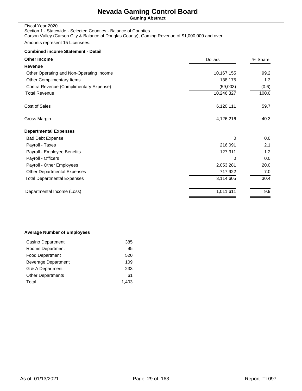**Gaming Abstract**

### Fiscal Year 2020

### Section 1 - Statewide - Selected Counties - Balance of Counties

Carson Valley (Carson City & Balance of Douglas County), Gaming Revenue of \$1,000,000 and over

Amounts represent 15 Licensees.

#### **Combined income Statement - Detail**

| <b>Other Income</b>                      | <b>Dollars</b> | % Share |
|------------------------------------------|----------------|---------|
| Revenue                                  |                |         |
| Other Operating and Non-Operating Income | 10,167,155     | 99.2    |
| Other Complimentary Items                | 138,175        | 1.3     |
| Contra Revenue (Complimentary Expense)   | (59,003)       | (0.6)   |
| <b>Total Revenue</b>                     | 10,246,327     | 100.0   |
| Cost of Sales                            | 6,120,111      | 59.7    |
| Gross Margin                             | 4,126,216      | 40.3    |
| <b>Departmental Expenses</b>             |                |         |
| <b>Bad Debt Expense</b>                  | 0              | 0.0     |
| Payroll - Taxes                          | 216,091        | 2.1     |
| Payroll - Employee Benefits              | 127,311        | 1.2     |
| Payroll - Officers                       | 0              | 0.0     |
| Payroll - Other Employees                | 2,053,281      | 20.0    |
| <b>Other Departmental Expenses</b>       | 717,922        | 7.0     |
| <b>Total Departmental Expenses</b>       | 3,114,605      | 30.4    |
| Departmental Income (Loss)               | 1,011,611      | 9.9     |
|                                          |                |         |

#### **Average Number of Employees**

| Casino Department        | 385   |
|--------------------------|-------|
| Rooms Department         | 95    |
| <b>Food Department</b>   | 520   |
| Beverage Department      | 109   |
| G & A Department         | 233   |
| <b>Other Departments</b> | 61    |
| Total                    | 1.403 |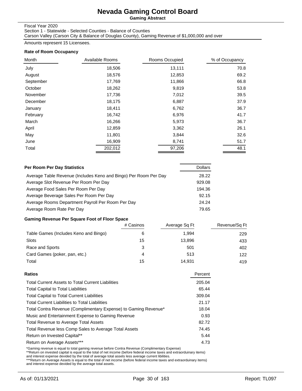**Gaming Abstract**

#### Fiscal Year 2020

Section 1 - Statewide - Selected Counties - Balance of Counties

Carson Valley (Carson City & Balance of Douglas County), Gaming Revenue of \$1,000,000 and over

Amounts represent 15 Licensees.

#### **Rate of Room Occupancy**

| Month     | Available Rooms | Rooms Occupied | % of Occupancy |
|-----------|-----------------|----------------|----------------|
| July      | 18,506          | 13,111         | 70.8           |
| August    | 18,576          | 12,853         | 69.2           |
| September | 17,769          | 11,866         | 66.8           |
| October   | 18,262          | 9,819          | 53.8           |
| November  | 17,736          | 7,012          | 39.5           |
| December  | 18,175          | 6,887          | 37.9           |
| January   | 18,411          | 6,762          | 36.7           |
| February  | 16,742          | 6,976          | 41.7           |
| March     | 16,266          | 5,973          | 36.7           |
| April     | 12,859          | 3,362          | 26.1           |
| May       | 11,801          | 3,844          | 32.6           |
| June      | 16,909          | 8,741          | 51.7           |
| Total     | 202,012         | 97,206         | 48.1           |

| Per Room Per Day Statistics                                      | <b>Dollars</b> |
|------------------------------------------------------------------|----------------|
| Average Table Revenue (Includes Keno and Bingo) Per Room Per Day | 28.22          |
| Average Slot Revenue Per Room Per Day                            | 929.08         |
| Average Food Sales Per Room Per Day                              | 194.36         |
| Average Beverage Sales Per Room Per Day                          | 92.15          |
| Average Rooms Department Payroll Per Room Per Day                | 24.24          |
| Average Room Rate Per Day                                        | 79.65          |

### **Gaming Revenue Per Square Foot of Floor Space**

|                                       | # Casinos | Average Sq Ft | Revenue/Sq Ft |
|---------------------------------------|-----------|---------------|---------------|
| Table Games (Includes Keno and Bingo) |           | 1.994         | 229           |
| <b>Slots</b>                          | 15        | 13,896        | 433           |
| Race and Sports                       | 3         | 501           | 402           |
| Card Games (poker, pan, etc.)         |           | 513           | 122           |
| Total                                 | 15        | 14.931        | 419           |

| Ratios                                                          | Percent |
|-----------------------------------------------------------------|---------|
| <b>Total Current Assets to Total Current Liabilities</b>        | 205.04  |
| <b>Total Capital to Total Liabilities</b>                       | 65.44   |
| <b>Total Capital to Total Current Liabilities</b>               | 309.04  |
| <b>Total Current Liabilities to Total Liabilities</b>           | 21.17   |
| Total Contra Revenue (Complimentary Expense) to Gaming Revenue* | 18.04   |
| Music and Entertainment Expense to Gaming Revenue               | 0.93    |
| <b>Total Revenue to Average Total Assets</b>                    | 82.72   |
| Total Revenue less Comp Sales to Average Total Assets           | 74.45   |
| Return on Invested Capital**                                    | 5.44    |
| Return on Average Assets***                                     | 4.73    |
|                                                                 |         |

\*Gaming revenue is equal to total gaming revenue before Contra Revenue (Complimentary Expense)<br>\*\*Return on invested capital is equal to the total of net income (before federal income taxes and extraorduinary items)<br>and int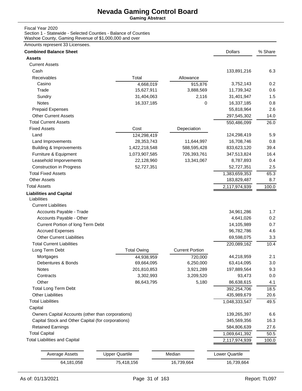**Gaming Abstract**

#### Fiscal Year 2020

Section 1 - Statewide - Selected Counties - Balance of Counties Washoe County, Gaming Revenue of \$1,000,000 and over

| <b>Combined Balance Sheet</b>                           |                         |                        | <b>Dollars</b>        | % Share |
|---------------------------------------------------------|-------------------------|------------------------|-----------------------|---------|
| <b>Assets</b>                                           |                         |                        |                       |         |
| <b>Current Assets</b>                                   |                         |                        |                       |         |
| Cash                                                    |                         |                        | 133,891,216           | 6.3     |
| <b>Receivables</b>                                      | Total                   | Allowance              |                       |         |
| Casino                                                  | 4,668,019               | 915,876                | 3,752,143             | 0.2     |
| Trade                                                   | 15,627,911              | 3,888,569              | 11,739,342            | 0.6     |
| Sundry                                                  | 31,404,063              | 2,116                  | 31,401,947            | 1.5     |
| <b>Notes</b>                                            | 16,337,185              | 0                      | 16,337,185            | 0.8     |
| <b>Prepaid Expenses</b>                                 |                         |                        | 55,818,964            | 2.6     |
| <b>Other Current Assets</b>                             |                         |                        | 297,545,302           | 14.0    |
| <b>Total Current Assets</b>                             |                         |                        | 550,486,099           | 26.0    |
| <b>Fixed Assets</b>                                     | Cost                    | Depeciation            |                       |         |
| Land                                                    | 124,298,419             |                        | 124,298,419           | 5.9     |
| Land Improvements                                       | 28,353,743              | 11,644,997             | 16,708,746            | 0.8     |
| <b>Building &amp; Improvements</b>                      | 1,422,218,548           | 588,595,428            | 833,623,120           | 39.4    |
| Furniture & Equipment                                   | 1,073,907,585           | 726,393,761            | 347,513,824           | 16.4    |
| Leasehold Imporvements                                  | 22,128,960              | 13,341,067             | 8,787,893             | 0.4     |
| <b>Construction in Progress</b>                         | 52,727,351              |                        | 52,727,351            | 2.5     |
| <b>Total Fixed Assets</b>                               |                         |                        | 1,383,659,353         | 65.3    |
| <b>Other Assets</b>                                     |                         |                        | 183,829,487           | 8.7     |
| <b>Total Assets</b>                                     |                         |                        | 2,117,974,939         | 100.0   |
| <b>Liabilities and Capital</b><br>Liabilities           |                         |                        |                       |         |
| <b>Current Liabilities</b>                              |                         |                        |                       |         |
| Accounts Payable - Trade                                |                         |                        | 34,961,286            | 1.7     |
| Accounts Payable - Other                                |                         |                        | 4,641,026             | 0.2     |
| Current Portion of long Term Debt                       |                         |                        | 14,105,989            | 0.7     |
| <b>Accrued Expenses</b>                                 |                         |                        | 96,782,786            | 4.6     |
| <b>Other Current Liabilities</b>                        |                         |                        | 69,598,075            | 3.3     |
| <b>Total Current Liabilities</b>                        |                         |                        | 220,089,162           | 10.4    |
| Long Term Debt                                          | <b>Total Owing</b>      | <b>Current Portion</b> |                       |         |
| Mortgages                                               | 44,938,959              | 720,000                | 44,218,959            | 2.1     |
| Debentures & Bonds                                      | 69,664,095              | 6,250,000              | 63,414,095            | 3.0     |
| Notes                                                   | 201,810,853             | 3,921,289              | 197,889,564           | 9.3     |
|                                                         |                         |                        |                       | 0.0     |
| Contracts<br>Other                                      | 3,302,993<br>86,643,795 | 3,209,520<br>5,180     | 93,473<br>86,638,615  | 4.1     |
|                                                         |                         |                        |                       |         |
| <b>Total Long Term Debt</b><br><b>Other Liabilities</b> |                         |                        | 392,254,706           | 18.5    |
|                                                         |                         |                        | 435,989,679           | 20.6    |
| <b>Total Liabilities</b>                                |                         |                        | 1,048,333,547         | 49.5    |
| Capital                                                 |                         |                        |                       |         |
| Owners Capital Accounts (other than corporations)       |                         |                        | 139,265,397           | 6.6     |
| Capital Stock and Other Capital (for corporations)      |                         |                        | 345,569,356           | 16.3    |
| <b>Retained Earnings</b>                                |                         |                        | 584,806,639           | 27.6    |
| <b>Total Capital</b>                                    |                         |                        | 1,069,641,392         | 50.5    |
| <b>Total Liabilities and Capital</b>                    |                         |                        | 2,117,974,939         | 100.0   |
| <b>Average Assets</b>                                   | <b>Upper Quartile</b>   | Median                 | <b>Lower Quartile</b> |         |
| 64,181,058                                              | 75,418,156              | 16,739,664             | 16,739,664            |         |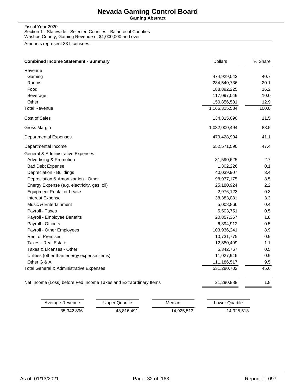**Gaming Abstract**

Fiscal Year 2020 Section 1 - Statewide - Selected Counties - Balance of Counties Washoe County, Gaming Revenue of \$1,000,000 and over

| Revenue<br>Gaming<br>Rooms                                        |               |       |
|-------------------------------------------------------------------|---------------|-------|
|                                                                   |               |       |
|                                                                   | 474,929,043   | 40.7  |
|                                                                   | 234,540,736   | 20.1  |
| Food                                                              | 188,892,225   | 16.2  |
| Beverage                                                          | 117,097,049   | 10.0  |
| Other                                                             | 150,856,531   | 12.9  |
| <b>Total Revenue</b>                                              | 1,166,315,584 | 100.0 |
| Cost of Sales                                                     | 134,315,090   | 11.5  |
| Gross Margin                                                      | 1,032,000,494 | 88.5  |
| <b>Departmental Expenses</b>                                      | 479,428,904   | 41.1  |
| Departmental Income                                               | 552,571,590   | 47.4  |
| General & Administrative Expenses                                 |               |       |
| <b>Advertising &amp; Promotion</b>                                | 31,590,625    | 2.7   |
| <b>Bad Debt Expense</b>                                           | 1,302,226     | 0.1   |
| Depreciation - Buildings                                          | 40,039,907    | 3.4   |
| Depreciation & Amortizartion - Other                              | 98,937,175    | 8.5   |
| Energy Expense (e.g. electricity, gas, oil)                       | 25,180,924    | 2.2   |
| <b>Equipment Rental or Lease</b>                                  | 2,976,123     | 0.3   |
| <b>Interest Expense</b>                                           | 38,383,081    | 3.3   |
| Music & Entertainment                                             | 5,008,866     | 0.4   |
| Payroll - Taxes                                                   | 5,503,751     | 0.5   |
| Payroll - Employee Benefits                                       | 20,857,367    | 1.8   |
| Payroll - Officers                                                | 6,394,912     | 0.5   |
| Payroll - Other Employees                                         | 103,936,241   | 8.9   |
| <b>Rent of Premises</b>                                           | 10,731,775    | 0.9   |
| <b>Taxes - Real Estate</b>                                        | 12,880,499    | 1.1   |
| Taxes & Licenses - Other                                          | 5,342,767     | 0.5   |
| Utilities (other than energy expense items)                       | 11,027,946    | 0.9   |
| Other G & A                                                       | 111,186,517   | 9.5   |
| Total General & Administrative Expenses                           | 531,280,702   | 45.6  |
| Net Income (Loss) before Fed Income Taxes and Extraordinary Items | 21,290,888    | 1.8   |

| Average Revenue | Upper Quartile | Median     | Lower Quartile |
|-----------------|----------------|------------|----------------|
| 35.342.896      | 43.816.491     | 14,925,513 | 14,925,513     |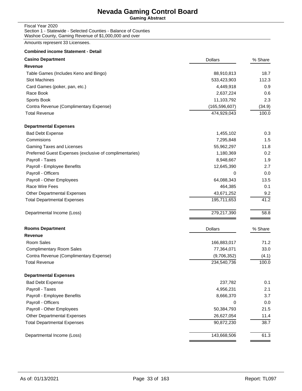**Gaming Abstract**

Sports Book 11,103,792 2.3 Contra Revenue (Complimentary Expense) (165,596,607) (34.9) Total Revenue 100.0 **100.0** 100.0 **100.0** 100.0 **100.0** 100.0 **100.0** 100.0 **100.0** 100.0 **100.0** 

Fiscal Year 2020 Section 1 - Statewide - Selected Counties - Balance of Counties Washoe County, Gaming Revenue of \$1,000,000 and over

Amounts represent 33 Licensees.

| <b>Combined income Statement - Detail</b> |                |         |
|-------------------------------------------|----------------|---------|
| <b>Casino Department</b>                  | <b>Dollars</b> | % Share |
| Revenue                                   |                |         |
| Table Games (Includes Keno and Bingo)     | 88,910,813     | 18.7    |
| <b>Slot Machines</b>                      | 533,423,903    | 112.3   |
| Card Games (poker, pan, etc.)             | 4.449.918      | 0.9     |
| Race Book                                 | 2,637,224      | 0.6     |

| <b>Departmental Expenses</b>                            |                |         |
|---------------------------------------------------------|----------------|---------|
| <b>Bad Debt Expense</b>                                 | 1,455,102      | 0.3     |
| Commisions                                              | 7,295,848      | 1.5     |
| Gaming Taxes and Licenses                               | 55,962,297     | 11.8    |
| Preferred Guest Expenses (exclusive of complimentaries) | 1,180,369      | 0.2     |
| Payroll - Taxes                                         | 8,948,667      | 1.9     |
| Payroll - Employee Benefits                             | 12,645,390     | 2.7     |
| Payroll - Officers                                      | 0              | 0.0     |
| Payroll - Other Employees                               | 64,088,343     | 13.5    |
| Race Wire Fees                                          | 464,385        | 0.1     |
| <b>Other Departmental Expenses</b>                      | 43,671,252     | 9.2     |
| <b>Total Departmental Expenses</b>                      | 195,711,653    | 41.2    |
| Departmental Income (Loss)                              | 279,217,390    | 58.8    |
| <b>Rooms Department</b>                                 | <b>Dollars</b> | % Share |
| <b>Revenue</b>                                          |                |         |
| Room Sales                                              | 166,883,017    | 71.2    |
| <b>Complimentary Room Sales</b>                         | 77,364,071     | 33.0    |
| Contra Revenue (Complimentary Expense)                  | (9,706,352)    | (4.1)   |
| <b>Total Revenue</b>                                    | 234,540,736    | 100.0   |
| <b>Departmental Expenses</b>                            |                |         |
| <b>Bad Debt Expense</b>                                 | 237,782        | 0.1     |
| Payroll - Taxes                                         | 4,956,231      | 2.1     |
| Payroll - Employee Benefits                             | 8,666,370      | 3.7     |
| Payroll - Officers                                      | 0              | 0.0     |
| Payroll - Other Employees                               | 50,384,793     | 21.5    |
| <b>Other Departmental Expenses</b>                      | 26,627,054     | 11.4    |
| <b>Total Departmental Expenses</b>                      | 90,872,230     | 38.7    |
| Departmental Income (Loss)                              | 143,668,506    | 61.3    |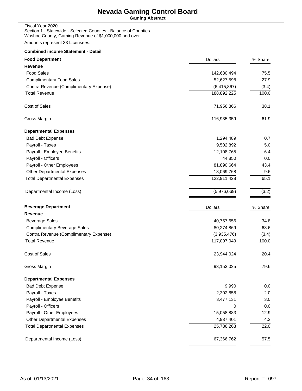**Gaming Abstract**

Fiscal Year 2020 Section 1 - Statewide - Selected Counties - Balance of Counties Washoe County, Gaming Revenue of \$1,000,000 and over

Amounts represent 33 Licensees.

| <b>Combined income Statement - Detail</b> |                |         |
|-------------------------------------------|----------------|---------|
| <b>Food Department</b>                    | <b>Dollars</b> | % Share |
| Revenue                                   |                |         |
| <b>Food Sales</b>                         | 142,680,494    | 75.5    |
| <b>Complimentary Food Sales</b>           | 52,627,598     | 27.9    |
| Contra Revenue (Complimentary Expense)    | (6, 415, 867)  | (3.4)   |
| <b>Total Revenue</b>                      | 188,892,225    | 100.0   |
| Cost of Sales                             | 71,956,866     | 38.1    |
| Gross Margin                              | 116,935,359    | 61.9    |
| <b>Departmental Expenses</b>              |                |         |
| <b>Bad Debt Expense</b>                   | 1,294,489      | 0.7     |
| Payroll - Taxes                           | 9,502,892      | 5.0     |
| Payroll - Employee Benefits               | 12,108,765     | 6.4     |
| Payroll - Officers                        | 44,850         | 0.0     |
| Payroll - Other Employees                 | 81,890,664     | 43.4    |
| <b>Other Departmental Expenses</b>        | 18,069,768     | 9.6     |
| <b>Total Departmental Expenses</b>        | 122,911,428    | 65.1    |
| Departmental Income (Loss)                | (5,976,069)    | (3.2)   |
| <b>Beverage Department</b>                | <b>Dollars</b> | % Share |
| Revenue                                   |                |         |
| <b>Beverage Sales</b>                     | 40,757,656     | 34.8    |
| <b>Complimentary Beverage Sales</b>       | 80,274,869     | 68.6    |
| Contra Revenue (Complimentary Expense)    | (3,935,476)    | (3.4)   |
| <b>Total Revenue</b>                      | 117,097,049    | 100.0   |
| Cost of Sales                             | 23,944,024     | 20.4    |
| Gross Margin                              | 93,153,025     | 79.6    |
| <b>Departmental Expenses</b>              |                |         |
| <b>Bad Debt Expense</b>                   | 9,990          | 0.0     |
| Payroll - Taxes                           | 2,302,858      | 2.0     |
| Payroll - Employee Benefits               | 3,477,131      | 3.0     |
| Payroll - Officers                        | 0              | 0.0     |
| Payroll - Other Employees                 | 15,058,883     | 12.9    |

Departmental Income (Loss) 67,366,762 57.5

Other Departmental Expenses 4,937,401 4.2 Total Departmental Expenses 22.0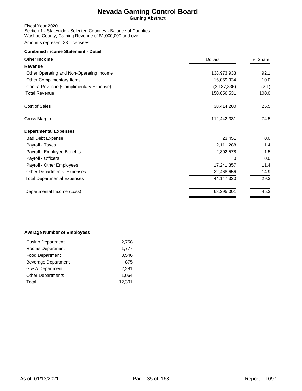**Gaming Abstract**

Fiscal Year 2020 Section 1 - Statewide - Selected Counties - Balance of Counties Washoe County, Gaming Revenue of \$1,000,000 and over

Amounts represent 33 Licensees.

#### **Combined income Statement - Detail**

| <b>Dollars</b> | % Share |
|----------------|---------|
|                |         |
| 138,973,933    | 92.1    |
| 15,069,934     | 10.0    |
| (3, 187, 336)  | (2.1)   |
| 150,856,531    | 100.0   |
| 38,414,200     | 25.5    |
| 112,442,331    | 74.5    |
|                |         |
| 23,451         | 0.0     |
| 2,111,288      | 1.4     |
| 2,302,578      | 1.5     |
| 0              | 0.0     |
| 17,241,357     | 11.4    |
| 22,468,656     | 14.9    |
| 44, 147, 330   | 29.3    |
| 68,295,001     | 45.3    |
|                |         |

#### **Average Number of Employees**

| Casino Department        | 2,758  |
|--------------------------|--------|
| Rooms Department         | 1,777  |
| <b>Food Department</b>   | 3.546  |
| Beverage Department      | 875    |
| G & A Department         | 2.281  |
| <b>Other Departments</b> | 1,064  |
| Total                    | 12,301 |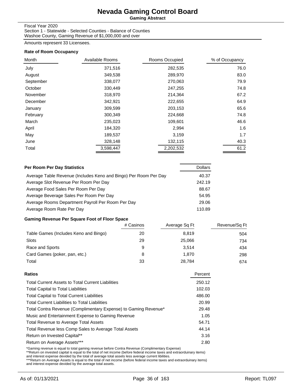**Gaming Abstract**

### Fiscal Year 2020

Section 1 - Statewide - Selected Counties - Balance of Counties Washoe County, Gaming Revenue of \$1,000,000 and over

Amounts represent 33 Licensees.

#### **Rate of Room Occupancy**

| Month     | Available Rooms | Rooms Occupied | % of Occupancy |
|-----------|-----------------|----------------|----------------|
| July      | 371,516         | 282,535        | 76.0           |
| August    | 349,538         | 289,970        | 83.0           |
| September | 338,077         | 270,063        | 79.9           |
| October   | 330,449         | 247,255        | 74.8           |
| November  | 318,970         | 214,364        | 67.2           |
| December  | 342,921         | 222,655        | 64.9           |
| January   | 309,599         | 203,153        | 65.6           |
| February  | 300,349         | 224,668        | 74.8           |
| March     | 235,023         | 109,601        | 46.6           |
| April     | 184,320         | 2,994          | 1.6            |
| May       | 189,537         | 3,159          | 1.7            |
| June      | 328,148         | 132,115        | 40.3           |
| Total     | 3,598,447       | 2,202,532      | 61.2           |

| Per Room Per Day Statistics                                      | <b>Dollars</b> |
|------------------------------------------------------------------|----------------|
| Average Table Revenue (Includes Keno and Bingo) Per Room Per Day | 40.37          |
| Average Slot Revenue Per Room Per Day                            | 242.19         |
| Average Food Sales Per Room Per Day                              | 88.67          |
| Average Beverage Sales Per Room Per Day                          | 54.95          |
| Average Rooms Department Payroll Per Room Per Day                | 29.06          |
| Average Room Rate Per Day                                        | 110.89         |

### **Gaming Revenue Per Square Foot of Floor Space**

|                                       | # Casinos | Average Sq Ft | Revenue/Sq Ft |
|---------------------------------------|-----------|---------------|---------------|
| Table Games (Includes Keno and Bingo) | 20        | 8.819         | 504           |
| Slots                                 | 29        | 25,066        | 734           |
| Race and Sports                       | 9         | 3.514         | 434           |
| Card Games (poker, pan, etc.)         | 8         | 1.870         | 298           |
| Total                                 | 33        | 28.784        | 674           |

| <b>Total Current Assets to Total Current Liabilities</b><br><b>Total Capital to Total Liabilities</b><br><b>Total Capital to Total Current Liabilities</b><br><b>Total Current Liabilities to Total Liabilities</b><br>Total Contra Revenue (Complimentary Expense) to Gaming Revenue*<br>Music and Entertainment Expense to Gaming Revenue<br><b>Total Revenue to Average Total Assets</b><br>Total Revenue less Comp Sales to Average Total Assets<br>Return on Invested Capital** | Ratios                      | Percent |
|--------------------------------------------------------------------------------------------------------------------------------------------------------------------------------------------------------------------------------------------------------------------------------------------------------------------------------------------------------------------------------------------------------------------------------------------------------------------------------------|-----------------------------|---------|
|                                                                                                                                                                                                                                                                                                                                                                                                                                                                                      |                             | 250.12  |
|                                                                                                                                                                                                                                                                                                                                                                                                                                                                                      |                             | 102.03  |
|                                                                                                                                                                                                                                                                                                                                                                                                                                                                                      |                             | 486.00  |
|                                                                                                                                                                                                                                                                                                                                                                                                                                                                                      |                             | 20.99   |
|                                                                                                                                                                                                                                                                                                                                                                                                                                                                                      |                             | 29.48   |
|                                                                                                                                                                                                                                                                                                                                                                                                                                                                                      |                             | 1.05    |
|                                                                                                                                                                                                                                                                                                                                                                                                                                                                                      |                             | 54.71   |
|                                                                                                                                                                                                                                                                                                                                                                                                                                                                                      |                             | 44.14   |
|                                                                                                                                                                                                                                                                                                                                                                                                                                                                                      |                             | 3.16    |
|                                                                                                                                                                                                                                                                                                                                                                                                                                                                                      | Return on Average Assets*** | 2.80    |

\*Gaming revenue is equal to total gaming revenue before Contra Revenue (Complimentary Expense)<br>\*\*Return on invested capital is equal to the total of net income (before federal income taxes and extraorduinary items)<br>and int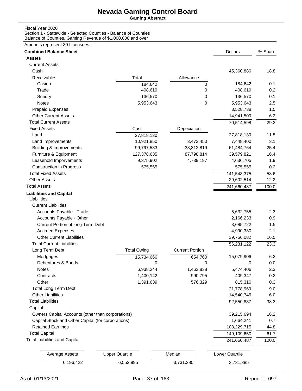**Gaming Abstract**

#### Fiscal Year 2020

Section 1 - Statewide - Selected Counties - Balance of Counties Balance of Counties, Gaming Revenue of \$1,000,000 and over

| <b>Combined Balance Sheet</b>                      |                       |                        | <b>Dollars</b> | % Share |
|----------------------------------------------------|-----------------------|------------------------|----------------|---------|
| <b>Assets</b>                                      |                       |                        |                |         |
| <b>Current Assets</b>                              |                       |                        |                |         |
| Cash                                               |                       |                        | 45,360,886     | 18.8    |
| Receivables                                        | Total                 | Allowance              |                |         |
| Casino                                             | 184,642               | 0                      | 184,642        | 0.1     |
| Trade                                              | 408,619               | 0                      | 408,619        | 0.2     |
| Sundry                                             | 136,570               | 0                      | 136,570        | 0.1     |
| Notes                                              | 5,953,643             | 0                      | 5,953,643      | 2.5     |
| <b>Prepaid Expenses</b>                            |                       |                        | 3,528,738      | 1.5     |
| <b>Other Current Assets</b>                        |                       |                        | 14,941,500     | 6.2     |
| <b>Total Current Assets</b>                        |                       |                        | 70,514,598     | 29.2    |
| <b>Fixed Assets</b>                                | Cost                  | Depeciation            |                |         |
| Land                                               | 27,818,130            |                        | 27,818,130     | 11.5    |
| Land Improvements                                  | 10,921,850            | 3,473,450              | 7,448,400      | 3.1     |
| <b>Building &amp; Improvements</b>                 | 99,797,583            | 38,312,819             | 61,484,764     | 25.4    |
| Furniture & Equipment                              | 127,378,635           | 87,798,814             | 39,579,821     | 16.4    |
| Leasehold Imporvements                             | 9,375,902             | 4,739,197              | 4,636,705      | 1.9     |
| <b>Construction in Progress</b>                    | 575,555               |                        | 575,555        | 0.2     |
| <b>Total Fixed Assets</b>                          |                       |                        | 141,543,375    | 58.6    |
| <b>Other Assets</b>                                |                       |                        | 29,602,514     | 12.2    |
| <b>Total Assets</b>                                |                       |                        | 241,660,487    | 100.0   |
|                                                    |                       |                        |                |         |
| <b>Liabilities and Capital</b><br>Liabilities      |                       |                        |                |         |
| <b>Current Liabilities</b>                         |                       |                        |                |         |
| Accounts Payable - Trade                           |                       |                        | 5,632,755      | 2.3     |
| Accounts Payable - Other                           |                       |                        | 2,166,233      | 0.9     |
| Current Portion of long Term Debt                  |                       |                        | 3,685,722      | 1.5     |
| <b>Accrued Expenses</b>                            |                       |                        | 4,990,330      | 2.1     |
| <b>Other Current Liabilities</b>                   |                       |                        | 39,756,082     |         |
| <b>Total Current Liabilities</b>                   |                       |                        |                | 16.5    |
|                                                    |                       |                        | 56,231,122     | 23.3    |
| Long Term Debt                                     | <b>Total Owing</b>    | <b>Current Portion</b> |                |         |
| Mortgages                                          | 15,734,666            | 654,760                | 15,079,906     | 6.2     |
| Debentures & Bonds                                 | 0                     | 0                      | 0              | 0.0     |
| Notes                                              | 6,938,244             | 1,463,838              | 5,474,406      | 2.3     |
| Contracts                                          | 1,400,142             | 990,795                | 409,347        | 0.2     |
| Other                                              | 1,391,639             | 576,329                | 815,310        | 0.3     |
| <b>Total Long Term Debt</b>                        |                       |                        | 21,778,969     | 9.0     |
| <b>Other Liabilities</b>                           |                       |                        | 14,540,746     | 6.0     |
| <b>Total Liabilities</b>                           |                       |                        | 92,550,837     | 38.3    |
| Capital                                            |                       |                        |                |         |
| Owners Capital Accounts (other than corporations)  |                       |                        | 39,215,694     | 16.2    |
| Capital Stock and Other Capital (for corporations) |                       |                        | 1,664,241      | 0.7     |
| <b>Retained Earnings</b>                           |                       |                        | 108,229,715    | 44.8    |
| <b>Total Capital</b>                               |                       |                        | 149,109,650    | 61.7    |
| <b>Total Liabilities and Capital</b>               |                       |                        | 241,660,487    | 100.0   |
|                                                    |                       |                        |                |         |
| <b>Average Assets</b>                              | <b>Upper Quartile</b> | Median                 | Lower Quartile |         |
| 6,196,422                                          | 6,552,995             | 3,731,385              | 3,731,385      |         |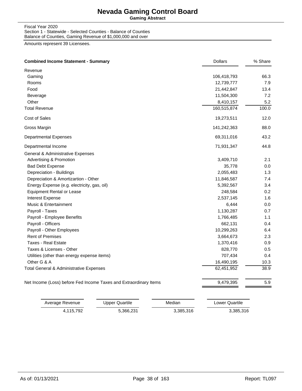**Gaming Abstract**

Fiscal Year 2020 Section 1 - Statewide - Selected Counties - Balance of Counties Balance of Counties, Gaming Revenue of \$1,000,000 and over

| <b>Combined Income Statement - Summary</b>                        | <b>Dollars</b> | % Share |
|-------------------------------------------------------------------|----------------|---------|
| Revenue                                                           |                |         |
| Gaming                                                            | 106,418,793    | 66.3    |
| Rooms                                                             | 12,739,777     | 7.9     |
| Food                                                              | 21,442,847     | 13.4    |
| Beverage                                                          | 11,504,300     | 7.2     |
| Other                                                             | 8,410,157      | 5.2     |
| <b>Total Revenue</b>                                              | 160,515,874    | 100.0   |
| Cost of Sales                                                     | 19,273,511     | 12.0    |
| Gross Margin                                                      | 141,242,363    | 88.0    |
| <b>Departmental Expenses</b>                                      | 69,311,016     | 43.2    |
| Departmental Income                                               | 71,931,347     | 44.8    |
| General & Administrative Expenses                                 |                |         |
| <b>Advertising &amp; Promotion</b>                                | 3,409,710      | 2.1     |
| <b>Bad Debt Expense</b>                                           | 35,778         | 0.0     |
| Depreciation - Buildings                                          | 2,055,483      | 1.3     |
| Depreciation & Amortizartion - Other                              | 11,846,587     | 7.4     |
| Energy Expense (e.g. electricity, gas, oil)                       | 5,392,567      | 3.4     |
| <b>Equipment Rental or Lease</b>                                  | 248,584        | 0.2     |
| <b>Interest Expense</b>                                           | 2,537,145      | 1.6     |
| Music & Entertainment                                             | 6,444          | 0.0     |
| Payroll - Taxes                                                   | 1,130,287      | 0.7     |
| Payroll - Employee Benefits                                       | 1,766,485      | 1.1     |
| Payroll - Officers                                                | 662,131        | 0.4     |
| Payroll - Other Employees                                         | 10,299,263     | 6.4     |
| <b>Rent of Premises</b>                                           | 3,664,673      | 2.3     |
| Taxes - Real Estate                                               | 1,370,416      | 0.9     |
| Taxes & Licenses - Other                                          | 828,770        | 0.5     |
| Utilities (other than energy expense items)                       | 707,434        | 0.4     |
| Other G & A                                                       | 16,490,195     | 10.3    |
| Total General & Administrative Expenses                           | 62,451,952     | 38.9    |
| Net Income (Loss) before Fed Income Taxes and Extraordinary Items | 9,479,395      | 5.9     |

| Average Revenue | Upper Quartile | Median    | Lower Quartile |
|-----------------|----------------|-----------|----------------|
| 4.115.792       | 5.366.231      | 3,385,316 | 3,385,316      |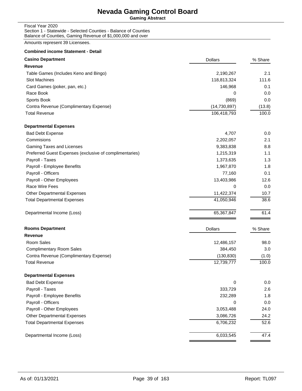**Gaming Abstract**

Fiscal Year 2020 Section 1 - Statewide - Selected Counties - Balance of Counties Balance of Counties, Gaming Revenue of \$1,000,000 and over

| <b>Combined income Statement - Detail</b>               |                |         |
|---------------------------------------------------------|----------------|---------|
| <b>Casino Department</b>                                | <b>Dollars</b> | % Share |
| <b>Revenue</b>                                          |                |         |
| Table Games (Includes Keno and Bingo)                   | 2,190,267      | 2.1     |
| <b>Slot Machines</b>                                    | 118,813,324    | 111.6   |
| Card Games (poker, pan, etc.)                           | 146,968        | 0.1     |
| Race Book                                               | 0              | 0.0     |
| Sports Book                                             | (869)          | 0.0     |
| Contra Revenue (Complimentary Expense)                  | (14, 730, 897) | (13.8)  |
| <b>Total Revenue</b>                                    | 106,418,793    | 100.0   |
| <b>Departmental Expenses</b>                            |                |         |
| <b>Bad Debt Expense</b>                                 | 4,707          | 0.0     |
| Commisions                                              | 2,202,057      | 2.1     |
| Gaming Taxes and Licenses                               | 9,383,838      | 8.8     |
| Preferred Guest Expenses (exclusive of complimentaries) | 1,215,319      | 1.1     |
| Payroll - Taxes                                         | 1,373,635      | 1.3     |
| Payroll - Employee Benefits                             | 1,967,870      | 1.8     |
| Payroll - Officers                                      | 77,160         | 0.1     |
| Payroll - Other Employees                               | 13,403,986     | 12.6    |
| Race Wire Fees                                          | 0              | 0.0     |
| <b>Other Departmental Expenses</b>                      | 11,422,374     | 10.7    |
| <b>Total Departmental Expenses</b>                      | 41,050,946     | 38.6    |
| Departmental Income (Loss)                              | 65,367,847     | 61.4    |
| <b>Rooms Department</b>                                 | <b>Dollars</b> | % Share |
| <b>Revenue</b>                                          |                |         |
| Room Sales                                              | 12,486,157     | 98.0    |
| <b>Complimentary Room Sales</b>                         | 384,450        | 3.0     |
| Contra Revenue (Complimentary Expense)                  | (130, 830)     | (1.0)   |
| <b>Total Revenue</b>                                    | 12,739,777     | 100.0   |
| <b>Departmental Expenses</b>                            |                |         |
| <b>Bad Debt Expense</b>                                 | 0              | 0.0     |
| Payroll - Taxes                                         | 333,729        | 2.6     |
| Payroll - Employee Benefits                             | 232,289        | 1.8     |
| Payroll - Officers                                      | 0              | 0.0     |
| Payroll - Other Employees                               | 3,053,488      | 24.0    |
| Other Departmental Expenses                             | 3,086,726      | 24.2    |
| <b>Total Departmental Expenses</b>                      | 6,706,232      | 52.6    |
| Departmental Income (Loss)                              | 6,033,545      | 47.4    |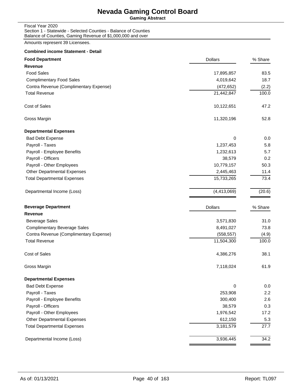**Gaming Abstract**

Fiscal Year 2020 Section 1 - Statewide - Selected Counties - Balance of Counties Balance of Counties, Gaming Revenue of \$1,000,000 and over

| <b>Combined income Statement - Detail</b> |                |         |
|-------------------------------------------|----------------|---------|
| <b>Food Department</b>                    | <b>Dollars</b> | % Share |
| Revenue                                   |                |         |
| <b>Food Sales</b>                         | 17,895,857     | 83.5    |
| <b>Complimentary Food Sales</b>           | 4,019,642      | 18.7    |
| Contra Revenue (Complimentary Expense)    | (472, 652)     | (2.2)   |
| <b>Total Revenue</b>                      | 21,442,847     | 100.0   |
| Cost of Sales                             | 10,122,651     | 47.2    |
| Gross Margin                              | 11,320,196     | 52.8    |
| <b>Departmental Expenses</b>              |                |         |
| <b>Bad Debt Expense</b>                   | 0              | 0.0     |
| Payroll - Taxes                           | 1,237,453      | 5.8     |
| Payroll - Employee Benefits               | 1,232,613      | 5.7     |
| Payroll - Officers                        | 38,579         | 0.2     |
| Payroll - Other Employees                 | 10,779,157     | 50.3    |
| <b>Other Departmental Expenses</b>        | 2,445,463      | 11.4    |
| <b>Total Departmental Expenses</b>        | 15,733,265     | 73.4    |
| Departmental Income (Loss)                | (4, 413, 069)  | (20.6)  |
| <b>Beverage Department</b>                | <b>Dollars</b> | % Share |
| Revenue                                   |                |         |
| <b>Beverage Sales</b>                     | 3,571,830      | 31.0    |
| <b>Complimentary Beverage Sales</b>       | 8,491,027      | 73.8    |
| Contra Revenue (Complimentary Expense)    | (558, 557)     | (4.9)   |
| <b>Total Revenue</b>                      | 11,504,300     | 100.0   |
| Cost of Sales                             | 4,386,276      | 38.1    |
| Gross Margin                              | 7,118,024      | 61.9    |
| <b>Departmental Expenses</b>              |                |         |
| <b>Bad Debt Expense</b>                   | 0              | 0.0     |
| Payroll - Taxes                           | 253,908        | 2.2     |
| Payroll - Employee Benefits               | 300,400        | 2.6     |
| Payroll - Officers                        | 38,579         | 0.3     |
| Payroll - Other Employees                 | 1,976,542      | 17.2    |
| <b>Other Departmental Expenses</b>        | 612,150        | 5.3     |
| <b>Total Departmental Expenses</b>        | 3,181,579      | 27.7    |
| Departmental Income (Loss)                | 3,936,445      | 34.2    |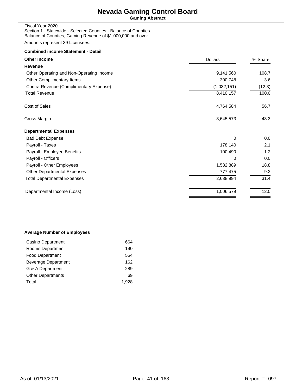**Gaming Abstract**

Fiscal Year 2020 Section 1 - Statewide - Selected Counties - Balance of Counties Balance of Counties, Gaming Revenue of \$1,000,000 and over

Amounts represent 39 Licensees.

#### **Combined income Statement - Detail**

| <b>Other Income</b>                      | <b>Dollars</b> | % Share |
|------------------------------------------|----------------|---------|
| Revenue                                  |                |         |
| Other Operating and Non-Operating Income | 9,141,560      | 108.7   |
| Other Complimentary Items                | 300,748        | 3.6     |
| Contra Revenue (Complimentary Expense)   | (1,032,151)    | (12.3)  |
| <b>Total Revenue</b>                     | 8,410,157      | 100.0   |
| Cost of Sales                            | 4,764,584      | 56.7    |
| Gross Margin                             | 3,645,573      | 43.3    |
| <b>Departmental Expenses</b>             |                |         |
| <b>Bad Debt Expense</b>                  | 0              | 0.0     |
| Payroll - Taxes                          | 178,140        | 2.1     |
| Payroll - Employee Benefits              | 100,490        | 1.2     |
| Payroll - Officers                       | 0              | 0.0     |
| Payroll - Other Employees                | 1,582,889      | 18.8    |
| <b>Other Departmental Expenses</b>       | 777,475        | 9.2     |
| <b>Total Departmental Expenses</b>       | 2,638,994      | 31.4    |
| Departmental Income (Loss)               | 1,006,579      | 12.0    |
|                                          |                |         |

#### **Average Number of Employees**

| Casino Department        | 664   |
|--------------------------|-------|
| Rooms Department         | 190   |
| <b>Food Department</b>   | 554   |
| Beverage Department      | 162   |
| G & A Department         | 289   |
| <b>Other Departments</b> | 69    |
| Total                    | 1.928 |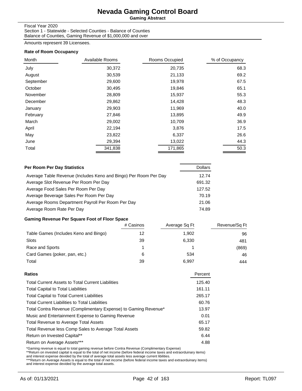**Gaming Abstract**

#### Fiscal Year 2020

Section 1 - Statewide - Selected Counties - Balance of Counties Balance of Counties, Gaming Revenue of \$1,000,000 and over

Amounts represent 39 Licensees.

#### **Rate of Room Occupancy**

| Month     | Available Rooms | Rooms Occupied | % of Occupancy |
|-----------|-----------------|----------------|----------------|
| July      | 30,372          | 20,735         | 68.3           |
| August    | 30,539          | 21,133         | 69.2           |
| September | 29,600          | 19,978         | 67.5           |
| October   | 30,495          | 19,846         | 65.1           |
| November  | 28,809          | 15,937         | 55.3           |
| December  | 29,862          | 14,428         | 48.3           |
| January   | 29,903          | 11,969         | 40.0           |
| February  | 27,846          | 13,895         | 49.9           |
| March     | 29,002          | 10,709         | 36.9           |
| April     | 22,194          | 3,876          | 17.5           |
| May       | 23,822          | 6,337          | 26.6           |
| June      | 29,394          | 13,022         | 44.3           |
| Total     | 341,838         | 171,865        | 50.3           |

| Per Room Per Day Statistics                                      | <b>Dollars</b> |
|------------------------------------------------------------------|----------------|
| Average Table Revenue (Includes Keno and Bingo) Per Room Per Day | 12.74          |
| Average Slot Revenue Per Room Per Day                            | 691.32         |
| Average Food Sales Per Room Per Day                              | 127.52         |
| Average Beverage Sales Per Room Per Day                          | 70.19          |
| Average Rooms Department Payroll Per Room Per Day                | 21.06          |
| Average Room Rate Per Day                                        | 74.89          |

### **Gaming Revenue Per Square Foot of Floor Space**

|                                       | # Casinos | Average Sq Ft | Revenue/Sq Ft |
|---------------------------------------|-----------|---------------|---------------|
| Table Games (Includes Keno and Bingo) | 12        | 1,902         | 96            |
| <b>Slots</b>                          | 39        | 6.330         | 481           |
| Race and Sports                       |           |               | (869)         |
| Card Games (poker, pan, etc.)         | 6         | 534           | 46            |
| Total                                 | 39        | 6.997         | 444           |

| Percent |
|---------|
| 125.40  |
| 161.11  |
| 265.17  |
| 60.76   |
| 13.97   |
| 0.01    |
| 65.17   |
| 59.82   |
| 6.44    |
| 4.88    |
|         |

\*Gaming revenue is equal to total gaming revenue before Contra Revenue (Complimentary Expense)<br>\*\*Return on invested capital is equal to the total of net income (before federal income taxes and extraorduinary items)<br>and int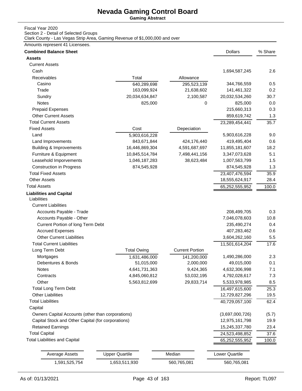**Gaming Abstract**

### Fiscal Year 2020

Section 2 - Detail of Selected Groups

Clark County - Las Vegas Strip Area, Gaming Revenue of \$1,000,000 and over

| <b>Assets</b><br><b>Current Assets</b><br>Cash<br>1,694,587,245<br>Receivables<br>Total<br>Allowance<br>Casino<br>344,766,559<br>640,289,698<br>295,523,139<br>Trade<br>163,099,924<br>21,638,602<br>141,461,322<br>20,034,634,847<br>2,100,587<br>Sundry<br>20,032,534,260<br>Notes<br>825,000<br>825,000<br>0<br>215,660,313<br><b>Prepaid Expenses</b><br><b>Other Current Assets</b><br>859,619,742<br><b>Total Current Assets</b><br>23,289,454,441<br><b>Fixed Assets</b><br>Cost<br>Depeciation<br>Land<br>5,903,616,228<br>5,903,616,228<br>843,671,844<br>424,176,440<br>419,495,404<br>Land Improvements<br>18.2<br><b>Building &amp; Improvements</b><br>16,446,869,304<br>4,591,687,697<br>11,855,181,607<br>Furniture & Equipment<br>5.1<br>10,845,514,784<br>7,498,441,156<br>3,347,073,628<br>Leasehold Imporvements<br>1.5<br>1,046,187,283<br>38,623,484<br>1,007,563,799<br>1.3<br><b>Construction in Progress</b><br>874,545,928<br>874,545,928<br><b>Total Fixed Assets</b><br>23,407,476,594<br>35.9<br><b>Other Assets</b><br>18,555,624,917<br>28.4<br><b>Total Assets</b><br>65,252,555,952<br>100.0<br><b>Liabilities and Capital</b><br>Liabilities<br><b>Current Liabilities</b><br>Accounts Payable - Trade<br>208,499,705<br>Accounts Payable - Other<br>7,046,078,603<br>Current Portion of long Term Debt<br>235,490,274<br>407,283,462<br><b>Accrued Expenses</b><br><b>Other Current Liabilities</b><br>3,604,262,160<br><b>Total Current Liabilities</b><br>11,501,614,204<br><b>Total Owing</b><br><b>Current Portion</b><br>Long Term Debt<br>Mortgages<br>1,490,286,000<br>1,631,486,000<br>141,200,000<br>Debentures & Bonds<br>51,015,000<br>2,000,000<br>49,015,000<br>0.1<br>7.1<br>4,641,731,363<br>9,424,365<br>4,632,306,998<br>Notes<br>7.3<br>Contracts<br>4,845,060,812<br>53,032,195<br>4,792,028,617<br>Other<br>5,563,812,699<br>29,833,714<br>8.5<br>5,533,978,985<br><b>Total Long Term Debt</b><br>16,497,615,600<br>25.3<br><b>Other Liabilities</b><br>12,729,827,296<br>19.5<br><b>Total Liabilities</b><br>40,729,057,100<br>62.4<br>Capital<br>Owners Capital Accounts (other than corporations)<br>(3,697,000,726)<br>(5.7)<br>Capital Stock and Other Capital (for corporations)<br>12,975,161,798<br>19.9<br><b>Retained Earnings</b><br>15,245,337,780<br>23.4<br><b>Total Capital</b><br>24,523,498,852<br>37.6<br><b>Total Liabilities and Capital</b><br>65,252,555,952<br>100.0<br><b>Upper Quartile</b><br>Median<br><b>Lower Quartile</b><br><b>Average Assets</b><br>1,591,525,754<br>1,653,511,930<br>560,765,081<br>560,765,081 | <b>Combined Balance Sheet</b> |  | <b>Dollars</b> | % Share |
|--------------------------------------------------------------------------------------------------------------------------------------------------------------------------------------------------------------------------------------------------------------------------------------------------------------------------------------------------------------------------------------------------------------------------------------------------------------------------------------------------------------------------------------------------------------------------------------------------------------------------------------------------------------------------------------------------------------------------------------------------------------------------------------------------------------------------------------------------------------------------------------------------------------------------------------------------------------------------------------------------------------------------------------------------------------------------------------------------------------------------------------------------------------------------------------------------------------------------------------------------------------------------------------------------------------------------------------------------------------------------------------------------------------------------------------------------------------------------------------------------------------------------------------------------------------------------------------------------------------------------------------------------------------------------------------------------------------------------------------------------------------------------------------------------------------------------------------------------------------------------------------------------------------------------------------------------------------------------------------------------------------------------------------------------------------------------------------------------------------------------------------------------------------------------------------------------------------------------------------------------------------------------------------------------------------------------------------------------------------------------------------------------------------------------------------------------------------------------------------------------------------------------------------------------------------------------------------------------------|-------------------------------|--|----------------|---------|
|                                                                                                                                                                                                                                                                                                                                                                                                                                                                                                                                                                                                                                                                                                                                                                                                                                                                                                                                                                                                                                                                                                                                                                                                                                                                                                                                                                                                                                                                                                                                                                                                                                                                                                                                                                                                                                                                                                                                                                                                                                                                                                                                                                                                                                                                                                                                                                                                                                                                                                                                                                                                        |                               |  |                |         |
|                                                                                                                                                                                                                                                                                                                                                                                                                                                                                                                                                                                                                                                                                                                                                                                                                                                                                                                                                                                                                                                                                                                                                                                                                                                                                                                                                                                                                                                                                                                                                                                                                                                                                                                                                                                                                                                                                                                                                                                                                                                                                                                                                                                                                                                                                                                                                                                                                                                                                                                                                                                                        |                               |  |                |         |
|                                                                                                                                                                                                                                                                                                                                                                                                                                                                                                                                                                                                                                                                                                                                                                                                                                                                                                                                                                                                                                                                                                                                                                                                                                                                                                                                                                                                                                                                                                                                                                                                                                                                                                                                                                                                                                                                                                                                                                                                                                                                                                                                                                                                                                                                                                                                                                                                                                                                                                                                                                                                        |                               |  |                | 2.6     |
|                                                                                                                                                                                                                                                                                                                                                                                                                                                                                                                                                                                                                                                                                                                                                                                                                                                                                                                                                                                                                                                                                                                                                                                                                                                                                                                                                                                                                                                                                                                                                                                                                                                                                                                                                                                                                                                                                                                                                                                                                                                                                                                                                                                                                                                                                                                                                                                                                                                                                                                                                                                                        |                               |  |                |         |
|                                                                                                                                                                                                                                                                                                                                                                                                                                                                                                                                                                                                                                                                                                                                                                                                                                                                                                                                                                                                                                                                                                                                                                                                                                                                                                                                                                                                                                                                                                                                                                                                                                                                                                                                                                                                                                                                                                                                                                                                                                                                                                                                                                                                                                                                                                                                                                                                                                                                                                                                                                                                        |                               |  |                | 0.5     |
|                                                                                                                                                                                                                                                                                                                                                                                                                                                                                                                                                                                                                                                                                                                                                                                                                                                                                                                                                                                                                                                                                                                                                                                                                                                                                                                                                                                                                                                                                                                                                                                                                                                                                                                                                                                                                                                                                                                                                                                                                                                                                                                                                                                                                                                                                                                                                                                                                                                                                                                                                                                                        |                               |  |                | 0.2     |
|                                                                                                                                                                                                                                                                                                                                                                                                                                                                                                                                                                                                                                                                                                                                                                                                                                                                                                                                                                                                                                                                                                                                                                                                                                                                                                                                                                                                                                                                                                                                                                                                                                                                                                                                                                                                                                                                                                                                                                                                                                                                                                                                                                                                                                                                                                                                                                                                                                                                                                                                                                                                        |                               |  |                | 30.7    |
|                                                                                                                                                                                                                                                                                                                                                                                                                                                                                                                                                                                                                                                                                                                                                                                                                                                                                                                                                                                                                                                                                                                                                                                                                                                                                                                                                                                                                                                                                                                                                                                                                                                                                                                                                                                                                                                                                                                                                                                                                                                                                                                                                                                                                                                                                                                                                                                                                                                                                                                                                                                                        |                               |  |                | 0.0     |
|                                                                                                                                                                                                                                                                                                                                                                                                                                                                                                                                                                                                                                                                                                                                                                                                                                                                                                                                                                                                                                                                                                                                                                                                                                                                                                                                                                                                                                                                                                                                                                                                                                                                                                                                                                                                                                                                                                                                                                                                                                                                                                                                                                                                                                                                                                                                                                                                                                                                                                                                                                                                        |                               |  |                | 0.3     |
|                                                                                                                                                                                                                                                                                                                                                                                                                                                                                                                                                                                                                                                                                                                                                                                                                                                                                                                                                                                                                                                                                                                                                                                                                                                                                                                                                                                                                                                                                                                                                                                                                                                                                                                                                                                                                                                                                                                                                                                                                                                                                                                                                                                                                                                                                                                                                                                                                                                                                                                                                                                                        |                               |  |                | 1.3     |
|                                                                                                                                                                                                                                                                                                                                                                                                                                                                                                                                                                                                                                                                                                                                                                                                                                                                                                                                                                                                                                                                                                                                                                                                                                                                                                                                                                                                                                                                                                                                                                                                                                                                                                                                                                                                                                                                                                                                                                                                                                                                                                                                                                                                                                                                                                                                                                                                                                                                                                                                                                                                        |                               |  |                | 35.7    |
|                                                                                                                                                                                                                                                                                                                                                                                                                                                                                                                                                                                                                                                                                                                                                                                                                                                                                                                                                                                                                                                                                                                                                                                                                                                                                                                                                                                                                                                                                                                                                                                                                                                                                                                                                                                                                                                                                                                                                                                                                                                                                                                                                                                                                                                                                                                                                                                                                                                                                                                                                                                                        |                               |  |                |         |
|                                                                                                                                                                                                                                                                                                                                                                                                                                                                                                                                                                                                                                                                                                                                                                                                                                                                                                                                                                                                                                                                                                                                                                                                                                                                                                                                                                                                                                                                                                                                                                                                                                                                                                                                                                                                                                                                                                                                                                                                                                                                                                                                                                                                                                                                                                                                                                                                                                                                                                                                                                                                        |                               |  |                | 9.0     |
|                                                                                                                                                                                                                                                                                                                                                                                                                                                                                                                                                                                                                                                                                                                                                                                                                                                                                                                                                                                                                                                                                                                                                                                                                                                                                                                                                                                                                                                                                                                                                                                                                                                                                                                                                                                                                                                                                                                                                                                                                                                                                                                                                                                                                                                                                                                                                                                                                                                                                                                                                                                                        |                               |  |                | 0.6     |
|                                                                                                                                                                                                                                                                                                                                                                                                                                                                                                                                                                                                                                                                                                                                                                                                                                                                                                                                                                                                                                                                                                                                                                                                                                                                                                                                                                                                                                                                                                                                                                                                                                                                                                                                                                                                                                                                                                                                                                                                                                                                                                                                                                                                                                                                                                                                                                                                                                                                                                                                                                                                        |                               |  |                |         |
|                                                                                                                                                                                                                                                                                                                                                                                                                                                                                                                                                                                                                                                                                                                                                                                                                                                                                                                                                                                                                                                                                                                                                                                                                                                                                                                                                                                                                                                                                                                                                                                                                                                                                                                                                                                                                                                                                                                                                                                                                                                                                                                                                                                                                                                                                                                                                                                                                                                                                                                                                                                                        |                               |  |                |         |
|                                                                                                                                                                                                                                                                                                                                                                                                                                                                                                                                                                                                                                                                                                                                                                                                                                                                                                                                                                                                                                                                                                                                                                                                                                                                                                                                                                                                                                                                                                                                                                                                                                                                                                                                                                                                                                                                                                                                                                                                                                                                                                                                                                                                                                                                                                                                                                                                                                                                                                                                                                                                        |                               |  |                |         |
|                                                                                                                                                                                                                                                                                                                                                                                                                                                                                                                                                                                                                                                                                                                                                                                                                                                                                                                                                                                                                                                                                                                                                                                                                                                                                                                                                                                                                                                                                                                                                                                                                                                                                                                                                                                                                                                                                                                                                                                                                                                                                                                                                                                                                                                                                                                                                                                                                                                                                                                                                                                                        |                               |  |                |         |
|                                                                                                                                                                                                                                                                                                                                                                                                                                                                                                                                                                                                                                                                                                                                                                                                                                                                                                                                                                                                                                                                                                                                                                                                                                                                                                                                                                                                                                                                                                                                                                                                                                                                                                                                                                                                                                                                                                                                                                                                                                                                                                                                                                                                                                                                                                                                                                                                                                                                                                                                                                                                        |                               |  |                |         |
|                                                                                                                                                                                                                                                                                                                                                                                                                                                                                                                                                                                                                                                                                                                                                                                                                                                                                                                                                                                                                                                                                                                                                                                                                                                                                                                                                                                                                                                                                                                                                                                                                                                                                                                                                                                                                                                                                                                                                                                                                                                                                                                                                                                                                                                                                                                                                                                                                                                                                                                                                                                                        |                               |  |                |         |
|                                                                                                                                                                                                                                                                                                                                                                                                                                                                                                                                                                                                                                                                                                                                                                                                                                                                                                                                                                                                                                                                                                                                                                                                                                                                                                                                                                                                                                                                                                                                                                                                                                                                                                                                                                                                                                                                                                                                                                                                                                                                                                                                                                                                                                                                                                                                                                                                                                                                                                                                                                                                        |                               |  |                |         |
|                                                                                                                                                                                                                                                                                                                                                                                                                                                                                                                                                                                                                                                                                                                                                                                                                                                                                                                                                                                                                                                                                                                                                                                                                                                                                                                                                                                                                                                                                                                                                                                                                                                                                                                                                                                                                                                                                                                                                                                                                                                                                                                                                                                                                                                                                                                                                                                                                                                                                                                                                                                                        |                               |  |                |         |
|                                                                                                                                                                                                                                                                                                                                                                                                                                                                                                                                                                                                                                                                                                                                                                                                                                                                                                                                                                                                                                                                                                                                                                                                                                                                                                                                                                                                                                                                                                                                                                                                                                                                                                                                                                                                                                                                                                                                                                                                                                                                                                                                                                                                                                                                                                                                                                                                                                                                                                                                                                                                        |                               |  |                |         |
|                                                                                                                                                                                                                                                                                                                                                                                                                                                                                                                                                                                                                                                                                                                                                                                                                                                                                                                                                                                                                                                                                                                                                                                                                                                                                                                                                                                                                                                                                                                                                                                                                                                                                                                                                                                                                                                                                                                                                                                                                                                                                                                                                                                                                                                                                                                                                                                                                                                                                                                                                                                                        |                               |  |                |         |
|                                                                                                                                                                                                                                                                                                                                                                                                                                                                                                                                                                                                                                                                                                                                                                                                                                                                                                                                                                                                                                                                                                                                                                                                                                                                                                                                                                                                                                                                                                                                                                                                                                                                                                                                                                                                                                                                                                                                                                                                                                                                                                                                                                                                                                                                                                                                                                                                                                                                                                                                                                                                        |                               |  |                | 0.3     |
|                                                                                                                                                                                                                                                                                                                                                                                                                                                                                                                                                                                                                                                                                                                                                                                                                                                                                                                                                                                                                                                                                                                                                                                                                                                                                                                                                                                                                                                                                                                                                                                                                                                                                                                                                                                                                                                                                                                                                                                                                                                                                                                                                                                                                                                                                                                                                                                                                                                                                                                                                                                                        |                               |  |                | 10.8    |
|                                                                                                                                                                                                                                                                                                                                                                                                                                                                                                                                                                                                                                                                                                                                                                                                                                                                                                                                                                                                                                                                                                                                                                                                                                                                                                                                                                                                                                                                                                                                                                                                                                                                                                                                                                                                                                                                                                                                                                                                                                                                                                                                                                                                                                                                                                                                                                                                                                                                                                                                                                                                        |                               |  |                | 0.4     |
|                                                                                                                                                                                                                                                                                                                                                                                                                                                                                                                                                                                                                                                                                                                                                                                                                                                                                                                                                                                                                                                                                                                                                                                                                                                                                                                                                                                                                                                                                                                                                                                                                                                                                                                                                                                                                                                                                                                                                                                                                                                                                                                                                                                                                                                                                                                                                                                                                                                                                                                                                                                                        |                               |  |                | 0.6     |
|                                                                                                                                                                                                                                                                                                                                                                                                                                                                                                                                                                                                                                                                                                                                                                                                                                                                                                                                                                                                                                                                                                                                                                                                                                                                                                                                                                                                                                                                                                                                                                                                                                                                                                                                                                                                                                                                                                                                                                                                                                                                                                                                                                                                                                                                                                                                                                                                                                                                                                                                                                                                        |                               |  |                | 5.5     |
|                                                                                                                                                                                                                                                                                                                                                                                                                                                                                                                                                                                                                                                                                                                                                                                                                                                                                                                                                                                                                                                                                                                                                                                                                                                                                                                                                                                                                                                                                                                                                                                                                                                                                                                                                                                                                                                                                                                                                                                                                                                                                                                                                                                                                                                                                                                                                                                                                                                                                                                                                                                                        |                               |  |                | 17.6    |
|                                                                                                                                                                                                                                                                                                                                                                                                                                                                                                                                                                                                                                                                                                                                                                                                                                                                                                                                                                                                                                                                                                                                                                                                                                                                                                                                                                                                                                                                                                                                                                                                                                                                                                                                                                                                                                                                                                                                                                                                                                                                                                                                                                                                                                                                                                                                                                                                                                                                                                                                                                                                        |                               |  |                |         |
|                                                                                                                                                                                                                                                                                                                                                                                                                                                                                                                                                                                                                                                                                                                                                                                                                                                                                                                                                                                                                                                                                                                                                                                                                                                                                                                                                                                                                                                                                                                                                                                                                                                                                                                                                                                                                                                                                                                                                                                                                                                                                                                                                                                                                                                                                                                                                                                                                                                                                                                                                                                                        |                               |  |                | 2.3     |
|                                                                                                                                                                                                                                                                                                                                                                                                                                                                                                                                                                                                                                                                                                                                                                                                                                                                                                                                                                                                                                                                                                                                                                                                                                                                                                                                                                                                                                                                                                                                                                                                                                                                                                                                                                                                                                                                                                                                                                                                                                                                                                                                                                                                                                                                                                                                                                                                                                                                                                                                                                                                        |                               |  |                |         |
|                                                                                                                                                                                                                                                                                                                                                                                                                                                                                                                                                                                                                                                                                                                                                                                                                                                                                                                                                                                                                                                                                                                                                                                                                                                                                                                                                                                                                                                                                                                                                                                                                                                                                                                                                                                                                                                                                                                                                                                                                                                                                                                                                                                                                                                                                                                                                                                                                                                                                                                                                                                                        |                               |  |                |         |
|                                                                                                                                                                                                                                                                                                                                                                                                                                                                                                                                                                                                                                                                                                                                                                                                                                                                                                                                                                                                                                                                                                                                                                                                                                                                                                                                                                                                                                                                                                                                                                                                                                                                                                                                                                                                                                                                                                                                                                                                                                                                                                                                                                                                                                                                                                                                                                                                                                                                                                                                                                                                        |                               |  |                |         |
|                                                                                                                                                                                                                                                                                                                                                                                                                                                                                                                                                                                                                                                                                                                                                                                                                                                                                                                                                                                                                                                                                                                                                                                                                                                                                                                                                                                                                                                                                                                                                                                                                                                                                                                                                                                                                                                                                                                                                                                                                                                                                                                                                                                                                                                                                                                                                                                                                                                                                                                                                                                                        |                               |  |                |         |
|                                                                                                                                                                                                                                                                                                                                                                                                                                                                                                                                                                                                                                                                                                                                                                                                                                                                                                                                                                                                                                                                                                                                                                                                                                                                                                                                                                                                                                                                                                                                                                                                                                                                                                                                                                                                                                                                                                                                                                                                                                                                                                                                                                                                                                                                                                                                                                                                                                                                                                                                                                                                        |                               |  |                |         |
|                                                                                                                                                                                                                                                                                                                                                                                                                                                                                                                                                                                                                                                                                                                                                                                                                                                                                                                                                                                                                                                                                                                                                                                                                                                                                                                                                                                                                                                                                                                                                                                                                                                                                                                                                                                                                                                                                                                                                                                                                                                                                                                                                                                                                                                                                                                                                                                                                                                                                                                                                                                                        |                               |  |                |         |
|                                                                                                                                                                                                                                                                                                                                                                                                                                                                                                                                                                                                                                                                                                                                                                                                                                                                                                                                                                                                                                                                                                                                                                                                                                                                                                                                                                                                                                                                                                                                                                                                                                                                                                                                                                                                                                                                                                                                                                                                                                                                                                                                                                                                                                                                                                                                                                                                                                                                                                                                                                                                        |                               |  |                |         |
|                                                                                                                                                                                                                                                                                                                                                                                                                                                                                                                                                                                                                                                                                                                                                                                                                                                                                                                                                                                                                                                                                                                                                                                                                                                                                                                                                                                                                                                                                                                                                                                                                                                                                                                                                                                                                                                                                                                                                                                                                                                                                                                                                                                                                                                                                                                                                                                                                                                                                                                                                                                                        |                               |  |                |         |
|                                                                                                                                                                                                                                                                                                                                                                                                                                                                                                                                                                                                                                                                                                                                                                                                                                                                                                                                                                                                                                                                                                                                                                                                                                                                                                                                                                                                                                                                                                                                                                                                                                                                                                                                                                                                                                                                                                                                                                                                                                                                                                                                                                                                                                                                                                                                                                                                                                                                                                                                                                                                        |                               |  |                |         |
|                                                                                                                                                                                                                                                                                                                                                                                                                                                                                                                                                                                                                                                                                                                                                                                                                                                                                                                                                                                                                                                                                                                                                                                                                                                                                                                                                                                                                                                                                                                                                                                                                                                                                                                                                                                                                                                                                                                                                                                                                                                                                                                                                                                                                                                                                                                                                                                                                                                                                                                                                                                                        |                               |  |                |         |
|                                                                                                                                                                                                                                                                                                                                                                                                                                                                                                                                                                                                                                                                                                                                                                                                                                                                                                                                                                                                                                                                                                                                                                                                                                                                                                                                                                                                                                                                                                                                                                                                                                                                                                                                                                                                                                                                                                                                                                                                                                                                                                                                                                                                                                                                                                                                                                                                                                                                                                                                                                                                        |                               |  |                |         |
|                                                                                                                                                                                                                                                                                                                                                                                                                                                                                                                                                                                                                                                                                                                                                                                                                                                                                                                                                                                                                                                                                                                                                                                                                                                                                                                                                                                                                                                                                                                                                                                                                                                                                                                                                                                                                                                                                                                                                                                                                                                                                                                                                                                                                                                                                                                                                                                                                                                                                                                                                                                                        |                               |  |                |         |
|                                                                                                                                                                                                                                                                                                                                                                                                                                                                                                                                                                                                                                                                                                                                                                                                                                                                                                                                                                                                                                                                                                                                                                                                                                                                                                                                                                                                                                                                                                                                                                                                                                                                                                                                                                                                                                                                                                                                                                                                                                                                                                                                                                                                                                                                                                                                                                                                                                                                                                                                                                                                        |                               |  |                |         |
|                                                                                                                                                                                                                                                                                                                                                                                                                                                                                                                                                                                                                                                                                                                                                                                                                                                                                                                                                                                                                                                                                                                                                                                                                                                                                                                                                                                                                                                                                                                                                                                                                                                                                                                                                                                                                                                                                                                                                                                                                                                                                                                                                                                                                                                                                                                                                                                                                                                                                                                                                                                                        |                               |  |                |         |
|                                                                                                                                                                                                                                                                                                                                                                                                                                                                                                                                                                                                                                                                                                                                                                                                                                                                                                                                                                                                                                                                                                                                                                                                                                                                                                                                                                                                                                                                                                                                                                                                                                                                                                                                                                                                                                                                                                                                                                                                                                                                                                                                                                                                                                                                                                                                                                                                                                                                                                                                                                                                        |                               |  |                |         |
|                                                                                                                                                                                                                                                                                                                                                                                                                                                                                                                                                                                                                                                                                                                                                                                                                                                                                                                                                                                                                                                                                                                                                                                                                                                                                                                                                                                                                                                                                                                                                                                                                                                                                                                                                                                                                                                                                                                                                                                                                                                                                                                                                                                                                                                                                                                                                                                                                                                                                                                                                                                                        |                               |  |                |         |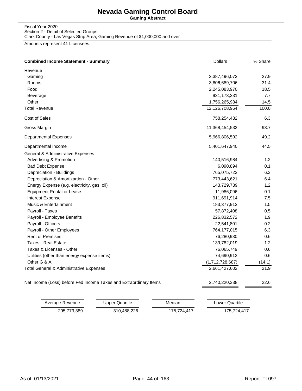**Gaming Abstract**

Fiscal Year 2020 Section 2 - Detail of Selected Groups Clark County - Las Vegas Strip Area, Gaming Revenue of \$1,000,000 and over

| <b>Combined Income Statement - Summary</b>                        | <b>Dollars</b>  | % Share |
|-------------------------------------------------------------------|-----------------|---------|
| Revenue                                                           |                 |         |
| Gaming                                                            | 3,387,496,073   | 27.9    |
| Rooms                                                             | 3,806,689,706   | 31.4    |
| Food                                                              | 2,245,083,970   | 18.5    |
| Beverage                                                          | 931,173,231     | 7.7     |
| Other                                                             | 1,756,265,984   | 14.5    |
| <b>Total Revenue</b>                                              | 12,126,708,964  | 100.0   |
| Cost of Sales                                                     | 758,254,432     | 6.3     |
| Gross Margin                                                      | 11,368,454,532  | 93.7    |
| <b>Departmental Expenses</b>                                      | 5,966,806,592   | 49.2    |
| Departmental Income                                               | 5,401,647,940   | 44.5    |
| General & Administrative Expenses                                 |                 |         |
| <b>Advertising &amp; Promotion</b>                                | 140,516,984     | 1.2     |
| <b>Bad Debt Expense</b>                                           | 6,090,894       | 0.1     |
| Depreciation - Buildings                                          | 765,075,722     | 6.3     |
| Depreciation & Amortizartion - Other                              | 773,443,621     | 6.4     |
| Energy Expense (e.g. electricity, gas, oil)                       | 143,729,739     | 1.2     |
| <b>Equipment Rental or Lease</b>                                  | 11,986,096      | 0.1     |
| <b>Interest Expense</b>                                           | 911,691,914     | 7.5     |
| Music & Entertainment                                             | 183,377,913     | 1.5     |
| Payroll - Taxes                                                   | 57,872,408      | 0.5     |
| Payroll - Employee Benefits                                       | 226,832,572     | 1.9     |
| Payroll - Officers                                                | 22,541,801      | 0.2     |
| Payroll - Other Employees                                         | 764,177,015     | 6.3     |
| <b>Rent of Premises</b>                                           | 76,280,930      | 0.6     |
| <b>Taxes - Real Estate</b>                                        | 139,782,019     | 1.2     |
| Taxes & Licenses - Other                                          | 76,065,749      | 0.6     |
| Utilities (other than energy expense items)                       | 74,690,912      | 0.6     |
| Other G & A                                                       | (1,712,728,687) | (14.1)  |
| Total General & Administrative Expenses                           | 2,661,427,602   | 21.9    |
| Net Income (Loss) before Fed Income Taxes and Extraordinary Items | 2,740,220,338   | 22.6    |

| Average Revenue | Upper Quartile | Median      | Lower Quartile |
|-----------------|----------------|-------------|----------------|
| 295,773,389     | 310.488.226    | 175.724.417 | 175.724.417    |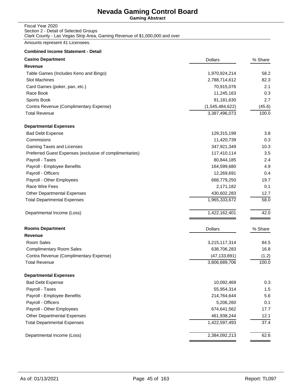**Gaming Abstract**

#### Fiscal Year 2020 Section 2 - Detail of Selected Groups Clark County - Las Vegas Strip Area, Gaming Revenue of \$1,000,000 and over

Amounts represent 41 Licensees.

#### **Combined income Statement - Detail**

| <b>Casino Department</b>                                | <b>Dollars</b>  | % Share |
|---------------------------------------------------------|-----------------|---------|
| Revenue                                                 |                 |         |
| Table Games (Includes Keno and Bingo)                   | 1,970,924,214   | 58.2    |
| <b>Slot Machines</b>                                    | 2,788,714,612   | 82.3    |
| Card Games (poker, pan, etc.)                           | 70,915,076      | 2.1     |
| Race Book                                               | 11,245,163      | 0.3     |
| Sports Book                                             | 91,181,630      | 2.7     |
| Contra Revenue (Complimentary Expense)                  | (1,545,484,622) | (45.6)  |
| <b>Total Revenue</b>                                    | 3,387,496,073   | 100.0   |
| <b>Departmental Expenses</b>                            |                 |         |
| <b>Bad Debt Expense</b>                                 | 129,315,199     | 3.8     |
| Commisions                                              | 11,420,739      | 0.3     |
| Gaming Taxes and Licenses                               | 347,921,349     | 10.3    |
| Preferred Guest Expenses (exclusive of complimentaries) | 117,410,114     | 3.5     |
| Payroll - Taxes                                         | 80,844,185      | 2.4     |
| Payroll - Employee Benefits                             | 164,599,680     | 4.9     |
| Payroll - Officers                                      | 12,269,691      | 0.4     |
| Payroll - Other Employees                               | 668,779,250     | 19.7    |
| Race Wire Fees                                          | 2,171,182       | 0.1     |
| Other Departmental Expenses                             | 430,602,283     | 12.7    |
| <b>Total Departmental Expenses</b>                      | 1,965,333,672   | 58.0    |
| Departmental Income (Loss)                              | 1,422,162,401   | 42.0    |
| <b>Rooms Department</b>                                 | <b>Dollars</b>  | % Share |
| Revenue                                                 |                 |         |
| Room Sales                                              | 3,215,117,314   | 84.5    |
| <b>Complimentary Room Sales</b>                         | 638,706,283     | 16.8    |
| Contra Revenue (Complimentary Expense)                  | (47, 133, 891)  | (1.2)   |
| <b>Total Revenue</b>                                    | 3,806,689,706   | 100.0   |
| <b>Departmental Expenses</b>                            |                 |         |
| <b>Bad Debt Expense</b>                                 | 10,092,469      | 0.3     |
| Payroll - Taxes                                         | 55,954,314      | 1.5     |
| Payroll - Employee Benefits                             | 214,764,644     | 5.6     |
| Payroll - Officers                                      | 5,206,260       | 0.1     |
| Payroll - Other Employees                               | 674,641,562     | 17.7    |
| Other Departmental Expenses                             | 461,938,244     | 12.1    |
| <b>Total Departmental Expenses</b>                      | 1,422,597,493   | 37.4    |
| Departmental Income (Loss)                              | 2,384,092,213   | 62.6    |
|                                                         |                 |         |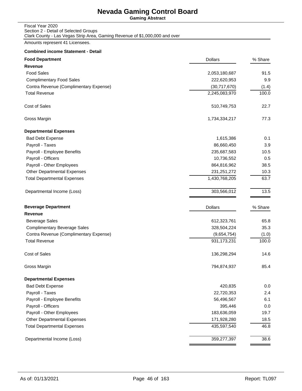**Gaming Abstract**

#### Fiscal Year 2020 Section 2 - Detail of Selected Groups Clark County - Las Vegas Strip Area, Gaming Revenue of \$1,000,000 and over

Amounts represent 41 Licensees.

#### **Combined income Statement - Detail**

| <b>Food Department</b>                 | <b>Dollars</b> | % Share |
|----------------------------------------|----------------|---------|
| Revenue                                |                |         |
| <b>Food Sales</b>                      | 2,053,180,687  | 91.5    |
| <b>Complimentary Food Sales</b>        | 222,620,953    | 9.9     |
| Contra Revenue (Complimentary Expense) | (30,717,670)   | (1.4)   |
| <b>Total Revenue</b>                   | 2,245,083,970  | 100.0   |
| Cost of Sales                          | 510,749,753    | 22.7    |
| Gross Margin                           | 1,734,334,217  | 77.3    |
| <b>Departmental Expenses</b>           |                |         |
| <b>Bad Debt Expense</b>                | 1,615,386      | 0.1     |
| Payroll - Taxes                        | 86,660,450     | 3.9     |
| Payroll - Employee Benefits            | 235,687,583    | 10.5    |
| Payroll - Officers                     | 10,736,552     | 0.5     |
| Payroll - Other Employees              | 864,816,962    | 38.5    |
| <b>Other Departmental Expenses</b>     | 231,251,272    | 10.3    |
| <b>Total Departmental Expenses</b>     | 1,430,768,205  | 63.7    |
| Departmental Income (Loss)             | 303,566,012    | 13.5    |
| <b>Beverage Department</b>             | <b>Dollars</b> | % Share |
| Revenue                                |                |         |
| <b>Beverage Sales</b>                  | 612,323,761    | 65.8    |
| <b>Complimentary Beverage Sales</b>    | 328,504,224    | 35.3    |
| Contra Revenue (Complimentary Expense) | (9,654,754)    | (1.0)   |
| <b>Total Revenue</b>                   | 931, 173, 231  | 100.0   |
| Cost of Sales                          | 136,298,294    | 14.6    |
| Gross Margin                           | 794,874,937    | 85.4    |
| <b>Departmental Expenses</b>           |                |         |
| <b>Bad Debt Expense</b>                | 420,835        | 0.0     |
| Payroll - Taxes                        | 22,720,353     | 2.4     |
| Payroll - Employee Benefits            | 56,496,567     | 6.1     |
| Payroll - Officers                     | 395,446        | 0.0     |
| Payroll - Other Employees              | 183,636,059    | 19.7    |
| <b>Other Departmental Expenses</b>     | 171,928,280    | 18.5    |
| <b>Total Departmental Expenses</b>     | 435,597,540    | 46.8    |
| Departmental Income (Loss)             | 359,277,397    | 38.6    |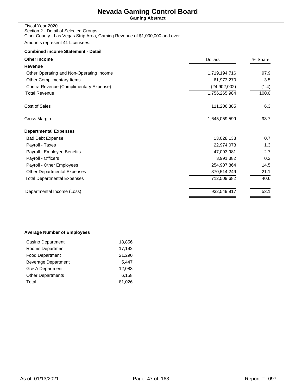**Gaming Abstract**

#### Fiscal Year 2020 Section 2 - Detail of Selected Groups Clark County - Las Vegas Strip Area, Gaming Revenue of \$1,000,000 and over

Amounts represent 41 Licensees.

#### **Combined income Statement - Detail**

| <b>Other Income</b>                      | <b>Dollars</b> | % Share |
|------------------------------------------|----------------|---------|
| Revenue                                  |                |         |
| Other Operating and Non-Operating Income | 1,719,194,716  | 97.9    |
| Other Complimentary Items                | 61,973,270     | 3.5     |
| Contra Revenue (Complimentary Expense)   | (24, 902, 002) | (1.4)   |
| <b>Total Revenue</b>                     | 1,756,265,984  | 100.0   |
| Cost of Sales                            | 111,206,385    | 6.3     |
| Gross Margin                             | 1,645,059,599  | 93.7    |
| <b>Departmental Expenses</b>             |                |         |
| <b>Bad Debt Expense</b>                  | 13,028,133     | 0.7     |
| Payroll - Taxes                          | 22,974,073     | 1.3     |
| Payroll - Employee Benefits              | 47,093,981     | 2.7     |
| Payroll - Officers                       | 3,991,382      | 0.2     |
| Payroll - Other Employees                | 254,907,864    | 14.5    |
| <b>Other Departmental Expenses</b>       | 370,514,249    | 21.1    |
| Total Departmental Expenses              | 712,509,682    | 40.6    |
| Departmental Income (Loss)               | 932,549,917    | 53.1    |
|                                          |                |         |

#### **Average Number of Employees**

| Casino Department        | 18,856 |
|--------------------------|--------|
| Rooms Department         | 17,192 |
| <b>Food Department</b>   | 21,290 |
| Beverage Department      | 5,447  |
| G & A Department         | 12.083 |
| <b>Other Departments</b> | 6,158  |
| Total                    | 81,026 |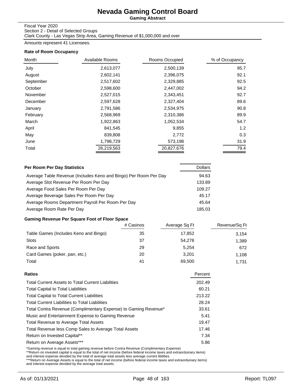**Gaming Abstract**

#### Fiscal Year 2020

Section 2 - Detail of Selected Groups Clark County - Las Vegas Strip Area, Gaming Revenue of \$1,000,000 and over

Amounts represent 41 Licensees.

#### **Rate of Room Occupancy**

| Month     | Available Rooms | Rooms Occupied | % of Occupancy |
|-----------|-----------------|----------------|----------------|
| July      | 2,613,077       | 2,500,139      | 95.7           |
| August    | 2,602,141       | 2,396,075      | 92.1           |
| September | 2,517,602       | 2,329,885      | 92.5           |
| October   | 2,598,600       | 2,447,002      | 94.2           |
| November  | 2,527,015       | 2,343,451      | 92.7           |
| December  | 2,597,628       | 2,327,404      | 89.6           |
| January   | 2,791,586       | 2,534,975      | 90.8           |
| February  | 2,568,969       | 2,310,386      | 89.9           |
| March     | 1,922,863       | 1,052,534      | 54.7           |
| April     | 841,545         | 9,855          | 1.2            |
| May       | 839,808         | 2,772          | 0.3            |
| June      | 1,798,729       | 573,198        | 31.9           |
| Total     | 26,219,563      | 20,827,676     | 79.4           |

| Per Room Per Day Statistics                                      | <b>Dollars</b> |
|------------------------------------------------------------------|----------------|
| Average Table Revenue (Includes Keno and Bingo) Per Room Per Day | 94.63          |
| Average Slot Revenue Per Room Per Day                            | 133.89         |
| Average Food Sales Per Room Per Day                              | 109.27         |
| Average Beverage Sales Per Room Per Day                          | 45.17          |
| Average Rooms Department Payroll Per Room Per Day                | 45.64          |
| Average Room Rate Per Day                                        | 185.03         |

### **Gaming Revenue Per Square Foot of Floor Space**

|                                       | # Casinos | Average Sq Ft | Revenue/Sq Ft |
|---------------------------------------|-----------|---------------|---------------|
| Table Games (Includes Keno and Bingo) | 35        | 17,852        | 3.154         |
| Slots                                 | 37        | 54.278        | 1,389         |
| Race and Sports                       | 29        | 5.254         | 672           |
| Card Games (poker, pan, etc.)         | 20        | 3.201         | 1.108         |
| Total                                 | 41        | 69,500        | 1.731         |

| Ratios                                                          | Percent |
|-----------------------------------------------------------------|---------|
| <b>Total Current Assets to Total Current Liabilities</b>        | 202.49  |
| <b>Total Capital to Total Liabilities</b>                       | 60.21   |
| <b>Total Capital to Total Current Liabilities</b>               | 213.22  |
| <b>Total Current Liabilities to Total Liabilities</b>           | 28.24   |
| Total Contra Revenue (Complimentary Expense) to Gaming Revenue* | 33.61   |
| Music and Entertainment Expense to Gaming Revenue               | 5.41    |
| <b>Total Revenue to Average Total Assets</b>                    | 19.47   |
| Total Revenue less Comp Sales to Average Total Assets           | 17.46   |
| Return on Invested Capital**                                    | 7.34    |
| Return on Average Assets***                                     | 5.86    |

\*Gaming revenue is equal to total gaming revenue before Contra Revenue (Complimentary Expense)<br>\*\*Return on invested capital is equal to the total of net income (before federal income taxes and extraorduinary items)<br>and int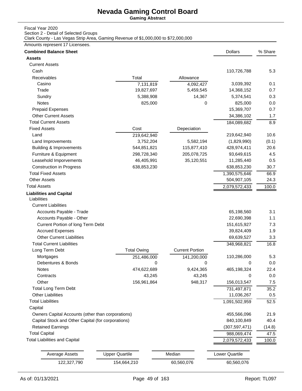**Gaming Abstract**

### Fiscal Year 2020

Section 2 - Detail of Selected Groups

Clark County - Las Vegas Strip Area, Gaming Revenue of \$1,000,000 to \$72,000,000

| <b>Combined Balance Sheet</b>                      |                       |                        | <b>Dollars</b>        | % Share |
|----------------------------------------------------|-----------------------|------------------------|-----------------------|---------|
| <b>Assets</b>                                      |                       |                        |                       |         |
| <b>Current Assets</b>                              |                       |                        |                       |         |
| Cash                                               |                       |                        | 110,726,788           | 5.3     |
| Receivables                                        | Total                 | Allowance              |                       |         |
| Casino                                             | 7,131,819             | 4,092,427              | 3,039,392             | 0.1     |
| Trade                                              | 19,827,697            | 5,459,545              | 14,368,152            | 0.7     |
| Sundry                                             | 5,388,908             | 14,367                 | 5,374,541             | 0.3     |
| Notes                                              | 825,000               | 0                      | 825,000               | 0.0     |
| <b>Prepaid Expenses</b>                            |                       |                        | 15,369,707            | 0.7     |
| <b>Other Current Assets</b>                        |                       |                        | 34,386,102            | 1.7     |
| <b>Total Current Assets</b>                        |                       |                        | 184,089,682           | 8.9     |
| <b>Fixed Assets</b>                                | Cost                  | Depeciation            |                       |         |
| Land                                               | 219,642,940           |                        | 219,642,940           | 10.6    |
| Land Improvements                                  | 3,752,204             | 5,582,194              | (1,829,990)           | (0.1)   |
| <b>Building &amp; Improvements</b>                 | 544,851,821           | 115,877,410            | 428,974,411           | 20.6    |
| Furniture & Equipment                              | 298,728,340           | 205,078,725            | 93,649,615            | 4.5     |
| Leasehold Imporvements                             | 46,405,991            | 35,120,551             | 11,285,440            | 0.5     |
| <b>Construction in Progress</b>                    | 638,853,230           |                        | 638,853,230           | 30.7    |
| <b>Total Fixed Assets</b>                          |                       |                        | 1,390,575,646         | 66.9    |
| <b>Other Assets</b>                                |                       |                        | 504,907,105           | 24.3    |
| <b>Total Assets</b>                                |                       |                        | 2,079,572,433         | 100.0   |
| <b>Liabilities and Capital</b><br>Liabilities      |                       |                        |                       |         |
| <b>Current Liabilities</b>                         |                       |                        |                       |         |
| Accounts Payable - Trade                           |                       |                        | 65,198,560            | 3.1     |
| Accounts Payable - Other                           |                       |                        | 22,690,398            | 1.1     |
| Current Portion of long Term Debt                  |                       |                        | 151,615,927           | 7.3     |
| <b>Accrued Expenses</b>                            |                       |                        | 39,824,409            | 1.9     |
| <b>Other Current Liabilities</b>                   |                       |                        | 69,639,527            | 3.3     |
| <b>Total Current Liabilities</b>                   |                       |                        | 348,968,821           | 16.8    |
| Long Term Debt                                     | <b>Total Owing</b>    | <b>Current Portion</b> |                       |         |
| Mortgages                                          | 251,486,000           | 141,200,000            | 110,286,000           | 5.3     |
| Debentures & Bonds                                 | 0                     | 0                      | 0                     | 0.0     |
| Notes                                              | 474,622,689           | 9,424,365              | 465,198,324           | 22.4    |
| Contracts                                          | 43,245                | 43,245                 | 0                     | 0.0     |
| Other                                              | 156,961,864           | 948,317                | 156,013,547           | 7.5     |
| <b>Total Long Term Debt</b>                        |                       |                        | 731,497,871           | 35.2    |
| <b>Other Liabilities</b>                           |                       |                        | 11,036,267            | 0.5     |
| <b>Total Liabilities</b>                           |                       |                        | 1,091,502,959         | 52.5    |
| Capital                                            |                       |                        |                       |         |
| Owners Capital Accounts (other than corporations)  |                       |                        | 455,566,096           | 21.9    |
| Capital Stock and Other Capital (for corporations) |                       |                        | 840,100,849           | 40.4    |
| <b>Retained Earnings</b>                           |                       |                        | (307, 597, 471)       | (14.8)  |
| <b>Total Capital</b>                               |                       |                        | 988,069,474           | 47.5    |
| <b>Total Liabilities and Capital</b>               |                       |                        | 2,079,572,433         | 100.0   |
|                                                    |                       |                        |                       |         |
| <b>Average Assets</b>                              | <b>Upper Quartile</b> | Median                 | <b>Lower Quartile</b> |         |
| 122,327,790                                        | 154,664,210           | 60,560,076             | 60,560,076            |         |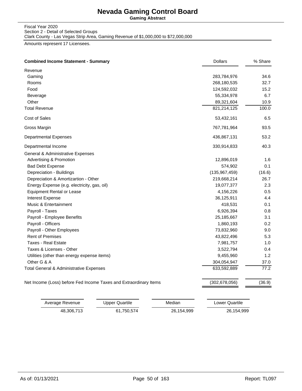**Gaming Abstract**

Fiscal Year 2020 Section 2 - Detail of Selected Groups Clark County - Las Vegas Strip Area, Gaming Revenue of \$1,000,000 to \$72,000,000

| <b>Combined Income Statement - Summary</b>                        | <b>Dollars</b>  | % Share |
|-------------------------------------------------------------------|-----------------|---------|
| Revenue                                                           |                 |         |
| Gaming                                                            | 283,784,976     | 34.6    |
| Rooms                                                             | 268,180,535     | 32.7    |
| Food                                                              | 124,592,032     | 15.2    |
| Beverage                                                          | 55,334,978      | 6.7     |
| Other                                                             | 89,321,604      | 10.9    |
| <b>Total Revenue</b>                                              | 821,214,125     | 100.0   |
| Cost of Sales                                                     | 53,432,161      | 6.5     |
| Gross Margin                                                      | 767,781,964     | 93.5    |
| <b>Departmental Expenses</b>                                      | 436,867,131     | 53.2    |
| Departmental Income                                               | 330,914,833     | 40.3    |
| General & Administrative Expenses                                 |                 |         |
| <b>Advertising &amp; Promotion</b>                                | 12,896,019      | 1.6     |
| <b>Bad Debt Expense</b>                                           | 574,902         | 0.1     |
| Depreciation - Buildings                                          | (135, 967, 459) | (16.6)  |
| Depreciation & Amortizartion - Other                              | 219,668,214     | 26.7    |
| Energy Expense (e.g. electricity, gas, oil)                       | 19,077,377      | 2.3     |
| <b>Equipment Rental or Lease</b>                                  | 4,156,226       | $0.5\,$ |
| <b>Interest Expense</b>                                           | 36,125,911      | 4.4     |
| Music & Entertainment                                             | 418,531         | 0.1     |
| Payroll - Taxes                                                   | 6,926,394       | 0.8     |
| Payroll - Employee Benefits                                       | 25,185,667      | 3.1     |
| Payroll - Officers                                                | 1,860,193       | 0.2     |
| Payroll - Other Employees                                         | 73,832,960      | 9.0     |
| <b>Rent of Premises</b>                                           | 43,822,496      | 5.3     |
| <b>Taxes - Real Estate</b>                                        | 7,981,757       | 1.0     |
| Taxes & Licenses - Other                                          | 3,522,794       | 0.4     |
| Utilities (other than energy expense items)                       | 9,455,960       | 1.2     |
| Other G & A                                                       | 304,054,947     | 37.0    |
| Total General & Administrative Expenses                           | 633,592,889     | 77.2    |
| Net Income (Loss) before Fed Income Taxes and Extraordinary Items | (302, 678, 056) | (36.9)  |

| Average Revenue | Upper Quartile | Median     | Lower Quartile |
|-----------------|----------------|------------|----------------|
| 48.306.713      | 61.750.574     | 26.154.999 | 26,154,999     |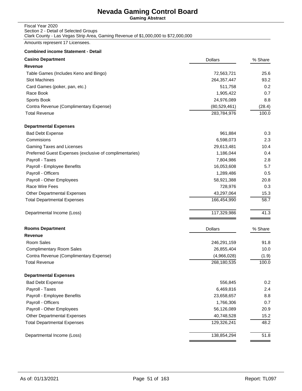**Gaming Abstract**

#### Fiscal Year 2020 Section 2 - Detail of Selected Groups Clark County - Las Vegas Strip Area, Gaming Revenue of \$1,000,000 to \$72,000,000

Amounts represent 17 Licensees.

#### **Combined income Statement - Detail**

| <b>Casino Department</b>                                | <b>Dollars</b> | % Share |
|---------------------------------------------------------|----------------|---------|
| Revenue                                                 |                |         |
| Table Games (Includes Keno and Bingo)                   | 72,563,721     | 25.6    |
| Slot Machines                                           | 264,357,447    | 93.2    |
| Card Games (poker, pan, etc.)                           | 511,758        | 0.2     |
| Race Book                                               | 1,905,422      | 0.7     |
| Sports Book                                             | 24,976,089     | 8.8     |
| Contra Revenue (Complimentary Expense)                  | (80, 529, 461) | (28.4)  |
| <b>Total Revenue</b>                                    | 283,784,976    | 100.0   |
| <b>Departmental Expenses</b>                            |                |         |
| <b>Bad Debt Expense</b>                                 | 961,884        | 0.3     |
| Commisions                                              | 6,598,073      | 2.3     |
| Gaming Taxes and Licenses                               | 29,613,481     | 10.4    |
| Preferred Guest Expenses (exclusive of complimentaries) | 1,186,044      | 0.4     |
| Payroll - Taxes                                         | 7,804,986      | 2.8     |
| Payroll - Employee Benefits                             | 16,053,608     | 5.7     |
| Payroll - Officers                                      | 1,289,486      | 0.5     |
| Payroll - Other Employees                               | 58,921,388     | 20.8    |
| Race Wire Fees                                          | 728,976        | 0.3     |
| <b>Other Departmental Expenses</b>                      | 43,297,064     | 15.3    |
| <b>Total Departmental Expenses</b>                      | 166,454,990    | 58.7    |
| Departmental Income (Loss)                              | 117,329,986    | 41.3    |
| <b>Rooms Department</b>                                 | <b>Dollars</b> | % Share |
| <b>Revenue</b>                                          |                |         |
| Room Sales                                              | 246,291,159    | 91.8    |
| <b>Complimentary Room Sales</b>                         | 26,855,404     | 10.0    |
| Contra Revenue (Complimentary Expense)                  | (4,966,028)    | (1.9)   |
| <b>Total Revenue</b>                                    | 268,180,535    | 100.0   |
| <b>Departmental Expenses</b>                            |                |         |
| <b>Bad Debt Expense</b>                                 | 556,845        | 0.2     |
| Payroll - Taxes                                         | 6,469,816      | 2.4     |
| Payroll - Employee Benefits                             | 23,658,657     | 8.8     |
| Payroll - Officers                                      | 1,766,306      | 0.7     |
| Payroll - Other Employees                               | 56,126,089     | 20.9    |
| <b>Other Departmental Expenses</b>                      | 40,748,528     | 15.2    |
| <b>Total Departmental Expenses</b>                      | 129,326,241    | 48.2    |
| Departmental Income (Loss)                              | 138,854,294    | 51.8    |
|                                                         |                |         |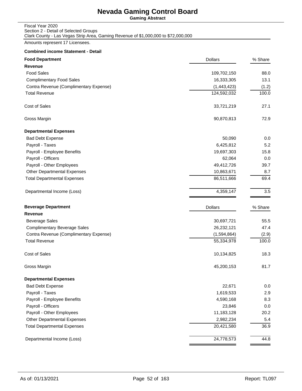**Gaming Abstract**

| Fiscal Year 2020                                                                   |
|------------------------------------------------------------------------------------|
| Section 2 - Detail of Selected Groups                                              |
| Clark County - Las Vegas Strip Area, Gaming Revenue of \$1,000,000 to \$72,000,000 |

Amounts represent 17 Licensees.

### **Combined income Statement - Detail**

| <b>Food Department</b>                 | <b>Dollars</b> | % Share |
|----------------------------------------|----------------|---------|
| <b>Revenue</b>                         |                |         |
| <b>Food Sales</b>                      | 109,702,150    | 88.0    |
| <b>Complimentary Food Sales</b>        | 16,333,305     | 13.1    |
| Contra Revenue (Complimentary Expense) | (1,443,423)    | (1.2)   |
| <b>Total Revenue</b>                   | 124,592,032    | 100.0   |
| Cost of Sales                          | 33,721,219     | 27.1    |
| Gross Margin                           | 90,870,813     | 72.9    |
| <b>Departmental Expenses</b>           |                |         |
| <b>Bad Debt Expense</b>                | 50,090         | 0.0     |
| Payroll - Taxes                        | 6,425,812      | 5.2     |
| Payroll - Employee Benefits            | 19,697,303     | 15.8    |
| Payroll - Officers                     | 62,064         | 0.0     |
| Payroll - Other Employees              | 49,412,726     | 39.7    |
| <b>Other Departmental Expenses</b>     | 10,863,671     | 8.7     |
| <b>Total Departmental Expenses</b>     | 86,511,666     | 69.4    |
| Departmental Income (Loss)             | 4,359,147      | 3.5     |
| <b>Beverage Department</b>             | <b>Dollars</b> | % Share |
| Revenue                                |                |         |
| <b>Beverage Sales</b>                  | 30,697,721     | 55.5    |
| <b>Complimentary Beverage Sales</b>    | 26,232,121     | 47.4    |
| Contra Revenue (Complimentary Expense) | (1,594,864)    | (2.9)   |
| <b>Total Revenue</b>                   | 55,334,978     | 100.0   |
| Cost of Sales                          | 10,134,825     | 18.3    |
| Gross Margin                           | 45,200,153     | 81.7    |
| <b>Departmental Expenses</b>           |                |         |
| <b>Bad Debt Expense</b>                | 22,671         | 0.0     |
| Payroll - Taxes                        | 1,619,533      | 2.9     |
| Payroll - Employee Benefits            | 4,590,168      | 8.3     |
| Payroll - Officers                     | 23,846         | 0.0     |
| Payroll - Other Employees              | 11,183,128     | 20.2    |
| Other Departmental Expenses            | 2,982,234      | 5.4     |
| <b>Total Departmental Expenses</b>     | 20,421,580     | 36.9    |
| Departmental Income (Loss)             | 24,778,573     | 44.8    |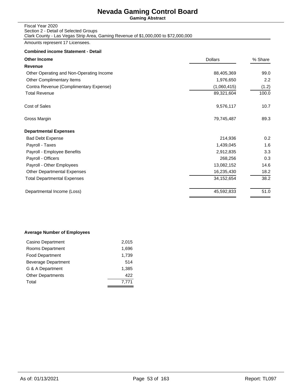**Gaming Abstract**

#### Fiscal Year 2020 Section 2 - Detail of Selected Groups Clark County - Las Vegas Strip Area, Gaming Revenue of \$1,000,000 to \$72,000,000

Amounts represent 17 Licensees.

#### **Combined income Statement - Detail**

| <b>Dollars</b> | % Share |  |
|----------------|---------|--|
|                |         |  |
| 88,405,369     | 99.0    |  |
| 1,976,650      | 2.2     |  |
| (1,060,415)    | (1.2)   |  |
| 89,321,604     | 100.0   |  |
| 9,576,117      | 10.7    |  |
| 79,745,487     | 89.3    |  |
|                |         |  |
| 214,936        | 0.2     |  |
| 1,439,045      | 1.6     |  |
| 2,912,835      | 3.3     |  |
| 268,256        | 0.3     |  |
| 13,082,152     | 14.6    |  |
| 16,235,430     | 18.2    |  |
| 34, 152, 654   | 38.2    |  |
| 45,592,833     | 51.0    |  |
|                |         |  |

#### **Average Number of Employees**

| Casino Department          | 2,015 |
|----------------------------|-------|
| Rooms Department           | 1,696 |
| <b>Food Department</b>     | 1,739 |
| <b>Beverage Department</b> | 514   |
| G & A Department           | 1.385 |
| <b>Other Departments</b>   | 422   |
| Total                      | 7.771 |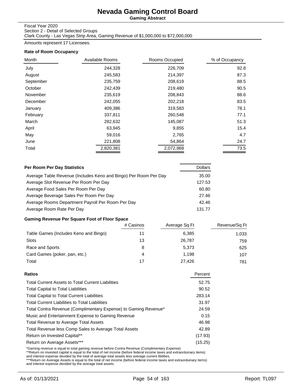**Gaming Abstract**

#### Fiscal Year 2020

Section 2 - Detail of Selected Groups Clark County - Las Vegas Strip Area, Gaming Revenue of \$1,000,000 to \$72,000,000

Amounts represent 17 Licensees.

#### **Rate of Room Occupancy**

| Month     | Available Rooms | Rooms Occupied | % of Occupancy |
|-----------|-----------------|----------------|----------------|
| July      | 244,328         | 226,709        | 92.8           |
| August    | 245,583         | 214,397        | 87.3           |
| September | 235,759         | 208,619        | 88.5           |
| October   | 242,439         | 219,480        | 90.5           |
| November  | 235,619         | 208,843        | 88.6           |
| December  | 242,055         | 202,218        | 83.5           |
| January   | 409,386         | 319,583        | 78.1           |
| February  | 337,811         | 260,548        | 77.1           |
| March     | 282,632         | 145,087        | 51.3           |
| April     | 63,945          | 9,855          | 15.4           |
| May       | 59,016          | 2,765          | 4.7            |
| June      | 221,808         | 54,864         | 24.7           |
| Total     | 2,820,381       | 2,072,968      | 73.5           |

| Per Room Per Day Statistics                                      | <b>Dollars</b> |
|------------------------------------------------------------------|----------------|
| Average Table Revenue (Includes Keno and Bingo) Per Room Per Day | 35.00          |
| Average Slot Revenue Per Room Per Day                            | 127.53         |
| Average Food Sales Per Room Per Day                              | 60.80          |
| Average Beverage Sales Per Room Per Day                          | 27.46          |
| Average Rooms Department Payroll Per Room Per Day                | 42.46          |
| Average Room Rate Per Day                                        | 131.77         |

### **Gaming Revenue Per Square Foot of Floor Space**

|                                       | # Casinos | Average Sq Ft | Revenue/Sq Ft |
|---------------------------------------|-----------|---------------|---------------|
| Table Games (Includes Keno and Bingo) |           | 6,385         | 1,033         |
| Slots                                 | 13        | 26,787        | 759           |
| Race and Sports                       | 8         | 5,373         | 625           |
| Card Games (poker, pan, etc.)         | 4         | 1.198         | 107           |
| Total                                 | 17        | 27.426        | 781           |

| Ratios                                                          | Percent |
|-----------------------------------------------------------------|---------|
| <b>Total Current Assets to Total Current Liabilities</b>        | 52.75   |
| <b>Total Capital to Total Liabilities</b>                       | 90.52   |
| <b>Total Capital to Total Current Liabilities</b>               | 283.14  |
| <b>Total Current Liabilities to Total Liabilities</b>           | 31.97   |
| Total Contra Revenue (Complimentary Expense) to Gaming Revenue* | 24.59   |
| Music and Entertainment Expense to Gaming Revenue               | 0.15    |
| <b>Total Revenue to Average Total Assets</b>                    | 46.98   |
| Total Revenue less Comp Sales to Average Total Assets           | 42.89   |
| Return on Invested Capital**                                    | (17.93) |
| Return on Average Assets***                                     | (15.25) |
|                                                                 |         |

\*Gaming revenue is equal to total gaming revenue before Contra Revenue (Complimentary Expense)<br>\*\*Return on invested capital is equal to the total of net income (before federal income taxes and extraorduinary items)<br>and int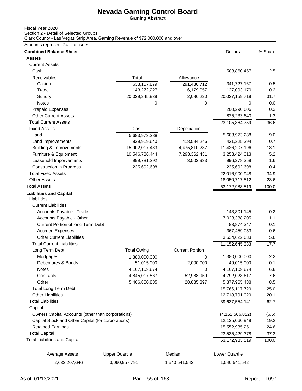**Gaming Abstract**

### Fiscal Year 2020

Section 2 - Detail of Selected Groups

Clark County - Las Vegas Strip Area, Gaming Revenue of \$72,000,000 and over

| <b>Combined Balance Sheet</b>                      |                             |                        | <b>Dollars</b>                   | % Share      |
|----------------------------------------------------|-----------------------------|------------------------|----------------------------------|--------------|
| <b>Assets</b>                                      |                             |                        |                                  |              |
| <b>Current Assets</b>                              |                             |                        |                                  |              |
| Cash                                               |                             |                        | 1,583,860,457                    | 2.5          |
| Receivables                                        | Total                       | Allowance              |                                  |              |
| Casino                                             | 633,157,879                 | 291,430,712            | 341,727,167                      | 0.5          |
| Trade                                              | 143,272,227                 | 16,179,057             | 127,093,170                      | 0.2          |
| Sundry                                             | 20,029,245,939              | 2,086,220              | 20,027,159,719                   | 31.7         |
| Notes                                              | 0                           | 0                      | 0                                | 0.0          |
| <b>Prepaid Expenses</b>                            |                             |                        | 200,290,606                      | 0.3          |
| <b>Other Current Assets</b>                        |                             |                        | 825,233,640                      | 1.3          |
| <b>Total Current Assets</b>                        |                             |                        | 23,105,364,759                   | 36.6         |
| <b>Fixed Assets</b>                                | Cost                        | Depeciation            |                                  |              |
| Land                                               | 5,683,973,288               |                        | 5,683,973,288                    | 9.0          |
| Land Improvements                                  | 839,919,640                 | 418,594,246            | 421,325,394                      | 0.7          |
| <b>Building &amp; Improvements</b>                 | 15,902,017,483              | 4,475,810,287          | 11,426,207,196                   | 18.1         |
| Furniture & Equipment                              | 10,546,786,444              | 7,293,362,431          | 3,253,424,013                    | 5.2          |
| Leasehold Imporvements                             | 999,781,292                 | 3,502,933              | 996,278,359                      | 1.6          |
| <b>Construction in Progress</b>                    | 235,692,698                 |                        | 235,692,698                      | 0.4          |
| <b>Total Fixed Assets</b>                          |                             |                        | 22,016,900,948                   | 34.9         |
| <b>Other Assets</b>                                |                             |                        | 18,050,717,812                   | 28.6         |
| <b>Total Assets</b>                                |                             |                        | 63,172,983,519                   | 100.0        |
| <b>Liabilities and Capital</b>                     |                             |                        |                                  |              |
| Liabilities                                        |                             |                        |                                  |              |
| <b>Current Liabilities</b>                         |                             |                        |                                  |              |
| Accounts Payable - Trade                           |                             |                        | 143,301,145                      | 0.2          |
| Accounts Payable - Other                           |                             |                        | 7,023,388,205                    | 11.1         |
| Current Portion of long Term Debt                  |                             |                        | 83,874,347                       | 0.1          |
| <b>Accrued Expenses</b>                            |                             |                        | 367,459,053                      | 0.6          |
| <b>Other Current Liabilities</b>                   |                             |                        | 3,534,622,633                    | 5.6          |
| <b>Total Current Liabilities</b>                   |                             |                        | 11,152,645,383                   | 17.7         |
| Long Term Debt                                     | <b>Total Owing</b>          | <b>Current Portion</b> |                                  |              |
| Mortgages                                          |                             |                        | 1,380,000,000                    | 2.2          |
| Debentures & Bonds                                 | 1,380,000,000<br>51,015,000 | 0<br>2,000,000         | 49,015,000                       | 0.1          |
| Notes                                              | 4,167,108,674               | 0                      | 4,167,108,674                    | $6.6\,$      |
| Contracts                                          | 4,845,017,567               | 52,988,950             | 4,792,028,617                    | 7.6          |
| Other                                              | 5,406,850,835               | 28,885,397             | 5,377,965,438                    | 8.5          |
| <b>Total Long Term Debt</b>                        |                             |                        |                                  |              |
| <b>Other Liabilities</b>                           |                             |                        | 15,766,117,729<br>12,718,791,029 | 25.0<br>20.1 |
| <b>Total Liabilities</b>                           |                             |                        |                                  |              |
|                                                    |                             |                        | 39,637,554,141                   | 62.7         |
| Capital                                            |                             |                        |                                  |              |
| Owners Capital Accounts (other than corporations)  |                             |                        | (4, 152, 566, 822)               | (6.6)        |
| Capital Stock and Other Capital (for corporations) |                             |                        | 12,135,060,949                   | 19.2         |
| <b>Retained Earnings</b>                           |                             |                        | 15,552,935,251                   | 24.6         |
| <b>Total Capital</b>                               |                             |                        | 23,535,429,378                   | 37.3         |
| <b>Total Liabilities and Capital</b>               |                             |                        | 63,172,983,519                   | 100.0        |
|                                                    | <b>Upper Quartile</b>       | Median                 | Lower Quartile                   |              |
| <b>Average Assets</b>                              |                             |                        |                                  |              |
| 2,632,207,646                                      | 3,060,957,791               | 1,540,541,542          | 1,540,541,542                    |              |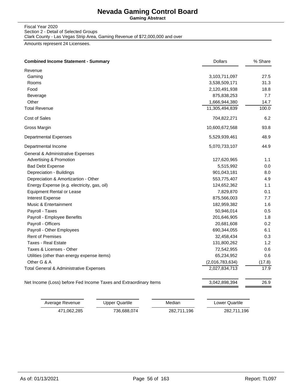**Gaming Abstract**

Fiscal Year 2020 Section 2 - Detail of Selected Groups Clark County - Las Vegas Strip Area, Gaming Revenue of \$72,000,000 and over

| <b>Combined Income Statement - Summary</b>                        | <b>Dollars</b>  | % Share |
|-------------------------------------------------------------------|-----------------|---------|
| Revenue                                                           |                 |         |
| Gaming                                                            | 3,103,711,097   | 27.5    |
| Rooms                                                             | 3,538,509,171   | 31.3    |
| Food                                                              | 2,120,491,938   | 18.8    |
| Beverage                                                          | 875,838,253     | 7.7     |
| Other                                                             | 1,666,944,380   | 14.7    |
| <b>Total Revenue</b>                                              | 11,305,494,839  | 100.0   |
| Cost of Sales                                                     | 704,822,271     | 6.2     |
| Gross Margin                                                      | 10,600,672,568  | 93.8    |
| <b>Departmental Expenses</b>                                      | 5,529,939,461   | 48.9    |
| Departmental Income                                               | 5,070,733,107   | 44.9    |
| General & Administrative Expenses                                 |                 |         |
| Advertising & Promotion                                           | 127,620,965     | 1.1     |
| <b>Bad Debt Expense</b>                                           | 5,515,992       | 0.0     |
| Depreciation - Buildings                                          | 901,043,181     | 8.0     |
| Depreciation & Amortizartion - Other                              | 553,775,407     | 4.9     |
| Energy Expense (e.g. electricity, gas, oil)                       | 124,652,362     | 1.1     |
| <b>Equipment Rental or Lease</b>                                  | 7,829,870       | 0.1     |
| <b>Interest Expense</b>                                           | 875,566,003     | 7.7     |
| Music & Entertainment                                             | 182,959,382     | 1.6     |
| Payroll - Taxes                                                   | 50,946,014      | 0.5     |
| Payroll - Employee Benefits                                       | 201,646,905     | 1.8     |
| Payroll - Officers                                                | 20,681,608      | 0.2     |
| Payroll - Other Employees                                         | 690,344,055     | 6.1     |
| <b>Rent of Premises</b>                                           | 32,458,434      | 0.3     |
| <b>Taxes - Real Estate</b>                                        | 131,800,262     | 1.2     |
| Taxes & Licenses - Other                                          | 72,542,955      | 0.6     |
| Utilities (other than energy expense items)                       | 65,234,952      | 0.6     |
| Other G & A                                                       | (2,016,783,634) | (17.8)  |
| Total General & Administrative Expenses                           | 2,027,834,713   | 17.9    |
| Net Income (Loss) before Fed Income Taxes and Extraordinary Items | 3,042,898,394   | 26.9    |

| Average Revenue | Upper Quartile | Median      | Lower Quartile |
|-----------------|----------------|-------------|----------------|
| 471.062.285     | 736,688,074    | 282,711,196 | 282,711,196    |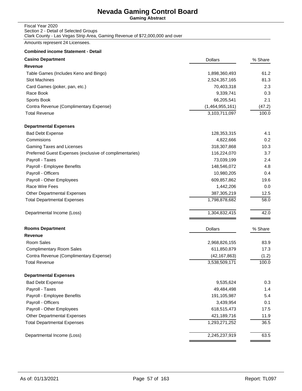**Gaming Abstract**

### Fiscal Year 2020 Section 2 - Detail of Selected Groups Clark County - Las Vegas Strip Area, Gaming Revenue of \$72,000,000 and over

Amounts represent 24 Licensees.

| <b>Casino Department</b>                                | <b>Dollars</b>  | % Share |
|---------------------------------------------------------|-----------------|---------|
| Revenue                                                 |                 |         |
| Table Games (Includes Keno and Bingo)                   | 1,898,360,493   | 61.2    |
| <b>Slot Machines</b>                                    | 2,524,357,165   | 81.3    |
| Card Games (poker, pan, etc.)                           | 70,403,318      | 2.3     |
| Race Book                                               | 9,339,741       | 0.3     |
| Sports Book                                             | 66,205,541      | 2.1     |
| Contra Revenue (Complimentary Expense)                  | (1,464,955,161) | (47.2)  |
| <b>Total Revenue</b>                                    | 3,103,711,097   | 100.0   |
| <b>Departmental Expenses</b>                            |                 |         |
| <b>Bad Debt Expense</b>                                 | 128,353,315     | 4.1     |
| Commisions                                              | 4,822,666       | 0.2     |
| Gaming Taxes and Licenses                               | 318,307,868     | 10.3    |
| Preferred Guest Expenses (exclusive of complimentaries) | 116,224,070     | 3.7     |
| Payroll - Taxes                                         | 73,039,199      | 2.4     |
| Payroll - Employee Benefits                             | 148,546,072     | 4.8     |
| Payroll - Officers                                      | 10,980,205      | 0.4     |
| Payroll - Other Employees                               | 609,857,862     | 19.6    |
| Race Wire Fees                                          | 1,442,206       | 0.0     |
| <b>Other Departmental Expenses</b>                      | 387,305,219     | 12.5    |
| <b>Total Departmental Expenses</b>                      | 1,798,878,682   | 58.0    |
| Departmental Income (Loss)                              | 1,304,832,415   | 42.0    |
| <b>Rooms Department</b>                                 | <b>Dollars</b>  | % Share |
| Revenue                                                 |                 |         |
| Room Sales                                              | 2,968,826,155   | 83.9    |
| <b>Complimentary Room Sales</b>                         | 611,850,879     | 17.3    |
| Contra Revenue (Complimentary Expense)                  | (42, 167, 863)  | (1.2)   |
| <b>Total Revenue</b>                                    | 3,538,509,171   | 100.0   |
| <b>Departmental Expenses</b>                            |                 |         |
| <b>Bad Debt Expense</b>                                 | 9,535,624       | 0.3     |
| Payroll - Taxes                                         | 49,484,498      | 1.4     |
| Payroll - Employee Benefits                             | 191,105,987     | 5.4     |
| Payroll - Officers                                      | 3,439,954       | 0.1     |
| Payroll - Other Employees                               | 618,515,473     | 17.5    |
| Other Departmental Expenses                             | 421,189,716     | 11.9    |
| <b>Total Departmental Expenses</b>                      | 1,293,271,252   | 36.5    |
| Departmental Income (Loss)                              | 2,245,237,919   | 63.5    |
|                                                         |                 |         |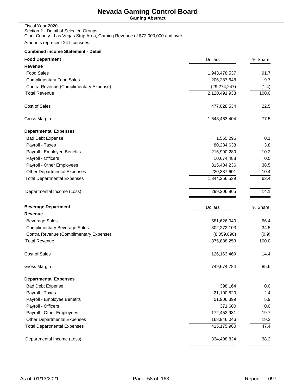**Gaming Abstract**

### Fiscal Year 2020 Section 2 - Detail of Selected Groups Clark County - Las Vegas Strip Area, Gaming Revenue of \$72,000,000 and over

Amounts represent 24 Licensees.

| <b>Food Department</b>                 | <b>Dollars</b> | % Share |
|----------------------------------------|----------------|---------|
| Revenue                                |                |         |
| <b>Food Sales</b>                      | 1,943,478,537  | 91.7    |
| <b>Complimentary Food Sales</b>        | 206,287,648    | 9.7     |
| Contra Revenue (Complimentary Expense) | (29, 274, 247) | (1.4)   |
| <b>Total Revenue</b>                   | 2,120,491,938  | 100.0   |
| Cost of Sales                          | 477,028,534    | 22.5    |
| Gross Margin                           | 1,643,463,404  | 77.5    |
| <b>Departmental Expenses</b>           |                |         |
| <b>Bad Debt Expense</b>                | 1,565,296      | 0.1     |
| Payroll - Taxes                        | 80,234,638     | 3.8     |
| Payroll - Employee Benefits            | 215,990,280    | 10.2    |
| Payroll - Officers                     | 10,674,488     | 0.5     |
| Payroll - Other Employees              | 815,404,236    | 38.5    |
| <b>Other Departmental Expenses</b>     | 220,387,601    | 10.4    |
| <b>Total Departmental Expenses</b>     | 1,344,256,539  | 63.4    |
| Departmental Income (Loss)             | 299,206,865    | 14.1    |
| <b>Beverage Department</b>             | <b>Dollars</b> | % Share |
| <b>Revenue</b>                         |                |         |
| <b>Beverage Sales</b>                  | 581,626,040    | 66.4    |
| <b>Complimentary Beverage Sales</b>    | 302,272,103    | 34.5    |
| Contra Revenue (Complimentary Expense) | (8,059,890)    | (0.9)   |
| <b>Total Revenue</b>                   | 875,838,253    | 100.0   |
| Cost of Sales                          | 126, 163, 469  | 14.4    |
| Gross Margin                           | 749,674,784    | 85.6    |
| <b>Departmental Expenses</b>           |                |         |
| <b>Bad Debt Expense</b>                | 398,164        | 0.0     |
| Payroll - Taxes                        | 21,100,820     | 2.4     |
| Payroll - Employee Benefits            | 51,906,399     | 5.9     |
| Payroll - Officers                     | 371,600        | 0.0     |
| Payroll - Other Employees              | 172,452,931    | 19.7    |
| Other Departmental Expenses            | 168,946,046    | 19.3    |
| <b>Total Departmental Expenses</b>     | 415,175,960    | 47.4    |
| Departmental Income (Loss)             | 334,498,824    | 38.2    |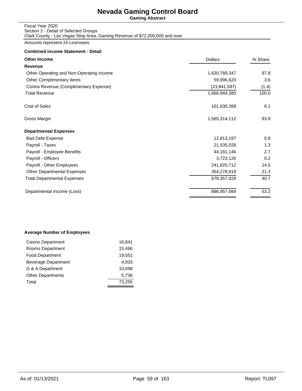**Gaming Abstract**

#### Fiscal Year 2020 Section 2 - Detail of Selected Groups Clark County - Las Vegas Strip Area, Gaming Revenue of \$72,000,000 and over

Amounts represent 24 Licensees.

### **Combined income Statement - Detail**

| <b>Other Income</b>                      | <b>Dollars</b> | % Share |
|------------------------------------------|----------------|---------|
| Revenue                                  |                |         |
| Other Operating and Non-Operating Income | 1,630,789,347  | 97.8    |
| Other Complimentary Items                | 59,996,620     | 3.6     |
| Contra Revenue (Complimentary Expense)   | (23,841,587)   | (1.4)   |
| <b>Total Revenue</b>                     | 1,666,944,380  | 100.0   |
| Cost of Sales                            | 101,630,268    | 6.1     |
| Gross Margin                             | 1,565,314,112  | 93.9    |
| <b>Departmental Expenses</b>             |                |         |
| <b>Bad Debt Expense</b>                  | 12,813,197     | 0.8     |
| Payroll - Taxes                          | 21,535,028     | 1.3     |
| Payroll - Employee Benefits              | 44, 181, 146   | 2.7     |
| Payroll - Officers                       | 3,723,126      | 0.2     |
| Payroll - Other Employees                | 241,825,712    | 14.5    |
| <b>Other Departmental Expenses</b>       | 354,278,819    | 21.3    |
| Total Departmental Expenses              | 678,357,028    | 40.7    |
| Departmental Income (Loss)               | 886,957,084    | 53.2    |
|                                          |                |         |

### **Average Number of Employees**

| Casino Department          | 16,841 |
|----------------------------|--------|
| Rooms Department           | 15,496 |
| <b>Food Department</b>     | 19,551 |
| <b>Beverage Department</b> | 4.933  |
| G & A Department           | 10.698 |
| <b>Other Departments</b>   | 5,736  |
| Total                      | 73,255 |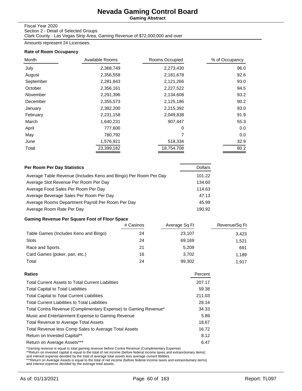**Gaming Abstract**

#### Fiscal Year 2020

Section 2 - Detail of Selected Groups Clark County - Las Vegas Strip Area, Gaming Revenue of \$72,000,000 and over

Amounts represent 24 Licensees.

### **Rate of Room Occupancy**

| Month     | Available Rooms | Rooms Occupied | % of Occupancy |
|-----------|-----------------|----------------|----------------|
| July      | 2,368,749       | 2,273,430      | 96.0           |
| August    | 2,356,558       | 2,181,678      | 92.6           |
| September | 2,281,843       | 2,121,266      | 93.0           |
| October   | 2,356,161       | 2,227,522      | 94.5           |
| November  | 2,291,396       | 2,134,608      | 93.2           |
| December  | 2,355,573       | 2,125,186      | 90.2           |
| January   | 2,382,200       | 2,215,392      | 93.0           |
| February  | 2,231,158       | 2,049,838      | 91.9           |
| March     | 1,640,231       | 907,447        | 55.3           |
| April     | 777,600         | $\Omega$       | 0.0            |
| May       | 780,792         | 7              | 0.0            |
| June      | 1,576,921       | 518,334        | 32.9           |
| Total     | 23,399,182      | 18,754,708     | 80.2           |

| Per Room Per Day Statistics                                      | <b>Dollars</b> |
|------------------------------------------------------------------|----------------|
| Average Table Revenue (Includes Keno and Bingo) Per Room Per Day | 101.22         |
| Average Slot Revenue Per Room Per Day                            | 134.60         |
| Average Food Sales Per Room Per Day                              | 114.63         |
| Average Beverage Sales Per Room Per Day                          | 47.13          |
| Average Rooms Department Payroll Per Room Per Day                | 45.99          |
| Average Room Rate Per Day                                        | 190.92         |

## **Gaming Revenue Per Square Foot of Floor Space**

|                                       | # Casinos | Average Sq Ft | Revenue/Sq Ft |
|---------------------------------------|-----------|---------------|---------------|
| Table Games (Includes Keno and Bingo) | 24        | 23,107        | 3.423         |
| Slots                                 | 24        | 69.169        | 1.521         |
| Race and Sports                       | 21        | 5.209         | 691           |
| Card Games (poker, pan, etc.)         | 16        | 3.702         | 1.189         |
| Total                                 | 24        | 99,302        | 1.917         |

| Ratios                                                          | Percent |
|-----------------------------------------------------------------|---------|
| <b>Total Current Assets to Total Current Liabilities</b>        | 207.17  |
| <b>Total Capital to Total Liabilities</b>                       | 59.38   |
| <b>Total Capital to Total Current Liabilities</b>               | 211.03  |
| <b>Total Current Liabilities to Total Liabilities</b>           | 28.14   |
| Total Contra Revenue (Complimentary Expense) to Gaming Revenue* | 34.33   |
| Music and Entertainment Expense to Gaming Revenue               | 5.89    |
| <b>Total Revenue to Average Total Assets</b>                    | 18.67   |
| Total Revenue less Comp Sales to Average Total Assets           | 16.72   |
| Return on Invested Capital**                                    | 8.12    |
| Return on Average Assets***                                     | 6.47    |
|                                                                 |         |

\*Gaming revenue is equal to total gaming revenue before Contra Revenue (Complimentary Expense)<br>\*\*Return on invested capital is equal to the total of net income (before federal income taxes and extraorduinary items)<br>and int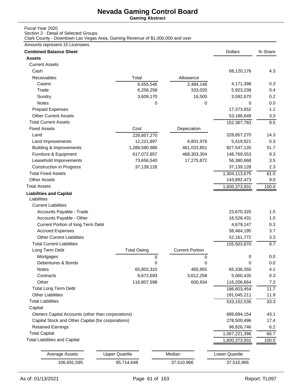**Gaming Abstract**

## Fiscal Year 2020

Section 2 - Detail of Selected Groups

Clark County - Downtown Las Vegas Area, Gaming Revenue of \$1,000,000 and over

## Amounts represent 15 Licensees.

| <b>Combined Balance Sheet</b>                      |                       |                        | <b>Dollars</b>        | % Share |
|----------------------------------------------------|-----------------------|------------------------|-----------------------|---------|
| <b>Assets</b>                                      |                       |                        |                       |         |
| <b>Current Assets</b>                              |                       |                        |                       |         |
| Cash                                               |                       |                        | 68,120,176            | 4.3     |
| Receivables                                        | Total                 | Allowance              |                       |         |
| Casino                                             | 6,655,546             | 2,484,148              | 4,171,398             | 0.3     |
| Trade                                              | 6,256,258             | 333,020                | 5,923,238             | 0.4     |
| Sundry                                             | 3,609,170             | 16,500                 | 3,592,670             | 0.2     |
| Notes                                              | 0                     | 0                      | 0                     | 0.0     |
| <b>Prepaid Expenses</b>                            |                       |                        | 17,373,652            | 1.1     |
| <b>Other Current Assets</b>                        |                       |                        | 53,186,649            | 3.3     |
| <b>Total Current Assets</b>                        |                       |                        | 152,367,783           | 9.5     |
| <b>Fixed Assets</b>                                | Cost                  | Depeciation            |                       |         |
| Land                                               | 228,857,270           |                        | 228,857,270           | 14.3    |
| Land Improvements                                  | 12,221,897            | 6,801,976              | 5,419,921             | 0.3     |
| <b>Building &amp; Improvements</b>                 | 1,288,580,986         | 461,033,851            | 827,547,135           | 51.7    |
| Furniture & Equipment                              | 617,072,857           | 468,303,304            | 148,769,553           | 9.3     |
| Leasehold Imporvements                             | 73,656,540            | 17,275,872             | 56,380,668            | 3.5     |
| <b>Construction in Progress</b>                    | 37,139,128            |                        | 37,139,128            | 2.3     |
| <b>Total Fixed Assets</b>                          |                       |                        | 1,304,113,675         | 81.5    |
| <b>Other Assets</b>                                |                       |                        | 143,892,473           | 9.0     |
| <b>Total Assets</b>                                |                       |                        | 1,600,373,931         | 100.0   |
| <b>Liabilities and Capital</b><br>Liabilities      |                       |                        |                       |         |
| <b>Current Liabilities</b>                         |                       |                        |                       |         |
| Accounts Payable - Trade                           |                       |                        | 23,670,325            | 1.5     |
| Accounts Payable - Other                           |                       |                        | 16,528,431            | 1.0     |
| Current Portion of long Term Debt                  |                       |                        | 4,679,147             | 0.3     |
| <b>Accrued Expenses</b>                            |                       |                        | 58,464,195            | 3.7     |
| <b>Other Current Liabilities</b>                   |                       |                        | 52, 161, 772          | 3.3     |
| <b>Total Current Liabilities</b>                   |                       |                        | 155,503,870           | 9.7     |
| Long Term Debt                                     | <b>Total Owing</b>    | <b>Current Portion</b> |                       |         |
| Mortgages                                          | 0                     | 0                      | 0                     | 0.0     |
| Debentures & Bonds                                 | 0                     | 0                      | 0                     | 0.0     |
| Notes                                              | 65,802,310            | 465,955                | 65,336,355            | 4.1     |
| Contracts                                          | 8,672,693             | 3,612,258              | 5,060,435             | 0.3     |
| Other                                              | 116,807,598           | 600,934                | 116,206,664           | 7.3     |
| <b>Total Long Term Debt</b>                        |                       |                        | 186,603,454           | 11.7    |
| <b>Other Liabilities</b>                           |                       |                        | 191,045,211           | 11.9    |
| <b>Total Liabilities</b>                           |                       |                        | 533, 152, 535         | 33.3    |
| Capital                                            |                       |                        |                       |         |
| Owners Capital Accounts (other than corporations)  |                       |                        | 689,894,154           | 43.1    |
| Capital Stock and Other Capital (for corporations) |                       |                        | 278,500,496           | 17.4    |
| <b>Retained Earnings</b>                           |                       |                        | 98,826,746            | 6.2     |
| <b>Total Capital</b>                               |                       |                        | 1,067,221,396         | 66.7    |
| <b>Total Liabilities and Capital</b>               |                       |                        | 1,600,373,931         | 100.0   |
|                                                    |                       |                        |                       |         |
| <b>Average Assets</b>                              | <b>Upper Quartile</b> | Median                 | <b>Lower Quartile</b> |         |
| 106,691,595                                        | 95,714,648            | 37,510,966             | 37,510,966            |         |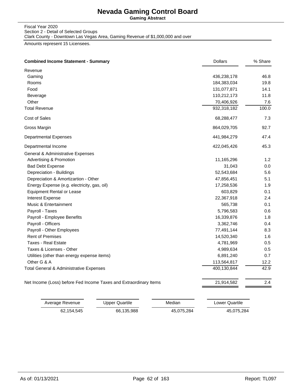**Gaming Abstract**

Fiscal Year 2020 Section 2 - Detail of Selected Groups Clark County - Downtown Las Vegas Area, Gaming Revenue of \$1,000,000 and over

Amounts represent 15 Licensees.

| <b>Combined Income Statement - Summary</b>                        | <b>Dollars</b> | % Share |
|-------------------------------------------------------------------|----------------|---------|
| Revenue                                                           |                |         |
| Gaming                                                            | 436,238,178    | 46.8    |
| Rooms                                                             | 184,383,034    | 19.8    |
| Food                                                              | 131,077,871    | 14.1    |
| Beverage                                                          | 110,212,173    | 11.8    |
| Other                                                             | 70,406,926     | 7.6     |
| <b>Total Revenue</b>                                              | 932,318,182    | 100.0   |
| Cost of Sales                                                     | 68,288,477     | 7.3     |
| Gross Margin                                                      | 864,029,705    | 92.7    |
| <b>Departmental Expenses</b>                                      | 441,984,279    | 47.4    |
| Departmental Income                                               | 422,045,426    | 45.3    |
| General & Administrative Expenses                                 |                |         |
| Advertising & Promotion                                           | 11,165,296     | 1.2     |
| <b>Bad Debt Expense</b>                                           | 31,043         | 0.0     |
| Depreciation - Buildings                                          | 52,543,684     | 5.6     |
| Depreciation & Amortizartion - Other                              | 47,856,451     | 5.1     |
| Energy Expense (e.g. electricity, gas, oil)                       | 17,258,536     | 1.9     |
| <b>Equipment Rental or Lease</b>                                  | 603,829        | 0.1     |
| <b>Interest Expense</b>                                           | 22,367,918     | 2.4     |
| Music & Entertainment                                             | 565,738        | 0.1     |
| Payroll - Taxes                                                   | 5,796,583      | 0.6     |
| Payroll - Employee Benefits                                       | 16,339,876     | 1.8     |
| Payroll - Officers                                                | 3,362,746      | 0.4     |
| Payroll - Other Employees                                         | 77,491,144     | 8.3     |
| <b>Rent of Premises</b>                                           | 14,520,340     | 1.6     |
| <b>Taxes - Real Estate</b>                                        | 4,781,969      | 0.5     |
| Taxes & Licenses - Other                                          | 4,989,634      | 0.5     |
| Utilities (other than energy expense items)                       | 6,891,240      | 0.7     |
| Other G & A                                                       | 113,564,817    | 12.2    |
| Total General & Administrative Expenses                           | 400,130,844    | 42.9    |
| Net Income (Loss) before Fed Income Taxes and Extraordinary Items | 21,914,582     | 2.4     |

| Average Revenue | Upper Quartile | Median     | Lower Quartile |
|-----------------|----------------|------------|----------------|
| 62.154.545      | 66.135.988     | 45.075.284 | 45,075,284     |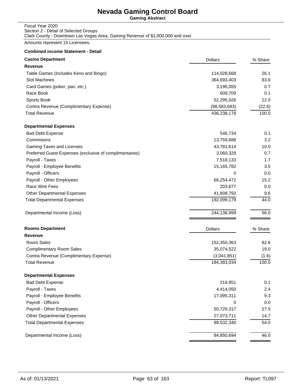**Gaming Abstract**

### Fiscal Year 2020 Section 2 - Detail of Selected Groups Clark County - Downtown Las Vegas Area, Gaming Revenue of \$1,000,000 and over

Amounts represent 15 Licensees.

| Revenue<br>114,028,668<br>Table Games (Includes Keno and Bingo)<br><b>Slot Machines</b><br>364,693,403<br>Card Games (poker, pan, etc.)<br>3,195,055<br>Race Book<br>609,709<br>Sports Book<br>52,295,026<br>Contra Revenue (Complimentary Expense)<br>(98, 583, 683)<br><b>Total Revenue</b><br>436,238,178<br><b>Departmental Expenses</b><br><b>Bad Debt Expense</b><br>546,734<br>Commisions<br>13,759,688<br>Gaming Taxes and Licenses<br>43,781,614<br>Preferred Guest Expenses (exclusive of complimentaries)<br>3,060,329<br>Payroll - Taxes<br>7,518,133<br>Payroll - Employee Benefits<br>15,165,782<br>Payroll - Officers<br>0<br>Payroll - Other Employees<br>66,254,472<br>Race Wire Fees<br>203,677<br>41,808,750<br><b>Other Departmental Expenses</b><br>192,099,179<br><b>Total Departmental Expenses</b><br>244,138,999<br>Departmental Income (Loss)<br><b>Rooms Department</b><br><b>Dollars</b><br>% Share<br><b>Revenue</b><br>Room Sales<br>152,350,363<br>35,074,522<br><b>Complimentary Room Sales</b><br>(3,041,851)<br>Contra Revenue (Complimentary Expense)<br><b>Total Revenue</b><br>184,383,034<br><b>Departmental Expenses</b><br>219,951<br><b>Bad Debt Expense</b><br>Payroll - Taxes<br>4,414,050<br>Payroll - Employee Benefits<br>17,095,311<br>Payroll - Officers<br>0<br>Payroll - Other Employees<br>50,729,317<br><b>Other Departmental Expenses</b><br>27,073,711<br><b>Total Departmental Expenses</b><br>99,532,340 | <b>Casino Department</b> | <b>Dollars</b> | % Share |
|------------------------------------------------------------------------------------------------------------------------------------------------------------------------------------------------------------------------------------------------------------------------------------------------------------------------------------------------------------------------------------------------------------------------------------------------------------------------------------------------------------------------------------------------------------------------------------------------------------------------------------------------------------------------------------------------------------------------------------------------------------------------------------------------------------------------------------------------------------------------------------------------------------------------------------------------------------------------------------------------------------------------------------------------------------------------------------------------------------------------------------------------------------------------------------------------------------------------------------------------------------------------------------------------------------------------------------------------------------------------------------------------------------------------------------------------------------------|--------------------------|----------------|---------|
|                                                                                                                                                                                                                                                                                                                                                                                                                                                                                                                                                                                                                                                                                                                                                                                                                                                                                                                                                                                                                                                                                                                                                                                                                                                                                                                                                                                                                                                                  |                          |                |         |
|                                                                                                                                                                                                                                                                                                                                                                                                                                                                                                                                                                                                                                                                                                                                                                                                                                                                                                                                                                                                                                                                                                                                                                                                                                                                                                                                                                                                                                                                  |                          |                | 26.1    |
|                                                                                                                                                                                                                                                                                                                                                                                                                                                                                                                                                                                                                                                                                                                                                                                                                                                                                                                                                                                                                                                                                                                                                                                                                                                                                                                                                                                                                                                                  |                          |                | 83.6    |
|                                                                                                                                                                                                                                                                                                                                                                                                                                                                                                                                                                                                                                                                                                                                                                                                                                                                                                                                                                                                                                                                                                                                                                                                                                                                                                                                                                                                                                                                  |                          |                | 0.7     |
|                                                                                                                                                                                                                                                                                                                                                                                                                                                                                                                                                                                                                                                                                                                                                                                                                                                                                                                                                                                                                                                                                                                                                                                                                                                                                                                                                                                                                                                                  |                          |                | 0.1     |
|                                                                                                                                                                                                                                                                                                                                                                                                                                                                                                                                                                                                                                                                                                                                                                                                                                                                                                                                                                                                                                                                                                                                                                                                                                                                                                                                                                                                                                                                  |                          |                | 12.0    |
|                                                                                                                                                                                                                                                                                                                                                                                                                                                                                                                                                                                                                                                                                                                                                                                                                                                                                                                                                                                                                                                                                                                                                                                                                                                                                                                                                                                                                                                                  |                          |                | (22.6)  |
|                                                                                                                                                                                                                                                                                                                                                                                                                                                                                                                                                                                                                                                                                                                                                                                                                                                                                                                                                                                                                                                                                                                                                                                                                                                                                                                                                                                                                                                                  |                          |                | 100.0   |
|                                                                                                                                                                                                                                                                                                                                                                                                                                                                                                                                                                                                                                                                                                                                                                                                                                                                                                                                                                                                                                                                                                                                                                                                                                                                                                                                                                                                                                                                  |                          |                |         |
|                                                                                                                                                                                                                                                                                                                                                                                                                                                                                                                                                                                                                                                                                                                                                                                                                                                                                                                                                                                                                                                                                                                                                                                                                                                                                                                                                                                                                                                                  |                          |                | 0.1     |
|                                                                                                                                                                                                                                                                                                                                                                                                                                                                                                                                                                                                                                                                                                                                                                                                                                                                                                                                                                                                                                                                                                                                                                                                                                                                                                                                                                                                                                                                  |                          |                | 3.2     |
|                                                                                                                                                                                                                                                                                                                                                                                                                                                                                                                                                                                                                                                                                                                                                                                                                                                                                                                                                                                                                                                                                                                                                                                                                                                                                                                                                                                                                                                                  |                          |                | 10.0    |
|                                                                                                                                                                                                                                                                                                                                                                                                                                                                                                                                                                                                                                                                                                                                                                                                                                                                                                                                                                                                                                                                                                                                                                                                                                                                                                                                                                                                                                                                  |                          |                | 0.7     |
|                                                                                                                                                                                                                                                                                                                                                                                                                                                                                                                                                                                                                                                                                                                                                                                                                                                                                                                                                                                                                                                                                                                                                                                                                                                                                                                                                                                                                                                                  |                          |                | 1.7     |
|                                                                                                                                                                                                                                                                                                                                                                                                                                                                                                                                                                                                                                                                                                                                                                                                                                                                                                                                                                                                                                                                                                                                                                                                                                                                                                                                                                                                                                                                  |                          |                | 3.5     |
|                                                                                                                                                                                                                                                                                                                                                                                                                                                                                                                                                                                                                                                                                                                                                                                                                                                                                                                                                                                                                                                                                                                                                                                                                                                                                                                                                                                                                                                                  |                          |                | 0.0     |
|                                                                                                                                                                                                                                                                                                                                                                                                                                                                                                                                                                                                                                                                                                                                                                                                                                                                                                                                                                                                                                                                                                                                                                                                                                                                                                                                                                                                                                                                  |                          |                | 15.2    |
|                                                                                                                                                                                                                                                                                                                                                                                                                                                                                                                                                                                                                                                                                                                                                                                                                                                                                                                                                                                                                                                                                                                                                                                                                                                                                                                                                                                                                                                                  |                          |                | 0.0     |
|                                                                                                                                                                                                                                                                                                                                                                                                                                                                                                                                                                                                                                                                                                                                                                                                                                                                                                                                                                                                                                                                                                                                                                                                                                                                                                                                                                                                                                                                  |                          |                | 9.6     |
|                                                                                                                                                                                                                                                                                                                                                                                                                                                                                                                                                                                                                                                                                                                                                                                                                                                                                                                                                                                                                                                                                                                                                                                                                                                                                                                                                                                                                                                                  |                          |                | 44.0    |
|                                                                                                                                                                                                                                                                                                                                                                                                                                                                                                                                                                                                                                                                                                                                                                                                                                                                                                                                                                                                                                                                                                                                                                                                                                                                                                                                                                                                                                                                  |                          |                | 56.0    |
|                                                                                                                                                                                                                                                                                                                                                                                                                                                                                                                                                                                                                                                                                                                                                                                                                                                                                                                                                                                                                                                                                                                                                                                                                                                                                                                                                                                                                                                                  |                          |                |         |
|                                                                                                                                                                                                                                                                                                                                                                                                                                                                                                                                                                                                                                                                                                                                                                                                                                                                                                                                                                                                                                                                                                                                                                                                                                                                                                                                                                                                                                                                  |                          |                |         |
|                                                                                                                                                                                                                                                                                                                                                                                                                                                                                                                                                                                                                                                                                                                                                                                                                                                                                                                                                                                                                                                                                                                                                                                                                                                                                                                                                                                                                                                                  |                          |                | 82.6    |
|                                                                                                                                                                                                                                                                                                                                                                                                                                                                                                                                                                                                                                                                                                                                                                                                                                                                                                                                                                                                                                                                                                                                                                                                                                                                                                                                                                                                                                                                  |                          |                | 19.0    |
|                                                                                                                                                                                                                                                                                                                                                                                                                                                                                                                                                                                                                                                                                                                                                                                                                                                                                                                                                                                                                                                                                                                                                                                                                                                                                                                                                                                                                                                                  |                          |                | (1.6)   |
|                                                                                                                                                                                                                                                                                                                                                                                                                                                                                                                                                                                                                                                                                                                                                                                                                                                                                                                                                                                                                                                                                                                                                                                                                                                                                                                                                                                                                                                                  |                          |                | 100.0   |
|                                                                                                                                                                                                                                                                                                                                                                                                                                                                                                                                                                                                                                                                                                                                                                                                                                                                                                                                                                                                                                                                                                                                                                                                                                                                                                                                                                                                                                                                  |                          |                |         |
|                                                                                                                                                                                                                                                                                                                                                                                                                                                                                                                                                                                                                                                                                                                                                                                                                                                                                                                                                                                                                                                                                                                                                                                                                                                                                                                                                                                                                                                                  |                          |                | 0.1     |
|                                                                                                                                                                                                                                                                                                                                                                                                                                                                                                                                                                                                                                                                                                                                                                                                                                                                                                                                                                                                                                                                                                                                                                                                                                                                                                                                                                                                                                                                  |                          |                | 2.4     |
|                                                                                                                                                                                                                                                                                                                                                                                                                                                                                                                                                                                                                                                                                                                                                                                                                                                                                                                                                                                                                                                                                                                                                                                                                                                                                                                                                                                                                                                                  |                          |                | 9.3     |
|                                                                                                                                                                                                                                                                                                                                                                                                                                                                                                                                                                                                                                                                                                                                                                                                                                                                                                                                                                                                                                                                                                                                                                                                                                                                                                                                                                                                                                                                  |                          |                | 0.0     |
|                                                                                                                                                                                                                                                                                                                                                                                                                                                                                                                                                                                                                                                                                                                                                                                                                                                                                                                                                                                                                                                                                                                                                                                                                                                                                                                                                                                                                                                                  |                          |                | 27.5    |
|                                                                                                                                                                                                                                                                                                                                                                                                                                                                                                                                                                                                                                                                                                                                                                                                                                                                                                                                                                                                                                                                                                                                                                                                                                                                                                                                                                                                                                                                  |                          |                | 14.7    |
|                                                                                                                                                                                                                                                                                                                                                                                                                                                                                                                                                                                                                                                                                                                                                                                                                                                                                                                                                                                                                                                                                                                                                                                                                                                                                                                                                                                                                                                                  |                          |                | 54.0    |
| 84,850,694<br>Departmental Income (Loss)                                                                                                                                                                                                                                                                                                                                                                                                                                                                                                                                                                                                                                                                                                                                                                                                                                                                                                                                                                                                                                                                                                                                                                                                                                                                                                                                                                                                                         |                          |                | 46.0    |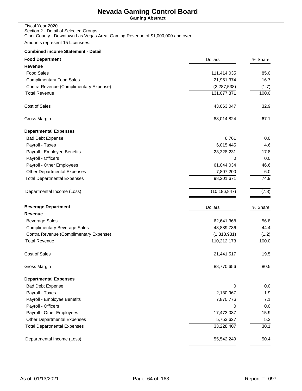**Gaming Abstract**

| Fiscal Year 2020                                                               |
|--------------------------------------------------------------------------------|
| Section 2 - Detail of Selected Groups                                          |
| Clark County - Downtown Las Vegas Area, Gaming Revenue of \$1,000,000 and over |

Amounts represent 15 Licensees.

| <b>Food Department</b>                 | <b>Dollars</b> | % Share           |
|----------------------------------------|----------------|-------------------|
| <b>Revenue</b>                         |                |                   |
| <b>Food Sales</b>                      | 111,414,035    | 85.0              |
| <b>Complimentary Food Sales</b>        | 21,951,374     | 16.7              |
| Contra Revenue (Complimentary Expense) | (2, 287, 538)  | (1.7)             |
| <b>Total Revenue</b>                   | 131,077,871    | 100.0             |
| Cost of Sales                          | 43,063,047     | 32.9              |
| Gross Margin                           | 88,014,824     | 67.1              |
| <b>Departmental Expenses</b>           |                |                   |
| <b>Bad Debt Expense</b>                | 6,761          | 0.0               |
| Payroll - Taxes                        | 6,015,445      | 4.6               |
| Payroll - Employee Benefits            | 23,328,231     | 17.8              |
| Payroll - Officers                     | 0              | 0.0               |
| Payroll - Other Employees              | 61,044,034     | 46.6              |
| <b>Other Departmental Expenses</b>     | 7,807,200      | 6.0               |
| <b>Total Departmental Expenses</b>     | 98,201,671     | 74.9              |
| Departmental Income (Loss)             | (10, 186, 847) | (7.8)             |
| <b>Beverage Department</b>             | <b>Dollars</b> | % Share           |
| <b>Revenue</b>                         |                |                   |
| <b>Beverage Sales</b>                  | 62,641,368     | 56.8              |
| <b>Complimentary Beverage Sales</b>    | 48,889,736     | 44.4              |
| Contra Revenue (Complimentary Expense) | (1,318,931)    | (1.2)             |
| <b>Total Revenue</b>                   | 110,212,173    | 100.0             |
| Cost of Sales                          | 21,441,517     | 19.5              |
| Gross Margin                           | 88,770,656     | 80.5              |
| <b>Departmental Expenses</b>           |                |                   |
| <b>Bad Debt Expense</b>                | 0              | 0.0               |
| Payroll - Taxes                        | 2,130,967      | 1.9               |
| Payroll - Employee Benefits            | 7,870,776      | 7.1               |
| Payroll - Officers                     | 0              | 0.0               |
| Payroll - Other Employees              | 17,473,037     | 15.9              |
| Other Departmental Expenses            | 5,753,627      | 5.2               |
| <b>Total Departmental Expenses</b>     | 33,228,407     | 30.1              |
| Departmental Income (Loss)             | 55,542,249     | $\overline{50.4}$ |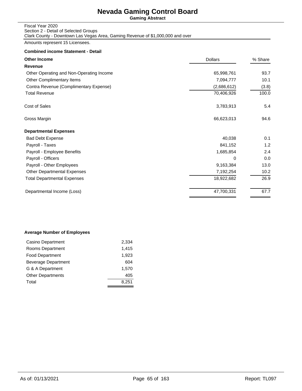**Gaming Abstract**

| Fiscal Year 2020                                                               |
|--------------------------------------------------------------------------------|
| Section 2 - Detail of Selected Groups                                          |
| Clark County - Downtown Las Vegas Area, Gaming Revenue of \$1,000,000 and over |

Amounts represent 15 Licensees.

## **Combined income Statement - Detail**

| <b>Other Income</b>                      | <b>Dollars</b> | % Share |  |
|------------------------------------------|----------------|---------|--|
| Revenue                                  |                |         |  |
| Other Operating and Non-Operating Income | 65,998,761     | 93.7    |  |
| Other Complimentary Items                | 7,094,777      | 10.1    |  |
| Contra Revenue (Complimentary Expense)   | (2,686,612)    | (3.8)   |  |
| <b>Total Revenue</b>                     | 70,406,926     | 100.0   |  |
| Cost of Sales                            | 3,783,913      | 5.4     |  |
| Gross Margin                             | 66,623,013     | 94.6    |  |
| <b>Departmental Expenses</b>             |                |         |  |
| <b>Bad Debt Expense</b>                  | 40,038         | 0.1     |  |
| Payroll - Taxes                          | 841,152        | 1.2     |  |
| Payroll - Employee Benefits              | 1,685,854      | 2.4     |  |
| Payroll - Officers                       | 0              | 0.0     |  |
| Payroll - Other Employees                | 9,163,384      | 13.0    |  |
| <b>Other Departmental Expenses</b>       | 7,192,254      | 10.2    |  |
| <b>Total Departmental Expenses</b>       | 18,922,682     | 26.9    |  |
| Departmental Income (Loss)               | 47,700,331     | 67.7    |  |
|                                          |                |         |  |

### **Average Number of Employees**

| Casino Department        | 2,334 |
|--------------------------|-------|
| Rooms Department         | 1,415 |
| <b>Food Department</b>   | 1,923 |
| Beverage Department      | 604   |
| G & A Department         | 1.570 |
| <b>Other Departments</b> | 405   |
| Total                    | 8.251 |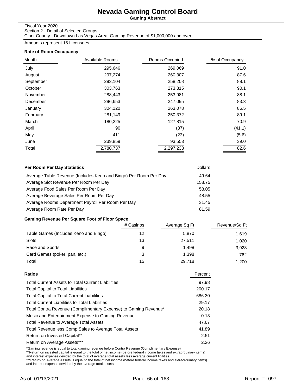**Gaming Abstract**

### Fiscal Year 2020

Section 2 - Detail of Selected Groups Clark County - Downtown Las Vegas Area, Gaming Revenue of \$1,000,000 and over

Amounts represent 15 Licensees.

### **Rate of Room Occupancy**

| Month     | Available Rooms | Rooms Occupied | % of Occupancy |
|-----------|-----------------|----------------|----------------|
| July      | 295,646         | 269,069        | 91.0           |
| August    | 297,274         | 260,307        | 87.6           |
| September | 293,104         | 258,208        | 88.1           |
| October   | 303,763         | 273,815        | 90.1           |
| November  | 288,443         | 253,981        | 88.1           |
| December  | 296,653         | 247,095        | 83.3           |
| January   | 304,120         | 263,078        | 86.5           |
| February  | 281,149         | 250,372        | 89.1           |
| March     | 180,225         | 127,815        | 70.9           |
| April     | 90              | (37)           | (41.1)         |
| May       | 411             | (23)           | (5.6)          |
| June      | 239,859         | 93,553         | 39.0           |
| Total     | 2,780,737       | 2,297,233      | 82.6           |

| Per Room Per Day Statistics                                      | <b>Dollars</b> |
|------------------------------------------------------------------|----------------|
| Average Table Revenue (Includes Keno and Bingo) Per Room Per Day | 49.64          |
| Average Slot Revenue Per Room Per Day                            | 158.75         |
| Average Food Sales Per Room Per Day                              | 58.05          |
| Average Beverage Sales Per Room Per Day                          | 48.55          |
| Average Rooms Department Payroll Per Room Per Day                | 31.45          |
| Average Room Rate Per Day                                        | 81.59          |

## **Gaming Revenue Per Square Foot of Floor Space**

|                                       | # Casinos | Average Sq Ft | Revenue/Sq Ft |
|---------------------------------------|-----------|---------------|---------------|
| Table Games (Includes Keno and Bingo) | 12        | 5,870         | 1.619         |
| Slots                                 | 13        | 27.511        | 1.020         |
| Race and Sports                       | 9         | 1.498         | 3,923         |
| Card Games (poker, pan, etc.)         | 3         | 1.398         | 762           |
| Total                                 | 15        | 29.718        | 1.200         |

| Percent |
|---------|
| 97.98   |
| 200.17  |
| 686.30  |
| 29.17   |
| 20.18   |
| 0.13    |
| 47.67   |
| 41.89   |
| 2.51    |
| 2.26    |
|         |

\*Gaming revenue is equal to total gaming revenue before Contra Revenue (Complimentary Expense)<br>\*\*Return on invested capital is equal to the total of net income (before federal income taxes and extraorduinary items)<br>and int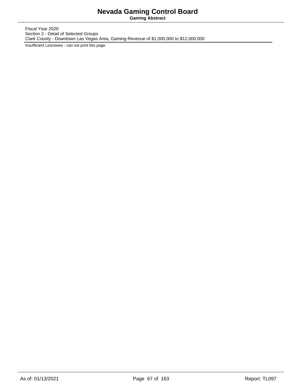**Gaming Abstract**

Fiscal Year 2020 Section 2 - Detail of Selected Groups Clark County - Downtown Las Vegas Area, Gaming Revenue of \$1,000,000 to \$12,000,000

Insufficient Licensees - can not print this page.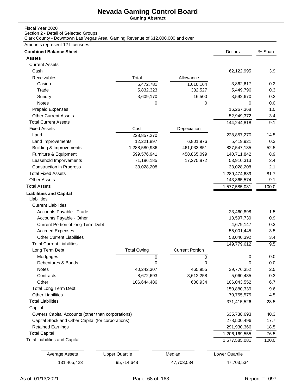**Gaming Abstract**

## Fiscal Year 2020

Section 2 - Detail of Selected Groups

Clark County - Downtown Las Vegas Area, Gaming Revenue of \$12,000,000 and over

### Amounts represent 12 Licensees.

| <b>Combined Balance Sheet</b>                      |                       |                        | <b>Dollars</b> | % Share |
|----------------------------------------------------|-----------------------|------------------------|----------------|---------|
| <b>Assets</b>                                      |                       |                        |                |         |
| <b>Current Assets</b>                              |                       |                        |                |         |
| Cash                                               |                       |                        | 62,122,995     | 3.9     |
| Receivables                                        | Total                 | Allowance              |                |         |
| Casino                                             | 5,472,781             | 1,610,164              | 3,862,617      | 0.2     |
| Trade                                              | 5,832,323             | 382,527                | 5,449,796      | 0.3     |
| Sundry                                             | 3,609,170             | 16,500                 | 3,592,670      | 0.2     |
| Notes                                              | 0                     | 0                      | $\Omega$       | 0.0     |
| <b>Prepaid Expenses</b>                            |                       |                        | 16,267,368     | 1.0     |
| <b>Other Current Assets</b>                        |                       |                        | 52,949,372     | 3.4     |
| <b>Total Current Assets</b>                        |                       |                        | 144,244,818    | 9.1     |
| <b>Fixed Assets</b>                                | Cost                  | Depeciation            |                |         |
| Land                                               | 228,857,270           |                        | 228,857,270    | 14.5    |
| Land Improvements                                  | 12,221,897            | 6,801,976              | 5,419,921      | 0.3     |
| <b>Building &amp; Improvements</b>                 | 1,288,580,986         | 461,033,851            | 827,547,135    | 52.5    |
| Furniture & Equipment                              | 599,576,941           | 458,865,099            | 140,711,842    | 8.9     |
| Leasehold Imporvements                             | 71,186,185            | 17,275,872             | 53,910,313     | 3.4     |
| <b>Construction in Progress</b>                    | 33,028,208            |                        | 33,028,208     | 2.1     |
| <b>Total Fixed Assets</b>                          |                       |                        | 1,289,474,689  | 81.7    |
| <b>Other Assets</b>                                |                       |                        | 143,865,574    | 9.1     |
| <b>Total Assets</b>                                |                       |                        | 1,577,585,081  | 100.0   |
| <b>Liabilities and Capital</b><br>Liabilities      |                       |                        |                |         |
| <b>Current Liabilities</b>                         |                       |                        |                |         |
| Accounts Payable - Trade                           |                       |                        | 23,460,898     | 1.5     |
| Accounts Payable - Other                           |                       |                        | 13,597,730     | 0.9     |
| Current Portion of long Term Debt                  |                       |                        | 4,679,147      | 0.3     |
| <b>Accrued Expenses</b>                            |                       |                        | 55,001,445     | 3.5     |
| <b>Other Current Liabilities</b>                   |                       |                        | 53,040,392     | 3.4     |
| <b>Total Current Liabilities</b>                   |                       |                        | 149,779,612    | 9.5     |
| Long Term Debt                                     | <b>Total Owing</b>    | <b>Current Portion</b> |                |         |
| Mortgages                                          | 0                     | 0                      | 0              | 0.0     |
| Debentures & Bonds                                 | 0                     | 0                      | 0              | 0.0     |
| Notes                                              | 40,242,307            | 465,955                | 39,776,352     | 2.5     |
| Contracts                                          | 8,672,693             | 3,612,258              | 5,060,435      | 0.3     |
| Other                                              | 106,644,486           | 600,934                | 106,043,552    | 6.7     |
| <b>Total Long Term Debt</b>                        |                       |                        | 150,880,339    | 9.6     |
| <b>Other Liabilities</b>                           |                       |                        | 70,755,575     | 4.5     |
| <b>Total Liabilities</b>                           |                       |                        | 371,415,526    | 23.5    |
| Capital                                            |                       |                        |                |         |
| Owners Capital Accounts (other than corporations)  |                       |                        | 635,738,693    | 40.3    |
| Capital Stock and Other Capital (for corporations) |                       |                        | 278,500,496    | 17.7    |
| <b>Retained Earnings</b>                           |                       |                        | 291,930,366    | 18.5    |
| <b>Total Capital</b>                               |                       |                        | 1,206,169,555  | 76.5    |
| <b>Total Liabilities and Capital</b>               |                       |                        | 1,577,585,081  | 100.0   |
|                                                    |                       |                        |                |         |
| <b>Average Assets</b>                              | <b>Upper Quartile</b> | Median                 | Lower Quartile |         |
| 131,465,423                                        | 95,714,648            | 47,703,534             | 47,703,534     |         |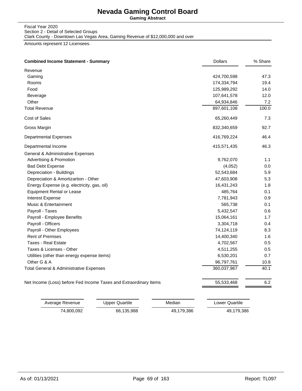**Gaming Abstract**

#### Fiscal Year 2020 Section 2 - Detail of Selected Groups Clark County - Downtown Las Vegas Area, Gaming Revenue of \$12,000,000 and over

Amounts represent 12 Licensees.

| <b>Combined Income Statement - Summary</b>                        | <b>Dollars</b> | % Share |
|-------------------------------------------------------------------|----------------|---------|
| Revenue                                                           |                |         |
| Gaming                                                            | 424,700,598    | 47.3    |
| Rooms                                                             | 174,334,794    | 19.4    |
| Food                                                              | 125,989,292    | 14.0    |
| Beverage                                                          | 107,641,578    | 12.0    |
| Other                                                             | 64,934,846     | 7.2     |
| <b>Total Revenue</b>                                              | 897,601,108    | 100.0   |
| Cost of Sales                                                     | 65,260,449     | 7.3     |
| Gross Margin                                                      | 832,340,659    | 92.7    |
| Departmental Expenses                                             | 416,769,224    | 46.4    |
| Departmental Income                                               | 415,571,435    | 46.3    |
| General & Administrative Expenses                                 |                |         |
| Advertising & Promotion                                           | 9,762,070      | 1.1     |
| <b>Bad Debt Expense</b>                                           | (4,052)        | 0.0     |
| Depreciation - Buildings                                          | 52,543,684     | 5.9     |
| Depreciation & Amortizartion - Other                              | 47,603,908     | 5.3     |
| Energy Expense (e.g. electricity, gas, oil)                       | 16,431,243     | 1.8     |
| <b>Equipment Rental or Lease</b>                                  | 485,764        | 0.1     |
| Interest Expense                                                  | 7,781,943      | 0.9     |
| Music & Entertainment                                             | 565,738        | 0.1     |
| Payroll - Taxes                                                   | 5,432,547      | 0.6     |
| Payroll - Employee Benefits                                       | 15,064,161     | 1.7     |
| Payroll - Officers                                                | 3,304,718      | 0.4     |
| Payroll - Other Employees                                         | 74,124,119     | 8.3     |
| <b>Rent of Premises</b>                                           | 14,400,340     | 1.6     |
| <b>Taxes - Real Estate</b>                                        | 4,702,567      | 0.5     |
| Taxes & Licenses - Other                                          | 4,511,255      | 0.5     |
| Utilities (other than energy expense items)                       | 6,530,201      | 0.7     |
| Other G & A                                                       | 96,797,761     | 10.8    |
| Total General & Administrative Expenses                           | 360,037,967    | 40.1    |
| Net Income (Loss) before Fed Income Taxes and Extraordinary Items | 55,533,468     | 6.2     |

| Average Revenue | Upper Quartile | Median     | Lower Quartile |
|-----------------|----------------|------------|----------------|
| 74.800.092      | 66,135,988     | 49.179.386 | 49,179,386     |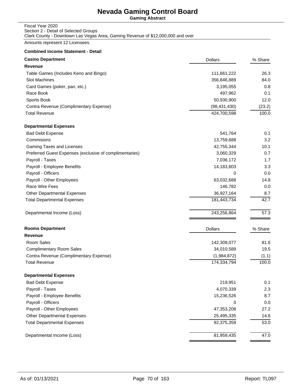**Gaming Abstract**

#### Fiscal Year 2020 Section 2 - Detail of Selected Groups Clark County - Downtown Las Vegas Area, Gaming Revenue of \$12,000,000 and over

Amounts represent 12 Licensees.

| <b>Casino Department</b>                                | <b>Dollars</b> | % Share |
|---------------------------------------------------------|----------------|---------|
| <b>Revenue</b>                                          |                |         |
| Table Games (Includes Keno and Bingo)                   | 111,661,222    | 26.3    |
| Slot Machines                                           | 356,846,889    | 84.0    |
| Card Games (poker, pan, etc.)                           | 3,195,055      | 0.8     |
| Race Book                                               | 497,962        | 0.1     |
| Sports Book                                             | 50,930,900     | 12.0    |
| Contra Revenue (Complimentary Expense)                  | (98, 431, 430) | (23.2)  |
| <b>Total Revenue</b>                                    | 424,700,598    | 100.0   |
| <b>Departmental Expenses</b>                            |                |         |
| <b>Bad Debt Expense</b>                                 | 541,764        | 0.1     |
| Commisions                                              | 13,759,688     | 3.2     |
| Gaming Taxes and Licenses                               | 42,755,344     | 10.1    |
| Preferred Guest Expenses (exclusive of complimentaries) | 3,060,329      | 0.7     |
| Payroll - Taxes                                         | 7,036,172      | 1.7     |
| Payroll - Employee Benefits                             | 14,183,803     | 3.3     |
| Payroll - Officers                                      | 0              | 0.0     |
| Payroll - Other Employees                               | 63,032,688     | 14.8    |
| Race Wire Fees                                          | 146,782        | 0.0     |
| <b>Other Departmental Expenses</b>                      | 36,927,164     | 8.7     |
| <b>Total Departmental Expenses</b>                      | 181,443,734    | 42.7    |
| Departmental Income (Loss)                              | 243,256,864    | 57.3    |
| <b>Rooms Department</b>                                 | <b>Dollars</b> | % Share |
| <b>Revenue</b>                                          |                |         |
| Room Sales                                              | 142,309,077    | 81.6    |
| <b>Complimentary Room Sales</b>                         | 34,010,589     | 19.5    |
| Contra Revenue (Complimentary Expense)                  | (1,984,872)    | (1.1)   |
| <b>Total Revenue</b>                                    | 174,334,794    | 100.0   |
| <b>Departmental Expenses</b>                            |                |         |
| <b>Bad Debt Expense</b>                                 | 219,951        | 0.1     |
| Payroll - Taxes                                         | 4,070,339      | 2.3     |
| Payroll - Employee Benefits                             | 15,236,526     | 8.7     |
| Payroll - Officers                                      | 0              | 0.0     |
| Payroll - Other Employees                               | 47,353,208     | 27.2    |
| Other Departmental Expenses                             | 25,495,335     | 14.6    |
| <b>Total Departmental Expenses</b>                      | 92,375,359     | 53.0    |
| Departmental Income (Loss)                              | 81,959,435     | 47.0    |
|                                                         |                |         |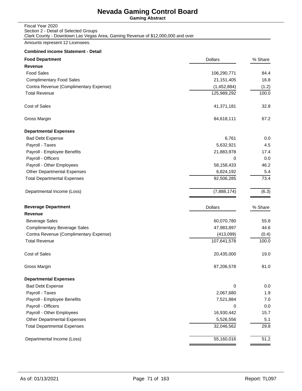**Gaming Abstract**

| Fiscal Year 2020                                                                |
|---------------------------------------------------------------------------------|
| Section 2 - Detail of Selected Groups                                           |
| Clark County - Downtown Las Vegas Area, Gaming Revenue of \$12,000,000 and over |

Amounts represent 12 Licensees.

| <b>Food Department</b>                 | <b>Dollars</b> | % Share |
|----------------------------------------|----------------|---------|
| <b>Revenue</b>                         |                |         |
| <b>Food Sales</b>                      | 106,290,771    | 84.4    |
| <b>Complimentary Food Sales</b>        | 21, 151, 405   | 16.8    |
| Contra Revenue (Complimentary Expense) | (1,452,884)    | (1.2)   |
| <b>Total Revenue</b>                   | 125,989,292    | 100.0   |
| Cost of Sales                          | 41,371,181     | 32.8    |
| Gross Margin                           | 84,618,111     | 67.2    |
| <b>Departmental Expenses</b>           |                |         |
| <b>Bad Debt Expense</b>                | 6,761          | 0.0     |
| Payroll - Taxes                        | 5,632,921      | 4.5     |
| Payroll - Employee Benefits            | 21,883,978     | 17.4    |
| Payroll - Officers                     | 0              | 0.0     |
| Payroll - Other Employees              | 58,158,433     | 46.2    |
| <b>Other Departmental Expenses</b>     | 6,824,192      | 5.4     |
| <b>Total Departmental Expenses</b>     | 92,506,285     | 73.4    |
| Departmental Income (Loss)             | (7,888,174)    | (6.3)   |
| <b>Beverage Department</b>             | <b>Dollars</b> | % Share |
| <b>Revenue</b>                         |                |         |
| <b>Beverage Sales</b>                  | 60,070,780     | 55.8    |
| <b>Complimentary Beverage Sales</b>    | 47,983,897     | 44.6    |
| Contra Revenue (Complimentary Expense) | (413,099)      | (0.4)   |
| <b>Total Revenue</b>                   | 107,641,578    | 100.0   |
| <b>Cost of Sales</b>                   | 20,435,000     | 19.0    |
| Gross Margin                           | 87,206,578     | 81.0    |
| <b>Departmental Expenses</b>           |                |         |
| <b>Bad Debt Expense</b>                | 0              | 0.0     |
| Payroll - Taxes                        | 2,067,680      | 1.9     |
| Payroll - Employee Benefits            | 7,521,884      | 7.0     |
| Payroll - Officers                     | 0              | 0.0     |
| Payroll - Other Employees              | 16,930,442     | 15.7    |
| Other Departmental Expenses            | 5,526,556      | 5.1     |
| <b>Total Departmental Expenses</b>     | 32,046,562     | 29.8    |
| Departmental Income (Loss)             | 55,160,016     | 51.2    |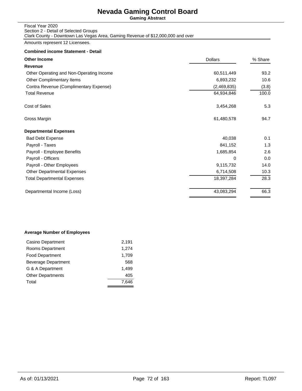**Gaming Abstract**

| Fiscal Year 2020                                                                |
|---------------------------------------------------------------------------------|
| Section 2 - Detail of Selected Groups                                           |
| Clark County - Downtown Las Vegas Area, Gaming Revenue of \$12,000,000 and over |

Amounts represent 12 Licensees.

## **Combined income Statement - Detail**

| <b>Other Income</b>                      | <b>Dollars</b> |       |
|------------------------------------------|----------------|-------|
| Revenue                                  |                |       |
| Other Operating and Non-Operating Income | 60,511,449     | 93.2  |
| Other Complimentary Items                | 6,893,232      | 10.6  |
| Contra Revenue (Complimentary Expense)   | (2,469,835)    | (3.8) |
| <b>Total Revenue</b>                     | 64,934,846     | 100.0 |
| Cost of Sales                            | 3,454,268      | 5.3   |
| Gross Margin                             | 61,480,578     | 94.7  |
| <b>Departmental Expenses</b>             |                |       |
| <b>Bad Debt Expense</b>                  | 40,038         | 0.1   |
| Payroll - Taxes                          | 841,152        | 1.3   |
| Payroll - Employee Benefits              | 1,685,854      | 2.6   |
| Payroll - Officers                       | 0              | 0.0   |
| Payroll - Other Employees                | 9,115,732      | 14.0  |
| <b>Other Departmental Expenses</b>       | 6,714,508      | 10.3  |
| <b>Total Departmental Expenses</b>       | 18,397,284     | 28.3  |
| Departmental Income (Loss)               | 43,083,294     | 66.3  |
|                                          |                |       |

### **Average Number of Employees**

| Casino Department        | 2,191 |
|--------------------------|-------|
| Rooms Department         | 1,274 |
| <b>Food Department</b>   | 1,709 |
| Beverage Department      | 568   |
| G & A Department         | 1.499 |
| <b>Other Departments</b> | 405   |
| Total                    | 7.646 |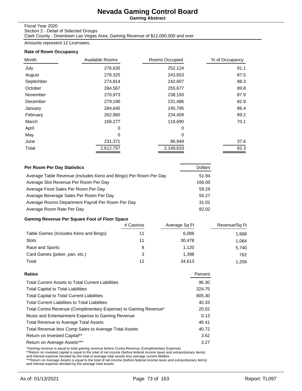**Gaming Abstract**

### Fiscal Year 2020

Section 2 - Detail of Selected Groups Clark County - Downtown Las Vegas Area, Gaming Revenue of \$12,000,000 and over

Amounts represent 12 Licensees.

### **Rate of Room Occupancy**

| Month     | Available Rooms | Rooms Occupied | % of Occupancy |
|-----------|-----------------|----------------|----------------|
| July      | 276,635         | 252,124        | 91.1           |
| August    | 278,325         | 243,653        | 87.5           |
| September | 274,814         | 242,607        | 88.3           |
| October   | 284,567         | 255,677        | 89.8           |
| November  | 270,973         | 238,193        | 87.9           |
| December  | 279,190         | 231,486        | 82.9           |
| January   | 284,645         | 245,795        | 86.4           |
| February  | 262,960         | 234,459        | 89.2           |
| March     | 169,277         | 118,690        | 70.1           |
| April     | 0               | $\Omega$       |                |
| May       | 0               | 0              |                |
| June      | 231,371         | 86,949         | 37.6           |
| Total     | 2,612,757       | 2,149,633      | 82.3           |

| Per Room Per Day Statistics                                      | <b>Dollars</b> |
|------------------------------------------------------------------|----------------|
| Average Table Revenue (Includes Keno and Bingo) Per Room Per Day | 51.94          |
| Average Slot Revenue Per Room Per Day                            | 166.00         |
| Average Food Sales Per Room Per Day                              | 59.29          |
| Average Beverage Sales Per Room Per Day                          | 50.27          |
| Average Rooms Department Payroll Per Room Per Day                | 31.01          |
| Average Room Rate Per Day                                        | 82.02          |

## **Gaming Revenue Per Square Foot of Floor Space**

|                                       | # Casinos | Average Sq Ft | Revenue/Sq Ft |
|---------------------------------------|-----------|---------------|---------------|
| Table Games (Includes Keno and Bingo) | 11        | 6,086         | 1.668         |
| Slots                                 | 11        | 30.478        | 1.064         |
| Race and Sports                       | 8         | 1.120         | 5,740         |
| Card Games (poker, pan, etc.)         | 3         | 1.398         | 762           |
| Total                                 | 12        | 34,613        | 1.259         |

| Percent |
|---------|
| 96.30   |
| 324.75  |
| 805.30  |
| 40.33   |
| 20.02   |
| 0.13    |
| 46.41   |
| 40.72   |
| 3.62    |
| 3.27    |
|         |

\*Gaming revenue is equal to total gaming revenue before Contra Revenue (Complimentary Expense)<br>\*\*Return on invested capital is equal to the total of net income (before federal income taxes and extraorduinary items)<br>and int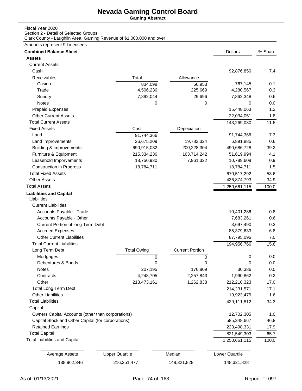**Gaming Abstract**

## Fiscal Year 2020

Section 2 - Detail of Selected Groups Clark County - Laughlin Area, Gaming Revenue of \$1,000,000 and over

### Amounts represent 9 Licensees.

| <b>Combined Balance Sheet</b>                      |                       |                        | <b>Dollars</b> | % Share |
|----------------------------------------------------|-----------------------|------------------------|----------------|---------|
| <b>Assets</b>                                      |                       |                        |                |         |
| <b>Current Assets</b>                              |                       |                        |                |         |
| Cash                                               |                       |                        | 92,876,856     | 7.4     |
| Receivables                                        | Total                 | Allowance              |                |         |
| Casino                                             | 834,098               | 66,953                 | 767,145        | 0.1     |
| Trade                                              | 4,506,236             | 225,669                | 4,280,567      | 0.3     |
| Sundry                                             | 7,892,044             | 29,696                 | 7,862,348      | 0.6     |
| Notes                                              | 0                     | $\Omega$               | 0              | 0.0     |
| <b>Prepaid Expenses</b>                            |                       |                        | 15,448,063     | 1.2     |
| <b>Other Current Assets</b>                        |                       |                        | 22,034,051     | 1.8     |
| <b>Total Current Assets</b>                        |                       |                        | 143,269,030    | 11.5    |
| <b>Fixed Assets</b>                                | Cost                  | Depeciation            |                |         |
| Land                                               | 91,744,366            |                        | 91,744,366     | 7.3     |
| Land Improvements                                  | 26,675,209            | 19,783,324             | 6,891,885      | 0.6     |
| <b>Building &amp; Improvements</b>                 | 690,915,032           | 200,228,304            | 490,686,728    | 39.2    |
| Furniture & Equipment                              | 215,334,236           | 163,714,242            | 51,619,994     | 4.1     |
| Leasehold Imporvements                             | 18,750,930            | 7,961,322              | 10,789,608     | 0.9     |
| <b>Construction in Progress</b>                    | 18,784,711            |                        | 18,784,711     | 1.5     |
| <b>Total Fixed Assets</b>                          |                       |                        | 670,517,292    | 53.6    |
| <b>Other Assets</b>                                |                       |                        | 436,874,793    | 34.9    |
| <b>Total Assets</b>                                |                       |                        | 1,250,661,115  | 100.0   |
| <b>Liabilities and Capital</b><br>Liabilities      |                       |                        |                |         |
| <b>Current Liabilities</b>                         |                       |                        |                |         |
| Accounts Payable - Trade                           |                       |                        | 10,401,286     | 0.8     |
| Accounts Payable - Other                           |                       |                        | 7,683,261      | 0.6     |
| Current Portion of long Term Debt                  |                       |                        | 3,697,490      | 0.3     |
| <b>Accrued Expenses</b>                            |                       |                        | 85,379,633     | 6.8     |
| <b>Other Current Liabilities</b>                   |                       |                        | 87,795,096     | 7.0     |
| <b>Total Current Liabilities</b>                   |                       |                        | 194,956,766    | 15.6    |
| Long Term Debt                                     | <b>Total Owing</b>    | <b>Current Portion</b> |                |         |
| Mortgages                                          | 0                     | 0                      | 0              | 0.0     |
| Debentures & Bonds                                 | 0                     | 0                      | 0              | 0.0     |
| Notes                                              | 207,195               | 176,809                | 30,386         | 0.0     |
| Contracts                                          | 4,248,705             | 2,257,843              | 1,990,862      | 0.2     |
| Other                                              | 213,473,161           | 1,262,838              | 212,210,323    | 17.0    |
| <b>Total Long Term Debt</b>                        |                       |                        | 214,231,571    | 17.1    |
| <b>Other Liabilities</b>                           |                       |                        | 19,923,475     | 1.6     |
| <b>Total Liabilities</b>                           |                       |                        | 429,111,812    | 34.3    |
| Capital                                            |                       |                        |                |         |
| Owners Capital Accounts (other than corporations)  |                       |                        | 12,702,305     | 1.0     |
| Capital Stock and Other Capital (for corporations) |                       |                        | 585,348,667    | 46.8    |
| <b>Retained Earnings</b>                           |                       |                        | 223,498,331    | 17.9    |
| <b>Total Capital</b>                               |                       |                        | 821,549,303    | 65.7    |
| <b>Total Liabilities and Capital</b>               |                       |                        | 1,250,661,115  | 100.0   |
|                                                    |                       |                        |                |         |
| <b>Average Assets</b>                              | <b>Upper Quartile</b> | Median                 | Lower Quartile |         |
| 138,962,346                                        | 216,251,477           | 148,321,828            | 148,321,828    |         |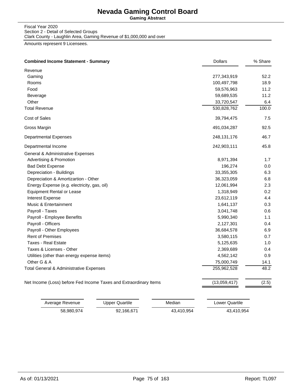**Gaming Abstract**

#### Fiscal Year 2020 Section 2 - Detail of Selected Groups Clark County - Laughlin Area, Gaming Revenue of \$1,000,000 and over

Amounts represent 9 Licensees.

| <b>Combined Income Statement - Summary</b>                        | <b>Dollars</b> | % Share |
|-------------------------------------------------------------------|----------------|---------|
| Revenue                                                           |                |         |
| Gaming                                                            | 277,343,919    | 52.2    |
| Rooms                                                             | 100,497,798    | 18.9    |
| Food                                                              | 59,576,963     | 11.2    |
| Beverage                                                          | 59,689,535     | 11.2    |
| Other                                                             | 33,720,547     | 6.4     |
| <b>Total Revenue</b>                                              | 530,828,762    | 100.0   |
| Cost of Sales                                                     | 39,794,475     | 7.5     |
| Gross Margin                                                      | 491,034,287    | 92.5    |
| <b>Departmental Expenses</b>                                      | 248,131,176    | 46.7    |
| Departmental Income                                               | 242,903,111    | 45.8    |
| General & Administrative Expenses                                 |                |         |
| <b>Advertising &amp; Promotion</b>                                | 8,971,394      | 1.7     |
| <b>Bad Debt Expense</b>                                           | 196,274        | 0.0     |
| Depreciation - Buildings                                          | 33,355,305     | 6.3     |
| Depreciation & Amortizartion - Other                              | 36,323,059     | 6.8     |
| Energy Expense (e.g. electricity, gas, oil)                       | 12,061,994     | 2.3     |
| <b>Equipment Rental or Lease</b>                                  | 1,318,949      | 0.2     |
| Interest Expense                                                  | 23,612,119     | 4.4     |
| Music & Entertainment                                             | 1,641,137      | 0.3     |
| Payroll - Taxes                                                   | 3,041,748      | 0.6     |
| Payroll - Employee Benefits                                       | 5,990,340      | 1.1     |
| Payroll - Officers                                                | 2,127,301      | 0.4     |
| Payroll - Other Employees                                         | 36,684,578     | 6.9     |
| <b>Rent of Premises</b>                                           | 3,580,115      | 0.7     |
| <b>Taxes - Real Estate</b>                                        | 5,125,635      | 1.0     |
| Taxes & Licenses - Other                                          | 2,369,689      | 0.4     |
| Utilities (other than energy expense items)                       | 4,562,142      | 0.9     |
| Other G & A                                                       | 75,000,749     | 14.1    |
| Total General & Administrative Expenses                           | 255,962,528    | 48.2    |
| Net Income (Loss) before Fed Income Taxes and Extraordinary Items | (13,059,417)   | (2.5)   |

| Average Revenue | Upper Quartile | Median     | Lower Quartile |
|-----------------|----------------|------------|----------------|
| 58.980.974      | 92.166.671     | 43.410.954 | 43,410,954     |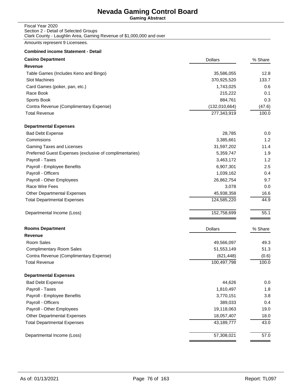**Gaming Abstract**

### Fiscal Year 2020 Section 2 - Detail of Selected Groups Clark County - Laughlin Area, Gaming Revenue of \$1,000,000 and over

Amounts represent 9 Licensees.

| <b>Casino Department</b>                                | <b>Dollars</b> | % Share |
|---------------------------------------------------------|----------------|---------|
| Revenue                                                 |                |         |
| Table Games (Includes Keno and Bingo)                   | 35,586,055     | 12.8    |
| Slot Machines                                           | 370,925,520    | 133.7   |
| Card Games (poker, pan, etc.)                           | 1,743,025      | 0.6     |
| Race Book                                               | 215,222        | 0.1     |
| Sports Book                                             | 884,761        | 0.3     |
| Contra Revenue (Complimentary Expense)                  | (132,010,664)  | (47.6)  |
| <b>Total Revenue</b>                                    | 277,343,919    | 100.0   |
| <b>Departmental Expenses</b>                            |                |         |
| <b>Bad Debt Expense</b>                                 | 28,785         | 0.0     |
| Commisions                                              | 3,385,661      | 1.2     |
| Gaming Taxes and Licenses                               | 31,597,202     | 11.4    |
| Preferred Guest Expenses (exclusive of complimentaries) | 5,359,747      | 1.9     |
| Payroll - Taxes                                         | 3,463,172      | 1.2     |
| Payroll - Employee Benefits                             | 6,907,301      | 2.5     |
| Payroll - Officers                                      | 1,039,162      | 0.4     |
| Payroll - Other Employees                               | 26,862,754     | 9.7     |
| Race Wire Fees                                          | 3,078          | 0.0     |
| <b>Other Departmental Expenses</b>                      | 45,938,358     | 16.6    |
| <b>Total Departmental Expenses</b>                      | 124,585,220    | 44.9    |
| Departmental Income (Loss)                              | 152,758,699    | 55.1    |
| <b>Rooms Department</b>                                 | <b>Dollars</b> | % Share |
| <b>Revenue</b>                                          |                |         |
| Room Sales                                              | 49,566,097     | 49.3    |
| <b>Complimentary Room Sales</b>                         | 51,553,149     | 51.3    |
| Contra Revenue (Complimentary Expense)                  | (621, 448)     | (0.6)   |
| <b>Total Revenue</b>                                    | 100,497,798    | 100.0   |
| <b>Departmental Expenses</b>                            |                |         |
| <b>Bad Debt Expense</b>                                 | 44,626         | 0.0     |
| Payroll - Taxes                                         | 1,810,497      | 1.8     |
| Payroll - Employee Benefits                             | 3,770,151      | 3.8     |
| Payroll - Officers                                      | 389,033        | 0.4     |
| Payroll - Other Employees                               | 19,118,063     | 19.0    |
| Other Departmental Expenses                             | 18,057,407     | 18.0    |
| <b>Total Departmental Expenses</b>                      | 43,189,777     | 43.0    |
| Departmental Income (Loss)                              | 57,308,021     | 57.0    |
|                                                         |                |         |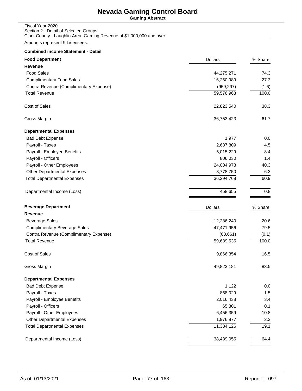**Gaming Abstract**

| Fiscal Year 2020                                                     |
|----------------------------------------------------------------------|
| Section 2 - Detail of Selected Groups                                |
| Clark County - Laughlin Area, Gaming Revenue of \$1,000,000 and over |

Amounts represent 9 Licensees.

| <b>Food Department</b>                 | <b>Dollars</b> | % Share |
|----------------------------------------|----------------|---------|
| <b>Revenue</b>                         |                |         |
| <b>Food Sales</b>                      | 44,275,271     | 74.3    |
| <b>Complimentary Food Sales</b>        | 16,260,989     | 27.3    |
| Contra Revenue (Complimentary Expense) | (959, 297)     | (1.6)   |
| <b>Total Revenue</b>                   | 59,576,963     | 100.0   |
| <b>Cost of Sales</b>                   | 22,823,540     | 38.3    |
| Gross Margin                           | 36,753,423     | 61.7    |
| <b>Departmental Expenses</b>           |                |         |
| <b>Bad Debt Expense</b>                | 1,977          | 0.0     |
| Payroll - Taxes                        | 2,687,809      | 4.5     |
| Payroll - Employee Benefits            | 5,015,229      | 8.4     |
| Payroll - Officers                     | 806,030        | 1.4     |
| Payroll - Other Employees              | 24,004,973     | 40.3    |
| <b>Other Departmental Expenses</b>     | 3,778,750      | 6.3     |
| <b>Total Departmental Expenses</b>     | 36,294,768     | 60.9    |
| Departmental Income (Loss)             | 458,655        | 0.8     |
| <b>Beverage Department</b>             | <b>Dollars</b> | % Share |
| <b>Revenue</b>                         |                |         |
| <b>Beverage Sales</b>                  | 12,286,240     | 20.6    |
| <b>Complimentary Beverage Sales</b>    | 47,471,956     | 79.5    |
| Contra Revenue (Complimentary Expense) | (68, 661)      | (0.1)   |
| <b>Total Revenue</b>                   | 59,689,535     | 100.0   |
| <b>Cost of Sales</b>                   | 9,866,354      | 16.5    |
| Gross Margin                           | 49,823,181     | 83.5    |
| <b>Departmental Expenses</b>           |                |         |
| <b>Bad Debt Expense</b>                | 1,122          | 0.0     |
| Payroll - Taxes                        | 868,029        | 1.5     |
| Payroll - Employee Benefits            | 2,016,438      | 3.4     |
| Payroll - Officers                     | 65,301         | 0.1     |
| Payroll - Other Employees              | 6,456,359      | 10.8    |
| Other Departmental Expenses            | 1,976,877      | 3.3     |
| <b>Total Departmental Expenses</b>     | 11,384,126     | 19.1    |
| Departmental Income (Loss)             | 38,439,055     | 64.4    |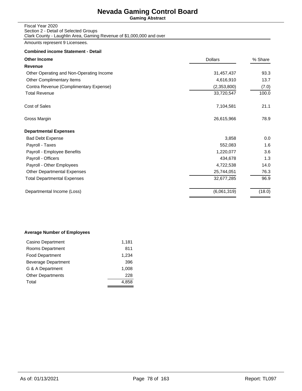**Gaming Abstract**

| Fiscal Year 2020                                                     |
|----------------------------------------------------------------------|
| Section 2 - Detail of Selected Groups                                |
| Clark County - Laughlin Area, Gaming Revenue of \$1,000,000 and over |

Amounts represent 9 Licensees.

## **Combined income Statement - Detail**

| <b>Other Income</b>                      | <b>Dollars</b> | % Share |  |
|------------------------------------------|----------------|---------|--|
| Revenue                                  |                |         |  |
| Other Operating and Non-Operating Income | 31,457,437     | 93.3    |  |
| Other Complimentary Items                | 4,616,910      | 13.7    |  |
| Contra Revenue (Complimentary Expense)   | (2,353,800)    | (7.0)   |  |
| <b>Total Revenue</b>                     | 33,720,547     | 100.0   |  |
| <b>Cost of Sales</b>                     | 7,104,581      | 21.1    |  |
| Gross Margin                             | 26,615,966     | 78.9    |  |
| <b>Departmental Expenses</b>             |                |         |  |
| <b>Bad Debt Expense</b>                  | 3,858          | 0.0     |  |
| Payroll - Taxes                          | 552,083        | 1.6     |  |
| Payroll - Employee Benefits              | 1,220,077      | 3.6     |  |
| Payroll - Officers                       | 434,678        | 1.3     |  |
| Payroll - Other Employees                | 4,722,538      | 14.0    |  |
| Other Departmental Expenses              | 25,744,051     | 76.3    |  |
| Total Departmental Expenses              | 32,677,285     | 96.9    |  |
| Departmental Income (Loss)               | (6,061,319)    | (18.0)  |  |
|                                          |                |         |  |

### **Average Number of Employees**

| Casino Department        | 1,181 |
|--------------------------|-------|
| Rooms Department         | 811   |
| <b>Food Department</b>   | 1,234 |
| Beverage Department      | 396   |
| G & A Department         | 1.008 |
| <b>Other Departments</b> | 228   |
| Total                    | 4.858 |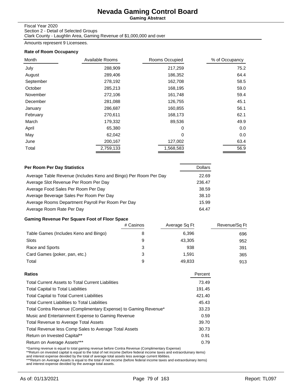**Gaming Abstract**

#### Fiscal Year 2020 Section 2 - Detail of Selected Groups

Clark County - Laughlin Area, Gaming Revenue of \$1,000,000 and over

Amounts represent 9 Licensees.

### **Rate of Room Occupancy**

| Month     | Available Rooms | Rooms Occupied | % of Occupancy |
|-----------|-----------------|----------------|----------------|
| July      | 288,909         | 217,259        | 75.2           |
| August    | 289,406         | 186,352        | 64.4           |
| September | 278,192         | 162,708        | 58.5           |
| October   | 285,213         | 168,195        | 59.0           |
| November  | 272,106         | 161,748        | 59.4           |
| December  | 281,088         | 126,755        | 45.1           |
| January   | 286,687         | 160,855        | 56.1           |
| February  | 270,611         | 168,173        | 62.1           |
| March     | 179,332         | 89,536         | 49.9           |
| April     | 65,380          | $\Omega$       | 0.0            |
| May       | 62,042          | 0              | 0.0            |
| June      | 200,167         | 127,002        | 63.4           |
| Total     | 2,759,133       | 1,568,583      | 56.9           |

| Per Room Per Day Statistics                                      | <b>Dollars</b> |
|------------------------------------------------------------------|----------------|
| Average Table Revenue (Includes Keno and Bingo) Per Room Per Day | 22.69          |
| Average Slot Revenue Per Room Per Day                            | 236.47         |
| Average Food Sales Per Room Per Day                              | 38.59          |
| Average Beverage Sales Per Room Per Day                          | 38.10          |
| Average Rooms Department Payroll Per Room Per Day                | 15.99          |
| Average Room Rate Per Day                                        | 64.47          |

## **Gaming Revenue Per Square Foot of Floor Space**

|                                       | # Casinos | Average Sq Ft | Revenue/Sq Ft |
|---------------------------------------|-----------|---------------|---------------|
| Table Games (Includes Keno and Bingo) |           | 6,396         | 696           |
| Slots                                 |           | 43,305        | 952           |
| Race and Sports                       | 3         | 938           | 391           |
| Card Games (poker, pan, etc.)         | 3         | 1.591         | 365           |
| Total                                 | я         | 49,833        | 913           |

| Ratios                                                          | Percent |
|-----------------------------------------------------------------|---------|
| <b>Total Current Assets to Total Current Liabilities</b>        | 73.49   |
| <b>Total Capital to Total Liabilities</b>                       | 191.45  |
| <b>Total Capital to Total Current Liabilities</b>               | 421.40  |
| <b>Total Current Liabilities to Total Liabilities</b>           | 45.43   |
| Total Contra Revenue (Complimentary Expense) to Gaming Revenue* | 33.23   |
| Music and Entertainment Expense to Gaming Revenue               | 0.59    |
| <b>Total Revenue to Average Total Assets</b>                    | 39.70   |
| Total Revenue less Comp Sales to Average Total Assets           | 30.73   |
| Return on Invested Capital**                                    | 0.91    |
| Return on Average Assets***                                     | 0.79    |
|                                                                 |         |

\*Gaming revenue is equal to total gaming revenue before Contra Revenue (Complimentary Expense)<br>\*\*Return on invested capital is equal to the total of net income (before federal income taxes and extraorduinary items)<br>and int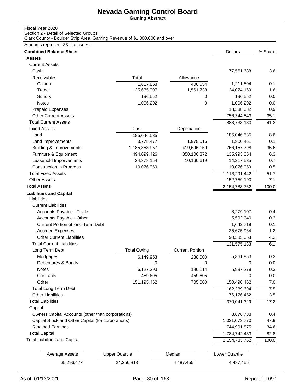**Gaming Abstract**

## Fiscal Year 2020

Section 2 - Detail of Selected Groups

Clark County - Boulder Strip Area, Gaming Revenue of \$1,000,000 and over

### Amounts represent 33 Licensees.

| <b>Combined Balance Sheet</b>                      |                       |                        | <b>Dollars</b> | % Share |
|----------------------------------------------------|-----------------------|------------------------|----------------|---------|
| <b>Assets</b>                                      |                       |                        |                |         |
| <b>Current Assets</b>                              |                       |                        |                |         |
| Cash                                               |                       |                        | 77,561,688     | 3.6     |
| Receivables                                        | Total                 | Allowance              |                |         |
| Casino                                             | 1,617,858             | 406,054                | 1,211,804      | 0.1     |
| Trade                                              | 35,635,907            | 1,561,738              | 34,074,169     | 1.6     |
| Sundry                                             | 196,552               | 0                      | 196,552        | 0.0     |
| Notes                                              | 1,006,292             | 0                      | 1,006,292      | 0.0     |
| <b>Prepaid Expenses</b>                            |                       |                        | 18,338,082     | 0.9     |
| <b>Other Current Assets</b>                        |                       |                        | 756,344,543    | 35.1    |
| <b>Total Current Assets</b>                        |                       |                        | 888,733,130    | 41.2    |
| <b>Fixed Assets</b>                                | Cost                  | Depeciation            |                |         |
| Land                                               | 185,046,535           |                        | 185,046,535    | 8.6     |
| Land Improvements                                  | 3,775,477             | 1,975,016              | 1,800,461      | 0.1     |
| <b>Building &amp; Improvements</b>                 | 1,185,853,957         | 419,696,159            | 766, 157, 798  | 35.6    |
| Furniture & Equipment                              | 494,099,426           | 358,106,372            | 135,993,054    | 6.3     |
| Leasehold Imporvements                             | 24,378,154            | 10,160,619             | 14,217,535     | 0.7     |
| <b>Construction in Progress</b>                    | 10,076,059            |                        | 10,076,059     | 0.5     |
| <b>Total Fixed Assets</b>                          |                       |                        | 1,113,291,442  | 51.7    |
| <b>Other Assets</b>                                |                       |                        | 152,759,190    | 7.1     |
| <b>Total Assets</b>                                |                       |                        | 2,154,783,762  | 100.0   |
| <b>Liabilities and Capital</b>                     |                       |                        |                |         |
| Liabilities                                        |                       |                        |                |         |
| <b>Current Liabilities</b>                         |                       |                        |                |         |
| Accounts Payable - Trade                           |                       |                        | 8,279,107      | 0.4     |
| Accounts Payable - Other                           |                       |                        | 5,592,340      | 0.3     |
| Current Portion of long Term Debt                  |                       |                        | 1,642,719      | 0.1     |
| <b>Accrued Expenses</b>                            |                       |                        | 25,675,964     | 1.2     |
| <b>Other Current Liabilities</b>                   |                       |                        | 90,385,053     | 4.2     |
| <b>Total Current Liabilities</b>                   |                       |                        | 131,575,183    | 6.1     |
| Long Term Debt                                     | <b>Total Owing</b>    | <b>Current Portion</b> |                |         |
| Mortgages                                          | 6,149,953             | 288,000                | 5,861,953      | 0.3     |
| Debentures & Bonds                                 | 0                     | 0                      | 0              | 0.0     |
| Notes                                              | 6,127,393             | 190,114                | 5,937,279      | 0.3     |
| Contracts                                          | 459,605               | 459,605                | 0              | 0.0     |
| Other                                              | 151,195,462           | 705,000                | 150,490,462    | 7.0     |
| <b>Total Long Term Debt</b>                        |                       |                        | 162,289,694    | $7.5\,$ |
| <b>Other Liabilities</b>                           |                       |                        | 76,176,452     | 3.5     |
| <b>Total Liabilities</b>                           |                       |                        | 370,041,329    | 17.2    |
| Capital                                            |                       |                        |                |         |
| Owners Capital Accounts (other than corporations)  |                       |                        | 8,676,788      | 0.4     |
| Capital Stock and Other Capital (for corporations) |                       | 1,031,073,770          | 47.9           |         |
| <b>Retained Earnings</b>                           |                       |                        | 744,991,875    | 34.6    |
| <b>Total Capital</b>                               |                       |                        | 1,784,742,433  | 82.8    |
| <b>Total Liabilities and Capital</b>               |                       |                        | 2,154,783,762  | 100.0   |
|                                                    |                       |                        |                |         |
| <b>Average Assets</b>                              | <b>Upper Quartile</b> | Median                 | Lower Quartile |         |
| 65,296,477                                         | 24,256,818            | 4,487,455              | 4,487,455      |         |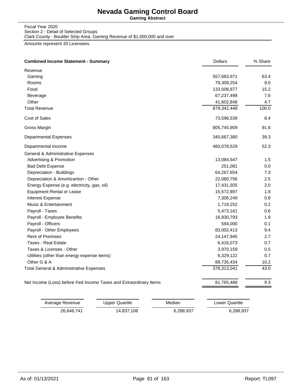**Gaming Abstract**

#### Fiscal Year 2020 Section 2 - Detail of Selected Groups Clark County - Boulder Strip Area, Gaming Revenue of \$1,000,000 and over

Amounts represent 33 Licensees.

| <b>Combined Income Statement - Summary</b>                        | <b>Dollars</b> | % Share |
|-------------------------------------------------------------------|----------------|---------|
| Revenue                                                           |                |         |
| Gaming                                                            | 557,683,971    | 63.4    |
| Rooms                                                             | 79,309,254     | 9.0     |
| Food                                                              | 133,508,877    | 15.2    |
| Beverage                                                          | 67,237,498     | 7.6     |
| Other                                                             | 41,602,848     | 4.7     |
| <b>Total Revenue</b>                                              | 879,342,448    | 100.0   |
| Cost of Sales                                                     | 73,596,539     | 8.4     |
| Gross Margin                                                      | 805,745,909    | 91.6    |
| <b>Departmental Expenses</b>                                      | 345,667,380    | 39.3    |
| Departmental Income                                               | 460,078,529    | 52.3    |
| <b>General &amp; Administrative Expenses</b>                      |                |         |
| <b>Advertising &amp; Promotion</b>                                | 13,084,547     | 1.5     |
| <b>Bad Debt Expense</b>                                           | 251,081        | 0.0     |
| Depreciation - Buildings                                          | 64,267,654     | 7.3     |
| Depreciation & Amortizartion - Other                              | 22,080,756     | 2.5     |
| Energy Expense (e.g. electricity, gas, oil)                       | 17,431,505     | 2.0     |
| <b>Equipment Rental or Lease</b>                                  | 15,572,897     | 1.8     |
| Interest Expense                                                  | 7,306,249      | 0.8     |
| <b>Music &amp; Entertainment</b>                                  | 1,719,252      | 0.2     |
| Payroll - Taxes                                                   | 5,473,161      | 0.6     |
| Payroll - Employee Benefits                                       | 16,930,793     | 1.9     |
| Payroll - Officers                                                | 594,000        | 0.1     |
| Payroll - Other Employees                                         | 83,002,413     | 9.4     |
| <b>Rent of Premises</b>                                           | 24, 147, 945   | 2.7     |
| <b>Taxes - Real Estate</b>                                        | 6,416,073      | 0.7     |
| Taxes & Licenses - Other                                          | 3,970,159      | 0.5     |
| Utilities (other than energy expense items)                       | 6,329,122      | 0.7     |
| Other G & A                                                       | 89,735,434     | 10.2    |
| Total General & Administrative Expenses                           | 378,313,041    | 43.0    |
| Net Income (Loss) before Fed Income Taxes and Extraordinary Items | 81,765,488     | 9.3     |

| Average Revenue | Upper Quartile | Median    | Lower Quartile |
|-----------------|----------------|-----------|----------------|
| 26.646.741      | 14,837,108     | 6.288.937 | 6,288,937      |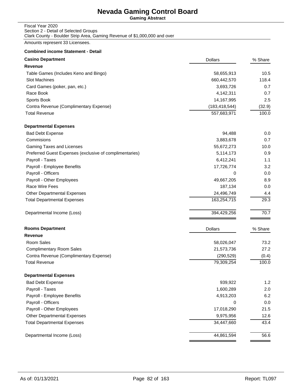**Gaming Abstract**

### Fiscal Year 2020 Section 2 - Detail of Selected Groups Clark County - Boulder Strip Area, Gaming Revenue of \$1,000,000 and over

Amounts represent 33 Licensees.

| <b>Casino Department</b>                                | <b>Dollars</b>  | % Share |
|---------------------------------------------------------|-----------------|---------|
| <b>Revenue</b>                                          |                 |         |
| Table Games (Includes Keno and Bingo)                   | 58,655,913      | 10.5    |
| Slot Machines                                           | 660,442,570     | 118.4   |
| Card Games (poker, pan, etc.)                           | 3,693,726       | 0.7     |
| Race Book                                               | 4,142,311       | 0.7     |
| Sports Book                                             | 14,167,995      | 2.5     |
| Contra Revenue (Complimentary Expense)                  | (183, 418, 544) | (32.9)  |
| <b>Total Revenue</b>                                    | 557,683,971     | 100.0   |
| <b>Departmental Expenses</b>                            |                 |         |
| <b>Bad Debt Expense</b>                                 | 94,488          | 0.0     |
| Commisions                                              | 3,883,678       | 0.7     |
| Gaming Taxes and Licenses                               | 55,672,273      | 10.0    |
| Preferred Guest Expenses (exclusive of complimentaries) | 5,114,173       | 0.9     |
| Payroll - Taxes                                         | 6,412,241       | 1.1     |
| Payroll - Employee Benefits                             | 17,726,774      | 3.2     |
| Payroll - Officers                                      | 0               | 0.0     |
| Payroll - Other Employees                               | 49,667,205      | 8.9     |
| Race Wire Fees                                          | 187,134         | 0.0     |
| Other Departmental Expenses                             | 24,496,749      | 4.4     |
| <b>Total Departmental Expenses</b>                      | 163,254,715     | 29.3    |
| Departmental Income (Loss)                              | 394,429,256     | 70.7    |
| <b>Rooms Department</b>                                 | <b>Dollars</b>  | % Share |
| <b>Revenue</b>                                          |                 |         |
| Room Sales                                              | 58,026,047      | 73.2    |
| <b>Complimentary Room Sales</b>                         | 21,573,736      | 27.2    |
| Contra Revenue (Complimentary Expense)                  | (290, 529)      | (0.4)   |
| <b>Total Revenue</b>                                    | 79,309,254      | 100.0   |
| <b>Departmental Expenses</b>                            |                 |         |
| <b>Bad Debt Expense</b>                                 | 939,922         | 1.2     |
| Payroll - Taxes                                         | 1,600,289       | 2.0     |
| Payroll - Employee Benefits                             | 4,913,203       | 6.2     |
| Payroll - Officers                                      | 0               | 0.0     |
| Payroll - Other Employees                               | 17,018,290      | 21.5    |
| <b>Other Departmental Expenses</b>                      | 9,975,956       | 12.6    |
| <b>Total Departmental Expenses</b>                      | 34,447,660      | 43.4    |
| Departmental Income (Loss)                              | 44,861,594      | 56.6    |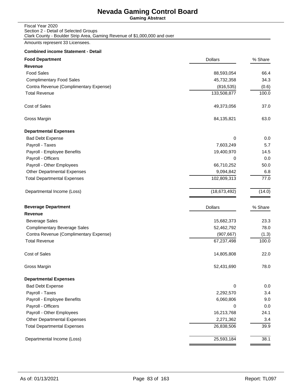**Gaming Abstract**

| Fiscal Year 2020                                                          |
|---------------------------------------------------------------------------|
| Section 2 - Detail of Selected Groups                                     |
| Clark County - Boulder Strip Area, Gaming Revenue of \$1,000,000 and over |

Amounts represent 33 Licensees.

| <b>Food Department</b>                 | <b>Dollars</b> | % Share |
|----------------------------------------|----------------|---------|
| <b>Revenue</b>                         |                |         |
| <b>Food Sales</b>                      | 88,593,054     | 66.4    |
| <b>Complimentary Food Sales</b>        | 45,732,358     | 34.3    |
| Contra Revenue (Complimentary Expense) | (816, 535)     | (0.6)   |
| <b>Total Revenue</b>                   | 133,508,877    | 100.0   |
| Cost of Sales                          | 49,373,056     | 37.0    |
| Gross Margin                           | 84,135,821     | 63.0    |
| <b>Departmental Expenses</b>           |                |         |
| <b>Bad Debt Expense</b>                | 0              | 0.0     |
| Payroll - Taxes                        | 7,603,249      | 5.7     |
| Payroll - Employee Benefits            | 19,400,970     | 14.5    |
| Payroll - Officers                     | 0              | 0.0     |
| Payroll - Other Employees              | 66,710,252     | 50.0    |
| <b>Other Departmental Expenses</b>     | 9,094,842      | 6.8     |
| <b>Total Departmental Expenses</b>     | 102,809,313    | 77.0    |
| Departmental Income (Loss)             | (18, 673, 492) | (14.0)  |
| <b>Beverage Department</b>             | <b>Dollars</b> | % Share |
| Revenue                                |                |         |
| <b>Beverage Sales</b>                  | 15,682,373     | 23.3    |
| <b>Complimentary Beverage Sales</b>    | 52,462,792     | 78.0    |
| Contra Revenue (Complimentary Expense) | (907, 667)     | (1.3)   |
| <b>Total Revenue</b>                   | 67,237,498     | 100.0   |
| Cost of Sales                          | 14,805,808     | 22.0    |
| Gross Margin                           | 52,431,690     | 78.0    |
| <b>Departmental Expenses</b>           |                |         |
| <b>Bad Debt Expense</b>                | 0              | 0.0     |
| Payroll - Taxes                        | 2,292,570      | 3.4     |
| Payroll - Employee Benefits            | 6,060,806      | 9.0     |
| Payroll - Officers                     | 0              | 0.0     |
| Payroll - Other Employees              | 16,213,768     | 24.1    |
| <b>Other Departmental Expenses</b>     | 2,271,362      | 3.4     |
| <b>Total Departmental Expenses</b>     | 26,838,506     | 39.9    |
| Departmental Income (Loss)             | 25,593,184     | 38.1    |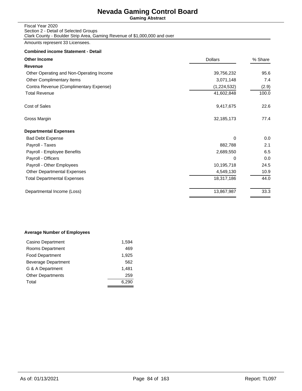**Gaming Abstract**

#### Fiscal Year 2020 Section 2 - Detail of Selected Groups Clark County - Boulder Strip Area, Gaming Revenue of \$1,000,000 and over

Amounts represent 33 Licensees.

### **Combined income Statement - Detail**

| <b>Other Income</b>                      | <b>Dollars</b> | % Share |
|------------------------------------------|----------------|---------|
| Revenue                                  |                |         |
| Other Operating and Non-Operating Income | 39,756,232     | 95.6    |
| Other Complimentary Items                | 3,071,148      | 7.4     |
| Contra Revenue (Complimentary Expense)   | (1,224,532)    | (2.9)   |
| <b>Total Revenue</b>                     | 41,602,848     | 100.0   |
| Cost of Sales                            | 9,417,675      | 22.6    |
| Gross Margin                             | 32,185,173     | 77.4    |
| <b>Departmental Expenses</b>             |                |         |
| <b>Bad Debt Expense</b>                  | 0              | 0.0     |
| Payroll - Taxes                          | 882,788        | 2.1     |
| Payroll - Employee Benefits              | 2,689,550      | 6.5     |
| Payroll - Officers                       | 0              | 0.0     |
| Payroll - Other Employees                | 10,195,718     | 24.5    |
| <b>Other Departmental Expenses</b>       | 4,549,130      | 10.9    |
| <b>Total Departmental Expenses</b>       | 18,317,186     | 44.0    |
| Departmental Income (Loss)               | 13,867,987     | 33.3    |

### **Average Number of Employees**

| Casino Department          | 1,594 |
|----------------------------|-------|
| Rooms Department           | 469   |
| <b>Food Department</b>     | 1,925 |
| <b>Beverage Department</b> | 562   |
| G & A Department           | 1.481 |
| <b>Other Departments</b>   | 259   |
| Total                      | 6.290 |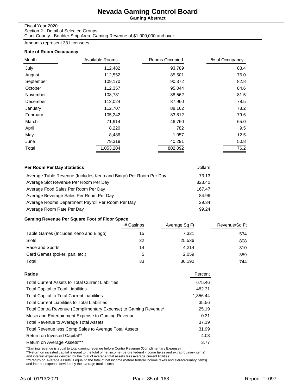**Gaming Abstract**

#### Fiscal Year 2020

Section 2 - Detail of Selected Groups Clark County - Boulder Strip Area, Gaming Revenue of \$1,000,000 and over

Amounts represent 33 Licensees.

### **Rate of Room Occupancy**

| Month     | Available Rooms | Rooms Occupied | % of Occupancy |
|-----------|-----------------|----------------|----------------|
| July      | 112,482         | 93,789         | 83.4           |
| August    | 112,552         | 85,501         | 76.0           |
| September | 109,170         | 90,372         | 82.8           |
| October   | 112,357         | 95,044         | 84.6           |
| November  | 108,731         | 88,562         | 81.5           |
| December  | 112,024         | 87,960         | 78.5           |
| January   | 112,707         | 88,162         | 78.2           |
| February  | 105,242         | 83,812         | 79.6           |
| March     | 71,914          | 46,760         | 65.0           |
| April     | 8,220           | 782            | 9.5            |
| May       | 8,486           | 1,057          | 12.5           |
| June      | 79,319          | 40,291         | 50.8           |
| Total     | 1,053,204       | 802,092        | 76.2           |

| Per Room Per Day Statistics                                      | <b>Dollars</b> |
|------------------------------------------------------------------|----------------|
| Average Table Revenue (Includes Keno and Bingo) Per Room Per Day | 73.13          |
| Average Slot Revenue Per Room Per Day                            | 823.40         |
| Average Food Sales Per Room Per Day                              | 167.47         |
| Average Beverage Sales Per Room Per Day                          | 84.96          |
| Average Rooms Department Payroll Per Room Per Day                | 29.34          |
| Average Room Rate Per Day                                        | 99.24          |

## **Gaming Revenue Per Square Foot of Floor Space**

|                                       | # Casinos | Average Sq Ft | Revenue/Sq Ft |
|---------------------------------------|-----------|---------------|---------------|
| Table Games (Includes Keno and Bingo) | 15        | 7,321         | 534           |
| <b>Slots</b>                          | 32        | 25,536        | 808           |
| Race and Sports                       | 14        | 4.214         | 310           |
| Card Games (poker, pan, etc.)         | 5         | 2.059         | 359           |
| Total                                 | 33        | 30.190        | 744           |

| Percent  |
|----------|
| 675.46   |
| 482.31   |
| 1,356.44 |
| 35.56    |
| 25.19    |
| 0.31     |
| 37.19    |
| 31.99    |
| 4.03     |
| 3.77     |
|          |

\*Gaming revenue is equal to total gaming revenue before Contra Revenue (Complimentary Expense)<br>\*\*Return on invested capital is equal to the total of net income (before federal income taxes and extraorduinary items)<br>and int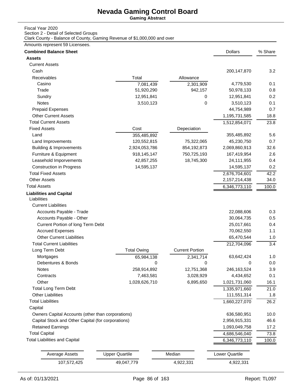**Gaming Abstract**

## Fiscal Year 2020

Section 2 - Detail of Selected Groups

Clark County - Balance of County, Gaming Revenue of \$1,000,000 and over

### Amounts represent 59 Licensees.

| <b>Combined Balance Sheet</b>                      |                       |                        | <b>Dollars</b> | % Share |
|----------------------------------------------------|-----------------------|------------------------|----------------|---------|
| <b>Assets</b>                                      |                       |                        |                |         |
| <b>Current Assets</b>                              |                       |                        |                |         |
| Cash                                               |                       |                        | 200, 147, 870  | 3.2     |
| Receivables                                        | Total                 | Allowance              |                |         |
| Casino                                             | 7,081,439             | 2,301,909              | 4,779,530      | 0.1     |
| Trade                                              | 51,920,290            | 942,157                | 50,978,133     | 0.8     |
| Sundry                                             | 12,951,841            | 0                      | 12,951,841     | 0.2     |
| Notes                                              | 3,510,123             | 0                      | 3,510,123      | 0.1     |
| <b>Prepaid Expenses</b>                            |                       |                        | 44,754,989     | 0.7     |
| <b>Other Current Assets</b>                        |                       |                        | 1,195,731,585  | 18.8    |
| <b>Total Current Assets</b>                        |                       |                        | 1,512,854,071  | 23.8    |
| <b>Fixed Assets</b>                                | Cost                  | Depeciation            |                |         |
| Land                                               | 355,485,892           |                        | 355,485,892    | 5.6     |
| Land Improvements                                  | 120,552,815           | 75,322,065             | 45,230,750     | 0.7     |
| <b>Building &amp; Improvements</b>                 | 2,924,053,786         | 854,192,873            | 2,069,860,913  | 32.6    |
| Furniture & Equipment                              | 918,145,147           | 750,725,193            | 167,419,954    | 2.6     |
| Leasehold Imporvements                             | 42,857,255            | 18,745,300             | 24,111,955     | 0.4     |
| <b>Construction in Progress</b>                    | 14,595,137            |                        | 14,595,137     | 0.2     |
| <b>Total Fixed Assets</b>                          |                       |                        | 2,676,704,601  | 42.2    |
| <b>Other Assets</b>                                |                       |                        | 2,157,214,438  | 34.0    |
| <b>Total Assets</b>                                |                       |                        | 6,346,773,110  | 100.0   |
| <b>Liabilities and Capital</b><br>Liabilities      |                       |                        |                |         |
| <b>Current Liabilities</b>                         |                       |                        |                |         |
| Accounts Payable - Trade                           |                       |                        | 22,088,606     | 0.3     |
| Accounts Payable - Other                           |                       |                        | 30,064,735     | 0.5     |
| Current Portion of long Term Debt                  |                       |                        | 25,017,661     | 0.4     |
| <b>Accrued Expenses</b>                            |                       |                        | 70,062,550     | 1.1     |
| <b>Other Current Liabilities</b>                   |                       |                        | 65,470,544     | 1.0     |
| <b>Total Current Liabilities</b>                   |                       |                        | 212,704,096    | 3.4     |
| Long Term Debt                                     | <b>Total Owing</b>    | <b>Current Portion</b> |                |         |
| Mortgages                                          | 65,984,138            | 2,341,714              | 63,642,424     | 1.0     |
| Debentures & Bonds                                 | 0                     | 0                      | 0              | 0.0     |
| Notes                                              | 258,914,892           | 12,751,368             | 246,163,524    | 3.9     |
| Contracts                                          | 7,463,581             | 3,028,929              | 4,434,652      | 0.1     |
| Other                                              | 1,028,626,710         | 6,895,650              | 1,021,731,060  | 16.1    |
| <b>Total Long Term Debt</b>                        |                       |                        | 1,335,971,660  | 21.0    |
| <b>Other Liabilities</b>                           |                       |                        | 111,551,314    | 1.8     |
| <b>Total Liabilities</b>                           |                       |                        | 1,660,227,070  | 26.2    |
| Capital                                            |                       |                        |                |         |
| Owners Capital Accounts (other than corporations)  |                       |                        | 636,580,951    | 10.0    |
| Capital Stock and Other Capital (for corporations) |                       |                        | 2,956,915,331  | 46.6    |
| <b>Retained Earnings</b>                           |                       |                        | 1,093,049,758  | 17.2    |
| <b>Total Capital</b>                               |                       |                        | 4,686,546,040  | 73.8    |
| <b>Total Liabilities and Capital</b>               |                       |                        | 6,346,773,110  | 100.0   |
| <b>Average Assets</b>                              | <b>Upper Quartile</b> | Median                 | Lower Quartile |         |
| 107,572,425                                        | 49,047,779            | 4,922,331              | 4,922,331      |         |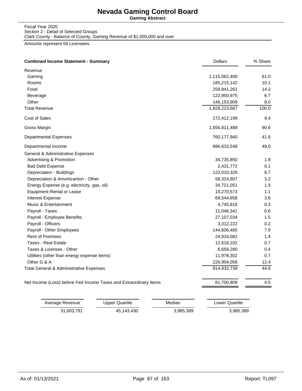**Gaming Abstract**

#### Fiscal Year 2020 Section 2 - Detail of Selected Groups Clark County - Balance of County, Gaming Revenue of \$1,000,000 and over

Amounts represent 59 Licensees.

| <b>Combined Income Statement - Summary</b><br><b>Dollars</b>      | % Share                |
|-------------------------------------------------------------------|------------------------|
| Revenue                                                           |                        |
| Gaming                                                            | 1,115,062,400<br>61.0  |
| Rooms                                                             | 185,215,142<br>10.1    |
| Food                                                              | 259,841,261<br>14.2    |
| Beverage                                                          | 122,950,975<br>6.7     |
| Other                                                             | 146,153,909<br>8.0     |
| <b>Total Revenue</b>                                              | 1,829,223,687<br>100.0 |
| Cost of Sales                                                     | 172,412,199<br>9.4     |
| Gross Margin                                                      | 1,656,811,488<br>90.6  |
| <b>Departmental Expenses</b>                                      | 760,177,940<br>41.6    |
| Departmental Income                                               | 49.0<br>896,633,548    |
| General & Administrative Expenses                                 |                        |
| <b>Advertising &amp; Promotion</b>                                | 34,735,850<br>1.9      |
| <b>Bad Debt Expense</b>                                           | 2,431,772<br>0.1       |
| Depreciation - Buildings                                          | 122,010,326<br>6.7     |
| Depreciation & Amortizartion - Other                              | 58,324,807<br>3.2      |
| Energy Expense (e.g. electricity, gas, oil)                       | 34,721,051<br>1.9      |
| <b>Equipment Rental or Lease</b>                                  | 19,270,573<br>1.1      |
| Interest Expense                                                  | 69,544,658<br>3.8      |
| Music & Entertainment                                             | 4,745,816<br>0.3       |
| Payroll - Taxes                                                   | 11,046,341<br>0.6      |
| Payroll - Employee Benefits                                       | 27,107,034<br>1.5      |
| Payroll - Officers                                                | 3,312,222<br>0.2       |
| Payroll - Other Employees                                         | 144,606,465<br>7.9     |
| <b>Rent of Premises</b>                                           | 24,916,082<br>1.4      |
| <b>Taxes - Real Estate</b>                                        | 12,618,102<br>0.7      |
| Taxes & Licenses - Other                                          | 6,659,280<br>0.4       |
| Utilities (other than energy expense items)                       | 11,978,302<br>0.7      |
| Other G & A                                                       | 226,904,058<br>12.4    |
| Total General & Administrative Expenses                           | 814,932,739<br>44.6    |
| Net Income (Loss) before Fed Income Taxes and Extraordinary Items | 81,700,809<br>4.5      |

| Average Revenue | Upper Quartile | Median    | Lower Quartile |
|-----------------|----------------|-----------|----------------|
| 31.003.791      | 45,143,430     | 3.985.389 | 3.985.389      |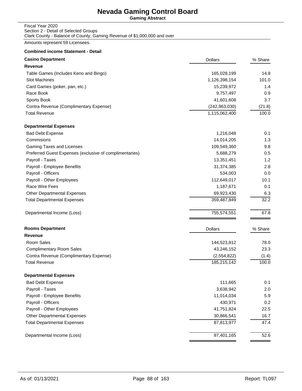**Gaming Abstract**

### Fiscal Year 2020 Section 2 - Detail of Selected Groups Clark County - Balance of County, Gaming Revenue of \$1,000,000 and over

Amounts represent 59 Licensees.

| <b>Casino Department</b>                                | <b>Dollars</b>  | % Share |
|---------------------------------------------------------|-----------------|---------|
| <b>Revenue</b>                                          |                 |         |
| Table Games (Includes Keno and Bingo)                   | 165,028,199     | 14.8    |
| Slot Machines                                           | 1,126,398,154   | 101.0   |
| Card Games (poker, pan, etc.)                           | 15,239,972      | 1.4     |
| Race Book                                               | 9,757,497       | 0.9     |
| Sports Book                                             | 41,601,608      | 3.7     |
| Contra Revenue (Complimentary Expense)                  | (242, 963, 030) | (21.8)  |
| <b>Total Revenue</b>                                    | 1,115,062,400   | 100.0   |
| <b>Departmental Expenses</b>                            |                 |         |
| <b>Bad Debt Expense</b>                                 | 1,216,048       | 0.1     |
| Commisions                                              | 14,014,205      | 1.3     |
| Gaming Taxes and Licenses                               | 109,549,360     | 9.8     |
| Preferred Guest Expenses (exclusive of complimentaries) | 5,688,279       | 0.5     |
| Payroll - Taxes                                         | 13,351,451      | 1.2     |
| Payroll - Employee Benefits                             | 31,374,385      | 2.8     |
| Payroll - Officers                                      | 534,003         | 0.0     |
| Payroll - Other Employees                               | 112,649,017     | 10.1    |
| Race Wire Fees                                          | 1,187,671       | 0.1     |
| <b>Other Departmental Expenses</b>                      | 69,923,430      | 6.3     |
| <b>Total Departmental Expenses</b>                      | 359,487,849     | 32.2    |
| Departmental Income (Loss)                              | 755,574,551     | 67.8    |
| <b>Rooms Department</b>                                 | <b>Dollars</b>  | % Share |
| <b>Revenue</b>                                          |                 |         |
| Room Sales                                              | 144,523,812     | 78.0    |
| <b>Complimentary Room Sales</b>                         | 43,246,152      | 23.3    |
| Contra Revenue (Complimentary Expense)                  | (2,554,822)     | (1.4)   |
| <b>Total Revenue</b>                                    | 185,215,142     | 100.0   |
| <b>Departmental Expenses</b>                            |                 |         |
| <b>Bad Debt Expense</b>                                 | 111,665         | 0.1     |
| Payroll - Taxes                                         | 3,638,942       | 2.0     |
| Payroll - Employee Benefits                             | 11,014,034      | 5.9     |
| Payroll - Officers                                      | 430,971         | 0.2     |
| Payroll - Other Employees                               | 41,751,824      | 22.5    |
| <b>Other Departmental Expenses</b>                      | 30,866,541      | 16.7    |
| <b>Total Departmental Expenses</b>                      | 87,813,977      | 47.4    |
| Departmental Income (Loss)                              | 97,401,165      | 52.6    |
|                                                         |                 |         |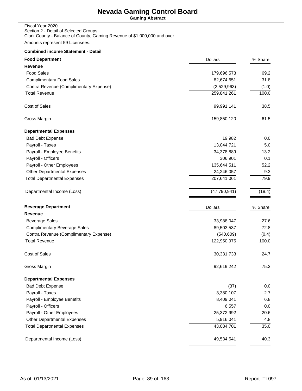**Gaming Abstract**

| Fiscal Year 2020                                                         |
|--------------------------------------------------------------------------|
| Section 2 - Detail of Selected Groups                                    |
| Clark County - Balance of County, Gaming Revenue of \$1,000,000 and over |

Amounts represent 59 Licensees.

| <b>Food Department</b>                 | <b>Dollars</b> | % Share |
|----------------------------------------|----------------|---------|
| <b>Revenue</b>                         |                |         |
| <b>Food Sales</b>                      | 179,696,573    | 69.2    |
| <b>Complimentary Food Sales</b>        | 82,674,651     | 31.8    |
| Contra Revenue (Complimentary Expense) | (2,529,963)    | (1.0)   |
| <b>Total Revenue</b>                   | 259,841,261    | 100.0   |
| Cost of Sales                          | 99,991,141     | 38.5    |
| Gross Margin                           | 159,850,120    | 61.5    |
| <b>Departmental Expenses</b>           |                |         |
| <b>Bad Debt Expense</b>                | 19,982         | 0.0     |
| Payroll - Taxes                        | 13,044,721     | 5.0     |
| Payroll - Employee Benefits            | 34,378,889     | 13.2    |
| Payroll - Officers                     | 306,901        | 0.1     |
| Payroll - Other Employees              | 135,644,511    | 52.2    |
| <b>Other Departmental Expenses</b>     | 24,246,057     | 9.3     |
| <b>Total Departmental Expenses</b>     | 207,641,061    | 79.9    |
| Departmental Income (Loss)             | (47, 790, 941) | (18.4)  |
| <b>Beverage Department</b>             | <b>Dollars</b> | % Share |
| Revenue                                |                |         |
| <b>Beverage Sales</b>                  | 33,988,047     | 27.6    |
| <b>Complimentary Beverage Sales</b>    | 89,503,537     | 72.8    |
| Contra Revenue (Complimentary Expense) | (540, 609)     | (0.4)   |
| <b>Total Revenue</b>                   | 122,950,975    | 100.0   |
| <b>Cost of Sales</b>                   | 30,331,733     | 24.7    |
| Gross Margin                           | 92,619,242     | 75.3    |
| <b>Departmental Expenses</b>           |                |         |
| <b>Bad Debt Expense</b>                | (37)           | 0.0     |
| Payroll - Taxes                        | 3,380,107      | 2.7     |
| Payroll - Employee Benefits            | 8,409,041      | 6.8     |
| Payroll - Officers                     | 6,557          | 0.0     |
| Payroll - Other Employees              | 25,372,992     | 20.6    |
| Other Departmental Expenses            | 5,916,041      | 4.8     |
| <b>Total Departmental Expenses</b>     | 43,084,701     | 35.0    |
| Departmental Income (Loss)             | 49,534,541     | 40.3    |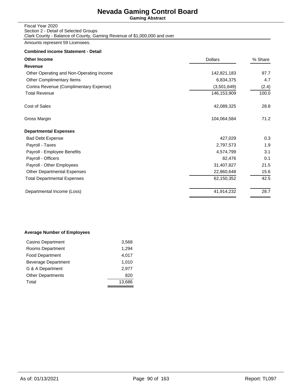**Gaming Abstract**

#### Fiscal Year 2020 Section 2 - Detail of Selected Groups Clark County - Balance of County, Gaming Revenue of \$1,000,000 and over

Amounts represent 59 Licensees.

### **Combined income Statement - Detail**

| <b>Other Income</b>                      | <b>Dollars</b> | % Share |
|------------------------------------------|----------------|---------|
| Revenue                                  |                |         |
| Other Operating and Non-Operating Income | 142,821,183    | 97.7    |
| Other Complimentary Items                | 6,834,375      | 4.7     |
| Contra Revenue (Complimentary Expense)   | (3,501,649)    | (2.4)   |
| <b>Total Revenue</b>                     | 146,153,909    | 100.0   |
| Cost of Sales                            | 42,089,325     | 28.8    |
| Gross Margin                             | 104,064,584    | 71.2    |
| <b>Departmental Expenses</b>             |                |         |
| <b>Bad Debt Expense</b>                  | 427,029        | 0.3     |
| Payroll - Taxes                          | 2,797,573      | 1.9     |
| Payroll - Employee Benefits              | 4,574,799      | 3.1     |
| Payroll - Officers                       | 82,476         | 0.1     |
| Payroll - Other Employees                | 31,407,827     | 21.5    |
| <b>Other Departmental Expenses</b>       | 22,860,648     | 15.6    |
| <b>Total Departmental Expenses</b>       | 62,150,352     | 42.5    |
| Departmental Income (Loss)               | 41,914,232     | 28.7    |
|                                          |                |         |

### **Average Number of Employees**

| 3,568  |
|--------|
| 1,294  |
| 4,017  |
| 1.010  |
| 2.977  |
| 820    |
| 13.686 |
|        |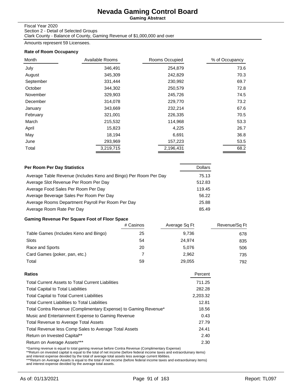**Gaming Abstract**

### Fiscal Year 2020

Section 2 - Detail of Selected Groups Clark County - Balance of County, Gaming Revenue of \$1,000,000 and over

Amounts represent 59 Licensees.

### **Rate of Room Occupancy**

| Month     | Available Rooms | Rooms Occupied | % of Occupancy |
|-----------|-----------------|----------------|----------------|
| July      | 346,491         | 254,879        | 73.6           |
| August    | 345,309         | 242,829        | 70.3           |
| September | 331,444         | 230,992        | 69.7           |
| October   | 344,302         | 250,579        | 72.8           |
| November  | 329,903         | 245,726        | 74.5           |
| December  | 314,078         | 229,770        | 73.2           |
| January   | 343,669         | 232,214        | 67.6           |
| February  | 321,001         | 226,335        | 70.5           |
| March     | 215,532         | 114,968        | 53.3           |
| April     | 15,823          | 4,225          | 26.7           |
| May       | 18,194          | 6,691          | 36.8           |
| June      | 293,969         | 157,223        | 53.5           |
| Total     | 3,219,715       | 2,196,431      | 68.2           |

| Per Room Per Day Statistics                                      | <b>Dollars</b> |
|------------------------------------------------------------------|----------------|
| Average Table Revenue (Includes Keno and Bingo) Per Room Per Day | 75.13          |
| Average Slot Revenue Per Room Per Day                            | 512.83         |
| Average Food Sales Per Room Per Day                              | 119.45         |
| Average Beverage Sales Per Room Per Day                          | 56.22          |
| Average Rooms Department Payroll Per Room Per Day                | 25.88          |
| Average Room Rate Per Day                                        | 85.49          |

## **Gaming Revenue Per Square Foot of Floor Space**

|                                       | # Casinos | Average Sq Ft | Revenue/Sq Ft |
|---------------------------------------|-----------|---------------|---------------|
| Table Games (Includes Keno and Bingo) | 25        | 9.736         | 678           |
| Slots                                 | 54        | 24.974        | 835           |
| Race and Sports                       | 20        | 5.076         | 506           |
| Card Games (poker, pan, etc.)         |           | 2.962         | 735           |
| Total                                 | 59        | 29,055        | 792           |

| Ratios                                                          | Percent  |
|-----------------------------------------------------------------|----------|
| <b>Total Current Assets to Total Current Liabilities</b>        | 711.25   |
| <b>Total Capital to Total Liabilities</b>                       | 282.28   |
| <b>Total Capital to Total Current Liabilities</b>               | 2,203.32 |
| <b>Total Current Liabilities to Total Liabilities</b>           | 12.81    |
| Total Contra Revenue (Complimentary Expense) to Gaming Revenue* | 18.56    |
| Music and Entertainment Expense to Gaming Revenue               | 0.43     |
| <b>Total Revenue to Average Total Assets</b>                    | 27.79    |
| Total Revenue less Comp Sales to Average Total Assets           | 24.41    |
| Return on Invested Capital**                                    | 2.40     |
| Return on Average Assets***                                     | 2.30     |
|                                                                 |          |

\*Gaming revenue is equal to total gaming revenue before Contra Revenue (Complimentary Expense)<br>\*\*Return on invested capital is equal to the total of net income (before federal income taxes and extraorduinary items)<br>and int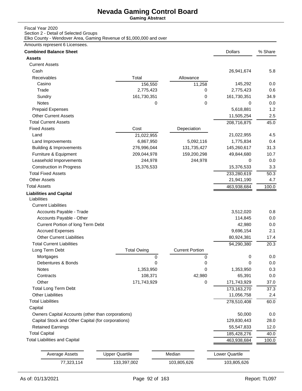**Gaming Abstract**

### Fiscal Year 2020

Section 2 - Detail of Selected Groups

Elko County - Wendover Area, Gaming Revenue of \$1,000,000 and over

## Amounts represent 6 Licensees.

| <b>Combined Balance Sheet</b>                      |                       |                        | <b>Dollars</b>        | % Share |
|----------------------------------------------------|-----------------------|------------------------|-----------------------|---------|
| <b>Assets</b>                                      |                       |                        |                       |         |
| <b>Current Assets</b>                              |                       |                        |                       |         |
| Cash                                               |                       |                        | 26,941,674            | 5.8     |
| Receivables                                        | Total                 | Allowance              |                       |         |
| Casino                                             | 156,550               | 11,258                 | 145,292               | 0.0     |
| Trade                                              | 2,775,423             | 0                      | 2,775,423             | 0.6     |
| Sundry                                             | 161,730,351           | 0                      | 161,730,351           | 34.9    |
| Notes                                              | 0                     | 0                      | 0                     | 0.0     |
| <b>Prepaid Expenses</b>                            |                       |                        | 5,618,881             | 1.2     |
| <b>Other Current Assets</b>                        |                       |                        | 11,505,254            | 2.5     |
| <b>Total Current Assets</b>                        |                       |                        | 208,716,875           | 45.0    |
| <b>Fixed Assets</b>                                | Cost                  | Depeciation            |                       |         |
| Land                                               | 21,022,955            |                        | 21,022,955            | 4.5     |
| Land Improvements                                  | 6,867,950             | 5,092,116              | 1,775,834             | 0.4     |
| <b>Building &amp; Improvements</b>                 | 276,996,044           | 131,735,427            | 145,260,617           | 31.3    |
| Furniture & Equipment                              | 209,044,978           | 159,200,298            | 49,844,680            | 10.7    |
| Leasehold Imporvements                             | 244,978               | 244,978                | 0                     | 0.0     |
| <b>Construction in Progress</b>                    | 15,376,533            |                        | 15,376,533            | 3.3     |
| <b>Total Fixed Assets</b>                          |                       |                        | 233,280,619           | 50.3    |
| <b>Other Assets</b>                                |                       |                        | 21,941,190            | 4.7     |
| <b>Total Assets</b>                                |                       |                        | 463,938,684           | 100.0   |
| <b>Liabilities and Capital</b>                     |                       |                        |                       |         |
| Liabilities                                        |                       |                        |                       |         |
| <b>Current Liabilities</b>                         |                       |                        |                       |         |
| Accounts Payable - Trade                           |                       |                        | 3,512,020             | 0.8     |
| Accounts Payable - Other                           |                       |                        | 114,845               | 0.0     |
| Current Portion of long Term Debt                  |                       |                        | 42,980                | 0.0     |
| <b>Accrued Expenses</b>                            |                       |                        | 9,696,154             | 2.1     |
| <b>Other Current Liabilities</b>                   |                       |                        | 80,924,381            | 17.4    |
| <b>Total Current Liabilities</b>                   |                       |                        | 94,290,380            | 20.3    |
| Long Term Debt                                     | <b>Total Owing</b>    | <b>Current Portion</b> |                       |         |
| Mortgages                                          | 0                     | 0                      | 0                     | 0.0     |
| Debentures & Bonds                                 | 0                     | 0                      | 0                     | 0.0     |
| Notes                                              | 1,353,950             | 0                      | 1,353,950             | 0.3     |
| Contracts                                          | 108,371               | 42,980                 | 65,391                | 0.0     |
| Other                                              | 171,743,929           | 0                      | 171,743,929           | 37.0    |
| <b>Total Long Term Debt</b>                        |                       |                        | 173,163,270           | 37.3    |
| <b>Other Liabilities</b>                           |                       |                        | 11,056,758            | 2.4     |
| <b>Total Liabilities</b>                           |                       |                        | 278,510,408           | 60.0    |
| Capital                                            |                       |                        |                       |         |
| Owners Capital Accounts (other than corporations)  |                       |                        | 50,000                | 0.0     |
| Capital Stock and Other Capital (for corporations) |                       |                        | 129,830,443           | 28.0    |
| <b>Retained Earnings</b>                           |                       |                        | 55,547,833            | 12.0    |
| <b>Total Capital</b>                               |                       |                        | 185,428,276           |         |
| <b>Total Liabilities and Capital</b>               |                       |                        |                       | 40.0    |
|                                                    |                       |                        | 463,938,684           | 100.0   |
| <b>Average Assets</b>                              | <b>Upper Quartile</b> | Median                 | <b>Lower Quartile</b> |         |
| 77,323,114                                         | 133,397,002           |                        |                       |         |
|                                                    |                       | 103,805,626            | 103,805,626           |         |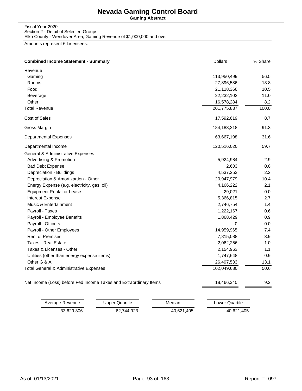**Gaming Abstract**

Fiscal Year 2020 Section 2 - Detail of Selected Groups Elko County - Wendover Area, Gaming Revenue of \$1,000,000 and over

Amounts represent 6 Licensees.

| <b>Combined Income Statement - Summary</b>                        | <b>Dollars</b> | % Share          |
|-------------------------------------------------------------------|----------------|------------------|
| Revenue                                                           |                |                  |
| Gaming                                                            | 113,950,499    | 56.5             |
| Rooms                                                             | 27,896,586     | 13.8             |
| Food                                                              | 21,118,366     | 10.5             |
| Beverage                                                          | 22,232,102     | 11.0             |
| Other                                                             | 16,578,284     | 8.2              |
| <b>Total Revenue</b>                                              | 201,775,837    | 100.0            |
| Cost of Sales                                                     | 17,592,619     | 8.7              |
| Gross Margin                                                      | 184, 183, 218  | 91.3             |
| <b>Departmental Expenses</b>                                      | 63,667,198     | 31.6             |
| Departmental Income                                               | 120,516,020    | 59.7             |
| General & Administrative Expenses                                 |                |                  |
| Advertising & Promotion                                           | 5,924,984      | 2.9              |
| <b>Bad Debt Expense</b>                                           | 2,603          | 0.0              |
| Depreciation - Buildings                                          | 4,537,253      | $2.2\phantom{0}$ |
| Depreciation & Amortizartion - Other                              | 20,947,979     | 10.4             |
| Energy Expense (e.g. electricity, gas, oil)                       | 4,166,222      | 2.1              |
| <b>Equipment Rental or Lease</b>                                  | 29,021         | 0.0              |
| Interest Expense                                                  | 5,366,815      | 2.7              |
| Music & Entertainment                                             | 2,746,754      | 1.4              |
| Payroll - Taxes                                                   | 1,222,167      | 0.6              |
| Payroll - Employee Benefits                                       | 1,868,429      | 0.9              |
| Payroll - Officers                                                | 0              | 0.0              |
| Payroll - Other Employees                                         | 14,959,965     | 7.4              |
| <b>Rent of Premises</b>                                           | 7,815,088      | 3.9              |
| <b>Taxes - Real Estate</b>                                        | 2,062,256      | 1.0              |
| Taxes & Licenses - Other                                          | 2,154,963      | 1.1              |
| Utilities (other than energy expense items)                       | 1,747,648      | 0.9              |
| Other G & A                                                       | 26,497,533     | 13.1             |
| Total General & Administrative Expenses                           | 102,049,680    | 50.6             |
| Net Income (Loss) before Fed Income Taxes and Extraordinary Items | 18,466,340     | 9.2              |

| Average Revenue | Upper Quartile | Median     | Lower Quartile |
|-----------------|----------------|------------|----------------|
| 33.629.306      | 62.744.923     | 40.621.405 | 40,621,405     |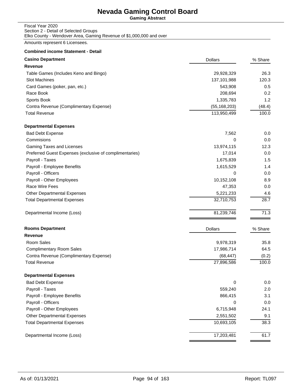**Gaming Abstract**

#### Fiscal Year 2020 Section 2 - Detail of Selected Groups Elko County - Wendover Area, Gaming Revenue of \$1,000,000 and over

Amounts represent 6 Licensees.

| <b>Casino Department</b>                                | <b>Dollars</b> | % Share |
|---------------------------------------------------------|----------------|---------|
| <b>Revenue</b>                                          |                |         |
| Table Games (Includes Keno and Bingo)                   | 29,928,329     | 26.3    |
| Slot Machines                                           | 137,101,988    | 120.3   |
| Card Games (poker, pan, etc.)                           | 543,908        | 0.5     |
| Race Book                                               | 208,694        | 0.2     |
| Sports Book                                             | 1,335,783      | 1.2     |
| Contra Revenue (Complimentary Expense)                  | (55, 168, 203) | (48.4)  |
| <b>Total Revenue</b>                                    | 113,950,499    | 100.0   |
| <b>Departmental Expenses</b>                            |                |         |
| <b>Bad Debt Expense</b>                                 | 7,562          | 0.0     |
| Commisions                                              | 0              | 0.0     |
| Gaming Taxes and Licenses                               | 13,974,115     | 12.3    |
| Preferred Guest Expenses (exclusive of complimentaries) | 17,014         | 0.0     |
| Payroll - Taxes                                         | 1,675,839      | 1.5     |
| Payroll - Employee Benefits                             | 1,615,529      | 1.4     |
| Payroll - Officers                                      | 0              | 0.0     |
| Payroll - Other Employees                               | 10,152,108     | 8.9     |
| Race Wire Fees                                          | 47,353         | 0.0     |
| Other Departmental Expenses                             | 5,221,233      | 4.6     |
| <b>Total Departmental Expenses</b>                      | 32,710,753     | 28.7    |
| Departmental Income (Loss)                              | 81,239,746     | 71.3    |
| <b>Rooms Department</b>                                 | <b>Dollars</b> | % Share |
| <b>Revenue</b>                                          |                |         |
| Room Sales                                              | 9,978,319      | 35.8    |
| <b>Complimentary Room Sales</b>                         | 17,986,714     | 64.5    |
| Contra Revenue (Complimentary Expense)                  | (68, 447)      | (0.2)   |
| <b>Total Revenue</b>                                    | 27,896,586     | 100.0   |
| <b>Departmental Expenses</b>                            |                |         |
| <b>Bad Debt Expense</b>                                 | 0              | 0.0     |
| Payroll - Taxes                                         | 559,240        | 2.0     |
| Payroll - Employee Benefits                             | 866,415        | 3.1     |
| Payroll - Officers                                      | 0              | 0.0     |
| Payroll - Other Employees                               | 6,715,948      | 24.1    |
| Other Departmental Expenses                             | 2,551,502      | 9.1     |
| <b>Total Departmental Expenses</b>                      | 10,693,105     | 38.3    |
| Departmental Income (Loss)                              | 17,203,481     | 61.7    |
|                                                         |                |         |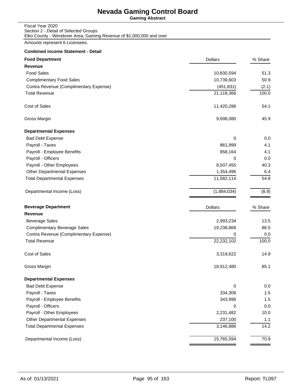**Gaming Abstract**

| Fiscal Year 2020                                                    |
|---------------------------------------------------------------------|
| Section 2 - Detail of Selected Groups                               |
| Elko County - Wendover Area, Gaming Revenue of \$1,000,000 and over |

Amounts represent 6 Licensees.

| <b>Food Department</b>                 | <b>Dollars</b> | % Share            |
|----------------------------------------|----------------|--------------------|
| <b>Revenue</b>                         |                |                    |
| <b>Food Sales</b>                      | 10,830,594     | 51.3               |
| <b>Complimentary Food Sales</b>        | 10,739,603     | 50.9               |
| Contra Revenue (Complimentary Expense) | (451, 831)     | (2.1)              |
| <b>Total Revenue</b>                   | 21,118,366     | 100.0              |
| Cost of Sales                          | 11,420,286     | 54.1               |
| Gross Margin                           | 9,698,080      | 45.9               |
| <b>Departmental Expenses</b>           |                |                    |
| <b>Bad Debt Expense</b>                | 0              | 0.0                |
| Payroll - Taxes                        | 861,999        | 4.1                |
| Payroll - Employee Benefits            | 858,164        | 4.1                |
| Payroll - Officers                     | 0              | 0.0                |
| Payroll - Other Employees              | 8,507,455      | 40.3               |
| <b>Other Departmental Expenses</b>     | 1,354,496      | 6.4                |
| <b>Total Departmental Expenses</b>     | 11,582,114     | 54.8               |
| Departmental Income (Loss)             | (1,884,034)    | (8.9)              |
| <b>Beverage Department</b>             | <b>Dollars</b> | % Share            |
| Revenue                                |                |                    |
| <b>Beverage Sales</b>                  | 2,993,234      | 13.5               |
| <b>Complimentary Beverage Sales</b>    | 19,238,868     | 86.5               |
| Contra Revenue (Complimentary Expense) | 0              | 0.0                |
| <b>Total Revenue</b>                   | 22,232,102     | 100.0              |
| <b>Cost of Sales</b>                   | 3,319,622      | 14.9               |
| Gross Margin                           | 18,912,480     | 85.1               |
| <b>Departmental Expenses</b>           |                |                    |
| <b>Bad Debt Expense</b>                | 0              | 0.0                |
| Payroll - Taxes                        | 334,308        | 1.5                |
| Payroll - Employee Benefits            | 343,996        | 1.5                |
| Payroll - Officers                     | 0              | 0.0                |
| Payroll - Other Employees              | 2,231,482      | 10.0               |
| Other Departmental Expenses            | 237,100        | 1.1                |
| <b>Total Departmental Expenses</b>     | 3,146,886      | $\overline{1}$ 4.2 |
| Departmental Income (Loss)             | 15,765,594     | 70.9               |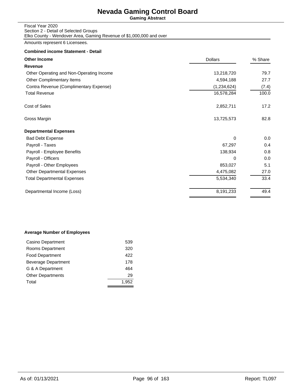**Gaming Abstract**

| Fiscal Year 2020                                                    |
|---------------------------------------------------------------------|
| Section 2 - Detail of Selected Groups                               |
| Elko County - Wendover Area, Gaming Revenue of \$1,000,000 and over |

Amounts represent 6 Licensees.

## **Combined income Statement - Detail**

| <b>Other Income</b>                      | <b>Dollars</b> | % Share |
|------------------------------------------|----------------|---------|
| Revenue                                  |                |         |
| Other Operating and Non-Operating Income | 13,218,720     | 79.7    |
| Other Complimentary Items                | 4,594,188      | 27.7    |
| Contra Revenue (Complimentary Expense)   | (1,234,624)    | (7.4)   |
| <b>Total Revenue</b>                     | 16,578,284     | 100.0   |
| Cost of Sales                            | 2,852,711      | 17.2    |
| Gross Margin                             | 13,725,573     | 82.8    |
| <b>Departmental Expenses</b>             |                |         |
| <b>Bad Debt Expense</b>                  | $\Omega$       | 0.0     |
| Payroll - Taxes                          | 67,297         | 0.4     |
| Payroll - Employee Benefits              | 138,934        | 0.8     |
| Payroll - Officers                       | $\Omega$       | 0.0     |
| Payroll - Other Employees                | 853,027        | 5.1     |
| <b>Other Departmental Expenses</b>       | 4,475,082      | 27.0    |
| <b>Total Departmental Expenses</b>       | 5,534,340      | 33.4    |
| Departmental Income (Loss)               | 8,191,233      | 49.4    |

### **Average Number of Employees**

| Casino Department        | 539   |
|--------------------------|-------|
| Rooms Department         | 320   |
| <b>Food Department</b>   | 422   |
| Beverage Department      | 178   |
| G & A Department         | 464   |
| <b>Other Departments</b> | 29    |
| Total                    | 1,952 |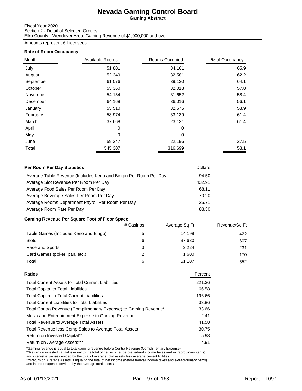**Gaming Abstract**

#### Fiscal Year 2020

Section 2 - Detail of Selected Groups Elko County - Wendover Area, Gaming Revenue of \$1,000,000 and over

Amounts represent 6 Licensees.

#### **Rate of Room Occupancy**

| Month     | Available Rooms | Rooms Occupied | % of Occupancy |
|-----------|-----------------|----------------|----------------|
| July      | 51,801          | 34,161         | 65.9           |
| August    | 52,349          | 32,581         | 62.2           |
| September | 61,076          | 39,130         | 64.1           |
| October   | 55,360          | 32,018         | 57.8           |
| November  | 54,154          | 31,652         | 58.4           |
| December  | 64,168          | 36,016         | 56.1           |
| January   | 55,510          | 32,675         | 58.9           |
| February  | 53,974          | 33,139         | 61.4           |
| March     | 37,668          | 23,131         | 61.4           |
| April     | 0               | $\Omega$       |                |
| May       | 0               | 0              |                |
| June      | 59,247          | 22,196         | 37.5           |
| Total     | 545,307         | 316,699        | 58.1           |

| Per Room Per Day Statistics                                      | <b>Dollars</b> |
|------------------------------------------------------------------|----------------|
| Average Table Revenue (Includes Keno and Bingo) Per Room Per Day | 94.50          |
| Average Slot Revenue Per Room Per Day                            | 432.91         |
| Average Food Sales Per Room Per Day                              | 68.11          |
| Average Beverage Sales Per Room Per Day                          | 70.20          |
| Average Rooms Department Payroll Per Room Per Day                | 25.71          |
| Average Room Rate Per Day                                        | 88.30          |

## **Gaming Revenue Per Square Foot of Floor Space**

|                                       | # Casinos | Average Sq Ft | Revenue/Sq Ft |
|---------------------------------------|-----------|---------------|---------------|
| Table Games (Includes Keno and Bingo) |           | 14,199        | 422           |
| <b>Slots</b>                          | 6         | 37,630        | 607           |
| Race and Sports                       | 3         | 2,224         | 231           |
| Card Games (poker, pan, etc.)         | 2         | 1.600         | 170           |
| Total                                 | 6         | 51,107        | 552           |

| <b>Ratios</b>                                                   | Percent |
|-----------------------------------------------------------------|---------|
| <b>Total Current Assets to Total Current Liabilities</b>        | 221.36  |
| <b>Total Capital to Total Liabilities</b>                       | 66.58   |
| <b>Total Capital to Total Current Liabilities</b>               | 196.66  |
| <b>Total Current Liabilities to Total Liabilities</b>           | 33.86   |
| Total Contra Revenue (Complimentary Expense) to Gaming Revenue* | 33.66   |
| Music and Entertainment Expense to Gaming Revenue               | 2.41    |
| <b>Total Revenue to Average Total Assets</b>                    | 41.58   |
| Total Revenue less Comp Sales to Average Total Assets           | 30.75   |
| Return on Invested Capital**                                    | 5.93    |
| Return on Average Assets***                                     | 4.91    |
|                                                                 |         |

\*Gaming revenue is equal to total gaming revenue before Contra Revenue (Complimentary Expense)<br>\*\*Return on invested capital is equal to the total of net income (before federal income taxes and extraorduinary items)<br>and int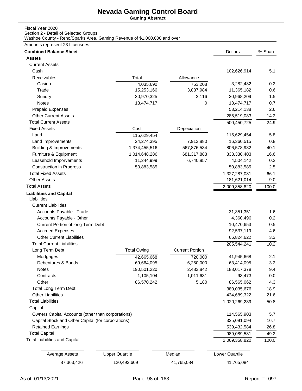**Gaming Abstract**

### Fiscal Year 2020

Section 2 - Detail of Selected Groups

Washoe County - Reno/Sparks Area, Gaming Revenue of \$1,000,000 and over

## Amounts represent 23 Licensees.

| <b>Combined Balance Sheet</b>                      |                       |                        | <b>Dollars</b> | % Share |
|----------------------------------------------------|-----------------------|------------------------|----------------|---------|
| <b>Assets</b>                                      |                       |                        |                |         |
| <b>Current Assets</b>                              |                       |                        |                |         |
| Cash                                               |                       |                        | 102,626,914    | 5.1     |
| Receivables                                        | Total                 | Allowance              |                |         |
| Casino                                             | 4,035,690             | 753,208                | 3,282,482      | 0.2     |
| Trade                                              | 15,253,166            | 3,887,984              | 11,365,182     | 0.6     |
| Sundry                                             | 30,970,325            | 2,116                  | 30,968,209     | 1.5     |
| Notes                                              | 13,474,717            | 0                      | 13,474,717     | 0.7     |
| <b>Prepaid Expenses</b>                            |                       |                        | 53,214,138     | 2.6     |
| <b>Other Current Assets</b>                        |                       |                        | 285,519,083    | 14.2    |
| <b>Total Current Assets</b>                        |                       |                        | 500,450,725    | 24.9    |
| <b>Fixed Assets</b>                                | Cost                  | Depeciation            |                |         |
| Land                                               | 115,629,454           |                        | 115,629,454    | 5.8     |
| Land Improvements                                  | 24,274,395            | 7,913,880              | 16,360,515     | 0.8     |
| <b>Building &amp; Improvements</b>                 | 1,374,455,516         | 567,876,534            | 806,578,982    | 40.1    |
| Furniture & Equipment                              | 1,014,648,286         | 681,317,883            | 333,330,403    | 16.6    |
| Leasehold Imporvements                             | 11,244,999            | 6,740,857              | 4,504,142      | 0.2     |
| <b>Construction in Progress</b>                    | 50,883,585            |                        | 50,883,585     | 2.5     |
| <b>Total Fixed Assets</b>                          |                       |                        | 1,327,287,081  | 66.1    |
| <b>Other Assets</b>                                |                       |                        | 181,621,014    | 9.0     |
| <b>Total Assets</b>                                |                       |                        | 2,009,358,820  | 100.0   |
| <b>Liabilities and Capital</b><br>Liabilities      |                       |                        |                |         |
| <b>Current Liabilities</b>                         |                       |                        |                |         |
| Accounts Payable - Trade                           |                       |                        | 31,351,351     | 1.6     |
| Accounts Payable - Other                           |                       |                        | 4,360,496      | 0.2     |
| Current Portion of long Term Debt                  |                       |                        | 10,470,653     | 0.5     |
| <b>Accrued Expenses</b>                            |                       |                        | 92,537,119     | 4.6     |
| <b>Other Current Liabilities</b>                   |                       |                        | 66,824,622     | 3.3     |
| <b>Total Current Liabilities</b>                   |                       |                        | 205,544,241    | 10.2    |
| Long Term Debt                                     | <b>Total Owing</b>    | <b>Current Portion</b> |                |         |
| Mortgages                                          | 42,665,668            | 720,000                | 41,945,668     | 2.1     |
| Debentures & Bonds                                 | 69,664,095            | 6,250,000              | 63,414,095     | 3.2     |
| <b>Notes</b>                                       | 190,501,220           | 2,483,842              | 188,017,378    | 9.4     |
| Contracts                                          | 1,105,104             | 1,011,631              | 93,473         | 0.0     |
| Other                                              | 86,570,242            | 5,180                  | 86,565,062     | 4.3     |
| <b>Total Long Term Debt</b>                        |                       |                        | 380,035,676    | 18.9    |
| <b>Other Liabilities</b>                           |                       |                        | 434,689,322    | 21.6    |
| <b>Total Liabilities</b>                           |                       |                        | 1,020,269,239  | 50.8    |
| Capital                                            |                       |                        |                |         |
| Owners Capital Accounts (other than corporations)  |                       |                        | 114,565,903    | 5.7     |
| Capital Stock and Other Capital (for corporations) |                       |                        | 335,091,094    | 16.7    |
| <b>Retained Earnings</b>                           |                       |                        | 539,432,584    | 26.8    |
| <b>Total Capital</b>                               |                       |                        | 989,089,581    | 49.2    |
| <b>Total Liabilities and Capital</b>               |                       |                        | 2,009,358,820  | 100.0   |
| <b>Average Assets</b>                              | <b>Upper Quartile</b> | Median                 | Lower Quartile |         |
|                                                    |                       |                        |                |         |
| 87,363,426                                         | 120,493,609           | 41,765,084             | 41,765,084     |         |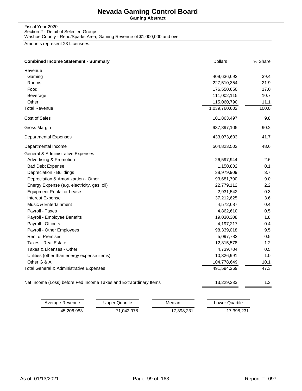**Gaming Abstract**

Fiscal Year 2020 Section 2 - Detail of Selected Groups Washoe County - Reno/Sparks Area, Gaming Revenue of \$1,000,000 and over

Amounts represent 23 Licensees.

| <b>Combined Income Statement - Summary</b>                        | <b>Dollars</b> | % Share |
|-------------------------------------------------------------------|----------------|---------|
| Revenue                                                           |                |         |
| Gaming                                                            | 409,636,693    | 39.4    |
| Rooms                                                             | 227,510,354    | 21.9    |
| Food                                                              | 176,550,650    | 17.0    |
| Beverage                                                          | 111,002,115    | 10.7    |
| Other                                                             | 115,060,790    | 11.1    |
| <b>Total Revenue</b>                                              | 1,039,760,602  | 100.0   |
| <b>Cost of Sales</b>                                              | 101,863,497    | 9.8     |
| Gross Margin                                                      | 937,897,105    | 90.2    |
| <b>Departmental Expenses</b>                                      | 433,073,603    | 41.7    |
| Departmental Income                                               | 504,823,502    | 48.6    |
| General & Administrative Expenses                                 |                |         |
| <b>Advertising &amp; Promotion</b>                                | 26,597,944     | 2.6     |
| <b>Bad Debt Expense</b>                                           | 1,150,802      | 0.1     |
| Depreciation - Buildings                                          | 38,979,909     | 3.7     |
| Depreciation & Amortizartion - Other                              | 93,681,790     | 9.0     |
| Energy Expense (e.g. electricity, gas, oil)                       | 22,779,112     | 2.2     |
| <b>Equipment Rental or Lease</b>                                  | 2,931,542      | 0.3     |
| <b>Interest Expense</b>                                           | 37,212,625     | 3.6     |
| <b>Music &amp; Entertainment</b>                                  | 4,572,687      | 0.4     |
| Payroll - Taxes                                                   | 4,862,610      | 0.5     |
| Payroll - Employee Benefits                                       | 19,030,308     | 1.8     |
| Payroll - Officers                                                | 4,197,217      | 0.4     |
| Payroll - Other Employees                                         | 98,339,018     | 9.5     |
| <b>Rent of Premises</b>                                           | 5,097,783      | 0.5     |
| <b>Taxes - Real Estate</b>                                        | 12,315,578     | 1.2     |
| Taxes & Licenses - Other                                          | 4,739,704      | 0.5     |
| Utilities (other than energy expense items)                       | 10,326,991     | 1.0     |
| Other G & A                                                       | 104,778,649    | 10.1    |
| Total General & Administrative Expenses                           | 491,594,269    | 47.3    |
| Net Income (Loss) before Fed Income Taxes and Extraordinary Items | 13,229,233     | 1.3     |

| Average Revenue | Upper Quartile | Median     | Lower Quartile |
|-----------------|----------------|------------|----------------|
| 45.206.983      | 71.042.978     | 17.398.231 | 17,398,231     |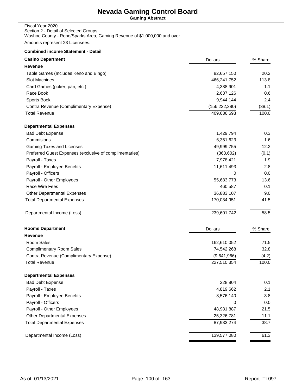**Gaming Abstract**

#### Fiscal Year 2020 Section 2 - Detail of Selected Groups Washoe County - Reno/Sparks Area, Gaming Revenue of \$1,000,000 and over

Amounts represent 23 Licensees.

| <b>Casino Department</b>                                | <b>Dollars</b>  | % Share |
|---------------------------------------------------------|-----------------|---------|
| <b>Revenue</b>                                          |                 |         |
| Table Games (Includes Keno and Bingo)                   | 82,657,150      | 20.2    |
| Slot Machines                                           | 466,241,752     | 113.8   |
| Card Games (poker, pan, etc.)                           | 4,388,901       | 1.1     |
| Race Book                                               | 2,637,126       | 0.6     |
| Sports Book                                             | 9,944,144       | 2.4     |
| Contra Revenue (Complimentary Expense)                  | (156, 232, 380) | (38.1)  |
| <b>Total Revenue</b>                                    | 409,636,693     | 100.0   |
| <b>Departmental Expenses</b>                            |                 |         |
| <b>Bad Debt Expense</b>                                 | 1,429,794       | 0.3     |
| Commisions                                              | 6,351,623       | 1.6     |
| Gaming Taxes and Licenses                               | 49,999,755      | 12.2    |
| Preferred Guest Expenses (exclusive of complimentaries) | (363, 602)      | (0.1)   |
| Payroll - Taxes                                         | 7,978,421       | 1.9     |
| Payroll - Employee Benefits                             | 11,611,493      | 2.8     |
| Payroll - Officers                                      | 0               | 0.0     |
| Payroll - Other Employees                               | 55,683,773      | 13.6    |
| Race Wire Fees                                          | 460,587         | 0.1     |
| <b>Other Departmental Expenses</b>                      | 36,883,107      | 9.0     |
| <b>Total Departmental Expenses</b>                      | 170,034,951     | 41.5    |
| Departmental Income (Loss)                              | 239,601,742     | 58.5    |
| <b>Rooms Department</b>                                 | <b>Dollars</b>  | % Share |
| <b>Revenue</b>                                          |                 |         |
| Room Sales                                              | 162,610,052     | 71.5    |
| <b>Complimentary Room Sales</b>                         | 74,542,268      | 32.8    |
| Contra Revenue (Complimentary Expense)                  | (9,641,966)     | (4.2)   |
| <b>Total Revenue</b>                                    | 227,510,354     | 100.0   |
| <b>Departmental Expenses</b>                            |                 |         |
| <b>Bad Debt Expense</b>                                 | 228,804         | 0.1     |
| Payroll - Taxes                                         | 4,819,662       | 2.1     |
| Payroll - Employee Benefits                             | 8,576,140       | 3.8     |
| Payroll - Officers                                      | 0               | 0.0     |
| Payroll - Other Employees                               | 48,981,887      | 21.5    |
| <b>Other Departmental Expenses</b>                      | 25,326,781      | 11.1    |
| <b>Total Departmental Expenses</b>                      | 87,933,274      | 38.7    |
| Departmental Income (Loss)                              | 139,577,080     | 61.3    |
|                                                         |                 |         |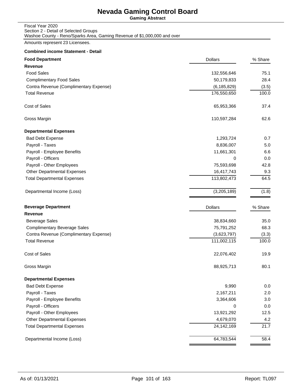**Gaming Abstract**

| Fiscal Year 2020                                                         |
|--------------------------------------------------------------------------|
| Section 2 - Detail of Selected Groups                                    |
| Washoe County - Reno/Sparks Area, Gaming Revenue of \$1,000,000 and over |

Amounts represent 23 Licensees.

| <b>Food Department</b>                 | <b>Dollars</b> | % Share |
|----------------------------------------|----------------|---------|
| <b>Revenue</b>                         |                |         |
| <b>Food Sales</b>                      | 132,556,646    | 75.1    |
| <b>Complimentary Food Sales</b>        | 50,179,833     | 28.4    |
| Contra Revenue (Complimentary Expense) | (6, 185, 829)  | (3.5)   |
| <b>Total Revenue</b>                   | 176,550,650    | 100.0   |
| Cost of Sales                          | 65,953,366     | 37.4    |
| Gross Margin                           | 110,597,284    | 62.6    |
| <b>Departmental Expenses</b>           |                |         |
| <b>Bad Debt Expense</b>                | 1,293,724      | 0.7     |
| Payroll - Taxes                        | 8,836,007      | 5.0     |
| Payroll - Employee Benefits            | 11,661,301     | 6.6     |
| Payroll - Officers                     | 0              | 0.0     |
| Payroll - Other Employees              | 75,593,698     | 42.8    |
| <b>Other Departmental Expenses</b>     | 16,417,743     | 9.3     |
| <b>Total Departmental Expenses</b>     | 113,802,473    | 64.5    |
| Departmental Income (Loss)             | (3,205,189)    | (1.8)   |
| <b>Beverage Department</b>             | <b>Dollars</b> | % Share |
| Revenue                                |                |         |
| <b>Beverage Sales</b>                  | 38,834,660     | 35.0    |
| <b>Complimentary Beverage Sales</b>    | 75,791,252     | 68.3    |
| Contra Revenue (Complimentary Expense) | (3,623,797)    | (3.3)   |
| <b>Total Revenue</b>                   | 111,002,115    | 100.0   |
| Cost of Sales                          | 22,076,402     | 19.9    |
| Gross Margin                           | 88,925,713     | 80.1    |
| <b>Departmental Expenses</b>           |                |         |
| <b>Bad Debt Expense</b>                | 9,990          | 0.0     |
| Payroll - Taxes                        | 2,167,211      | 2.0     |
| Payroll - Employee Benefits            | 3,364,606      | 3.0     |
| Payroll - Officers                     | 0              | 0.0     |
| Payroll - Other Employees              | 13,921,292     | 12.5    |
| Other Departmental Expenses            | 4,679,070      | 4.2     |
| <b>Total Departmental Expenses</b>     | 24,142,169     | 21.7    |
| Departmental Income (Loss)             | 64,783,544     | 58.4    |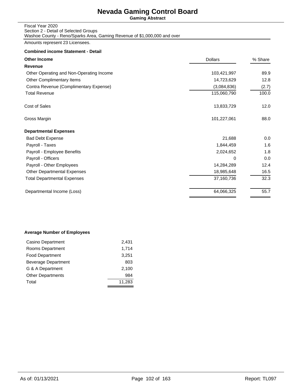**Gaming Abstract**

#### Fiscal Year 2020 Section 2 - Detail of Selected Groups Washoe County - Reno/Sparks Area, Gaming Revenue of \$1,000,000 and over

Amounts represent 23 Licensees.

#### **Combined income Statement - Detail**

| <b>Dollars</b> | % Share |
|----------------|---------|
|                |         |
| 103,421,997    | 89.9    |
| 14,723,629     | 12.8    |
| (3,084,836)    | (2.7)   |
| 115,060,790    | 100.0   |
| 13,833,729     | 12.0    |
| 101,227,061    | 88.0    |
|                |         |
| 21,688         | 0.0     |
| 1,844,459      | 1.6     |
| 2,024,652      | 1.8     |
| 0              | 0.0     |
| 14,284,289     | 12.4    |
| 18,985,648     | 16.5    |
| 37,160,736     | 32.3    |
| 64,066,325     | 55.7    |
|                |         |

#### **Average Number of Employees**

| Casino Department        | 2,431  |
|--------------------------|--------|
| Rooms Department         | 1,714  |
| <b>Food Department</b>   | 3,251  |
| Beverage Department      | 803    |
| G & A Department         | 2.100  |
| <b>Other Departments</b> | 984    |
| Total                    | 11,283 |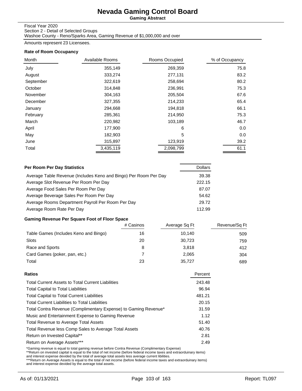**Gaming Abstract**

#### Fiscal Year 2020

Section 2 - Detail of Selected Groups Washoe County - Reno/Sparks Area, Gaming Revenue of \$1,000,000 and over

Amounts represent 23 Licensees.

#### **Rate of Room Occupancy**

| Month     | Available Rooms | Rooms Occupied | % of Occupancy |
|-----------|-----------------|----------------|----------------|
| July      | 355,149         | 269,359        | 75.8           |
| August    | 333,274         | 277,131        | 83.2           |
| September | 322,619         | 258,694        | 80.2           |
| October   | 314,848         | 236,991        | 75.3           |
| November  | 304,163         | 205,504        | 67.6           |
| December  | 327,355         | 214,233        | 65.4           |
| January   | 294,668         | 194,818        | 66.1           |
| February  | 285,361         | 214,950        | 75.3           |
| March     | 220,982         | 103,189        | 46.7           |
| April     | 177,900         | 6              | 0.0            |
| May       | 182,903         | 5              | 0.0            |
| June      | 315,897         | 123,919        | 39.2           |
| Total     | 3,435,119       | 2,098,799      | 61.1           |

| Per Room Per Day Statistics                                      | <b>Dollars</b> |
|------------------------------------------------------------------|----------------|
| Average Table Revenue (Includes Keno and Bingo) Per Room Per Day | 39.38          |
| Average Slot Revenue Per Room Per Day                            | 222.15         |
| Average Food Sales Per Room Per Day                              | 87.07          |
| Average Beverage Sales Per Room Per Day                          | 54.62          |
| Average Rooms Department Payroll Per Room Per Day                | 29.72          |
| Average Room Rate Per Day                                        | 112.99         |

### **Gaming Revenue Per Square Foot of Floor Space**

|                                       | # Casinos | Average Sq Ft | Revenue/Sq Ft |
|---------------------------------------|-----------|---------------|---------------|
| Table Games (Includes Keno and Bingo) | 16        | 10.140        | 509           |
| Slots                                 | 20        | 30,723        | 759           |
| Race and Sports                       | 8         | 3.818         | 412           |
| Card Games (poker, pan, etc.)         |           | 2.065         | 304           |
| Total                                 | 23        | 35.727        | 689           |

| Percent |
|---------|
| 243.48  |
| 96.94   |
| 481.21  |
| 20.15   |
| 31.59   |
| 1.12    |
| 51.40   |
| 40.76   |
| 2.81    |
| 2.49    |
|         |

\*Gaming revenue is equal to total gaming revenue before Contra Revenue (Complimentary Expense)<br>\*\*Return on invested capital is equal to the total of net income (before federal income taxes and extraorduinary items)<br>and int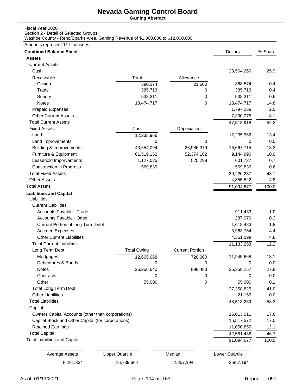**Gaming Abstract**

#### Fiscal Year 2020

Section 2 - Detail of Selected Groups

Washoe County - Reno/Sparks Area, Gaming Revenue of \$1,000,000 to \$12,000,000

### Amounts represent 11 Licensees.

| <b>Assets</b><br><b>Current Assets</b><br>Cash<br>23,564,260<br>25.9<br>Total<br>Receivables<br>Allowance<br>368,574<br>Casino<br>0.4<br>390,174<br>21,600<br>Trade<br>385,713<br>385,713<br>0.4<br>0<br>538,311<br>538,311<br>0.6<br>Sundry<br>0<br>Notes<br>13,474,717<br>0<br>13,474,717<br>14.8<br><b>Prepaid Expenses</b><br>1,797,268<br>2.0<br><b>Other Current Assets</b><br>7,390,075<br>8.1<br><b>Total Current Assets</b><br>47,518,918<br>52.2<br><b>Fixed Assets</b><br>Cost<br>Depeciation<br>12,235,966<br>Land<br>13.4<br>12,235,966<br>Land Improvements<br>0<br>0<br>0<br>0.0<br><b>Building &amp; Improvements</b><br>26,986,379<br>16,667,715<br>18.3<br>43,654,094<br>Furniture & Equipment<br>52,374,162<br>61,519,152<br>9,144,990<br>10.0<br>Leasehold Imporvements<br>525,298<br>0.7<br>1,127,025<br>601,727<br><b>Construction in Progress</b><br>569,839<br>0.6<br>569,839<br><b>Total Fixed Assets</b><br>39,220,237<br>43.1<br><b>Other Assets</b><br>4,355,522<br>4.8<br><b>Total Assets</b><br>91,094,677<br>100.0<br><b>Liabilities and Capital</b><br>Liabilities<br><b>Current Liabilities</b><br>Accounts Payable - Trade<br>911,433<br>1.0<br>Accounts Payable - Other<br>287,979<br>0.3<br>Current Portion of long Term Debt<br>1,618,483<br>1.8<br><b>Accrued Expenses</b><br>3,963,764<br>4.4<br><b>Other Current Liabilities</b><br>4,351,599<br>4.8<br><b>Total Current Liabilities</b><br>12.2<br>11,133,258<br><b>Current Portion</b><br>Long Term Debt<br><b>Total Owing</b><br>13.1<br>Mortgages<br>11,945,668<br>720,000<br>12,665,668<br>Debentures & Bonds<br>0<br>0<br>0<br>0.0<br>27.8<br>Notes<br>898,483<br>26,256,640<br>25,358,157<br>0.0<br>Contracts<br>0<br>0<br>0<br>Other<br>55,000<br>0<br>55,000<br>0.1<br><b>Total Long Term Debt</b><br>37,358,825<br>41.0<br><b>Other Liabilities</b><br>21,156<br>0.0<br><b>Total Liabilities</b><br>48,513,239<br>53.3<br>Capital<br>Owners Capital Accounts (other than corporations)<br>16,013,011<br>17.6<br>Capital Stock and Other Capital (for corporations)<br>15,517,572<br>17.0<br><b>Retained Earnings</b><br>12.1<br>11,050,855<br><b>Total Capital</b><br>42,581,438<br>46.7<br><b>Total Liabilities and Capital</b><br>91,094,677<br>100.0<br><b>Upper Quartile</b><br>Median<br>Lower Quartile<br><b>Average Assets</b><br>8,281,334<br>16,739,664<br>2,857,194<br>2,857,194 | <b>Combined Balance Sheet</b> |  | <b>Dollars</b> | % Share |
|----------------------------------------------------------------------------------------------------------------------------------------------------------------------------------------------------------------------------------------------------------------------------------------------------------------------------------------------------------------------------------------------------------------------------------------------------------------------------------------------------------------------------------------------------------------------------------------------------------------------------------------------------------------------------------------------------------------------------------------------------------------------------------------------------------------------------------------------------------------------------------------------------------------------------------------------------------------------------------------------------------------------------------------------------------------------------------------------------------------------------------------------------------------------------------------------------------------------------------------------------------------------------------------------------------------------------------------------------------------------------------------------------------------------------------------------------------------------------------------------------------------------------------------------------------------------------------------------------------------------------------------------------------------------------------------------------------------------------------------------------------------------------------------------------------------------------------------------------------------------------------------------------------------------------------------------------------------------------------------------------------------------------------------------------------------------------------------------------------------------------------------------------------------------------------------------------------------------------------------------------------------------------------------------------------------------------------------------------------------------------------------------|-------------------------------|--|----------------|---------|
|                                                                                                                                                                                                                                                                                                                                                                                                                                                                                                                                                                                                                                                                                                                                                                                                                                                                                                                                                                                                                                                                                                                                                                                                                                                                                                                                                                                                                                                                                                                                                                                                                                                                                                                                                                                                                                                                                                                                                                                                                                                                                                                                                                                                                                                                                                                                                                                              |                               |  |                |         |
|                                                                                                                                                                                                                                                                                                                                                                                                                                                                                                                                                                                                                                                                                                                                                                                                                                                                                                                                                                                                                                                                                                                                                                                                                                                                                                                                                                                                                                                                                                                                                                                                                                                                                                                                                                                                                                                                                                                                                                                                                                                                                                                                                                                                                                                                                                                                                                                              |                               |  |                |         |
|                                                                                                                                                                                                                                                                                                                                                                                                                                                                                                                                                                                                                                                                                                                                                                                                                                                                                                                                                                                                                                                                                                                                                                                                                                                                                                                                                                                                                                                                                                                                                                                                                                                                                                                                                                                                                                                                                                                                                                                                                                                                                                                                                                                                                                                                                                                                                                                              |                               |  |                |         |
|                                                                                                                                                                                                                                                                                                                                                                                                                                                                                                                                                                                                                                                                                                                                                                                                                                                                                                                                                                                                                                                                                                                                                                                                                                                                                                                                                                                                                                                                                                                                                                                                                                                                                                                                                                                                                                                                                                                                                                                                                                                                                                                                                                                                                                                                                                                                                                                              |                               |  |                |         |
|                                                                                                                                                                                                                                                                                                                                                                                                                                                                                                                                                                                                                                                                                                                                                                                                                                                                                                                                                                                                                                                                                                                                                                                                                                                                                                                                                                                                                                                                                                                                                                                                                                                                                                                                                                                                                                                                                                                                                                                                                                                                                                                                                                                                                                                                                                                                                                                              |                               |  |                |         |
|                                                                                                                                                                                                                                                                                                                                                                                                                                                                                                                                                                                                                                                                                                                                                                                                                                                                                                                                                                                                                                                                                                                                                                                                                                                                                                                                                                                                                                                                                                                                                                                                                                                                                                                                                                                                                                                                                                                                                                                                                                                                                                                                                                                                                                                                                                                                                                                              |                               |  |                |         |
|                                                                                                                                                                                                                                                                                                                                                                                                                                                                                                                                                                                                                                                                                                                                                                                                                                                                                                                                                                                                                                                                                                                                                                                                                                                                                                                                                                                                                                                                                                                                                                                                                                                                                                                                                                                                                                                                                                                                                                                                                                                                                                                                                                                                                                                                                                                                                                                              |                               |  |                |         |
|                                                                                                                                                                                                                                                                                                                                                                                                                                                                                                                                                                                                                                                                                                                                                                                                                                                                                                                                                                                                                                                                                                                                                                                                                                                                                                                                                                                                                                                                                                                                                                                                                                                                                                                                                                                                                                                                                                                                                                                                                                                                                                                                                                                                                                                                                                                                                                                              |                               |  |                |         |
|                                                                                                                                                                                                                                                                                                                                                                                                                                                                                                                                                                                                                                                                                                                                                                                                                                                                                                                                                                                                                                                                                                                                                                                                                                                                                                                                                                                                                                                                                                                                                                                                                                                                                                                                                                                                                                                                                                                                                                                                                                                                                                                                                                                                                                                                                                                                                                                              |                               |  |                |         |
|                                                                                                                                                                                                                                                                                                                                                                                                                                                                                                                                                                                                                                                                                                                                                                                                                                                                                                                                                                                                                                                                                                                                                                                                                                                                                                                                                                                                                                                                                                                                                                                                                                                                                                                                                                                                                                                                                                                                                                                                                                                                                                                                                                                                                                                                                                                                                                                              |                               |  |                |         |
|                                                                                                                                                                                                                                                                                                                                                                                                                                                                                                                                                                                                                                                                                                                                                                                                                                                                                                                                                                                                                                                                                                                                                                                                                                                                                                                                                                                                                                                                                                                                                                                                                                                                                                                                                                                                                                                                                                                                                                                                                                                                                                                                                                                                                                                                                                                                                                                              |                               |  |                |         |
|                                                                                                                                                                                                                                                                                                                                                                                                                                                                                                                                                                                                                                                                                                                                                                                                                                                                                                                                                                                                                                                                                                                                                                                                                                                                                                                                                                                                                                                                                                                                                                                                                                                                                                                                                                                                                                                                                                                                                                                                                                                                                                                                                                                                                                                                                                                                                                                              |                               |  |                |         |
|                                                                                                                                                                                                                                                                                                                                                                                                                                                                                                                                                                                                                                                                                                                                                                                                                                                                                                                                                                                                                                                                                                                                                                                                                                                                                                                                                                                                                                                                                                                                                                                                                                                                                                                                                                                                                                                                                                                                                                                                                                                                                                                                                                                                                                                                                                                                                                                              |                               |  |                |         |
|                                                                                                                                                                                                                                                                                                                                                                                                                                                                                                                                                                                                                                                                                                                                                                                                                                                                                                                                                                                                                                                                                                                                                                                                                                                                                                                                                                                                                                                                                                                                                                                                                                                                                                                                                                                                                                                                                                                                                                                                                                                                                                                                                                                                                                                                                                                                                                                              |                               |  |                |         |
|                                                                                                                                                                                                                                                                                                                                                                                                                                                                                                                                                                                                                                                                                                                                                                                                                                                                                                                                                                                                                                                                                                                                                                                                                                                                                                                                                                                                                                                                                                                                                                                                                                                                                                                                                                                                                                                                                                                                                                                                                                                                                                                                                                                                                                                                                                                                                                                              |                               |  |                |         |
|                                                                                                                                                                                                                                                                                                                                                                                                                                                                                                                                                                                                                                                                                                                                                                                                                                                                                                                                                                                                                                                                                                                                                                                                                                                                                                                                                                                                                                                                                                                                                                                                                                                                                                                                                                                                                                                                                                                                                                                                                                                                                                                                                                                                                                                                                                                                                                                              |                               |  |                |         |
|                                                                                                                                                                                                                                                                                                                                                                                                                                                                                                                                                                                                                                                                                                                                                                                                                                                                                                                                                                                                                                                                                                                                                                                                                                                                                                                                                                                                                                                                                                                                                                                                                                                                                                                                                                                                                                                                                                                                                                                                                                                                                                                                                                                                                                                                                                                                                                                              |                               |  |                |         |
|                                                                                                                                                                                                                                                                                                                                                                                                                                                                                                                                                                                                                                                                                                                                                                                                                                                                                                                                                                                                                                                                                                                                                                                                                                                                                                                                                                                                                                                                                                                                                                                                                                                                                                                                                                                                                                                                                                                                                                                                                                                                                                                                                                                                                                                                                                                                                                                              |                               |  |                |         |
|                                                                                                                                                                                                                                                                                                                                                                                                                                                                                                                                                                                                                                                                                                                                                                                                                                                                                                                                                                                                                                                                                                                                                                                                                                                                                                                                                                                                                                                                                                                                                                                                                                                                                                                                                                                                                                                                                                                                                                                                                                                                                                                                                                                                                                                                                                                                                                                              |                               |  |                |         |
|                                                                                                                                                                                                                                                                                                                                                                                                                                                                                                                                                                                                                                                                                                                                                                                                                                                                                                                                                                                                                                                                                                                                                                                                                                                                                                                                                                                                                                                                                                                                                                                                                                                                                                                                                                                                                                                                                                                                                                                                                                                                                                                                                                                                                                                                                                                                                                                              |                               |  |                |         |
|                                                                                                                                                                                                                                                                                                                                                                                                                                                                                                                                                                                                                                                                                                                                                                                                                                                                                                                                                                                                                                                                                                                                                                                                                                                                                                                                                                                                                                                                                                                                                                                                                                                                                                                                                                                                                                                                                                                                                                                                                                                                                                                                                                                                                                                                                                                                                                                              |                               |  |                |         |
|                                                                                                                                                                                                                                                                                                                                                                                                                                                                                                                                                                                                                                                                                                                                                                                                                                                                                                                                                                                                                                                                                                                                                                                                                                                                                                                                                                                                                                                                                                                                                                                                                                                                                                                                                                                                                                                                                                                                                                                                                                                                                                                                                                                                                                                                                                                                                                                              |                               |  |                |         |
|                                                                                                                                                                                                                                                                                                                                                                                                                                                                                                                                                                                                                                                                                                                                                                                                                                                                                                                                                                                                                                                                                                                                                                                                                                                                                                                                                                                                                                                                                                                                                                                                                                                                                                                                                                                                                                                                                                                                                                                                                                                                                                                                                                                                                                                                                                                                                                                              |                               |  |                |         |
|                                                                                                                                                                                                                                                                                                                                                                                                                                                                                                                                                                                                                                                                                                                                                                                                                                                                                                                                                                                                                                                                                                                                                                                                                                                                                                                                                                                                                                                                                                                                                                                                                                                                                                                                                                                                                                                                                                                                                                                                                                                                                                                                                                                                                                                                                                                                                                                              |                               |  |                |         |
|                                                                                                                                                                                                                                                                                                                                                                                                                                                                                                                                                                                                                                                                                                                                                                                                                                                                                                                                                                                                                                                                                                                                                                                                                                                                                                                                                                                                                                                                                                                                                                                                                                                                                                                                                                                                                                                                                                                                                                                                                                                                                                                                                                                                                                                                                                                                                                                              |                               |  |                |         |
|                                                                                                                                                                                                                                                                                                                                                                                                                                                                                                                                                                                                                                                                                                                                                                                                                                                                                                                                                                                                                                                                                                                                                                                                                                                                                                                                                                                                                                                                                                                                                                                                                                                                                                                                                                                                                                                                                                                                                                                                                                                                                                                                                                                                                                                                                                                                                                                              |                               |  |                |         |
|                                                                                                                                                                                                                                                                                                                                                                                                                                                                                                                                                                                                                                                                                                                                                                                                                                                                                                                                                                                                                                                                                                                                                                                                                                                                                                                                                                                                                                                                                                                                                                                                                                                                                                                                                                                                                                                                                                                                                                                                                                                                                                                                                                                                                                                                                                                                                                                              |                               |  |                |         |
|                                                                                                                                                                                                                                                                                                                                                                                                                                                                                                                                                                                                                                                                                                                                                                                                                                                                                                                                                                                                                                                                                                                                                                                                                                                                                                                                                                                                                                                                                                                                                                                                                                                                                                                                                                                                                                                                                                                                                                                                                                                                                                                                                                                                                                                                                                                                                                                              |                               |  |                |         |
|                                                                                                                                                                                                                                                                                                                                                                                                                                                                                                                                                                                                                                                                                                                                                                                                                                                                                                                                                                                                                                                                                                                                                                                                                                                                                                                                                                                                                                                                                                                                                                                                                                                                                                                                                                                                                                                                                                                                                                                                                                                                                                                                                                                                                                                                                                                                                                                              |                               |  |                |         |
|                                                                                                                                                                                                                                                                                                                                                                                                                                                                                                                                                                                                                                                                                                                                                                                                                                                                                                                                                                                                                                                                                                                                                                                                                                                                                                                                                                                                                                                                                                                                                                                                                                                                                                                                                                                                                                                                                                                                                                                                                                                                                                                                                                                                                                                                                                                                                                                              |                               |  |                |         |
|                                                                                                                                                                                                                                                                                                                                                                                                                                                                                                                                                                                                                                                                                                                                                                                                                                                                                                                                                                                                                                                                                                                                                                                                                                                                                                                                                                                                                                                                                                                                                                                                                                                                                                                                                                                                                                                                                                                                                                                                                                                                                                                                                                                                                                                                                                                                                                                              |                               |  |                |         |
|                                                                                                                                                                                                                                                                                                                                                                                                                                                                                                                                                                                                                                                                                                                                                                                                                                                                                                                                                                                                                                                                                                                                                                                                                                                                                                                                                                                                                                                                                                                                                                                                                                                                                                                                                                                                                                                                                                                                                                                                                                                                                                                                                                                                                                                                                                                                                                                              |                               |  |                |         |
|                                                                                                                                                                                                                                                                                                                                                                                                                                                                                                                                                                                                                                                                                                                                                                                                                                                                                                                                                                                                                                                                                                                                                                                                                                                                                                                                                                                                                                                                                                                                                                                                                                                                                                                                                                                                                                                                                                                                                                                                                                                                                                                                                                                                                                                                                                                                                                                              |                               |  |                |         |
|                                                                                                                                                                                                                                                                                                                                                                                                                                                                                                                                                                                                                                                                                                                                                                                                                                                                                                                                                                                                                                                                                                                                                                                                                                                                                                                                                                                                                                                                                                                                                                                                                                                                                                                                                                                                                                                                                                                                                                                                                                                                                                                                                                                                                                                                                                                                                                                              |                               |  |                |         |
|                                                                                                                                                                                                                                                                                                                                                                                                                                                                                                                                                                                                                                                                                                                                                                                                                                                                                                                                                                                                                                                                                                                                                                                                                                                                                                                                                                                                                                                                                                                                                                                                                                                                                                                                                                                                                                                                                                                                                                                                                                                                                                                                                                                                                                                                                                                                                                                              |                               |  |                |         |
|                                                                                                                                                                                                                                                                                                                                                                                                                                                                                                                                                                                                                                                                                                                                                                                                                                                                                                                                                                                                                                                                                                                                                                                                                                                                                                                                                                                                                                                                                                                                                                                                                                                                                                                                                                                                                                                                                                                                                                                                                                                                                                                                                                                                                                                                                                                                                                                              |                               |  |                |         |
|                                                                                                                                                                                                                                                                                                                                                                                                                                                                                                                                                                                                                                                                                                                                                                                                                                                                                                                                                                                                                                                                                                                                                                                                                                                                                                                                                                                                                                                                                                                                                                                                                                                                                                                                                                                                                                                                                                                                                                                                                                                                                                                                                                                                                                                                                                                                                                                              |                               |  |                |         |
|                                                                                                                                                                                                                                                                                                                                                                                                                                                                                                                                                                                                                                                                                                                                                                                                                                                                                                                                                                                                                                                                                                                                                                                                                                                                                                                                                                                                                                                                                                                                                                                                                                                                                                                                                                                                                                                                                                                                                                                                                                                                                                                                                                                                                                                                                                                                                                                              |                               |  |                |         |
|                                                                                                                                                                                                                                                                                                                                                                                                                                                                                                                                                                                                                                                                                                                                                                                                                                                                                                                                                                                                                                                                                                                                                                                                                                                                                                                                                                                                                                                                                                                                                                                                                                                                                                                                                                                                                                                                                                                                                                                                                                                                                                                                                                                                                                                                                                                                                                                              |                               |  |                |         |
|                                                                                                                                                                                                                                                                                                                                                                                                                                                                                                                                                                                                                                                                                                                                                                                                                                                                                                                                                                                                                                                                                                                                                                                                                                                                                                                                                                                                                                                                                                                                                                                                                                                                                                                                                                                                                                                                                                                                                                                                                                                                                                                                                                                                                                                                                                                                                                                              |                               |  |                |         |
|                                                                                                                                                                                                                                                                                                                                                                                                                                                                                                                                                                                                                                                                                                                                                                                                                                                                                                                                                                                                                                                                                                                                                                                                                                                                                                                                                                                                                                                                                                                                                                                                                                                                                                                                                                                                                                                                                                                                                                                                                                                                                                                                                                                                                                                                                                                                                                                              |                               |  |                |         |
|                                                                                                                                                                                                                                                                                                                                                                                                                                                                                                                                                                                                                                                                                                                                                                                                                                                                                                                                                                                                                                                                                                                                                                                                                                                                                                                                                                                                                                                                                                                                                                                                                                                                                                                                                                                                                                                                                                                                                                                                                                                                                                                                                                                                                                                                                                                                                                                              |                               |  |                |         |
|                                                                                                                                                                                                                                                                                                                                                                                                                                                                                                                                                                                                                                                                                                                                                                                                                                                                                                                                                                                                                                                                                                                                                                                                                                                                                                                                                                                                                                                                                                                                                                                                                                                                                                                                                                                                                                                                                                                                                                                                                                                                                                                                                                                                                                                                                                                                                                                              |                               |  |                |         |
|                                                                                                                                                                                                                                                                                                                                                                                                                                                                                                                                                                                                                                                                                                                                                                                                                                                                                                                                                                                                                                                                                                                                                                                                                                                                                                                                                                                                                                                                                                                                                                                                                                                                                                                                                                                                                                                                                                                                                                                                                                                                                                                                                                                                                                                                                                                                                                                              |                               |  |                |         |
|                                                                                                                                                                                                                                                                                                                                                                                                                                                                                                                                                                                                                                                                                                                                                                                                                                                                                                                                                                                                                                                                                                                                                                                                                                                                                                                                                                                                                                                                                                                                                                                                                                                                                                                                                                                                                                                                                                                                                                                                                                                                                                                                                                                                                                                                                                                                                                                              |                               |  |                |         |
|                                                                                                                                                                                                                                                                                                                                                                                                                                                                                                                                                                                                                                                                                                                                                                                                                                                                                                                                                                                                                                                                                                                                                                                                                                                                                                                                                                                                                                                                                                                                                                                                                                                                                                                                                                                                                                                                                                                                                                                                                                                                                                                                                                                                                                                                                                                                                                                              |                               |  |                |         |
|                                                                                                                                                                                                                                                                                                                                                                                                                                                                                                                                                                                                                                                                                                                                                                                                                                                                                                                                                                                                                                                                                                                                                                                                                                                                                                                                                                                                                                                                                                                                                                                                                                                                                                                                                                                                                                                                                                                                                                                                                                                                                                                                                                                                                                                                                                                                                                                              |                               |  |                |         |
|                                                                                                                                                                                                                                                                                                                                                                                                                                                                                                                                                                                                                                                                                                                                                                                                                                                                                                                                                                                                                                                                                                                                                                                                                                                                                                                                                                                                                                                                                                                                                                                                                                                                                                                                                                                                                                                                                                                                                                                                                                                                                                                                                                                                                                                                                                                                                                                              |                               |  |                |         |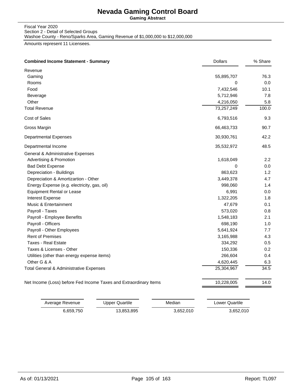**Gaming Abstract**

Fiscal Year 2020 Section 2 - Detail of Selected Groups

Washoe County - Reno/Sparks Area, Gaming Revenue of \$1,000,000 to \$12,000,000

Amounts represent 11 Licensees.

|                                                                   | <b>Dollars</b> | % Share |
|-------------------------------------------------------------------|----------------|---------|
| Revenue                                                           |                |         |
| Gaming                                                            | 55,895,707     | 76.3    |
| Rooms                                                             | 0              | 0.0     |
| Food                                                              | 7,432,546      | 10.1    |
| Beverage                                                          | 5,712,946      | 7.8     |
| Other                                                             | 4,216,050      | 5.8     |
| <b>Total Revenue</b>                                              | 73,257,249     | 100.0   |
| Cost of Sales                                                     | 6,793,516      | 9.3     |
| Gross Margin                                                      | 66,463,733     | 90.7    |
| <b>Departmental Expenses</b>                                      | 30,930,761     | 42.2    |
| Departmental Income                                               | 35,532,972     | 48.5    |
| General & Administrative Expenses                                 |                |         |
| Advertising & Promotion                                           | 1,618,049      | 2.2     |
| <b>Bad Debt Expense</b>                                           | 0              | 0.0     |
| Depreciation - Buildings                                          | 863,623        | 1.2     |
| Depreciation & Amortizartion - Other                              | 3,449,378      | 4.7     |
| Energy Expense (e.g. electricity, gas, oil)                       | 998,060        | 1.4     |
| <b>Equipment Rental or Lease</b>                                  | 6,991          | 0.0     |
| <b>Interest Expense</b>                                           | 1,322,205      | 1.8     |
| Music & Entertainment                                             | 47,679         | 0.1     |
| Payroll - Taxes                                                   | 573,020        | 0.8     |
| Payroll - Employee Benefits                                       | 1,548,183      | 2.1     |
| Payroll - Officers                                                | 698,190        | 1.0     |
| Payroll - Other Employees                                         | 5,641,924      | 7.7     |
| <b>Rent of Premises</b>                                           | 3,165,988      | 4.3     |
| Taxes - Real Estate                                               | 334,292        | 0.5     |
| Taxes & Licenses - Other                                          | 150,336        | 0.2     |
| Utilities (other than energy expense items)                       | 266,604        | 0.4     |
| Other G & A                                                       | 4,620,445      | 6.3     |
| Total General & Administrative Expenses                           | 25,304,967     | 34.5    |
| Net Income (Loss) before Fed Income Taxes and Extraordinary Items | 10,228,005     | 14.0    |

| Average Revenue | Upper Quartile | Median    | Lower Quartile |
|-----------------|----------------|-----------|----------------|
| 6.659.750       | 13,853,895     | 3,652,010 | 3,652,010      |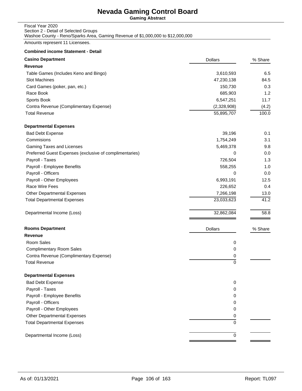**Gaming Abstract**

#### Fiscal Year 2020 Section 2 - Detail of Selected Groups Washoe County - Reno/Sparks Area, Gaming Revenue of \$1,000,000 to \$12,000,000

Amounts represent 11 Licensees.

| <b>Casino Department</b>                                | <b>Dollars</b> | % Share |
|---------------------------------------------------------|----------------|---------|
| Revenue                                                 |                |         |
| Table Games (Includes Keno and Bingo)                   | 3,610,593      | 6.5     |
| Slot Machines                                           | 47,230,138     | 84.5    |
| Card Games (poker, pan, etc.)                           | 150,730        | 0.3     |
| Race Book                                               | 685,903        | 1.2     |
| Sports Book                                             | 6,547,251      | 11.7    |
| Contra Revenue (Complimentary Expense)                  | (2,328,908)    | (4.2)   |
| <b>Total Revenue</b>                                    | 55,895,707     | 100.0   |
| <b>Departmental Expenses</b>                            |                |         |
| <b>Bad Debt Expense</b>                                 | 39,196         | 0.1     |
| Commisions                                              | 1,754,249      | 3.1     |
| Gaming Taxes and Licenses                               | 5,469,378      | 9.8     |
| Preferred Guest Expenses (exclusive of complimentaries) | 0              | 0.0     |
| Payroll - Taxes                                         | 726,504        | 1.3     |
| Payroll - Employee Benefits                             | 558,255        | 1.0     |
| Payroll - Officers                                      | 0              | 0.0     |
| Payroll - Other Employees                               | 6,993,191      | 12.5    |
| Race Wire Fees                                          | 226,652        | 0.4     |
| <b>Other Departmental Expenses</b>                      | 7,266,198      | 13.0    |
| <b>Total Departmental Expenses</b>                      | 23,033,623     | 41.2    |
| Departmental Income (Loss)                              | 32,862,084     | 58.8    |
| <b>Rooms Department</b>                                 | <b>Dollars</b> | % Share |
| <b>Revenue</b>                                          |                |         |
| Room Sales                                              | 0              |         |
| <b>Complimentary Room Sales</b>                         | 0              |         |
| Contra Revenue (Complimentary Expense)                  | 0              |         |
| <b>Total Revenue</b>                                    | $\mathbf 0$    |         |
| <b>Departmental Expenses</b>                            |                |         |
| <b>Bad Debt Expense</b>                                 | 0              |         |
| Payroll - Taxes                                         | 0              |         |
| Payroll - Employee Benefits                             | 0              |         |
| Payroll - Officers                                      | 0              |         |
| Payroll - Other Employees                               | 0              |         |
| Other Departmental Expenses                             | 0              |         |
| <b>Total Departmental Expenses</b>                      | 0              |         |
| Departmental Income (Loss)                              | 0              |         |
|                                                         |                |         |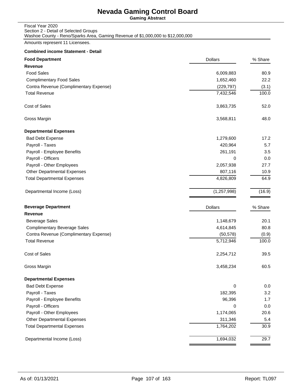**Gaming Abstract**

| Fiscal Year 2020                                                                |
|---------------------------------------------------------------------------------|
| Section 2 - Detail of Selected Groups                                           |
| Washoe County - Reno/Sparks Area, Gaming Revenue of \$1,000,000 to \$12,000,000 |

Amounts represent 11 Licensees.

| <b>Food Department</b>                 | <b>Dollars</b> | % Share |
|----------------------------------------|----------------|---------|
| <b>Revenue</b>                         |                |         |
| <b>Food Sales</b>                      | 6,009,883      | 80.9    |
| <b>Complimentary Food Sales</b>        | 1,652,460      | 22.2    |
| Contra Revenue (Complimentary Expense) | (229, 797)     | (3.1)   |
| <b>Total Revenue</b>                   | 7,432,546      | 100.0   |
| Cost of Sales                          | 3,863,735      | 52.0    |
| Gross Margin                           | 3,568,811      | 48.0    |
| <b>Departmental Expenses</b>           |                |         |
| <b>Bad Debt Expense</b>                | 1,279,600      | 17.2    |
| Payroll - Taxes                        | 420,964        | 5.7     |
| Payroll - Employee Benefits            | 261,191        | 3.5     |
| Payroll - Officers                     | 0              | 0.0     |
| Payroll - Other Employees              | 2,057,938      | 27.7    |
| <b>Other Departmental Expenses</b>     | 807,116        | 10.9    |
| <b>Total Departmental Expenses</b>     | 4,826,809      | 64.9    |
| Departmental Income (Loss)             | (1, 257, 998)  | (16.9)  |
| <b>Beverage Department</b>             | <b>Dollars</b> | % Share |
| <b>Revenue</b>                         |                |         |
| <b>Beverage Sales</b>                  | 1,148,679      | 20.1    |
| <b>Complimentary Beverage Sales</b>    | 4,614,845      | 80.8    |
| Contra Revenue (Complimentary Expense) | (50, 578)      | (0.9)   |
| <b>Total Revenue</b>                   | 5,712,946      | 100.0   |
| Cost of Sales                          | 2,254,712      | 39.5    |
| Gross Margin                           | 3,458,234      | 60.5    |
| <b>Departmental Expenses</b>           |                |         |
| <b>Bad Debt Expense</b>                | 0              | 0.0     |
| Payroll - Taxes                        | 182,395        | 3.2     |
| Payroll - Employee Benefits            | 96,396         | 1.7     |
| Payroll - Officers                     | 0              | 0.0     |
| Payroll - Other Employees              | 1,174,065      | 20.6    |
| <b>Other Departmental Expenses</b>     | 311,346        | 5.4     |
| <b>Total Departmental Expenses</b>     | 1,764,202      | 30.9    |
| Departmental Income (Loss)             | 1,694,032      | 29.7    |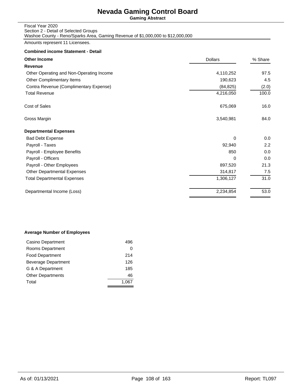**Gaming Abstract**

#### Fiscal Year 2020 Section 2 - Detail of Selected Groups Washoe County - Reno/Sparks Area, Gaming Revenue of \$1,000,000 to \$12,000,000

Amounts represent 11 Licensees.

#### **Combined income Statement - Detail**

| <b>Other Income</b>                      | <b>Dollars</b> | % Share |
|------------------------------------------|----------------|---------|
| Revenue                                  |                |         |
| Other Operating and Non-Operating Income | 4,110,252      | 97.5    |
| Other Complimentary Items                | 190,623        | 4.5     |
| Contra Revenue (Complimentary Expense)   | (84, 825)      | (2.0)   |
| <b>Total Revenue</b>                     | 4,216,050      | 100.0   |
| Cost of Sales                            | 675,069        | 16.0    |
| Gross Margin                             | 3,540,981      | 84.0    |
| <b>Departmental Expenses</b>             |                |         |
| <b>Bad Debt Expense</b>                  | 0              | 0.0     |
| Payroll - Taxes                          | 92,940         | 2.2     |
| Payroll - Employee Benefits              | 850            | 0.0     |
| Payroll - Officers                       | 0              | 0.0     |
| Payroll - Other Employees                | 897,520        | 21.3    |
| <b>Other Departmental Expenses</b>       | 314,817        | 7.5     |
| <b>Total Departmental Expenses</b>       | 1,306,127      | 31.0    |
| Departmental Income (Loss)               | 2,234,854      | 53.0    |

### **Average Number of Employees**

| Casino Department        | 496   |
|--------------------------|-------|
| Rooms Department         | 0     |
| <b>Food Department</b>   | 214   |
| Beverage Department      | 126   |
| G & A Department         | 185   |
| <b>Other Departments</b> | 46    |
| Total                    | 1.067 |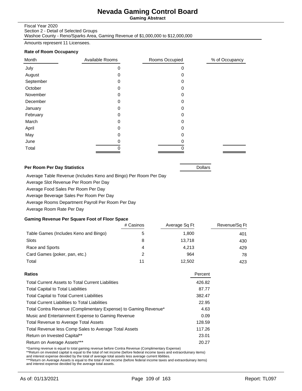**Gaming Abstract**

#### Fiscal Year 2020

Section 2 - Detail of Selected Groups Washoe County - Reno/Sparks Area, Gaming Revenue of \$1,000,000 to \$12,000,000

Amounts represent 11 Licensees.

#### **Rate of Room Occupancy**

| Month     | Available Rooms | Rooms Occupied | % of Occupancy |
|-----------|-----------------|----------------|----------------|
| July      | 0               | 0              |                |
| August    | Ω               | 0              |                |
| September | 0               | 0              |                |
| October   | Ω               | 0              |                |
| November  | 0               | 0              |                |
| December  | 0               | 0              |                |
| January   | 0               | 0              |                |
| February  | 0               | 0              |                |
| March     | 0               | 0              |                |
| April     | 0               | 0              |                |
| May       | O               | 0              |                |
| June      |                 |                |                |
| Total     |                 |                |                |

#### **Per Room Per Day Statistics Dollars Proposed All 2016 Dollars Dollars**

Average Table Revenue (Includes Keno and Bingo) Per Room Per Day

Average Slot Revenue Per Room Per Day

Average Food Sales Per Room Per Day

Average Beverage Sales Per Room Per Day

Average Rooms Department Payroll Per Room Per Day

Average Room Rate Per Day

### **Gaming Revenue Per Square Foot of Floor Space**

|                                       | # Casinos | Average Sq Ft | Revenue/Sq Ft |
|---------------------------------------|-----------|---------------|---------------|
| Table Games (Includes Keno and Bingo) |           | 1.800         | 401           |
| Slots                                 |           | 13.718        | 430           |
| Race and Sports                       | 4         | 4.213         | 429           |
| Card Games (poker, pan, etc.)         | っ         | 964           | 78            |
| Total                                 | 11        | 12,502        | 423           |

| Percent |
|---------|
| 426.82  |
| 87.77   |
| 382.47  |
| 22.95   |
| 4.63    |
| 0.09    |
| 128.59  |
| 117.26  |
| 23.01   |
| 20.27   |
|         |

\*Gaming revenue is equal to total gaming revenue before Contra Revenue (Complimentary Expense)

\*\*Return on invested capital is equal to the total of net income (before federal income taxes and extraorduinary items)

and interest expense devided by the total of average total assets less average current libilities.<br>\*\*\*Return on Average Assets is equal to the total of net income (before federal income taxes and extraorduinary items)<br>and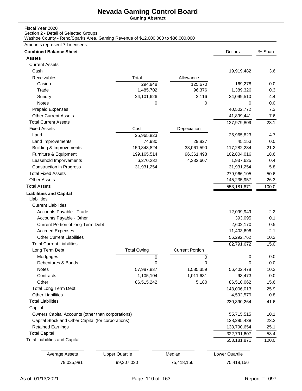**Gaming Abstract**

## Fiscal Year 2020

Section 2 - Detail of Selected Groups

Washoe County - Reno/Sparks Area, Gaming Revenue of \$12,000,000 to \$36,000,000

| Amounts represent 7 Licensees. |  |
|--------------------------------|--|
|--------------------------------|--|

| <b>Assets</b><br><b>Current Assets</b><br>Cash<br>19,919,482<br>3.6<br>Receivables<br>Total<br>Allowance<br>169,278<br>0.0<br>Casino<br>294,948<br>125,670<br>Trade<br>1,485,702<br>96,376<br>1,389,326<br>0.3<br>24,101,626<br>2,116<br>24,099,510<br>Sundry<br>4.4<br>Notes<br>0<br>0.0<br>0<br>0<br><b>Prepaid Expenses</b><br>40,502,772<br>7.3<br><b>Other Current Assets</b><br>41,899,441<br>7.6<br><b>Total Current Assets</b><br>127,979,809<br>23.1<br><b>Fixed Assets</b><br>Cost<br>Depeciation<br>Land<br>25,965,823<br>4.7<br>25,965,823<br>29,827<br>45,153<br>Land Improvements<br>74,980<br>0.0<br><b>Building &amp; Improvements</b><br>21.2<br>150,343,824<br>33,061,590<br>117,282,234<br>Furniture & Equipment<br>96,361,498<br>18.6<br>199,165,514<br>102,804,016<br>Leasehold Imporvements<br>6,270,232<br>4,332,607<br>0.4<br>1,937,625<br><b>Construction in Progress</b><br>31,931,254<br>5.8<br>31,931,254<br><b>Total Fixed Assets</b><br>279,966,105<br>50.6<br><b>Other Assets</b><br>145,235,957<br>26.3<br><b>Total Assets</b><br>553,181,871<br>100.0<br><b>Liabilities and Capital</b><br>Liabilities<br><b>Current Liabilities</b><br>Accounts Payable - Trade<br>2.2<br>12,099,949<br>Accounts Payable - Other<br>393,095<br>0.1<br>Current Portion of long Term Debt<br>2,602,170<br>0.5<br><b>Accrued Expenses</b><br>11,403,696<br>2.1<br><b>Other Current Liabilities</b><br>56,292,762<br>10.2<br><b>Total Current Liabilities</b><br>82,791,672<br>15.0<br>Long Term Debt<br><b>Total Owing</b><br><b>Current Portion</b><br>Mortgages<br>0<br>0.0<br>0<br>0<br>Debentures & Bonds<br>0<br>0.0<br>0<br>0<br><b>Notes</b><br>57,987,837<br>1,585,359<br>56,402,478<br>10.2<br>1,105,104<br>1,011,631<br>Contracts<br>93,473<br>0.0<br>Other<br>86,515,242<br>5,180<br>15.6<br>86,510,062<br><b>Total Long Term Debt</b><br>143,006,013<br>25.9<br><b>Other Liabilities</b><br>4,592,579<br>0.8<br><b>Total Liabilities</b><br>230,390,264<br>41.6<br>Capital<br>Owners Capital Accounts (other than corporations)<br>55,715,515<br>10.1<br>Capital Stock and Other Capital (for corporations)<br>23.2<br>128,285,438<br><b>Retained Earnings</b><br>25.1<br>138,790,654<br><b>Total Capital</b><br>322,791,607<br>58.4<br><b>Total Liabilities and Capital</b><br>553,181,871<br>100.0<br>Median<br><b>Upper Quartile</b><br>Lower Quartile<br><b>Average Assets</b><br>99,307,030<br>79,025,981<br>75,418,156<br>75,418,156 | <b>Combined Balance Sheet</b> |  | <b>Dollars</b> | % Share |
|-----------------------------------------------------------------------------------------------------------------------------------------------------------------------------------------------------------------------------------------------------------------------------------------------------------------------------------------------------------------------------------------------------------------------------------------------------------------------------------------------------------------------------------------------------------------------------------------------------------------------------------------------------------------------------------------------------------------------------------------------------------------------------------------------------------------------------------------------------------------------------------------------------------------------------------------------------------------------------------------------------------------------------------------------------------------------------------------------------------------------------------------------------------------------------------------------------------------------------------------------------------------------------------------------------------------------------------------------------------------------------------------------------------------------------------------------------------------------------------------------------------------------------------------------------------------------------------------------------------------------------------------------------------------------------------------------------------------------------------------------------------------------------------------------------------------------------------------------------------------------------------------------------------------------------------------------------------------------------------------------------------------------------------------------------------------------------------------------------------------------------------------------------------------------------------------------------------------------------------------------------------------------------------------------------------------------------------------------------------------------------------------------------------------------------------------------------------------------|-------------------------------|--|----------------|---------|
|                                                                                                                                                                                                                                                                                                                                                                                                                                                                                                                                                                                                                                                                                                                                                                                                                                                                                                                                                                                                                                                                                                                                                                                                                                                                                                                                                                                                                                                                                                                                                                                                                                                                                                                                                                                                                                                                                                                                                                                                                                                                                                                                                                                                                                                                                                                                                                                                                                                                       |                               |  |                |         |
|                                                                                                                                                                                                                                                                                                                                                                                                                                                                                                                                                                                                                                                                                                                                                                                                                                                                                                                                                                                                                                                                                                                                                                                                                                                                                                                                                                                                                                                                                                                                                                                                                                                                                                                                                                                                                                                                                                                                                                                                                                                                                                                                                                                                                                                                                                                                                                                                                                                                       |                               |  |                |         |
|                                                                                                                                                                                                                                                                                                                                                                                                                                                                                                                                                                                                                                                                                                                                                                                                                                                                                                                                                                                                                                                                                                                                                                                                                                                                                                                                                                                                                                                                                                                                                                                                                                                                                                                                                                                                                                                                                                                                                                                                                                                                                                                                                                                                                                                                                                                                                                                                                                                                       |                               |  |                |         |
|                                                                                                                                                                                                                                                                                                                                                                                                                                                                                                                                                                                                                                                                                                                                                                                                                                                                                                                                                                                                                                                                                                                                                                                                                                                                                                                                                                                                                                                                                                                                                                                                                                                                                                                                                                                                                                                                                                                                                                                                                                                                                                                                                                                                                                                                                                                                                                                                                                                                       |                               |  |                |         |
|                                                                                                                                                                                                                                                                                                                                                                                                                                                                                                                                                                                                                                                                                                                                                                                                                                                                                                                                                                                                                                                                                                                                                                                                                                                                                                                                                                                                                                                                                                                                                                                                                                                                                                                                                                                                                                                                                                                                                                                                                                                                                                                                                                                                                                                                                                                                                                                                                                                                       |                               |  |                |         |
|                                                                                                                                                                                                                                                                                                                                                                                                                                                                                                                                                                                                                                                                                                                                                                                                                                                                                                                                                                                                                                                                                                                                                                                                                                                                                                                                                                                                                                                                                                                                                                                                                                                                                                                                                                                                                                                                                                                                                                                                                                                                                                                                                                                                                                                                                                                                                                                                                                                                       |                               |  |                |         |
|                                                                                                                                                                                                                                                                                                                                                                                                                                                                                                                                                                                                                                                                                                                                                                                                                                                                                                                                                                                                                                                                                                                                                                                                                                                                                                                                                                                                                                                                                                                                                                                                                                                                                                                                                                                                                                                                                                                                                                                                                                                                                                                                                                                                                                                                                                                                                                                                                                                                       |                               |  |                |         |
|                                                                                                                                                                                                                                                                                                                                                                                                                                                                                                                                                                                                                                                                                                                                                                                                                                                                                                                                                                                                                                                                                                                                                                                                                                                                                                                                                                                                                                                                                                                                                                                                                                                                                                                                                                                                                                                                                                                                                                                                                                                                                                                                                                                                                                                                                                                                                                                                                                                                       |                               |  |                |         |
|                                                                                                                                                                                                                                                                                                                                                                                                                                                                                                                                                                                                                                                                                                                                                                                                                                                                                                                                                                                                                                                                                                                                                                                                                                                                                                                                                                                                                                                                                                                                                                                                                                                                                                                                                                                                                                                                                                                                                                                                                                                                                                                                                                                                                                                                                                                                                                                                                                                                       |                               |  |                |         |
|                                                                                                                                                                                                                                                                                                                                                                                                                                                                                                                                                                                                                                                                                                                                                                                                                                                                                                                                                                                                                                                                                                                                                                                                                                                                                                                                                                                                                                                                                                                                                                                                                                                                                                                                                                                                                                                                                                                                                                                                                                                                                                                                                                                                                                                                                                                                                                                                                                                                       |                               |  |                |         |
|                                                                                                                                                                                                                                                                                                                                                                                                                                                                                                                                                                                                                                                                                                                                                                                                                                                                                                                                                                                                                                                                                                                                                                                                                                                                                                                                                                                                                                                                                                                                                                                                                                                                                                                                                                                                                                                                                                                                                                                                                                                                                                                                                                                                                                                                                                                                                                                                                                                                       |                               |  |                |         |
|                                                                                                                                                                                                                                                                                                                                                                                                                                                                                                                                                                                                                                                                                                                                                                                                                                                                                                                                                                                                                                                                                                                                                                                                                                                                                                                                                                                                                                                                                                                                                                                                                                                                                                                                                                                                                                                                                                                                                                                                                                                                                                                                                                                                                                                                                                                                                                                                                                                                       |                               |  |                |         |
|                                                                                                                                                                                                                                                                                                                                                                                                                                                                                                                                                                                                                                                                                                                                                                                                                                                                                                                                                                                                                                                                                                                                                                                                                                                                                                                                                                                                                                                                                                                                                                                                                                                                                                                                                                                                                                                                                                                                                                                                                                                                                                                                                                                                                                                                                                                                                                                                                                                                       |                               |  |                |         |
|                                                                                                                                                                                                                                                                                                                                                                                                                                                                                                                                                                                                                                                                                                                                                                                                                                                                                                                                                                                                                                                                                                                                                                                                                                                                                                                                                                                                                                                                                                                                                                                                                                                                                                                                                                                                                                                                                                                                                                                                                                                                                                                                                                                                                                                                                                                                                                                                                                                                       |                               |  |                |         |
|                                                                                                                                                                                                                                                                                                                                                                                                                                                                                                                                                                                                                                                                                                                                                                                                                                                                                                                                                                                                                                                                                                                                                                                                                                                                                                                                                                                                                                                                                                                                                                                                                                                                                                                                                                                                                                                                                                                                                                                                                                                                                                                                                                                                                                                                                                                                                                                                                                                                       |                               |  |                |         |
|                                                                                                                                                                                                                                                                                                                                                                                                                                                                                                                                                                                                                                                                                                                                                                                                                                                                                                                                                                                                                                                                                                                                                                                                                                                                                                                                                                                                                                                                                                                                                                                                                                                                                                                                                                                                                                                                                                                                                                                                                                                                                                                                                                                                                                                                                                                                                                                                                                                                       |                               |  |                |         |
|                                                                                                                                                                                                                                                                                                                                                                                                                                                                                                                                                                                                                                                                                                                                                                                                                                                                                                                                                                                                                                                                                                                                                                                                                                                                                                                                                                                                                                                                                                                                                                                                                                                                                                                                                                                                                                                                                                                                                                                                                                                                                                                                                                                                                                                                                                                                                                                                                                                                       |                               |  |                |         |
|                                                                                                                                                                                                                                                                                                                                                                                                                                                                                                                                                                                                                                                                                                                                                                                                                                                                                                                                                                                                                                                                                                                                                                                                                                                                                                                                                                                                                                                                                                                                                                                                                                                                                                                                                                                                                                                                                                                                                                                                                                                                                                                                                                                                                                                                                                                                                                                                                                                                       |                               |  |                |         |
|                                                                                                                                                                                                                                                                                                                                                                                                                                                                                                                                                                                                                                                                                                                                                                                                                                                                                                                                                                                                                                                                                                                                                                                                                                                                                                                                                                                                                                                                                                                                                                                                                                                                                                                                                                                                                                                                                                                                                                                                                                                                                                                                                                                                                                                                                                                                                                                                                                                                       |                               |  |                |         |
|                                                                                                                                                                                                                                                                                                                                                                                                                                                                                                                                                                                                                                                                                                                                                                                                                                                                                                                                                                                                                                                                                                                                                                                                                                                                                                                                                                                                                                                                                                                                                                                                                                                                                                                                                                                                                                                                                                                                                                                                                                                                                                                                                                                                                                                                                                                                                                                                                                                                       |                               |  |                |         |
|                                                                                                                                                                                                                                                                                                                                                                                                                                                                                                                                                                                                                                                                                                                                                                                                                                                                                                                                                                                                                                                                                                                                                                                                                                                                                                                                                                                                                                                                                                                                                                                                                                                                                                                                                                                                                                                                                                                                                                                                                                                                                                                                                                                                                                                                                                                                                                                                                                                                       |                               |  |                |         |
|                                                                                                                                                                                                                                                                                                                                                                                                                                                                                                                                                                                                                                                                                                                                                                                                                                                                                                                                                                                                                                                                                                                                                                                                                                                                                                                                                                                                                                                                                                                                                                                                                                                                                                                                                                                                                                                                                                                                                                                                                                                                                                                                                                                                                                                                                                                                                                                                                                                                       |                               |  |                |         |
|                                                                                                                                                                                                                                                                                                                                                                                                                                                                                                                                                                                                                                                                                                                                                                                                                                                                                                                                                                                                                                                                                                                                                                                                                                                                                                                                                                                                                                                                                                                                                                                                                                                                                                                                                                                                                                                                                                                                                                                                                                                                                                                                                                                                                                                                                                                                                                                                                                                                       |                               |  |                |         |
|                                                                                                                                                                                                                                                                                                                                                                                                                                                                                                                                                                                                                                                                                                                                                                                                                                                                                                                                                                                                                                                                                                                                                                                                                                                                                                                                                                                                                                                                                                                                                                                                                                                                                                                                                                                                                                                                                                                                                                                                                                                                                                                                                                                                                                                                                                                                                                                                                                                                       |                               |  |                |         |
|                                                                                                                                                                                                                                                                                                                                                                                                                                                                                                                                                                                                                                                                                                                                                                                                                                                                                                                                                                                                                                                                                                                                                                                                                                                                                                                                                                                                                                                                                                                                                                                                                                                                                                                                                                                                                                                                                                                                                                                                                                                                                                                                                                                                                                                                                                                                                                                                                                                                       |                               |  |                |         |
|                                                                                                                                                                                                                                                                                                                                                                                                                                                                                                                                                                                                                                                                                                                                                                                                                                                                                                                                                                                                                                                                                                                                                                                                                                                                                                                                                                                                                                                                                                                                                                                                                                                                                                                                                                                                                                                                                                                                                                                                                                                                                                                                                                                                                                                                                                                                                                                                                                                                       |                               |  |                |         |
|                                                                                                                                                                                                                                                                                                                                                                                                                                                                                                                                                                                                                                                                                                                                                                                                                                                                                                                                                                                                                                                                                                                                                                                                                                                                                                                                                                                                                                                                                                                                                                                                                                                                                                                                                                                                                                                                                                                                                                                                                                                                                                                                                                                                                                                                                                                                                                                                                                                                       |                               |  |                |         |
|                                                                                                                                                                                                                                                                                                                                                                                                                                                                                                                                                                                                                                                                                                                                                                                                                                                                                                                                                                                                                                                                                                                                                                                                                                                                                                                                                                                                                                                                                                                                                                                                                                                                                                                                                                                                                                                                                                                                                                                                                                                                                                                                                                                                                                                                                                                                                                                                                                                                       |                               |  |                |         |
|                                                                                                                                                                                                                                                                                                                                                                                                                                                                                                                                                                                                                                                                                                                                                                                                                                                                                                                                                                                                                                                                                                                                                                                                                                                                                                                                                                                                                                                                                                                                                                                                                                                                                                                                                                                                                                                                                                                                                                                                                                                                                                                                                                                                                                                                                                                                                                                                                                                                       |                               |  |                |         |
|                                                                                                                                                                                                                                                                                                                                                                                                                                                                                                                                                                                                                                                                                                                                                                                                                                                                                                                                                                                                                                                                                                                                                                                                                                                                                                                                                                                                                                                                                                                                                                                                                                                                                                                                                                                                                                                                                                                                                                                                                                                                                                                                                                                                                                                                                                                                                                                                                                                                       |                               |  |                |         |
|                                                                                                                                                                                                                                                                                                                                                                                                                                                                                                                                                                                                                                                                                                                                                                                                                                                                                                                                                                                                                                                                                                                                                                                                                                                                                                                                                                                                                                                                                                                                                                                                                                                                                                                                                                                                                                                                                                                                                                                                                                                                                                                                                                                                                                                                                                                                                                                                                                                                       |                               |  |                |         |
|                                                                                                                                                                                                                                                                                                                                                                                                                                                                                                                                                                                                                                                                                                                                                                                                                                                                                                                                                                                                                                                                                                                                                                                                                                                                                                                                                                                                                                                                                                                                                                                                                                                                                                                                                                                                                                                                                                                                                                                                                                                                                                                                                                                                                                                                                                                                                                                                                                                                       |                               |  |                |         |
|                                                                                                                                                                                                                                                                                                                                                                                                                                                                                                                                                                                                                                                                                                                                                                                                                                                                                                                                                                                                                                                                                                                                                                                                                                                                                                                                                                                                                                                                                                                                                                                                                                                                                                                                                                                                                                                                                                                                                                                                                                                                                                                                                                                                                                                                                                                                                                                                                                                                       |                               |  |                |         |
|                                                                                                                                                                                                                                                                                                                                                                                                                                                                                                                                                                                                                                                                                                                                                                                                                                                                                                                                                                                                                                                                                                                                                                                                                                                                                                                                                                                                                                                                                                                                                                                                                                                                                                                                                                                                                                                                                                                                                                                                                                                                                                                                                                                                                                                                                                                                                                                                                                                                       |                               |  |                |         |
|                                                                                                                                                                                                                                                                                                                                                                                                                                                                                                                                                                                                                                                                                                                                                                                                                                                                                                                                                                                                                                                                                                                                                                                                                                                                                                                                                                                                                                                                                                                                                                                                                                                                                                                                                                                                                                                                                                                                                                                                                                                                                                                                                                                                                                                                                                                                                                                                                                                                       |                               |  |                |         |
|                                                                                                                                                                                                                                                                                                                                                                                                                                                                                                                                                                                                                                                                                                                                                                                                                                                                                                                                                                                                                                                                                                                                                                                                                                                                                                                                                                                                                                                                                                                                                                                                                                                                                                                                                                                                                                                                                                                                                                                                                                                                                                                                                                                                                                                                                                                                                                                                                                                                       |                               |  |                |         |
|                                                                                                                                                                                                                                                                                                                                                                                                                                                                                                                                                                                                                                                                                                                                                                                                                                                                                                                                                                                                                                                                                                                                                                                                                                                                                                                                                                                                                                                                                                                                                                                                                                                                                                                                                                                                                                                                                                                                                                                                                                                                                                                                                                                                                                                                                                                                                                                                                                                                       |                               |  |                |         |
|                                                                                                                                                                                                                                                                                                                                                                                                                                                                                                                                                                                                                                                                                                                                                                                                                                                                                                                                                                                                                                                                                                                                                                                                                                                                                                                                                                                                                                                                                                                                                                                                                                                                                                                                                                                                                                                                                                                                                                                                                                                                                                                                                                                                                                                                                                                                                                                                                                                                       |                               |  |                |         |
|                                                                                                                                                                                                                                                                                                                                                                                                                                                                                                                                                                                                                                                                                                                                                                                                                                                                                                                                                                                                                                                                                                                                                                                                                                                                                                                                                                                                                                                                                                                                                                                                                                                                                                                                                                                                                                                                                                                                                                                                                                                                                                                                                                                                                                                                                                                                                                                                                                                                       |                               |  |                |         |
|                                                                                                                                                                                                                                                                                                                                                                                                                                                                                                                                                                                                                                                                                                                                                                                                                                                                                                                                                                                                                                                                                                                                                                                                                                                                                                                                                                                                                                                                                                                                                                                                                                                                                                                                                                                                                                                                                                                                                                                                                                                                                                                                                                                                                                                                                                                                                                                                                                                                       |                               |  |                |         |
|                                                                                                                                                                                                                                                                                                                                                                                                                                                                                                                                                                                                                                                                                                                                                                                                                                                                                                                                                                                                                                                                                                                                                                                                                                                                                                                                                                                                                                                                                                                                                                                                                                                                                                                                                                                                                                                                                                                                                                                                                                                                                                                                                                                                                                                                                                                                                                                                                                                                       |                               |  |                |         |
|                                                                                                                                                                                                                                                                                                                                                                                                                                                                                                                                                                                                                                                                                                                                                                                                                                                                                                                                                                                                                                                                                                                                                                                                                                                                                                                                                                                                                                                                                                                                                                                                                                                                                                                                                                                                                                                                                                                                                                                                                                                                                                                                                                                                                                                                                                                                                                                                                                                                       |                               |  |                |         |
|                                                                                                                                                                                                                                                                                                                                                                                                                                                                                                                                                                                                                                                                                                                                                                                                                                                                                                                                                                                                                                                                                                                                                                                                                                                                                                                                                                                                                                                                                                                                                                                                                                                                                                                                                                                                                                                                                                                                                                                                                                                                                                                                                                                                                                                                                                                                                                                                                                                                       |                               |  |                |         |
|                                                                                                                                                                                                                                                                                                                                                                                                                                                                                                                                                                                                                                                                                                                                                                                                                                                                                                                                                                                                                                                                                                                                                                                                                                                                                                                                                                                                                                                                                                                                                                                                                                                                                                                                                                                                                                                                                                                                                                                                                                                                                                                                                                                                                                                                                                                                                                                                                                                                       |                               |  |                |         |
|                                                                                                                                                                                                                                                                                                                                                                                                                                                                                                                                                                                                                                                                                                                                                                                                                                                                                                                                                                                                                                                                                                                                                                                                                                                                                                                                                                                                                                                                                                                                                                                                                                                                                                                                                                                                                                                                                                                                                                                                                                                                                                                                                                                                                                                                                                                                                                                                                                                                       |                               |  |                |         |
|                                                                                                                                                                                                                                                                                                                                                                                                                                                                                                                                                                                                                                                                                                                                                                                                                                                                                                                                                                                                                                                                                                                                                                                                                                                                                                                                                                                                                                                                                                                                                                                                                                                                                                                                                                                                                                                                                                                                                                                                                                                                                                                                                                                                                                                                                                                                                                                                                                                                       |                               |  |                |         |
|                                                                                                                                                                                                                                                                                                                                                                                                                                                                                                                                                                                                                                                                                                                                                                                                                                                                                                                                                                                                                                                                                                                                                                                                                                                                                                                                                                                                                                                                                                                                                                                                                                                                                                                                                                                                                                                                                                                                                                                                                                                                                                                                                                                                                                                                                                                                                                                                                                                                       |                               |  |                |         |
|                                                                                                                                                                                                                                                                                                                                                                                                                                                                                                                                                                                                                                                                                                                                                                                                                                                                                                                                                                                                                                                                                                                                                                                                                                                                                                                                                                                                                                                                                                                                                                                                                                                                                                                                                                                                                                                                                                                                                                                                                                                                                                                                                                                                                                                                                                                                                                                                                                                                       |                               |  |                |         |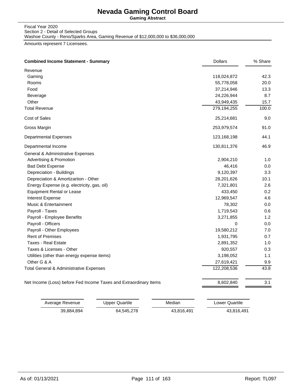**Gaming Abstract**

Fiscal Year 2020 Section 2 - Detail of Selected Groups

Washoe County - Reno/Sparks Area, Gaming Revenue of \$12,000,000 to \$36,000,000

Amounts represent 7 Licensees.

| <b>Combined Income Statement - Summary</b>                        | <b>Dollars</b> | % Share |
|-------------------------------------------------------------------|----------------|---------|
| Revenue                                                           |                |         |
| Gaming                                                            | 118,024,872    | 42.3    |
| Rooms                                                             | 55,778,058     | 20.0    |
| Food                                                              | 37,214,946     | 13.3    |
| Beverage                                                          | 24,226,944     | 8.7     |
| Other                                                             | 43,949,435     | 15.7    |
| <b>Total Revenue</b>                                              | 279,194,255    | 100.0   |
| Cost of Sales                                                     | 25,214,681     | 9.0     |
| Gross Margin                                                      | 253,979,574    | 91.0    |
| <b>Departmental Expenses</b>                                      | 123,168,198    | 44.1    |
| Departmental Income                                               | 130,811,376    | 46.9    |
| General & Administrative Expenses                                 |                |         |
| <b>Advertising &amp; Promotion</b>                                | 2,904,210      | 1.0     |
| <b>Bad Debt Expense</b>                                           | 46,416         | 0.0     |
| Depreciation - Buildings                                          | 9,120,397      | 3.3     |
| Depreciation & Amortizartion - Other                              | 28,201,626     | 10.1    |
| Energy Expense (e.g. electricity, gas, oil)                       | 7,321,801      | 2.6     |
| <b>Equipment Rental or Lease</b>                                  | 433,450        | 0.2     |
| <b>Interest Expense</b>                                           | 12,969,547     | 4.6     |
| Music & Entertainment                                             | 78,302         | 0.0     |
| Payroll - Taxes                                                   | 1,719,543      | 0.6     |
| Payroll - Employee Benefits                                       | 3,271,855      | 1.2     |
| Payroll - Officers                                                | 0              | 0.0     |
| Payroll - Other Employees                                         | 19,580,212     | 7.0     |
| <b>Rent of Premises</b>                                           | 1,931,795      | 0.7     |
| <b>Taxes - Real Estate</b>                                        | 2,891,352      | 1.0     |
| Taxes & Licenses - Other                                          | 920,557        | 0.3     |
| Utilities (other than energy expense items)                       | 3,198,052      | 1.1     |
| Other G & A                                                       | 27,619,421     | 9.9     |
| Total General & Administrative Expenses                           | 122,208,536    | 43.8    |
| Net Income (Loss) before Fed Income Taxes and Extraordinary Items | 8,602,840      | 3.1     |

| Average Revenue | Upper Quartile | Median     | Lower Quartile |
|-----------------|----------------|------------|----------------|
| 39.884.894      | 64.545.278     | 43,816,491 | 43.816.491     |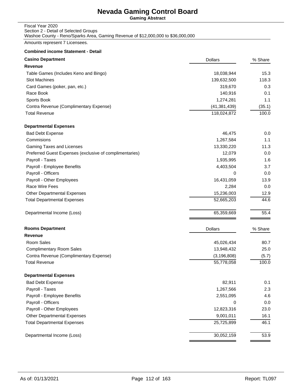**Gaming Abstract**

#### Fiscal Year 2020 Section 2 - Detail of Selected Groups Washoe County - Reno/Sparks Area, Gaming Revenue of \$12,000,000 to \$36,000,000

Amounts represent 7 Licensees.

| <b>Casino Department</b>                                | <b>Dollars</b> | % Share |
|---------------------------------------------------------|----------------|---------|
| <b>Revenue</b>                                          |                |         |
| Table Games (Includes Keno and Bingo)                   | 18,038,944     | 15.3    |
| Slot Machines                                           | 139,632,500    | 118.3   |
| Card Games (poker, pan, etc.)                           | 319,670        | 0.3     |
| Race Book                                               | 140,916        | 0.1     |
| Sports Book                                             | 1,274,281      | 1.1     |
| Contra Revenue (Complimentary Expense)                  | (41, 381, 439) | (35.1)  |
| <b>Total Revenue</b>                                    | 118,024,872    | 100.0   |
| <b>Departmental Expenses</b>                            |                |         |
| <b>Bad Debt Expense</b>                                 | 46,475         | 0.0     |
| Commisions                                              | 1,267,584      | 1.1     |
| Gaming Taxes and Licenses                               | 13,330,220     | 11.3    |
| Preferred Guest Expenses (exclusive of complimentaries) | 12,079         | 0.0     |
| Payroll - Taxes                                         | 1,935,995      | 1.6     |
| Payroll - Employee Benefits                             | 4,403,504      | 3.7     |
| Payroll - Officers                                      | 0              | 0.0     |
| Payroll - Other Employees                               | 16,431,059     | 13.9    |
| Race Wire Fees                                          | 2,284          | 0.0     |
| Other Departmental Expenses                             | 15,236,003     | 12.9    |
| <b>Total Departmental Expenses</b>                      | 52,665,203     | 44.6    |
| Departmental Income (Loss)                              | 65,359,669     | 55.4    |
| <b>Rooms Department</b>                                 | <b>Dollars</b> | % Share |
| <b>Revenue</b>                                          |                |         |
| Room Sales                                              | 45,026,434     | 80.7    |
| <b>Complimentary Room Sales</b>                         | 13,948,432     | 25.0    |
| Contra Revenue (Complimentary Expense)                  | (3, 196, 808)  | (5.7)   |
| <b>Total Revenue</b>                                    | 55,778,058     | 100.0   |
| <b>Departmental Expenses</b>                            |                |         |
| <b>Bad Debt Expense</b>                                 | 82,911         | 0.1     |
| Payroll - Taxes                                         | 1,267,566      | 2.3     |
| Payroll - Employee Benefits                             | 2,551,095      | 4.6     |
| Payroll - Officers                                      | 0              | 0.0     |
| Payroll - Other Employees                               | 12,823,316     | 23.0    |
| Other Departmental Expenses                             | 9,001,011      | 16.1    |
| <b>Total Departmental Expenses</b>                      | 25,725,899     | 46.1    |
| Departmental Income (Loss)                              | 30,052,159     | 53.9    |
|                                                         |                |         |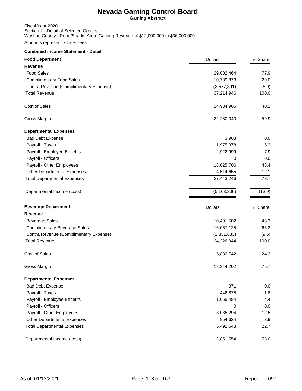**Gaming Abstract**

#### Fiscal Year 2020 Section 2 - Detail of Selected Groups Washoe County - Reno/Sparks Area, Gaming Revenue of \$12,000,000 to \$36,000,000

Amounts represent 7 Licensees.

| <b>Food Department</b>                 | <b>Dollars</b> | % Share |
|----------------------------------------|----------------|---------|
| Revenue                                |                |         |
| <b>Food Sales</b>                      | 29,002,464     | 77.9    |
| <b>Complimentary Food Sales</b>        | 10,789,873     | 29.0    |
| Contra Revenue (Complimentary Expense) | (2,577,391)    | (6.9)   |
| <b>Total Revenue</b>                   | 37,214,946     | 100.0   |
| Cost of Sales                          | 14,934,906     | 40.1    |
| Gross Margin                           | 22,280,040     | 59.9    |
| <b>Departmental Expenses</b>           |                |         |
| <b>Bad Debt Expense</b>                | 3,908          | 0.0     |
| Payroll - Taxes                        | 1,975,978      | 5.3     |
| Payroll - Employee Benefits            | 2,922,999      | 7.9     |
| Payroll - Officers                     | 0              | 0.0     |
| Payroll - Other Employees              | 18,025,706     | 48.4    |
| <b>Other Departmental Expenses</b>     | 4,514,655      | 12.1    |
| <b>Total Departmental Expenses</b>     | 27,443,246     | 73.7    |
| Departmental Income (Loss)             | (5, 163, 206)  | (13.9)  |
| <b>Beverage Department</b>             | <b>Dollars</b> | % Share |
| <b>Revenue</b>                         |                |         |
| <b>Beverage Sales</b>                  | 10,491,502     | 43.3    |
| <b>Complimentary Beverage Sales</b>    | 16,067,125     | 66.3    |
| Contra Revenue (Complimentary Expense) | (2,331,683)    | (9.6)   |
| <b>Total Revenue</b>                   | 24,226,944     | 100.0   |
| Cost of Sales                          | 5,882,742      | 24.3    |
| Gross Margin                           | 18,344,202     | 75.7    |
| <b>Departmental Expenses</b>           |                |         |
| <b>Bad Debt Expense</b>                | 371            | 0.0     |
| Payroll - Taxes                        | 446,875        | 1.8     |
| Payroll - Employee Benefits            | 1,055,484      | 4.4     |
| Payroll - Officers                     | 0              | 0.0     |
| Payroll - Other Employees              | 3,035,294      | 12.5    |
| Other Departmental Expenses            | 954,624        | 3.9     |
| <b>Total Departmental Expenses</b>     | 5,492,648      | 22.7    |
| Departmental Income (Loss)             | 12,851,554     | 53.0    |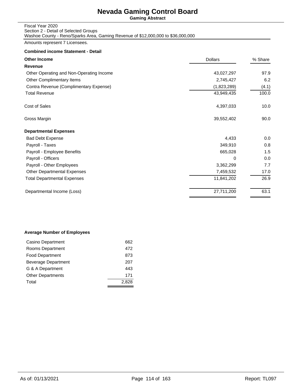**Gaming Abstract**

#### Fiscal Year 2020 Section 2 - Detail of Selected Groups Washoe County - Reno/Sparks Area, Gaming Revenue of \$12,000,000 to \$36,000,000

Amounts represent 7 Licensees.

#### **Combined income Statement - Detail**

| <b>Dollars</b> | % Share |
|----------------|---------|
|                |         |
| 43,027,297     | 97.9    |
| 2,745,427      | 6.2     |
| (1,823,289)    | (4.1)   |
| 43,949,435     | 100.0   |
| 4,397,033      | 10.0    |
| 39,552,402     | 90.0    |
|                |         |
| 4,433          | 0.0     |
| 349,910        | 0.8     |
| 665,028        | 1.5     |
| 0              | 0.0     |
| 3,362,299      | 7.7     |
| 7,459,532      | 17.0    |
| 11,841,202     | 26.9    |
| 27,711,200     | 63.1    |
|                |         |

#### **Average Number of Employees**

| Casino Department        | 662 |
|--------------------------|-----|
| Rooms Department         | 472 |
| <b>Food Department</b>   | 873 |
| Beverage Department      | 207 |
| G & A Department         | 443 |
| <b>Other Departments</b> | 171 |
| Total                    |     |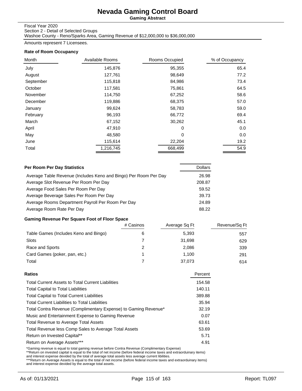**Gaming Abstract**

#### Fiscal Year 2020

Section 2 - Detail of Selected Groups Washoe County - Reno/Sparks Area, Gaming Revenue of \$12,000,000 to \$36,000,000

Amounts represent 7 Licensees.

#### **Rate of Room Occupancy**

| Month     | Available Rooms | Rooms Occupied | % of Occupancy |
|-----------|-----------------|----------------|----------------|
| July      | 145,876         | 95,355         | 65.4           |
| August    | 127,761         | 98,649         | 77.2           |
| September | 115,818         | 84,986         | 73.4           |
| October   | 117,581         | 75,861         | 64.5           |
| November  | 114,750         | 67,252         | 58.6           |
| December  | 119,886         | 68,375         | 57.0           |
| January   | 99,624          | 58,783         | 59.0           |
| February  | 96,193          | 66,772         | 69.4           |
| March     | 67,152          | 30,262         | 45.1           |
| April     | 47,910          | 0              | 0.0            |
| May       | 48,580          | 0              | 0.0            |
| June      | 115,614         | 22,204         | 19.2           |
| Total     | 1,216,745       | 668,499        | 54.9           |

| Per Room Per Day Statistics                                      | <b>Dollars</b> |
|------------------------------------------------------------------|----------------|
| Average Table Revenue (Includes Keno and Bingo) Per Room Per Day | 26.98          |
| Average Slot Revenue Per Room Per Day                            | 208.87         |
| Average Food Sales Per Room Per Day                              | 59.52          |
| Average Beverage Sales Per Room Per Day                          | 39.73          |
| Average Rooms Department Payroll Per Room Per Day                | 24.89          |
| Average Room Rate Per Day                                        | 88.22          |

### **Gaming Revenue Per Square Foot of Floor Space**

|                                       | # Casinos | Average Sq Ft | Revenue/Sq Ft |
|---------------------------------------|-----------|---------------|---------------|
| Table Games (Includes Keno and Bingo) | 6         | 5.393         | 557           |
| <b>Slots</b>                          |           | 31,698        | 629           |
| Race and Sports                       |           | 2,086         | 339           |
| Card Games (poker, pan, etc.)         |           | 1.100         | 291           |
| Total                                 |           | 37,073        | 614           |

| Ratios                                                          | Percent |
|-----------------------------------------------------------------|---------|
| <b>Total Current Assets to Total Current Liabilities</b>        | 154.58  |
| <b>Total Capital to Total Liabilities</b>                       | 140.11  |
| <b>Total Capital to Total Current Liabilities</b>               | 389.88  |
| <b>Total Current Liabilities to Total Liabilities</b>           | 35.94   |
| Total Contra Revenue (Complimentary Expense) to Gaming Revenue* | 32.19   |
| Music and Entertainment Expense to Gaming Revenue               | 0.07    |
| <b>Total Revenue to Average Total Assets</b>                    | 63.61   |
| Total Revenue less Comp Sales to Average Total Assets           | 53.69   |
| Return on Invested Capital**                                    | 5.71    |
| Return on Average Assets***                                     | 4.91    |
|                                                                 |         |

\*Gaming revenue is equal to total gaming revenue before Contra Revenue (Complimentary Expense)<br>\*\*Return on invested capital is equal to the total of net income (before federal income taxes and extraorduinary items)<br>and int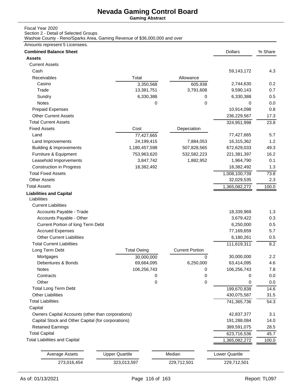**Gaming Abstract**

## Fiscal Year 2020

Section 2 - Detail of Selected Groups

Washoe County - Reno/Sparks Area, Gaming Revenue of \$36,000,000 and over

## Amounts represent 5 Licensees.

| <b>Combined Balance Sheet</b>                      |                       |                        | <b>Dollars</b>        | % Share |
|----------------------------------------------------|-----------------------|------------------------|-----------------------|---------|
| <b>Assets</b>                                      |                       |                        |                       |         |
| <b>Current Assets</b>                              |                       |                        |                       |         |
| Cash                                               |                       |                        | 59,143,172            | 4.3     |
| Receivables                                        | Total                 | Allowance              |                       |         |
| Casino                                             | 3,350,568             | 605,938                | 2,744,630             | 0.2     |
| Trade                                              | 13,381,751            | 3,791,608              | 9,590,143             | 0.7     |
| Sundry                                             | 6,330,388             | 0                      | 6,330,388             | 0.5     |
| Notes                                              | 0                     | 0                      | 0                     | 0.0     |
| Prepaid Expenses                                   |                       |                        | 10,914,098            | 0.8     |
| <b>Other Current Assets</b>                        |                       |                        | 236,229,567           | 17.3    |
| <b>Total Current Assets</b>                        |                       |                        | 324,951,998           | 23.8    |
| <b>Fixed Assets</b>                                | Cost                  | Depeciation            |                       |         |
| Land                                               | 77,427,665            |                        | 77,427,665            | 5.7     |
| Land Improvements                                  | 24,199,415            | 7,884,053              | 16,315,362            | 1.2     |
| <b>Building &amp; Improvements</b>                 | 1,180,457,598         | 507,828,565            | 672,629,033           | 49.3    |
| Furniture & Equipment                              | 753,963,620           | 532,582,223            | 221,381,397           | 16.2    |
| Leasehold Imporvements                             | 3,847,742             | 1,882,952              | 1,964,790             | 0.1     |
| <b>Construction in Progress</b>                    | 18,382,492            |                        | 18,382,492            | 1.3     |
| <b>Total Fixed Assets</b>                          |                       |                        | 1,008,100,739         | 73.8    |
| <b>Other Assets</b>                                |                       |                        | 32,029,535            | 2.3     |
| <b>Total Assets</b>                                |                       |                        | 1,365,082,272         | 100.0   |
| <b>Liabilities and Capital</b><br>Liabilities      |                       |                        |                       |         |
| <b>Current Liabilities</b>                         |                       |                        |                       |         |
| Accounts Payable - Trade                           |                       |                        | 18,339,969            | 1.3     |
| Accounts Payable - Other                           |                       |                        | 3,679,422             | 0.3     |
| Current Portion of long Term Debt                  |                       |                        | 6,250,000             | 0.5     |
| <b>Accrued Expenses</b>                            |                       |                        | 77,169,659            | 5.7     |
| <b>Other Current Liabilities</b>                   |                       |                        | 6,180,261             | 0.5     |
| <b>Total Current Liabilities</b>                   |                       |                        | 111,619,311           | 8.2     |
| Long Term Debt                                     | <b>Total Owing</b>    | <b>Current Portion</b> |                       |         |
| Mortgages                                          | 30,000,000            | $\mathbf 0$            | 30,000,000            | 2.2     |
| Debentures & Bonds                                 | 69,664,095            | 6,250,000              | 63,414,095            | 4.6     |
| Notes                                              | 106,256,743           | 0                      | 106,256,743           | 7.8     |
| Contracts                                          | 0                     | 0                      | 0                     | 0.0     |
| Other                                              | 0                     | 0                      | 0                     | 0.0     |
| <b>Total Long Term Debt</b>                        |                       |                        | 199,670,838           | 14.6    |
| <b>Other Liabilities</b>                           |                       |                        | 430,075,587           | 31.5    |
| <b>Total Liabilities</b>                           |                       |                        | 741,365,736           | 54.3    |
| Capital                                            |                       |                        |                       |         |
| Owners Capital Accounts (other than corporations)  |                       |                        | 42,837,377            | 3.1     |
| Capital Stock and Other Capital (for corporations) |                       |                        | 191,288,084           | 14.0    |
| <b>Retained Earnings</b>                           |                       |                        | 389,591,075           | 28.5    |
| <b>Total Capital</b>                               |                       |                        | 623,716,536           | 45.7    |
| <b>Total Liabilities and Capital</b>               |                       |                        | 1,365,082,272         | 100.0   |
| <b>Average Assets</b>                              | <b>Upper Quartile</b> | Median                 | <b>Lower Quartile</b> |         |
| 273,016,454                                        | 323,013,597           | 229,712,501            | 229,712,501           |         |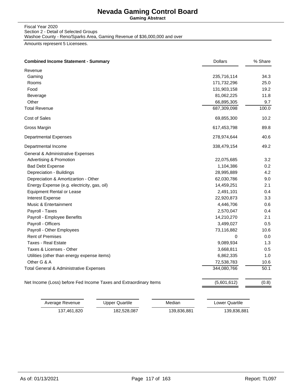**Gaming Abstract**

#### Fiscal Year 2020 Section 2 - Detail of Selected Groups Washoe County - Reno/Sparks Area, Gaming Revenue of \$36,000,000 and over

Amounts represent 5 Licensees.

| Revenue                                                           |             |       |
|-------------------------------------------------------------------|-------------|-------|
| Gaming                                                            | 235,716,114 | 34.3  |
| Rooms                                                             | 171,732,296 | 25.0  |
| Food                                                              | 131,903,158 | 19.2  |
| Beverage                                                          | 81,062,225  | 11.8  |
| Other                                                             | 66,895,305  | 9.7   |
| <b>Total Revenue</b>                                              | 687,309,098 | 100.0 |
| Cost of Sales                                                     | 69,855,300  | 10.2  |
| Gross Margin                                                      | 617,453,798 | 89.8  |
| <b>Departmental Expenses</b>                                      | 278,974,644 | 40.6  |
| Departmental Income                                               | 338,479,154 | 49.2  |
| <b>General &amp; Administrative Expenses</b>                      |             |       |
| Advertising & Promotion                                           | 22,075,685  | 3.2   |
| <b>Bad Debt Expense</b>                                           | 1,104,386   | 0.2   |
| Depreciation - Buildings                                          | 28,995,889  | 4.2   |
| Depreciation & Amortizartion - Other                              | 62,030,786  | 9.0   |
| Energy Expense (e.g. electricity, gas, oil)                       | 14,459,251  | 2.1   |
| <b>Equipment Rental or Lease</b>                                  | 2,491,101   | 0.4   |
| Interest Expense                                                  | 22,920,873  | 3.3   |
| Music & Entertainment                                             | 4,446,706   | 0.6   |
| Payroll - Taxes                                                   | 2,570,047   | 0.4   |
| Payroll - Employee Benefits                                       | 14,210,270  | 2.1   |
| Payroll - Officers                                                | 3,499,027   | 0.5   |
| Payroll - Other Employees                                         | 73,116,882  | 10.6  |
| <b>Rent of Premises</b>                                           | 0           | 0.0   |
| <b>Taxes - Real Estate</b>                                        | 9,089,934   | 1.3   |
| Taxes & Licenses - Other                                          | 3,668,811   | 0.5   |
| Utilities (other than energy expense items)                       | 6,862,335   | 1.0   |
| Other G & A                                                       | 72,538,783  | 10.6  |
| Total General & Administrative Expenses                           | 344,080,766 | 50.1  |
| Net Income (Loss) before Fed Income Taxes and Extraordinary Items | (5,601,612) | (0.8) |

| Average Revenue | Upper Quartile | Median      | Lower Quartile |
|-----------------|----------------|-------------|----------------|
| 137,461,820     | 182,528,087    | 139,836,881 | 139,836,881    |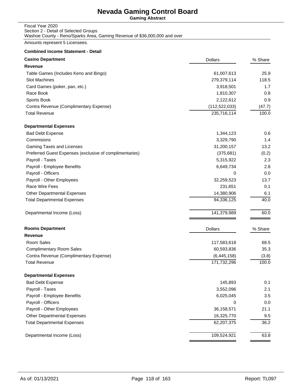**Gaming Abstract**

#### Fiscal Year 2020 Section 2 - Detail of Selected Groups Washoe County - Reno/Sparks Area, Gaming Revenue of \$36,000,000 and over

Amounts represent 5 Licensees.

| <b>Casino Department</b>                                | <b>Dollars</b>  | % Share |
|---------------------------------------------------------|-----------------|---------|
| <b>Revenue</b>                                          |                 |         |
| Table Games (Includes Keno and Bingo)                   | 61,007,613      | 25.9    |
| Slot Machines                                           | 279,379,114     | 118.5   |
| Card Games (poker, pan, etc.)                           | 3,918,501       | 1.7     |
| Race Book                                               | 1,810,307       | 0.8     |
| Sports Book                                             | 2,122,612       | 0.9     |
| Contra Revenue (Complimentary Expense)                  | (112, 522, 033) | (47.7)  |
| <b>Total Revenue</b>                                    | 235,716,114     | 100.0   |
| <b>Departmental Expenses</b>                            |                 |         |
| <b>Bad Debt Expense</b>                                 | 1,344,123       | 0.6     |
| Commisions                                              | 3,329,790       | 1.4     |
| <b>Gaming Taxes and Licenses</b>                        | 31,200,157      | 13.2    |
| Preferred Guest Expenses (exclusive of complimentaries) | (375, 681)      | (0.2)   |
| Payroll - Taxes                                         | 5,315,922       | 2.3     |
| Payroll - Employee Benefits                             | 6,649,734       | 2.8     |
| Payroll - Officers                                      | 0               | 0.0     |
| Payroll - Other Employees                               | 32,259,523      | 13.7    |
| Race Wire Fees                                          | 231,651         | 0.1     |
| <b>Other Departmental Expenses</b>                      | 14,380,906      | 6.1     |
| <b>Total Departmental Expenses</b>                      | 94,336,125      | 40.0    |
| Departmental Income (Loss)                              | 141,379,989     | 60.0    |
| <b>Rooms Department</b>                                 | <b>Dollars</b>  | % Share |
| Revenue                                                 |                 |         |
| Room Sales                                              | 117,583,618     | 68.5    |
| <b>Complimentary Room Sales</b>                         | 60,593,836      | 35.3    |
| Contra Revenue (Complimentary Expense)                  | (6,445,158)     | (3.8)   |
| <b>Total Revenue</b>                                    | 171,732,296     | 100.0   |
| <b>Departmental Expenses</b>                            |                 |         |
| <b>Bad Debt Expense</b>                                 | 145,893         | 0.1     |
| Payroll - Taxes                                         | 3,552,096       | 2.1     |
| Payroll - Employee Benefits                             | 6,025,045       | 3.5     |
| Payroll - Officers                                      | 0               | 0.0     |
| Payroll - Other Employees                               | 36,158,571      | 21.1    |
| <b>Other Departmental Expenses</b>                      | 16,325,770      | 9.5     |
| <b>Total Departmental Expenses</b>                      | 62,207,375      | 36.2    |
| Departmental Income (Loss)                              | 109,524,921     | 63.8    |
|                                                         |                 |         |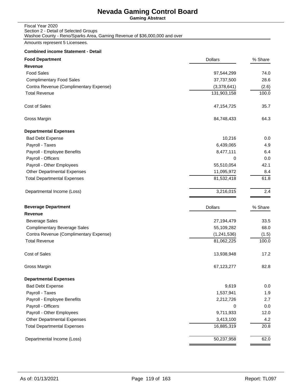**Gaming Abstract**

| Fiscal Year 2020                                                          |
|---------------------------------------------------------------------------|
| Section 2 - Detail of Selected Groups                                     |
| Washoe County - Reno/Sparks Area, Gaming Revenue of \$36,000,000 and over |

Amounts represent 5 Licensees.

| <b>Food Department</b>                 | <b>Dollars</b> | % Share |
|----------------------------------------|----------------|---------|
| Revenue                                |                |         |
| <b>Food Sales</b>                      | 97,544,299     | 74.0    |
| <b>Complimentary Food Sales</b>        | 37,737,500     | 28.6    |
| Contra Revenue (Complimentary Expense) | (3,378,641)    | (2.6)   |
| <b>Total Revenue</b>                   | 131,903,158    | 100.0   |
| Cost of Sales                          | 47, 154, 725   | 35.7    |
| Gross Margin                           | 84,748,433     | 64.3    |
| <b>Departmental Expenses</b>           |                |         |
| <b>Bad Debt Expense</b>                | 10,216         | 0.0     |
| Payroll - Taxes                        | 6,439,065      | 4.9     |
| Payroll - Employee Benefits            | 8,477,111      | 6.4     |
| Payroll - Officers                     | 0              | 0.0     |
| Payroll - Other Employees              | 55,510,054     | 42.1    |
| <b>Other Departmental Expenses</b>     | 11,095,972     | 8.4     |
| <b>Total Departmental Expenses</b>     | 81,532,418     | 61.8    |
| Departmental Income (Loss)             | 3,216,015      | 2.4     |
| <b>Beverage Department</b>             | <b>Dollars</b> | % Share |
| <b>Revenue</b>                         |                |         |
| <b>Beverage Sales</b>                  | 27,194,479     | 33.5    |
| <b>Complimentary Beverage Sales</b>    | 55,109,282     | 68.0    |
| Contra Revenue (Complimentary Expense) | (1,241,536)    | (1.5)   |
| <b>Total Revenue</b>                   | 81,062,225     | 100.0   |
| <b>Cost of Sales</b>                   | 13,938,948     | 17.2    |
| Gross Margin                           | 67,123,277     | 82.8    |
| <b>Departmental Expenses</b>           |                |         |
| <b>Bad Debt Expense</b>                | 9,619          | 0.0     |
| Payroll - Taxes                        | 1,537,941      | 1.9     |
| Payroll - Employee Benefits            | 2,212,726      | 2.7     |
| Payroll - Officers                     | 0              | 0.0     |
| Payroll - Other Employees              | 9,711,933      | 12.0    |
| <b>Other Departmental Expenses</b>     | 3,413,100      | 4.2     |
| <b>Total Departmental Expenses</b>     | 16,885,319     | 20.8    |
| Departmental Income (Loss)             | 50,237,958     | 62.0    |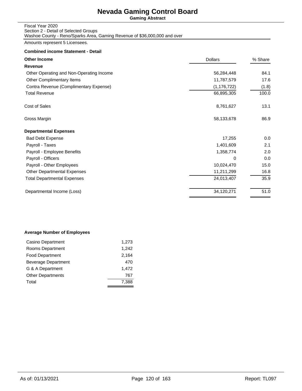**Gaming Abstract**

#### Fiscal Year 2020 Section 2 - Detail of Selected Groups Washoe County - Reno/Sparks Area, Gaming Revenue of \$36,000,000 and over

Amounts represent 5 Licensees.

#### **Combined income Statement - Detail**

| <b>Dollars</b> | % Share |
|----------------|---------|
|                |         |
| 56,284,448     | 84.1    |
| 11,787,579     | 17.6    |
| (1, 176, 722)  | (1.8)   |
| 66,895,305     | 100.0   |
| 8,761,627      | 13.1    |
| 58,133,678     | 86.9    |
|                |         |
| 17,255         | 0.0     |
| 1,401,609      | 2.1     |
| 1,358,774      | 2.0     |
| 0              | 0.0     |
| 10,024,470     | 15.0    |
| 11,211,299     | 16.8    |
| 24,013,407     | 35.9    |
| 34,120,271     | 51.0    |
|                |         |

### **Average Number of Employees**

| Casino Department        | 1,273 |
|--------------------------|-------|
| Rooms Department         | 1.242 |
| <b>Food Department</b>   | 2,164 |
| Beverage Department      | 470   |
| G & A Department         | 1.472 |
| <b>Other Departments</b> | 767   |
| Total                    | 7,388 |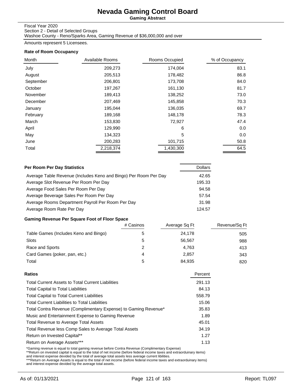**Gaming Abstract**

#### Fiscal Year 2020

Section 2 - Detail of Selected Groups Washoe County - Reno/Sparks Area, Gaming Revenue of \$36,000,000 and over

Amounts represent 5 Licensees.

#### **Rate of Room Occupancy**

| Month     | Available Rooms | Rooms Occupied | % of Occupancy |
|-----------|-----------------|----------------|----------------|
| July      | 209,273         | 174,004        | 83.1           |
| August    | 205,513         | 178,482        | 86.8           |
| September | 206,801         | 173,708        | 84.0           |
| October   | 197,267         | 161,130        | 81.7           |
| November  | 189,413         | 138,252        | 73.0           |
| December  | 207,469         | 145,858        | 70.3           |
| January   | 195,044         | 136,035        | 69.7           |
| February  | 189,168         | 148,178        | 78.3           |
| March     | 153,830         | 72,927         | 47.4           |
| April     | 129,990         | 6              | 0.0            |
| May       | 134,323         | 5              | 0.0            |
| June      | 200,283         | 101,715        | 50.8           |
| Total     | 2,218,374       | 1,430,300      | 64.5           |

| Per Room Per Day Statistics                                      | <b>Dollars</b> |
|------------------------------------------------------------------|----------------|
| Average Table Revenue (Includes Keno and Bingo) Per Room Per Day | 42.65          |
| Average Slot Revenue Per Room Per Day                            | 195.33         |
| Average Food Sales Per Room Per Day                              | 94.58          |
| Average Beverage Sales Per Room Per Day                          | 57.54          |
| Average Rooms Department Payroll Per Room Per Day                | 31.98          |
| Average Room Rate Per Day                                        | 124.57         |

### **Gaming Revenue Per Square Foot of Floor Space**

|                                       | # Casinos | Average Sq Ft | Revenue/Sq Ft |
|---------------------------------------|-----------|---------------|---------------|
| Table Games (Includes Keno and Bingo) |           | 24,178        | 505           |
| Slots                                 | 5         | 56.567        | 988           |
| Race and Sports                       | 2         | 4.763         | 413           |
| Card Games (poker, pan, etc.)         | 4         | 2.857         | 343           |
| Total                                 | 5         | 84,935        | 820           |

| Ratios                                                          | Percent |
|-----------------------------------------------------------------|---------|
| <b>Total Current Assets to Total Current Liabilities</b>        | 291.13  |
| <b>Total Capital to Total Liabilities</b>                       | 84.13   |
| <b>Total Capital to Total Current Liabilities</b>               | 558.79  |
| <b>Total Current Liabilities to Total Liabilities</b>           | 15.06   |
| Total Contra Revenue (Complimentary Expense) to Gaming Revenue* | 35.83   |
| Music and Entertainment Expense to Gaming Revenue               | 1.89    |
| <b>Total Revenue to Average Total Assets</b>                    | 45.01   |
| Total Revenue less Comp Sales to Average Total Assets           | 34.19   |
| Return on Invested Capital**                                    | 1.27    |
| Return on Average Assets***                                     | 1.13    |
|                                                                 |         |

\*Gaming revenue is equal to total gaming revenue before Contra Revenue (Complimentary Expense)<br>\*\*Return on invested capital is equal to the total of net income (before federal income taxes and extraorduinary items)<br>and int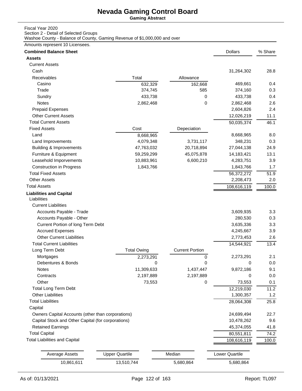**Gaming Abstract**

### Fiscal Year 2020

Section 2 - Detail of Selected Groups

Washoe County - Balance of County, Gaming Revenue of \$1,000,000 and over

### Amounts represent 10 Licensees.

| <b>Combined Balance Sheet</b>                      |                       |                        | <b>Dollars</b> | % Share |
|----------------------------------------------------|-----------------------|------------------------|----------------|---------|
| <b>Assets</b>                                      |                       |                        |                |         |
| <b>Current Assets</b>                              |                       |                        |                |         |
| Cash                                               |                       |                        | 31,264,302     | 28.8    |
| Receivables                                        | Total                 | Allowance              |                |         |
| Casino                                             | 632,329               | 162,668                | 469,661        | 0.4     |
| Trade                                              | 374,745               | 585                    | 374,160        | 0.3     |
| Sundry                                             | 433,738               | 0                      | 433,738        | 0.4     |
| Notes                                              | 2,862,468             | 0                      | 2,862,468      | 2.6     |
| <b>Prepaid Expenses</b>                            |                       |                        | 2,604,826      | 2.4     |
| <b>Other Current Assets</b>                        |                       |                        | 12,026,219     | 11.1    |
| <b>Total Current Assets</b>                        |                       |                        | 50,035,374     | 46.1    |
| <b>Fixed Assets</b>                                | Cost                  | Depeciation            |                |         |
| Land                                               | 8,668,965             |                        | 8,668,965      | 8.0     |
| Land Improvements                                  | 4,079,348             | 3,731,117              | 348,231        | 0.3     |
| <b>Building &amp; Improvements</b>                 | 47,763,032            | 20,718,894             | 27,044,138     | 24.9    |
| Furniture & Equipment                              | 59,259,299            | 45,075,878             | 14,183,421     | 13.1    |
| Leasehold Imporvements                             | 10,883,961            | 6,600,210              | 4,283,751      | 3.9     |
| <b>Construction in Progress</b>                    | 1,843,766             |                        | 1,843,766      | 1.7     |
| <b>Total Fixed Assets</b>                          |                       |                        | 56,372,272     | 51.9    |
| <b>Other Assets</b>                                |                       |                        | 2,208,473      | 2.0     |
| <b>Total Assets</b>                                |                       |                        | 108,616,119    | 100.0   |
| <b>Liabilities and Capital</b><br>Liabilities      |                       |                        |                |         |
| <b>Current Liabilities</b>                         |                       |                        |                |         |
| Accounts Payable - Trade                           |                       |                        | 3,609,935      | 3.3     |
| Accounts Payable - Other                           |                       |                        | 280,530        | 0.3     |
| Current Portion of long Term Debt                  |                       |                        | 3,635,336      | 3.3     |
| <b>Accrued Expenses</b>                            |                       |                        | 4,245,667      | 3.9     |
| <b>Other Current Liabilities</b>                   |                       |                        | 2,773,453      | 2.6     |
| <b>Total Current Liabilities</b>                   |                       |                        | 14,544,921     | 13.4    |
| Long Term Debt                                     | <b>Total Owing</b>    | <b>Current Portion</b> |                |         |
| Mortgages                                          | 2,273,291             | 0                      | 2,273,291      | 2.1     |
| Debentures & Bonds                                 | 0                     | 0                      | 0              | 0.0     |
| <b>Notes</b>                                       | 11,309,633            | 1,437,447              | 9,872,186      | 9.1     |
| Contracts                                          | 2,197,889             | 2,197,889              | 0              | 0.0     |
| Other                                              | 73,553                | 0                      | 73,553         | 0.1     |
| <b>Total Long Term Debt</b>                        |                       |                        | 12,219,030     | 11.2    |
| <b>Other Liabilities</b>                           |                       |                        | 1,300,357      | 1.2     |
| <b>Total Liabilities</b>                           |                       |                        | 28,064,308     | 25.8    |
| Capital                                            |                       |                        |                |         |
| Owners Capital Accounts (other than corporations)  |                       |                        | 24,699,494     | 22.7    |
| Capital Stock and Other Capital (for corporations) |                       |                        | 10,478,262     | 9.6     |
| <b>Retained Earnings</b>                           |                       |                        | 45,374,055     | 41.8    |
| <b>Total Capital</b>                               |                       |                        | 80,551,811     | 74.2    |
| <b>Total Liabilities and Capital</b>               |                       |                        | 108,616,119    | 100.0   |
| <b>Average Assets</b>                              | <b>Upper Quartile</b> | Median                 | Lower Quartile |         |
| 10,861,611                                         | 13,510,744            | 5,680,864              | 5,680,864      |         |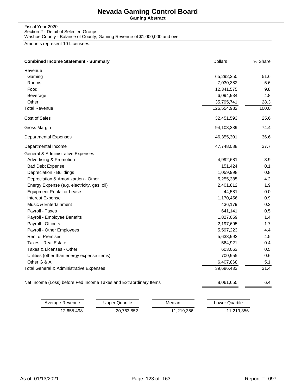**Gaming Abstract**

#### Fiscal Year 2020 Section 2 - Detail of Selected Groups Washoe County - Balance of County, Gaming Revenue of \$1,000,000 and over

Amounts represent 10 Licensees.

| <b>Combined Income Statement - Summary</b>                        | <b>Dollars</b> | % Share |
|-------------------------------------------------------------------|----------------|---------|
| Revenue                                                           |                |         |
| Gaming                                                            | 65,292,350     | 51.6    |
| Rooms                                                             | 7,030,382      | 5.6     |
| Food                                                              | 12,341,575     | 9.8     |
| Beverage                                                          | 6,094,934      | 4.8     |
| Other                                                             | 35,795,741     | 28.3    |
| <b>Total Revenue</b>                                              | 126,554,982    | 100.0   |
| Cost of Sales                                                     | 32,451,593     | 25.6    |
| Gross Margin                                                      | 94,103,389     | 74.4    |
| <b>Departmental Expenses</b>                                      | 46,355,301     | 36.6    |
| Departmental Income                                               | 47,748,088     | 37.7    |
| General & Administrative Expenses                                 |                |         |
| Advertising & Promotion                                           | 4,992,681      | 3.9     |
| <b>Bad Debt Expense</b>                                           | 151,424        | 0.1     |
| Depreciation - Buildings                                          | 1,059,998      | 0.8     |
| Depreciation & Amortizartion - Other                              | 5,255,385      | 4.2     |
| Energy Expense (e.g. electricity, gas, oil)                       | 2,401,812      | 1.9     |
| <b>Equipment Rental or Lease</b>                                  | 44,581         | 0.0     |
| Interest Expense                                                  | 1,170,456      | 0.9     |
| Music & Entertainment                                             | 436,179        | 0.3     |
| Payroll - Taxes                                                   | 641,141        | 0.5     |
| Payroll - Employee Benefits                                       | 1,827,059      | 1.4     |
| Payroll - Officers                                                | 2,197,695      | 1.7     |
| Payroll - Other Employees                                         | 5,597,223      | 4.4     |
| <b>Rent of Premises</b>                                           | 5,633,992      | 4.5     |
| <b>Taxes - Real Estate</b>                                        | 564,921        | 0.4     |
| Taxes & Licenses - Other                                          | 603,063        | 0.5     |
| Utilities (other than energy expense items)                       | 700,955        | 0.6     |
| Other G & A                                                       | 6,407,868      | 5.1     |
| Total General & Administrative Expenses                           | 39,686,433     | 31.4    |
| Net Income (Loss) before Fed Income Taxes and Extraordinary Items | 8,061,655      | 6.4     |

| Average Revenue | Upper Quartile | Median     | Lower Quartile |
|-----------------|----------------|------------|----------------|
| 12,655,498      | 20.763.852     | 11.219.356 | 11,219,356     |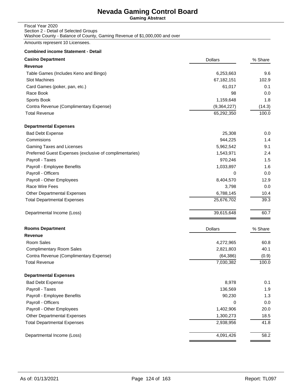**Gaming Abstract**

#### Fiscal Year 2020 Section 2 - Detail of Selected Groups Washoe County - Balance of County, Gaming Revenue of \$1,000,000 and over

Amounts represent 10 Licensees.

| <b>Casino Department</b>                                | <b>Dollars</b> | % Share |
|---------------------------------------------------------|----------------|---------|
| Revenue                                                 |                |         |
| Table Games (Includes Keno and Bingo)                   | 6,253,663      | 9.6     |
| <b>Slot Machines</b>                                    | 67,182,151     | 102.9   |
| Card Games (poker, pan, etc.)                           | 61,017         | 0.1     |
| Race Book                                               | 98             | 0.0     |
| Sports Book                                             | 1,159,648      | 1.8     |
| Contra Revenue (Complimentary Expense)                  | (9,364,227)    | (14.3)  |
| <b>Total Revenue</b>                                    | 65,292,350     | 100.0   |
| <b>Departmental Expenses</b>                            |                |         |
| <b>Bad Debt Expense</b>                                 | 25,308         | 0.0     |
| Commisions                                              | 944,225        | 1.4     |
| Gaming Taxes and Licenses                               | 5,962,542      | 9.1     |
| Preferred Guest Expenses (exclusive of complimentaries) | 1,543,971      | 2.4     |
| Payroll - Taxes                                         | 970,246        | 1.5     |
| Payroll - Employee Benefits                             | 1,033,897      | 1.6     |
| Payroll - Officers                                      | 0              | 0.0     |
| Payroll - Other Employees                               | 8,404,570      | 12.9    |
| Race Wire Fees                                          | 3,798          | 0.0     |
| <b>Other Departmental Expenses</b>                      | 6,788,145      | 10.4    |
| <b>Total Departmental Expenses</b>                      | 25,676,702     | 39.3    |
| Departmental Income (Loss)                              | 39,615,648     | 60.7    |
| <b>Rooms Department</b>                                 | Dollars        | % Share |
| Revenue                                                 |                |         |
| Room Sales                                              | 4,272,965      | 60.8    |
| <b>Complimentary Room Sales</b>                         | 2,821,803      | 40.1    |
| Contra Revenue (Complimentary Expense)                  | (64, 386)      | (0.9)   |
| <b>Total Revenue</b>                                    | 7,030,382      | 100.0   |
| <b>Departmental Expenses</b>                            |                |         |
| <b>Bad Debt Expense</b>                                 | 8,978          | 0.1     |
| Payroll - Taxes                                         | 136,569        | 1.9     |
| Payroll - Employee Benefits                             | 90,230         | 1.3     |
| Payroll - Officers                                      | 0              | 0.0     |
| Payroll - Other Employees                               | 1,402,906      | 20.0    |
| Other Departmental Expenses                             | 1,300,273      | 18.5    |
| <b>Total Departmental Expenses</b>                      | 2,938,956      | 41.8    |
| Departmental Income (Loss)                              | 4,091,426      | 58.2    |
|                                                         |                |         |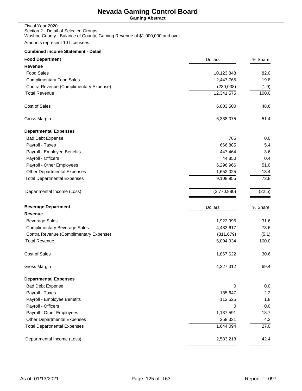**Gaming Abstract**

| Fiscal Year 2020                                                          |
|---------------------------------------------------------------------------|
| Section 2 - Detail of Selected Groups                                     |
| Washoe County - Balance of County, Gaming Revenue of \$1,000,000 and over |

Amounts represent 10 Licensees.

| Revenue<br><b>Food Sales</b><br>10,123,848<br><b>Complimentary Food Sales</b><br>2,447,765<br>Contra Revenue (Complimentary Expense)<br>(230, 038)<br><b>Total Revenue</b><br>12,341,575<br>Cost of Sales<br>6,003,500<br>Gross Margin<br>6,338,075<br><b>Departmental Expenses</b><br>765<br><b>Bad Debt Expense</b><br>Payroll - Taxes<br>666,885<br>Payroll - Employee Benefits<br>447,464<br>Payroll - Officers<br>44,850<br>Payroll - Other Employees<br>6,296,966<br>Other Departmental Expenses<br>1,652,025<br>9,108,955<br><b>Total Departmental Expenses</b><br>(2,770,880)<br>Departmental Income (Loss)<br><b>Beverage Department</b><br><b>Dollars</b><br>Revenue<br>1,922,996<br><b>Beverage Sales</b> | 82.0<br>19.8<br>(1.9)<br>100.0<br>48.6<br>51.4<br>0.0<br>5.4<br>3.6<br>0.4<br>51.0<br>13.4<br>73.8<br>(22.5) |
|----------------------------------------------------------------------------------------------------------------------------------------------------------------------------------------------------------------------------------------------------------------------------------------------------------------------------------------------------------------------------------------------------------------------------------------------------------------------------------------------------------------------------------------------------------------------------------------------------------------------------------------------------------------------------------------------------------------------|--------------------------------------------------------------------------------------------------------------|
|                                                                                                                                                                                                                                                                                                                                                                                                                                                                                                                                                                                                                                                                                                                      |                                                                                                              |
|                                                                                                                                                                                                                                                                                                                                                                                                                                                                                                                                                                                                                                                                                                                      |                                                                                                              |
|                                                                                                                                                                                                                                                                                                                                                                                                                                                                                                                                                                                                                                                                                                                      |                                                                                                              |
|                                                                                                                                                                                                                                                                                                                                                                                                                                                                                                                                                                                                                                                                                                                      |                                                                                                              |
|                                                                                                                                                                                                                                                                                                                                                                                                                                                                                                                                                                                                                                                                                                                      |                                                                                                              |
|                                                                                                                                                                                                                                                                                                                                                                                                                                                                                                                                                                                                                                                                                                                      |                                                                                                              |
|                                                                                                                                                                                                                                                                                                                                                                                                                                                                                                                                                                                                                                                                                                                      |                                                                                                              |
|                                                                                                                                                                                                                                                                                                                                                                                                                                                                                                                                                                                                                                                                                                                      |                                                                                                              |
|                                                                                                                                                                                                                                                                                                                                                                                                                                                                                                                                                                                                                                                                                                                      |                                                                                                              |
|                                                                                                                                                                                                                                                                                                                                                                                                                                                                                                                                                                                                                                                                                                                      |                                                                                                              |
|                                                                                                                                                                                                                                                                                                                                                                                                                                                                                                                                                                                                                                                                                                                      |                                                                                                              |
|                                                                                                                                                                                                                                                                                                                                                                                                                                                                                                                                                                                                                                                                                                                      |                                                                                                              |
|                                                                                                                                                                                                                                                                                                                                                                                                                                                                                                                                                                                                                                                                                                                      |                                                                                                              |
|                                                                                                                                                                                                                                                                                                                                                                                                                                                                                                                                                                                                                                                                                                                      |                                                                                                              |
|                                                                                                                                                                                                                                                                                                                                                                                                                                                                                                                                                                                                                                                                                                                      |                                                                                                              |
|                                                                                                                                                                                                                                                                                                                                                                                                                                                                                                                                                                                                                                                                                                                      |                                                                                                              |
|                                                                                                                                                                                                                                                                                                                                                                                                                                                                                                                                                                                                                                                                                                                      | % Share                                                                                                      |
|                                                                                                                                                                                                                                                                                                                                                                                                                                                                                                                                                                                                                                                                                                                      |                                                                                                              |
|                                                                                                                                                                                                                                                                                                                                                                                                                                                                                                                                                                                                                                                                                                                      | 31.6                                                                                                         |
| <b>Complimentary Beverage Sales</b><br>4,483,617                                                                                                                                                                                                                                                                                                                                                                                                                                                                                                                                                                                                                                                                     | 73.6                                                                                                         |
| Contra Revenue (Complimentary Expense)<br>(311, 679)                                                                                                                                                                                                                                                                                                                                                                                                                                                                                                                                                                                                                                                                 | (5.1)                                                                                                        |
| <b>Total Revenue</b><br>6,094,934                                                                                                                                                                                                                                                                                                                                                                                                                                                                                                                                                                                                                                                                                    | 100.0                                                                                                        |
| Cost of Sales<br>1,867,622                                                                                                                                                                                                                                                                                                                                                                                                                                                                                                                                                                                                                                                                                           | 30.6                                                                                                         |
| Gross Margin<br>4,227,312                                                                                                                                                                                                                                                                                                                                                                                                                                                                                                                                                                                                                                                                                            | 69.4                                                                                                         |
| <b>Departmental Expenses</b>                                                                                                                                                                                                                                                                                                                                                                                                                                                                                                                                                                                                                                                                                         |                                                                                                              |
| <b>Bad Debt Expense</b><br>0                                                                                                                                                                                                                                                                                                                                                                                                                                                                                                                                                                                                                                                                                         | 0.0                                                                                                          |
| Payroll - Taxes<br>135,647                                                                                                                                                                                                                                                                                                                                                                                                                                                                                                                                                                                                                                                                                           | 2.2                                                                                                          |
| Payroll - Employee Benefits<br>112,525                                                                                                                                                                                                                                                                                                                                                                                                                                                                                                                                                                                                                                                                               | 1.8                                                                                                          |
| Payroll - Officers<br>0                                                                                                                                                                                                                                                                                                                                                                                                                                                                                                                                                                                                                                                                                              | 0.0                                                                                                          |
| Payroll - Other Employees<br>1,137,591                                                                                                                                                                                                                                                                                                                                                                                                                                                                                                                                                                                                                                                                               | 18.7                                                                                                         |
| Other Departmental Expenses<br>258,331                                                                                                                                                                                                                                                                                                                                                                                                                                                                                                                                                                                                                                                                               | 4.2                                                                                                          |
| <b>Total Departmental Expenses</b><br>1,644,094                                                                                                                                                                                                                                                                                                                                                                                                                                                                                                                                                                                                                                                                      | 27.0                                                                                                         |
| 2,583,218<br>Departmental Income (Loss)                                                                                                                                                                                                                                                                                                                                                                                                                                                                                                                                                                                                                                                                              | 42.4                                                                                                         |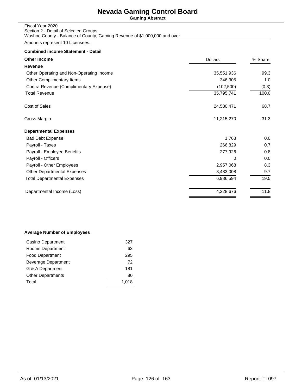**Gaming Abstract**

| Fiscal Year 2020                                                          |
|---------------------------------------------------------------------------|
| Section 2 - Detail of Selected Groups                                     |
| Washoe County - Balance of County, Gaming Revenue of \$1,000,000 and over |

Amounts represent 10 Licensees.

## **Combined income Statement - Detail**

| <b>Other Income</b>                      | <b>Dollars</b> | % Share |
|------------------------------------------|----------------|---------|
| Revenue                                  |                |         |
| Other Operating and Non-Operating Income | 35,551,936     | 99.3    |
| Other Complimentary Items                | 346,305        | 1.0     |
| Contra Revenue (Complimentary Expense)   | (102, 500)     | (0.3)   |
| <b>Total Revenue</b>                     | 35,795,741     | 100.0   |
| Cost of Sales                            | 24,580,471     | 68.7    |
| Gross Margin                             | 11,215,270     | 31.3    |
| <b>Departmental Expenses</b>             |                |         |
| <b>Bad Debt Expense</b>                  | 1,763          | 0.0     |
| Payroll - Taxes                          | 266,829        | 0.7     |
| Payroll - Employee Benefits              | 277,926        | 0.8     |
| Payroll - Officers                       | 0              | 0.0     |
| Payroll - Other Employees                | 2,957,068      | 8.3     |
| <b>Other Departmental Expenses</b>       | 3,483,008      | 9.7     |
| <b>Total Departmental Expenses</b>       | 6,986,594      | 19.5    |
| Departmental Income (Loss)               | 4,228,676      | 11.8    |

#### **Average Number of Employees**

| Casino Department        | 327   |
|--------------------------|-------|
| Rooms Department         | 63    |
| <b>Food Department</b>   | 295   |
| Beverage Department      | 72    |
| G & A Department         | 181   |
| <b>Other Departments</b> | 80    |
| Total                    | 1.018 |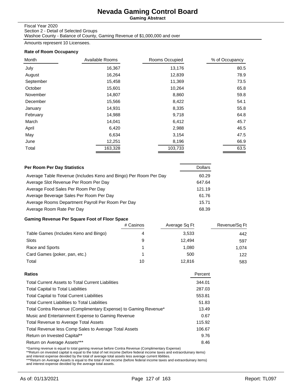**Gaming Abstract**

#### Fiscal Year 2020

Section 2 - Detail of Selected Groups Washoe County - Balance of County, Gaming Revenue of \$1,000,000 and over

Amounts represent 10 Licensees.

#### **Rate of Room Occupancy**

| Month     | Available Rooms | Rooms Occupied | % of Occupancy |
|-----------|-----------------|----------------|----------------|
| July      | 16,367          | 13,176         | 80.5           |
| August    | 16,264          | 12,839         | 78.9           |
| September | 15,458          | 11,369         | 73.5           |
| October   | 15,601          | 10,264         | 65.8           |
| November  | 14,807          | 8,860          | 59.8           |
| December  | 15,566          | 8,422          | 54.1           |
| January   | 14,931          | 8,335          | 55.8           |
| February  | 14,988          | 9,718          | 64.8           |
| March     | 14,041          | 6,412          | 45.7           |
| April     | 6,420           | 2,988          | 46.5           |
| May       | 6,634           | 3,154          | 47.5           |
| June      | 12,251          | 8,196          | 66.9           |
| Total     | 163,328         | 103,733        | 63.5           |

| Per Room Per Day Statistics                                      | <b>Dollars</b> |
|------------------------------------------------------------------|----------------|
| Average Table Revenue (Includes Keno and Bingo) Per Room Per Day | 60.29          |
| Average Slot Revenue Per Room Per Day                            | 647.64         |
| Average Food Sales Per Room Per Day                              | 121.19         |
| Average Beverage Sales Per Room Per Day                          | 61.76          |
| Average Rooms Department Payroll Per Room Per Day                | 15.71          |
| Average Room Rate Per Day                                        | 68.39          |

## **Gaming Revenue Per Square Foot of Floor Space**

|                                       | # Casinos | Average Sq Ft | Revenue/Sq Ft |
|---------------------------------------|-----------|---------------|---------------|
| Table Games (Includes Keno and Bingo) |           | 3,533         | 442           |
| <b>Slots</b>                          | 9         | 12.494        | 597           |
| Race and Sports                       |           | 1.080         | 1.074         |
| Card Games (poker, pan, etc.)         |           | 500           | 122           |
| Total                                 | 10        | 12.816        | 583           |

| Ratios                                                          | Percent |
|-----------------------------------------------------------------|---------|
| <b>Total Current Assets to Total Current Liabilities</b>        | 344.01  |
| <b>Total Capital to Total Liabilities</b>                       | 287.03  |
| <b>Total Capital to Total Current Liabilities</b>               | 553.81  |
| <b>Total Current Liabilities to Total Liabilities</b>           | 51.83   |
| Total Contra Revenue (Complimentary Expense) to Gaming Revenue* | 13.49   |
| Music and Entertainment Expense to Gaming Revenue               | 0.67    |
| <b>Total Revenue to Average Total Assets</b>                    | 115.92  |
| Total Revenue less Comp Sales to Average Total Assets           | 106.67  |
| Return on Invested Capital**                                    | 9.76    |
| Return on Average Assets***                                     | 8.46    |
|                                                                 |         |

\*Gaming revenue is equal to total gaming revenue before Contra Revenue (Complimentary Expense)<br>\*\*Return on invested capital is equal to the total of net income (before federal income taxes and extraorduinary items)<br>and int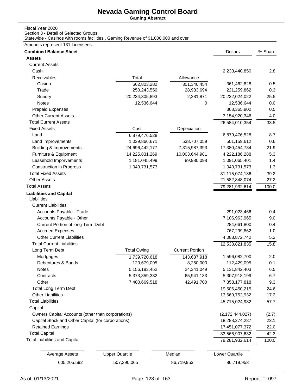**Gaming Abstract**

#### Fiscal Year 2020

Section 3 - Detail of Selected Groups

Statewide - Casinos with rooms facilities , Gaming Revenue of \$1,000,000 and over

#### Amounts represent 131 Licensees.

| <b>Combined Balance Sheet</b>                      |                       |                        | <b>Dollars</b>        | % Share |
|----------------------------------------------------|-----------------------|------------------------|-----------------------|---------|
| <b>Assets</b>                                      |                       |                        |                       |         |
| <b>Current Assets</b>                              |                       |                        |                       |         |
| Cash                                               |                       |                        | 2,233,440,850         | 2.8     |
| Receivables                                        | Total                 | Allowance              |                       |         |
| Casino                                             | 662,803,282           | 301,340,454            | 361,462,828           | 0.5     |
| Trade                                              | 250,243,556           | 28,983,694             | 221,259,862           | 0.3     |
| Sundry                                             | 20,234,305,893        | 2,281,871              | 20,232,024,022        | 25.5    |
| Notes                                              | 12,536,644            | 0                      | 12,536,644            | 0.0     |
| <b>Prepaid Expenses</b>                            |                       |                        | 368,365,802           | 0.5     |
| <b>Other Current Assets</b>                        |                       |                        | 3,154,920,346         | 4.0     |
| <b>Total Current Assets</b>                        |                       |                        | 26,584,010,354        | 33.5    |
| <b>Fixed Assets</b>                                | Cost                  | Depeciation            |                       |         |
| Land                                               | 6,879,476,528         |                        | 6,879,476,528         | 8.7     |
| Land Improvements                                  | 1,039,866,671         | 538,707,059            | 501,159,612           | 0.6     |
| <b>Building &amp; Improvements</b>                 | 24,696,442,177        | 7,315,987,393          | 17,380,454,784        | 21.9    |
| Furniture & Equipment                              | 14,225,831,269        | 10,003,644,981         | 4,222,186,288         | 5.3     |
| Leasehold Imporvements                             | 1,181,045,499         | 89,980,098             | 1,091,065,401         | 1.4     |
| <b>Construction in Progress</b>                    | 1,040,731,573         |                        | 1,040,731,573         | 1.3     |
| <b>Total Fixed Assets</b>                          |                       |                        | 31,115,074,186        | 39.2    |
| <b>Other Assets</b>                                |                       |                        | 21,582,848,074        | 27.2    |
| <b>Total Assets</b>                                |                       |                        | 79,281,932,614        | 100.0   |
| <b>Liabilities and Capital</b><br>Liabilities      |                       |                        |                       |         |
| <b>Current Liabilities</b>                         |                       |                        |                       |         |
| Accounts Payable - Trade                           |                       |                        | 291,023,466           | 0.4     |
| Accounts Payable - Other                           |                       |                        | 7,106,963,965         | 9.0     |
| Current Portion of long Term Debt                  |                       |                        | 284,661,800           | 0.4     |
| <b>Accrued Expenses</b>                            |                       |                        | 767,299,862           | 1.0     |
| <b>Other Current Liabilities</b>                   |                       |                        | 4,088,872,742         | 5.2     |
| <b>Total Current Liabilities</b>                   |                       |                        | 12,538,821,835        | 15.8    |
| Long Term Debt                                     | <b>Total Owing</b>    | <b>Current Portion</b> |                       |         |
| Mortgages                                          | 1,739,720,618         | 143,637,918            | 1,596,082,700         | 2.0     |
| Debentures & Bonds                                 | 120,679,095           | 8,250,000              | 112,429,095           | 0.1     |
| Notes                                              | 5,156,183,452         | 24,341,049             | 5,131,842,403         | 6.5     |
| Contracts                                          | 5,373,859,332         | 65,941,133             | 5,307,918,199         | 6.7     |
| Other                                              | 7,400,669,518         | 42,491,700             | 7,358,177,818         | 9.3     |
| <b>Total Long Term Debt</b>                        |                       |                        | 19,506,450,215        | 24.6    |
| <b>Other Liabilities</b>                           |                       |                        | 13,669,752,932        | 17.2    |
| <b>Total Liabilities</b>                           |                       |                        | 45,715,024,982        | 57.7    |
| Capital                                            |                       |                        |                       |         |
| Owners Capital Accounts (other than corporations)  |                       |                        | (2, 172, 444, 027)    | (2.7)   |
| Capital Stock and Other Capital (for corporations) |                       |                        | 18,288,274,287        | 23.1    |
| <b>Retained Earnings</b>                           |                       |                        | 17,451,077,372        | 22.0    |
| <b>Total Capital</b>                               |                       |                        | 33,566,907,632        | 42.3    |
| <b>Total Liabilities and Capital</b>               |                       |                        | 79,281,932,614        | 100.0   |
|                                                    |                       |                        |                       |         |
| Average Assets                                     | <b>Upper Quartile</b> | Median                 | <b>Lower Quartile</b> |         |
| 605,205,592                                        | 507,390,065           | 86,719,953             | 86,719,953            |         |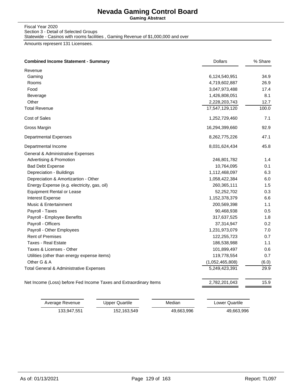**Gaming Abstract**

Fiscal Year 2020 Section 3 - Detail of Selected Groups Statewide - Casinos with rooms facilities , Gaming Revenue of \$1,000,000 and over

Amounts represent 131 Licensees.

|                                                                   |                 | % Share |
|-------------------------------------------------------------------|-----------------|---------|
| Revenue                                                           |                 |         |
| Gaming                                                            | 6,124,540,951   | 34.9    |
| Rooms                                                             | 4,719,602,887   | 26.9    |
| Food                                                              | 3,047,973,488   | 17.4    |
| Beverage                                                          | 1,426,808,051   | 8.1     |
| Other                                                             | 2,228,203,743   | 12.7    |
| <b>Total Revenue</b>                                              | 17,547,129,120  | 100.0   |
| <b>Cost of Sales</b>                                              | 1,252,729,460   | 7.1     |
| Gross Margin                                                      | 16,294,399,660  | 92.9    |
| <b>Departmental Expenses</b>                                      | 8,262,775,226   | 47.1    |
| Departmental Income                                               | 8,031,624,434   | 45.8    |
| General & Administrative Expenses                                 |                 |         |
| <b>Advertising &amp; Promotion</b>                                | 246,801,782     | 1.4     |
| <b>Bad Debt Expense</b>                                           | 10,764,095      | 0.1     |
| Depreciation - Buildings                                          | 1,112,468,097   | 6.3     |
| Depreciation & Amortizartion - Other                              | 1,058,422,384   | 6.0     |
| Energy Expense (e.g. electricity, gas, oil)                       | 260,365,111     | 1.5     |
| <b>Equipment Rental or Lease</b>                                  | 52,252,702      | 0.3     |
| Interest Expense                                                  | 1,152,378,379   | 6.6     |
| Music & Entertainment                                             | 200,569,398     | 1.1     |
| Payroll - Taxes                                                   | 90,468,938      | 0.5     |
| Payroll - Employee Benefits                                       | 317,637,525     | 1.8     |
| Payroll - Officers                                                | 37,314,947      | 0.2     |
| Payroll - Other Employees                                         | 1,231,973,079   | 7.0     |
| <b>Rent of Premises</b>                                           | 122,255,723     | 0.7     |
| <b>Taxes - Real Estate</b>                                        | 186,538,988     | 1.1     |
| Taxes & Licenses - Other                                          | 101,899,497     | 0.6     |
| Utilities (other than energy expense items)                       | 119,778,554     | 0.7     |
| Other G & A                                                       | (1,052,465,808) | (6.0)   |
| Total General & Administrative Expenses                           | 5,249,423,391   | 29.9    |
| Net Income (Loss) before Fed Income Taxes and Extraordinary Items | 2,782,201,043   | 15.9    |

| Average Revenue | Upper Quartile | Median     | Lower Quartile |
|-----------------|----------------|------------|----------------|
| 133.947.551     | 152.163.549    | 49.663.996 | 49,663,996     |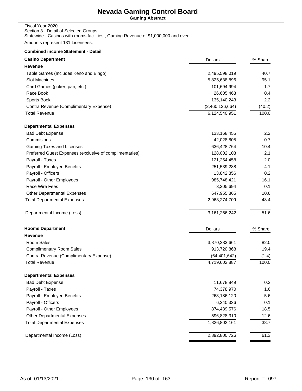**Gaming Abstract**

| Fiscal Year 2020                                                                  |  |
|-----------------------------------------------------------------------------------|--|
| Section 3 - Detail of Selected Groups                                             |  |
| Statewide - Casinos with rooms facilities, Gaming Revenue of \$1,000,000 and over |  |

Amounts represent 131 Licensees.

| <b>Casino Department</b>                                | <b>Dollars</b>   | % Share |
|---------------------------------------------------------|------------------|---------|
| Revenue                                                 |                  |         |
| Table Games (Includes Keno and Bingo)                   | 2,495,598,019    | 40.7    |
| <b>Slot Machines</b>                                    | 5,825,638,896    | 95.1    |
| Card Games (poker, pan, etc.)                           | 101,694,994      | 1.7     |
| Race Book                                               | 26,605,463       | 0.4     |
| Sports Book                                             | 135,140,243      | 2.2     |
| Contra Revenue (Complimentary Expense)                  | (2,460,136,664)  | (40.2)  |
| <b>Total Revenue</b>                                    | 6,124,540,951    | 100.0   |
| <b>Departmental Expenses</b>                            |                  |         |
| <b>Bad Debt Expense</b>                                 | 133,168,455      | 2.2     |
| Commisions                                              | 42,028,805       | 0.7     |
| Gaming Taxes and Licenses                               | 636,428,764      | 10.4    |
| Preferred Guest Expenses (exclusive of complimentaries) | 128,002,103      | 2.1     |
| Payroll - Taxes                                         | 121,254,458      | 2.0     |
| Payroll - Employee Benefits                             | 251,539,288      | 4.1     |
| Payroll - Officers                                      | 13,842,856       | 0.2     |
| Payroll - Other Employees                               | 985,748,421      | 16.1    |
| Race Wire Fees                                          | 3,305,694        | 0.1     |
| <b>Other Departmental Expenses</b>                      | 647,955,865      | 10.6    |
| <b>Total Departmental Expenses</b>                      | 2,963,274,709    | 48.4    |
| Departmental Income (Loss)                              | 3, 161, 266, 242 | 51.6    |
| <b>Rooms Department</b>                                 | <b>Dollars</b>   | % Share |
| Revenue                                                 |                  |         |
| Room Sales                                              | 3,870,283,661    | 82.0    |
| <b>Complimentary Room Sales</b>                         | 913,720,868      | 19.4    |
| Contra Revenue (Complimentary Expense)                  | (64, 401, 642)   | (1.4)   |
| <b>Total Revenue</b>                                    | 4,719,602,887    | 100.0   |
| <b>Departmental Expenses</b>                            |                  |         |
| <b>Bad Debt Expense</b>                                 | 11,678,849       | 0.2     |
| Payroll - Taxes                                         | 74,378,970       | 1.6     |
| Payroll - Employee Benefits                             | 263,186,120      | 5.6     |
| Payroll - Officers                                      | 6,240,336        | 0.1     |
| Payroll - Other Employees                               | 874,489,576      | 18.5    |
| <b>Other Departmental Expenses</b>                      | 596,828,310      | 12.6    |
| <b>Total Departmental Expenses</b>                      | 1,826,802,161    | 38.7    |
| Departmental Income (Loss)                              | 2,892,800,726    | 61.3    |
|                                                         |                  |         |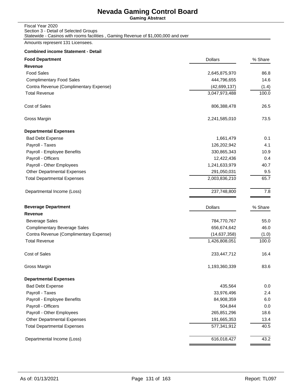**Gaming Abstract**

| Fiscal Year 2020                                                                  |  |
|-----------------------------------------------------------------------------------|--|
| Section 3 - Detail of Selected Groups                                             |  |
| Statewide - Casinos with rooms facilities, Gaming Revenue of \$1,000,000 and over |  |

Amounts represent 131 Licensees.

| Revenue<br><b>Food Sales</b><br>2,645,875,970<br>444,796,655<br><b>Complimentary Food Sales</b><br>Contra Revenue (Complimentary Expense)<br>(42, 699, 137)<br>3,047,973,488<br><b>Total Revenue</b><br>Cost of Sales<br>806,388,478<br>Gross Margin<br>2,241,585,010<br><b>Departmental Expenses</b><br><b>Bad Debt Expense</b><br>1,661,479<br>Payroll - Taxes<br>126,202,942<br>4.1<br>Payroll - Employee Benefits<br>330,865,343<br>Payroll - Officers<br>12,422,436<br>Payroll - Other Employees<br>1,241,633,979<br><b>Other Departmental Expenses</b><br>291,050,031<br><b>Total Departmental Expenses</b><br>2,003,836,210<br>237,748,800<br>Departmental Income (Loss)<br><b>Beverage Department</b><br>% Share<br><b>Dollars</b><br><b>Revenue</b><br><b>Beverage Sales</b><br>784,770,767<br><b>Complimentary Beverage Sales</b><br>656,674,642<br>Contra Revenue (Complimentary Expense)<br>(14, 637, 358)<br><b>Total Revenue</b><br>1,426,808,051<br>Cost of Sales<br>233,447,712<br>Gross Margin<br>1,193,360,339<br><b>Departmental Expenses</b><br><b>Bad Debt Expense</b><br>435,564<br>Payroll - Taxes<br>33,976,496<br>Payroll - Employee Benefits<br>84,908,359<br>Payroll - Officers<br>504,844<br>Payroll - Other Employees<br>265,851,296<br>Other Departmental Expenses<br>191,665,353<br>577,341,912<br><b>Total Departmental Expenses</b><br>616,018,427<br>Departmental Income (Loss) | <b>Food Department</b> | <b>Dollars</b> | % Share |
|-------------------------------------------------------------------------------------------------------------------------------------------------------------------------------------------------------------------------------------------------------------------------------------------------------------------------------------------------------------------------------------------------------------------------------------------------------------------------------------------------------------------------------------------------------------------------------------------------------------------------------------------------------------------------------------------------------------------------------------------------------------------------------------------------------------------------------------------------------------------------------------------------------------------------------------------------------------------------------------------------------------------------------------------------------------------------------------------------------------------------------------------------------------------------------------------------------------------------------------------------------------------------------------------------------------------------------------------------------------------------------------------------------------------|------------------------|----------------|---------|
|                                                                                                                                                                                                                                                                                                                                                                                                                                                                                                                                                                                                                                                                                                                                                                                                                                                                                                                                                                                                                                                                                                                                                                                                                                                                                                                                                                                                                   |                        |                |         |
|                                                                                                                                                                                                                                                                                                                                                                                                                                                                                                                                                                                                                                                                                                                                                                                                                                                                                                                                                                                                                                                                                                                                                                                                                                                                                                                                                                                                                   |                        |                | 86.8    |
|                                                                                                                                                                                                                                                                                                                                                                                                                                                                                                                                                                                                                                                                                                                                                                                                                                                                                                                                                                                                                                                                                                                                                                                                                                                                                                                                                                                                                   |                        |                | 14.6    |
|                                                                                                                                                                                                                                                                                                                                                                                                                                                                                                                                                                                                                                                                                                                                                                                                                                                                                                                                                                                                                                                                                                                                                                                                                                                                                                                                                                                                                   |                        |                | (1.4)   |
|                                                                                                                                                                                                                                                                                                                                                                                                                                                                                                                                                                                                                                                                                                                                                                                                                                                                                                                                                                                                                                                                                                                                                                                                                                                                                                                                                                                                                   |                        |                | 100.0   |
|                                                                                                                                                                                                                                                                                                                                                                                                                                                                                                                                                                                                                                                                                                                                                                                                                                                                                                                                                                                                                                                                                                                                                                                                                                                                                                                                                                                                                   |                        |                | 26.5    |
|                                                                                                                                                                                                                                                                                                                                                                                                                                                                                                                                                                                                                                                                                                                                                                                                                                                                                                                                                                                                                                                                                                                                                                                                                                                                                                                                                                                                                   |                        |                | 73.5    |
|                                                                                                                                                                                                                                                                                                                                                                                                                                                                                                                                                                                                                                                                                                                                                                                                                                                                                                                                                                                                                                                                                                                                                                                                                                                                                                                                                                                                                   |                        |                |         |
|                                                                                                                                                                                                                                                                                                                                                                                                                                                                                                                                                                                                                                                                                                                                                                                                                                                                                                                                                                                                                                                                                                                                                                                                                                                                                                                                                                                                                   |                        |                | 0.1     |
|                                                                                                                                                                                                                                                                                                                                                                                                                                                                                                                                                                                                                                                                                                                                                                                                                                                                                                                                                                                                                                                                                                                                                                                                                                                                                                                                                                                                                   |                        |                |         |
|                                                                                                                                                                                                                                                                                                                                                                                                                                                                                                                                                                                                                                                                                                                                                                                                                                                                                                                                                                                                                                                                                                                                                                                                                                                                                                                                                                                                                   |                        |                | 10.9    |
|                                                                                                                                                                                                                                                                                                                                                                                                                                                                                                                                                                                                                                                                                                                                                                                                                                                                                                                                                                                                                                                                                                                                                                                                                                                                                                                                                                                                                   |                        |                | 0.4     |
|                                                                                                                                                                                                                                                                                                                                                                                                                                                                                                                                                                                                                                                                                                                                                                                                                                                                                                                                                                                                                                                                                                                                                                                                                                                                                                                                                                                                                   |                        |                | 40.7    |
|                                                                                                                                                                                                                                                                                                                                                                                                                                                                                                                                                                                                                                                                                                                                                                                                                                                                                                                                                                                                                                                                                                                                                                                                                                                                                                                                                                                                                   |                        |                | 9.5     |
|                                                                                                                                                                                                                                                                                                                                                                                                                                                                                                                                                                                                                                                                                                                                                                                                                                                                                                                                                                                                                                                                                                                                                                                                                                                                                                                                                                                                                   |                        |                | 65.7    |
|                                                                                                                                                                                                                                                                                                                                                                                                                                                                                                                                                                                                                                                                                                                                                                                                                                                                                                                                                                                                                                                                                                                                                                                                                                                                                                                                                                                                                   |                        |                | 7.8     |
|                                                                                                                                                                                                                                                                                                                                                                                                                                                                                                                                                                                                                                                                                                                                                                                                                                                                                                                                                                                                                                                                                                                                                                                                                                                                                                                                                                                                                   |                        |                |         |
|                                                                                                                                                                                                                                                                                                                                                                                                                                                                                                                                                                                                                                                                                                                                                                                                                                                                                                                                                                                                                                                                                                                                                                                                                                                                                                                                                                                                                   |                        |                |         |
|                                                                                                                                                                                                                                                                                                                                                                                                                                                                                                                                                                                                                                                                                                                                                                                                                                                                                                                                                                                                                                                                                                                                                                                                                                                                                                                                                                                                                   |                        |                | 55.0    |
|                                                                                                                                                                                                                                                                                                                                                                                                                                                                                                                                                                                                                                                                                                                                                                                                                                                                                                                                                                                                                                                                                                                                                                                                                                                                                                                                                                                                                   |                        |                | 46.0    |
|                                                                                                                                                                                                                                                                                                                                                                                                                                                                                                                                                                                                                                                                                                                                                                                                                                                                                                                                                                                                                                                                                                                                                                                                                                                                                                                                                                                                                   |                        |                | (1.0)   |
|                                                                                                                                                                                                                                                                                                                                                                                                                                                                                                                                                                                                                                                                                                                                                                                                                                                                                                                                                                                                                                                                                                                                                                                                                                                                                                                                                                                                                   |                        |                | 100.0   |
|                                                                                                                                                                                                                                                                                                                                                                                                                                                                                                                                                                                                                                                                                                                                                                                                                                                                                                                                                                                                                                                                                                                                                                                                                                                                                                                                                                                                                   |                        |                | 16.4    |
|                                                                                                                                                                                                                                                                                                                                                                                                                                                                                                                                                                                                                                                                                                                                                                                                                                                                                                                                                                                                                                                                                                                                                                                                                                                                                                                                                                                                                   |                        |                | 83.6    |
|                                                                                                                                                                                                                                                                                                                                                                                                                                                                                                                                                                                                                                                                                                                                                                                                                                                                                                                                                                                                                                                                                                                                                                                                                                                                                                                                                                                                                   |                        |                |         |
|                                                                                                                                                                                                                                                                                                                                                                                                                                                                                                                                                                                                                                                                                                                                                                                                                                                                                                                                                                                                                                                                                                                                                                                                                                                                                                                                                                                                                   |                        |                | 0.0     |
|                                                                                                                                                                                                                                                                                                                                                                                                                                                                                                                                                                                                                                                                                                                                                                                                                                                                                                                                                                                                                                                                                                                                                                                                                                                                                                                                                                                                                   |                        |                | 2.4     |
|                                                                                                                                                                                                                                                                                                                                                                                                                                                                                                                                                                                                                                                                                                                                                                                                                                                                                                                                                                                                                                                                                                                                                                                                                                                                                                                                                                                                                   |                        |                | 6.0     |
|                                                                                                                                                                                                                                                                                                                                                                                                                                                                                                                                                                                                                                                                                                                                                                                                                                                                                                                                                                                                                                                                                                                                                                                                                                                                                                                                                                                                                   |                        |                | 0.0     |
|                                                                                                                                                                                                                                                                                                                                                                                                                                                                                                                                                                                                                                                                                                                                                                                                                                                                                                                                                                                                                                                                                                                                                                                                                                                                                                                                                                                                                   |                        |                | 18.6    |
|                                                                                                                                                                                                                                                                                                                                                                                                                                                                                                                                                                                                                                                                                                                                                                                                                                                                                                                                                                                                                                                                                                                                                                                                                                                                                                                                                                                                                   |                        |                | 13.4    |
|                                                                                                                                                                                                                                                                                                                                                                                                                                                                                                                                                                                                                                                                                                                                                                                                                                                                                                                                                                                                                                                                                                                                                                                                                                                                                                                                                                                                                   |                        |                | 40.5    |
|                                                                                                                                                                                                                                                                                                                                                                                                                                                                                                                                                                                                                                                                                                                                                                                                                                                                                                                                                                                                                                                                                                                                                                                                                                                                                                                                                                                                                   |                        |                | 43.2    |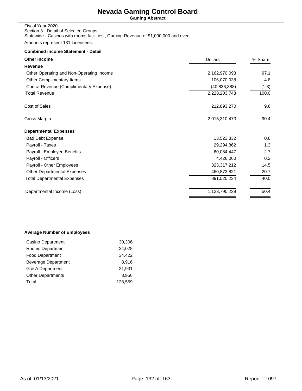**Gaming Abstract**

| Fiscal Year 2020                                                                  |  |
|-----------------------------------------------------------------------------------|--|
| Section 3 - Detail of Selected Groups                                             |  |
| Statewide - Casinos with rooms facilities, Gaming Revenue of \$1,000,000 and over |  |

Amounts represent 131 Licensees.

## **Combined income Statement - Detail**

| 2,162,970,093  | 97.1  |
|----------------|-------|
| 106,070,038    | 4.8   |
| (40, 836, 388) | (1.8) |
| 2,228,203,743  | 100.0 |
| 212,893,270    | 9.6   |
| 2,015,310,473  | 90.4  |
|                |       |
| 13,523,832     | 0.6   |
| 29,294,862     | 1.3   |
| 60,084,447     | 2.7   |
| 4,426,060      | 0.2   |
| 323,317,212    | 14.5  |
| 460,873,821    | 20.7  |
| 891,520,234    | 40.0  |
| 1,123,790,239  | 50.4  |
|                |       |

## **Average Number of Employees**

| Casino Department          | 30,306  |
|----------------------------|---------|
| Rooms Department           | 24,028  |
| <b>Food Department</b>     | 34,422  |
| <b>Beverage Department</b> | 8.916   |
| G & A Department           | 21,931  |
| <b>Other Departments</b>   | 8,956   |
| Total                      | 128.559 |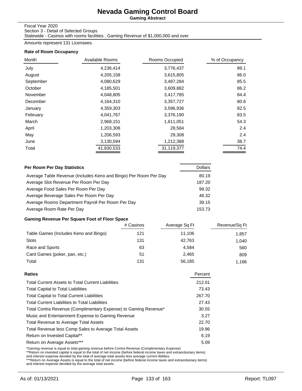**Gaming Abstract**

### Fiscal Year 2020

Section 3 - Detail of Selected Groups Statewide - Casinos with rooms facilities , Gaming Revenue of \$1,000,000 and over

Amounts represent 131 Licensees.

### **Rate of Room Occupancy**

| Month     | Available Rooms | Rooms Occupied | % of Occupancy |
|-----------|-----------------|----------------|----------------|
| July      | 4,236,414       | 3,776,437      | 89.1           |
| August    | 4,205,158       | 3,615,805      | 86.0           |
| September | 4,080,629       | 3,487,284      | 85.5           |
| October   | 4,185,501       | 3,609,882      | 86.2           |
| November  | 4,048,805       | 3,417,785      | 84.4           |
| December  | 4,164,310       | 3,357,727      | 80.6           |
| January   | 4,359,303       | 3,596,936      | 82.5           |
| February  | 4,041,767       | 3,376,190      | 83.5           |
| March     | 2,968,151       | 1,611,051      | 54.3           |
| April     | 1,203,308       | 28,584         | 2.4            |
| May       | 1,206,593       | 29,308         | 2.4            |
| June      | 3,130,594       | 1,212,388      | 38.7           |
| Total     | 41,830,533      | 31,119,377     | 74.4           |

| Per Room Per Day Statistics                                      | <b>Dollars</b> |
|------------------------------------------------------------------|----------------|
| Average Table Revenue (Includes Keno and Bingo) Per Room Per Day | 80.19          |
| Average Slot Revenue Per Room Per Day                            | 187.20         |
| Average Food Sales Per Room Per Day                              | 99.32          |
| Average Beverage Sales Per Room Per Day                          | 46.32          |
| Average Rooms Department Payroll Per Room Per Day                | 39.15          |
| Average Room Rate Per Day                                        | 153.73         |

## **Gaming Revenue Per Square Foot of Floor Space**

|                                       | # Casinos | Average Sq Ft | Revenue/Sq Ft |
|---------------------------------------|-----------|---------------|---------------|
| Table Games (Includes Keno and Bingo) | 121       | 11.106        | 1.857         |
| Slots                                 | 131       | 42.763        | 1.040         |
| Race and Sports                       | 63        | 4.584         | 560           |
| Card Games (poker, pan, etc.)         | 51        | 2.465         | 809           |
| Total                                 | 131       | 56.185        | 1.166         |

| <b>Total Current Assets to Total Current Liabilities</b><br><b>Total Capital to Total Liabilities</b><br><b>Total Capital to Total Current Liabilities</b><br><b>Total Current Liabilities to Total Liabilities</b><br>Total Contra Revenue (Complimentary Expense) to Gaming Revenue*<br>Music and Entertainment Expense to Gaming Revenue<br><b>Total Revenue to Average Total Assets</b><br>Total Revenue less Comp Sales to Average Total Assets<br>Return on Invested Capital**<br>Return on Average Assets*** | Ratios | Percent |
|---------------------------------------------------------------------------------------------------------------------------------------------------------------------------------------------------------------------------------------------------------------------------------------------------------------------------------------------------------------------------------------------------------------------------------------------------------------------------------------------------------------------|--------|---------|
|                                                                                                                                                                                                                                                                                                                                                                                                                                                                                                                     |        | 212.01  |
|                                                                                                                                                                                                                                                                                                                                                                                                                                                                                                                     |        | 73.43   |
|                                                                                                                                                                                                                                                                                                                                                                                                                                                                                                                     |        | 267.70  |
|                                                                                                                                                                                                                                                                                                                                                                                                                                                                                                                     |        | 27.43   |
|                                                                                                                                                                                                                                                                                                                                                                                                                                                                                                                     |        | 30.55   |
|                                                                                                                                                                                                                                                                                                                                                                                                                                                                                                                     |        | 3.27    |
|                                                                                                                                                                                                                                                                                                                                                                                                                                                                                                                     |        | 22.70   |
|                                                                                                                                                                                                                                                                                                                                                                                                                                                                                                                     |        | 19.96   |
|                                                                                                                                                                                                                                                                                                                                                                                                                                                                                                                     |        | 6.19    |
|                                                                                                                                                                                                                                                                                                                                                                                                                                                                                                                     |        | 5.09    |

\*Gaming revenue is equal to total gaming revenue before Contra Revenue (Complimentary Expense)<br>\*\*Return on invested capital is equal to the total of net income (before federal income taxes and extraorduinary items)<br>and int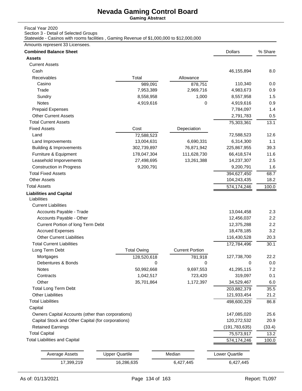**Gaming Abstract**

### Fiscal Year 2020

Section 3 - Detail of Selected Groups

Statewide - Casinos with rooms facilities , Gaming Revenue of \$1,000,000 to \$12,000,000

### Amounts represent 33 Licensees.

| <b>Combined Balance Sheet</b>                      |                       |                        | <b>Dollars</b>  | % Share |
|----------------------------------------------------|-----------------------|------------------------|-----------------|---------|
| <b>Assets</b>                                      |                       |                        |                 |         |
| <b>Current Assets</b>                              |                       |                        |                 |         |
| Cash                                               |                       |                        | 46,155,894      | 8.0     |
| Receivables                                        | Total                 | Allowance              |                 |         |
| Casino                                             | 989,091               | 878,751                | 110,340         | 0.0     |
| Trade                                              | 7,953,389             | 2,969,716              | 4,983,673       | 0.9     |
| Sundry                                             | 8,558,958             | 1,000                  | 8,557,958       | 1.5     |
| Notes                                              | 4,919,616             | 0                      | 4,919,616       | 0.9     |
| <b>Prepaid Expenses</b>                            |                       |                        | 7,784,097       | 1.4     |
| <b>Other Current Assets</b>                        |                       |                        | 2,791,783       | 0.5     |
| <b>Total Current Assets</b>                        |                       |                        | 75,303,361      | 13.1    |
| <b>Fixed Assets</b>                                | Cost                  | Depeciation            |                 |         |
| Land                                               | 72,588,523            |                        | 72,588,523      | 12.6    |
| Land Improvements                                  | 13,004,631            | 6,690,331              | 6,314,300       | 1.1     |
| <b>Building &amp; Improvements</b>                 | 302,739,897           | 76,871,942             | 225,867,955     | 39.3    |
| Furniture & Equipment                              | 178,047,304           | 111,628,730            | 66,418,574      | 11.6    |
| Leasehold Imporvements                             | 27,498,695            | 13,261,388             | 14,237,307      | 2.5     |
| <b>Construction in Progress</b>                    | 9,200,791             |                        | 9,200,791       | 1.6     |
| <b>Total Fixed Assets</b>                          |                       |                        | 394,627,450     | 68.7    |
| <b>Other Assets</b>                                |                       |                        | 104,243,435     | 18.2    |
| <b>Total Assets</b>                                |                       |                        | 574,174,246     | 100.0   |
| <b>Liabilities and Capital</b><br>Liabilities      |                       |                        |                 |         |
| <b>Current Liabilities</b>                         |                       |                        |                 |         |
| Accounts Payable - Trade                           |                       |                        | 13,044,458      | 2.3     |
| Accounts Payable - Other                           |                       |                        | 12,456,037      | 2.2     |
| Current Portion of long Term Debt                  |                       |                        | 12,375,288      | 2.2     |
| <b>Accrued Expenses</b>                            |                       |                        | 18,478,185      | 3.2     |
| <b>Other Current Liabilities</b>                   |                       |                        | 116,430,528     | 20.3    |
| <b>Total Current Liabilities</b>                   |                       |                        | 172,784,496     | 30.1    |
| Long Term Debt                                     | <b>Total Owing</b>    | <b>Current Portion</b> |                 |         |
| Mortgages                                          | 128,520,618           | 781,918                | 127,738,700     | 22.2    |
| Debentures & Bonds                                 | 0                     | 0                      | 0               | 0.0     |
| Notes                                              | 50,992,668            | 9,697,553              | 41,295,115      | $7.2\,$ |
| Contracts                                          | 1,042,517             | 723,420                | 319,097         | 0.1     |
| Other                                              | 35,701,864            | 1,172,397              | 34,529,467      | 6.0     |
| <b>Total Long Term Debt</b>                        |                       |                        | 203,882,379     | 35.5    |
| <b>Other Liabilities</b>                           |                       |                        | 121,933,454     | 21.2    |
| <b>Total Liabilities</b>                           |                       |                        | 498,600,329     | 86.8    |
| Capital                                            |                       |                        |                 |         |
| Owners Capital Accounts (other than corporations)  |                       |                        | 147,085,020     | 25.6    |
| Capital Stock and Other Capital (for corporations) |                       |                        | 120,272,532     | 20.9    |
| <b>Retained Earnings</b>                           |                       |                        | (191, 783, 635) | (33.4)  |
| <b>Total Capital</b>                               |                       |                        | 75,573,917      | 13.2    |
| <b>Total Liabilities and Capital</b>               |                       |                        | 574,174,246     | 100.0   |
|                                                    |                       |                        |                 |         |
| <b>Average Assets</b>                              | <b>Upper Quartile</b> | Median                 | Lower Quartile  |         |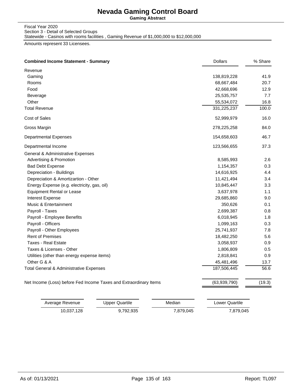**Gaming Abstract**

Fiscal Year 2020 Section 3 - Detail of Selected Groups

Statewide - Casinos with rooms facilities , Gaming Revenue of \$1,000,000 to \$12,000,000

Amounts represent 33 Licensees.

| <b>Combined Income Statement - Summary</b>                        | <b>Dollars</b> | % Share |
|-------------------------------------------------------------------|----------------|---------|
| Revenue                                                           |                |         |
| Gaming                                                            | 138,819,228    | 41.9    |
| Rooms                                                             | 68,667,484     | 20.7    |
| Food                                                              | 42,668,696     | 12.9    |
| Beverage                                                          | 25,535,757     | 7.7     |
| Other                                                             | 55,534,072     | 16.8    |
| <b>Total Revenue</b>                                              | 331,225,237    | 100.0   |
| Cost of Sales                                                     | 52,999,979     | 16.0    |
| Gross Margin                                                      | 278,225,258    | 84.0    |
| <b>Departmental Expenses</b>                                      | 154,658,603    | 46.7    |
| Departmental Income                                               | 123,566,655    | 37.3    |
| General & Administrative Expenses                                 |                |         |
| <b>Advertising &amp; Promotion</b>                                | 8,585,993      | 2.6     |
| <b>Bad Debt Expense</b>                                           | 1,154,357      | 0.3     |
| Depreciation - Buildings                                          | 14,616,925     | 4.4     |
| Depreciation & Amortizartion - Other                              | 11,421,494     | 3.4     |
| Energy Expense (e.g. electricity, gas, oil)                       | 10,845,447     | 3.3     |
| <b>Equipment Rental or Lease</b>                                  | 3,637,978      | 1.1     |
| Interest Expense                                                  | 29,685,860     | 9.0     |
| Music & Entertainment                                             | 350,626        | 0.1     |
| Payroll - Taxes                                                   | 2,699,387      | 0.8     |
| Payroll - Employee Benefits                                       | 6,018,945      | 1.8     |
| Payroll - Officers                                                | 1,099,163      | 0.3     |
| Payroll - Other Employees                                         | 25,741,937     | 7.8     |
| <b>Rent of Premises</b>                                           | 18,482,250     | 5.6     |
| <b>Taxes - Real Estate</b>                                        | 3,058,937      | 0.9     |
| Taxes & Licenses - Other                                          | 1,806,809      | 0.5     |
| Utilities (other than energy expense items)                       | 2,818,841      | 0.9     |
| Other G & A                                                       | 45,481,496     | 13.7    |
| Total General & Administrative Expenses                           | 187,506,445    | 56.6    |
| Net Income (Loss) before Fed Income Taxes and Extraordinary Items | (63,939,790)   | (19.3)  |
|                                                                   |                |         |

| Average Revenue | Upper Quartile | Median    | Lower Quartile |
|-----------------|----------------|-----------|----------------|
| 10.037.128      | 9.792.935      | 7.879.045 | 7,879,045      |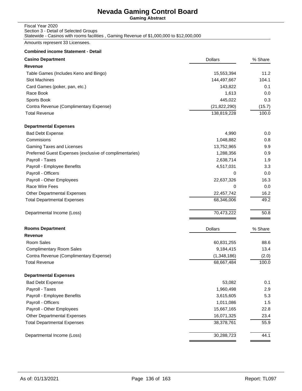**Gaming Abstract**

### Fiscal Year 2020 Section 3 - Detail of Selected Groups Statewide - Casinos with rooms facilities , Gaming Revenue of \$1,000,000 to \$12,000,000

Amounts represent 33 Licensees.

| <b>Casino Department</b>                                | <b>Dollars</b> | % Share |
|---------------------------------------------------------|----------------|---------|
| Revenue                                                 |                |         |
| Table Games (Includes Keno and Bingo)                   | 15,553,394     | 11.2    |
| <b>Slot Machines</b>                                    | 144,497,667    | 104.1   |
| Card Games (poker, pan, etc.)                           | 143,822        | 0.1     |
| Race Book                                               | 1,613          | 0.0     |
| Sports Book                                             | 445,022        | 0.3     |
| Contra Revenue (Complimentary Expense)                  | (21, 822, 290) | (15.7)  |
| <b>Total Revenue</b>                                    | 138,819,228    | 100.0   |
| <b>Departmental Expenses</b>                            |                |         |
| <b>Bad Debt Expense</b>                                 | 4,990          | 0.0     |
| Commisions                                              | 1,048,882      | 0.8     |
| Gaming Taxes and Licenses                               | 13,752,965     | 9.9     |
| Preferred Guest Expenses (exclusive of complimentaries) | 1,288,356      | 0.9     |
| Payroll - Taxes                                         | 2,638,714      | 1.9     |
| Payroll - Employee Benefits                             | 4,517,031      | 3.3     |
| Payroll - Officers                                      | 0              | 0.0     |
| Payroll - Other Employees                               | 22,637,326     | 16.3    |
| Race Wire Fees                                          | 0              | 0.0     |
| <b>Other Departmental Expenses</b>                      | 22,457,742     | 16.2    |
| <b>Total Departmental Expenses</b>                      | 68,346,006     | 49.2    |
| Departmental Income (Loss)                              | 70,473,222     | 50.8    |
| <b>Rooms Department</b>                                 | <b>Dollars</b> | % Share |
| Revenue                                                 |                |         |
| Room Sales                                              | 60,831,255     | 88.6    |
| <b>Complimentary Room Sales</b>                         | 9,184,415      | 13.4    |
| Contra Revenue (Complimentary Expense)                  | (1,348,186)    | (2.0)   |
| <b>Total Revenue</b>                                    | 68,667,484     | 100.0   |
| <b>Departmental Expenses</b>                            |                |         |
| <b>Bad Debt Expense</b>                                 | 53,082         | 0.1     |
| Payroll - Taxes                                         | 1,960,498      | 2.9     |
| Payroll - Employee Benefits                             | 3,615,605      | 5.3     |
| Payroll - Officers                                      | 1,011,086      | 1.5     |
| Payroll - Other Employees                               | 15,667,165     | 22.8    |
| Other Departmental Expenses                             | 16,071,325     | 23.4    |
| <b>Total Departmental Expenses</b>                      | 38,378,761     | 55.9    |
| Departmental Income (Loss)                              | 30,288,723     | 44.1    |
|                                                         |                |         |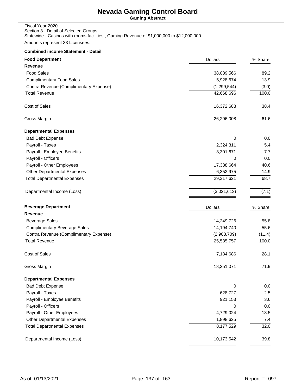**Gaming Abstract**

### Fiscal Year 2020 Section 3 - Detail of Selected Groups Statewide - Casinos with rooms facilities , Gaming Revenue of \$1,000,000 to \$12,000,000

Amounts represent 33 Licensees.

| <b>Food Department</b>                 | <b>Dollars</b> | % Share |
|----------------------------------------|----------------|---------|
| Revenue                                |                |         |
| <b>Food Sales</b>                      | 38,039,566     | 89.2    |
| <b>Complimentary Food Sales</b>        | 5,928,674      | 13.9    |
| Contra Revenue (Complimentary Expense) | (1, 299, 544)  | (3.0)   |
| <b>Total Revenue</b>                   | 42,668,696     | 100.0   |
| Cost of Sales                          | 16,372,688     | 38.4    |
| Gross Margin                           | 26,296,008     | 61.6    |
| <b>Departmental Expenses</b>           |                |         |
| <b>Bad Debt Expense</b>                | 0              | 0.0     |
| Payroll - Taxes                        | 2,324,311      | 5.4     |
| Payroll - Employee Benefits            | 3,301,671      | 7.7     |
| Payroll - Officers                     | 0              | 0.0     |
| Payroll - Other Employees              | 17,338,664     | 40.6    |
| <b>Other Departmental Expenses</b>     | 6,352,975      | 14.9    |
| <b>Total Departmental Expenses</b>     | 29,317,621     | 68.7    |
| Departmental Income (Loss)             | (3,021,613)    | (7.1)   |
| <b>Beverage Department</b>             | <b>Dollars</b> | % Share |
| Revenue                                |                |         |
| <b>Beverage Sales</b>                  | 14,249,726     | 55.8    |
| <b>Complimentary Beverage Sales</b>    | 14,194,740     | 55.6    |
| Contra Revenue (Complimentary Expense) | (2,908,709)    | (11.4)  |
| <b>Total Revenue</b>                   | 25,535,757     | 100.0   |
| <b>Cost of Sales</b>                   | 7,184,686      | 28.1    |
| Gross Margin                           | 18,351,071     | 71.9    |
| <b>Departmental Expenses</b>           |                |         |
| <b>Bad Debt Expense</b>                | 0              | 0.0     |
| Payroll - Taxes                        | 628,727        | 2.5     |
| Payroll - Employee Benefits            | 921,153        | 3.6     |
| Payroll - Officers                     | 0              | 0.0     |
| Payroll - Other Employees              | 4,729,024      | 18.5    |
| <b>Other Departmental Expenses</b>     | 1,898,625      | 7.4     |
| <b>Total Departmental Expenses</b>     | 8,177,529      | 32.0    |
| Departmental Income (Loss)             | 10,173,542     | 39.8    |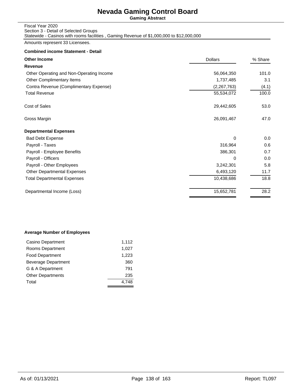**Gaming Abstract**

### Fiscal Year 2020 Section 3 - Detail of Selected Groups Statewide - Casinos with rooms facilities , Gaming Revenue of \$1,000,000 to \$12,000,000

Amounts represent 33 Licensees.

### **Combined income Statement - Detail**

| <b>Other Income</b>                      | <b>Dollars</b> | % Share |
|------------------------------------------|----------------|---------|
| Revenue                                  |                |         |
| Other Operating and Non-Operating Income | 56,064,350     | 101.0   |
| Other Complimentary Items                | 1,737,485      | 3.1     |
| Contra Revenue (Complimentary Expense)   | (2,267,763)    | (4.1)   |
| <b>Total Revenue</b>                     | 55,534,072     | 100.0   |
| Cost of Sales                            | 29,442,605     | 53.0    |
| Gross Margin                             | 26,091,467     | 47.0    |
| <b>Departmental Expenses</b>             |                |         |
| <b>Bad Debt Expense</b>                  | 0              | 0.0     |
| Payroll - Taxes                          | 316,964        | 0.6     |
| Payroll - Employee Benefits              | 386,301        | 0.7     |
| Payroll - Officers                       | 0              | 0.0     |
| Payroll - Other Employees                | 3,242,301      | 5.8     |
| <b>Other Departmental Expenses</b>       | 6,493,120      | 11.7    |
| <b>Total Departmental Expenses</b>       | 10,438,686     | 18.8    |
| Departmental Income (Loss)               | 15,652,781     | 28.2    |

### **Average Number of Employees**

| Casino Department        | 1,112 |
|--------------------------|-------|
| Rooms Department         | 1,027 |
| <b>Food Department</b>   | 1,223 |
| Beverage Department      | 360   |
| G & A Department         | 791   |
| <b>Other Departments</b> | 235   |
| Total                    |       |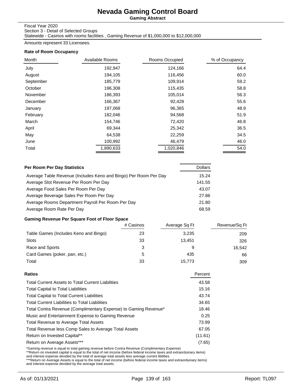**Gaming Abstract**

Fiscal Year 2020

Section 3 - Detail of Selected Groups

Statewide - Casinos with rooms facilities , Gaming Revenue of \$1,000,000 to \$12,000,000

Amounts represent 33 Licensees.

### **Rate of Room Occupancy**

| Month     | Available Rooms | Rooms Occupied | % of Occupancy |
|-----------|-----------------|----------------|----------------|
| July      | 192,947         | 124,166        | 64.4           |
| August    | 194,105         | 116,456        | 60.0           |
| September | 185,779         | 109,914        | 59.2           |
| October   | 196,308         | 115,435        | 58.8           |
| November  | 186,393         | 105,014        | 56.3           |
| December  | 166,367         | 92,428         | 55.6           |
| January   | 197,068         | 96,365         | 48.9           |
| February  | 182,046         | 94,568         | 51.9           |
| March     | 154,746         | 72,420         | 46.8           |
| April     | 69,344          | 25,342         | 36.5           |
| May       | 64,538          | 22,259         | 34.5           |
| June      | 100,992         | 46,479         | 46.0           |
| Total     | 1,890,633       | 1,020,846      | 54.0           |

| <b>Per Room Per Day Statistics</b>                               | <b>Dollars</b> |
|------------------------------------------------------------------|----------------|
| Average Table Revenue (Includes Keno and Bingo) Per Room Per Day | 15.24          |
| Average Slot Revenue Per Room Per Day                            | 141.55         |
| Average Food Sales Per Room Per Day                              | 43.07          |
| Average Beverage Sales Per Room Per Day                          | 27.86          |
| Average Rooms Department Payroll Per Room Per Day                | 21.80          |
| Average Room Rate Per Day                                        | 68.59          |

### **Gaming Revenue Per Square Foot of Floor Space**

|                                       | # Casinos | Average Sq Ft | Revenue/Sq Ft |
|---------------------------------------|-----------|---------------|---------------|
| Table Games (Includes Keno and Bingo) | 23        | 3.235         | 209           |
| Slots                                 | 33        | 13.451        | 326           |
| Race and Sports                       |           | 9             | 16,542        |
| Card Games (poker, pan, etc.)         | 5         | 435           | 66            |
| Total                                 | 33        | 15,773        | 309           |

| Ratios                                                          | Percent |
|-----------------------------------------------------------------|---------|
| <b>Total Current Assets to Total Current Liabilities</b>        | 43.58   |
| <b>Total Capital to Total Liabilities</b>                       | 15.16   |
| <b>Total Capital to Total Current Liabilities</b>               | 43.74   |
| <b>Total Current Liabilities to Total Liabilities</b>           | 34.65   |
| Total Contra Revenue (Complimentary Expense) to Gaming Revenue* | 18.46   |
| Music and Entertainment Expense to Gaming Revenue               | 0.25    |
| <b>Total Revenue to Average Total Assets</b>                    | 73.99   |
| Total Revenue less Comp Sales to Average Total Assets           | 67.05   |
| Return on Invested Capital**                                    | (11.61) |
| Return on Average Assets***                                     | (7.65)  |
|                                                                 |         |

\*Gaming revenue is equal to total gaming revenue before Contra Revenue (Complimentary Expense)<br>\*\*Return on invested capital is equal to the total of net income (before federal income taxes and extraorduinary items)<br>and int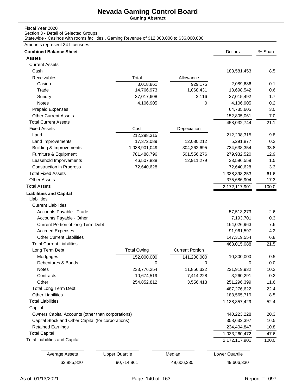**Gaming Abstract**

### Fiscal Year 2020

Section 3 - Detail of Selected Groups

Statewide - Casinos with rooms facilities , Gaming Revenue of \$12,000,000 to \$36,000,000

### Amounts represent 34 Licensees.

| <b>Assets</b><br><b>Current Assets</b><br>Cash<br>183,581,453<br>Receivables<br>Total<br>Allowance<br>Casino<br>929,175<br>2,089,686<br>3,018,861<br>Trade<br>14,766,973<br>1,068,431<br>13,698,542<br>37,017,608<br>2,116<br>Sundry<br>37,015,492<br>Notes<br>4,106,905<br>0<br>4,106,905<br><b>Prepaid Expenses</b><br>64,735,605<br><b>Other Current Assets</b><br>152,805,061<br><b>Total Current Assets</b><br>458,032,744<br><b>Fixed Assets</b><br>Cost<br>Depeciation<br>Land<br>212,298,315<br>212,298,315<br>5,291,877<br>17,372,089<br>12,080,212<br>Land Improvements<br>1,038,901,049<br>734,638,354<br><b>Building &amp; Improvements</b><br>304,262,695<br>Furniture & Equipment<br>781,488,796<br>501,556,276<br>279,932,520<br>Leasehold Imporvements<br>12,911,279<br>46,507,838<br>33,596,559<br><b>Construction in Progress</b><br>72,640,628<br>72,640,628<br><b>Total Fixed Assets</b><br>1,338,398,253<br><b>Other Assets</b><br>375,686,904<br><b>Total Assets</b><br>2,172,117,901<br><b>Liabilities and Capital</b><br>Liabilities<br><b>Current Liabilities</b><br>Accounts Payable - Trade<br>57,513,273<br>Accounts Payable - Other<br>7,193,701<br>Current Portion of long Term Debt<br>164,026,963<br><b>Accrued Expenses</b><br>91,961,597<br><b>Other Current Liabilities</b><br>147,319,554<br><b>Total Current Liabilities</b><br>468,015,088<br><b>Current Portion</b><br><b>Total Owing</b><br>Long Term Debt<br>Mortgages<br>10,800,000<br>152,000,000<br>141,200,000<br>Debentures & Bonds<br>0<br>0<br>0<br>Notes<br>11,856,322<br>221,919,932<br>233,776,254<br>7,414,228<br>Contracts<br>10,674,519<br>3,260,291<br>Other<br>254,852,812<br>3,556,413<br>251,296,399<br><b>Total Long Term Debt</b><br>487,276,622<br><b>Other Liabilities</b><br>183,565,719<br><b>Total Liabilities</b><br>1,138,857,429<br>Capital<br>Owners Capital Accounts (other than corporations)<br>440,223,228<br>Capital Stock and Other Capital (for corporations)<br>358,632,397<br><b>Retained Earnings</b><br>234,404,847<br><b>Total Capital</b><br>1,033,260,472<br><b>Total Liabilities and Capital</b><br>2,172,117,901<br><b>Upper Quartile</b><br>Median<br>Lower Quartile<br><b>Average Assets</b><br>90,714,861<br>63,885,820<br>49,606,330<br>49,606,330 | <b>Combined Balance Sheet</b> |  | <b>Dollars</b> | % Share |
|---------------------------------------------------------------------------------------------------------------------------------------------------------------------------------------------------------------------------------------------------------------------------------------------------------------------------------------------------------------------------------------------------------------------------------------------------------------------------------------------------------------------------------------------------------------------------------------------------------------------------------------------------------------------------------------------------------------------------------------------------------------------------------------------------------------------------------------------------------------------------------------------------------------------------------------------------------------------------------------------------------------------------------------------------------------------------------------------------------------------------------------------------------------------------------------------------------------------------------------------------------------------------------------------------------------------------------------------------------------------------------------------------------------------------------------------------------------------------------------------------------------------------------------------------------------------------------------------------------------------------------------------------------------------------------------------------------------------------------------------------------------------------------------------------------------------------------------------------------------------------------------------------------------------------------------------------------------------------------------------------------------------------------------------------------------------------------------------------------------------------------------------------------------------------------------------------------------------------------------------------------------------------------------------|-------------------------------|--|----------------|---------|
|                                                                                                                                                                                                                                                                                                                                                                                                                                                                                                                                                                                                                                                                                                                                                                                                                                                                                                                                                                                                                                                                                                                                                                                                                                                                                                                                                                                                                                                                                                                                                                                                                                                                                                                                                                                                                                                                                                                                                                                                                                                                                                                                                                                                                                                                                             |                               |  |                |         |
|                                                                                                                                                                                                                                                                                                                                                                                                                                                                                                                                                                                                                                                                                                                                                                                                                                                                                                                                                                                                                                                                                                                                                                                                                                                                                                                                                                                                                                                                                                                                                                                                                                                                                                                                                                                                                                                                                                                                                                                                                                                                                                                                                                                                                                                                                             |                               |  |                |         |
|                                                                                                                                                                                                                                                                                                                                                                                                                                                                                                                                                                                                                                                                                                                                                                                                                                                                                                                                                                                                                                                                                                                                                                                                                                                                                                                                                                                                                                                                                                                                                                                                                                                                                                                                                                                                                                                                                                                                                                                                                                                                                                                                                                                                                                                                                             |                               |  |                | 8.5     |
|                                                                                                                                                                                                                                                                                                                                                                                                                                                                                                                                                                                                                                                                                                                                                                                                                                                                                                                                                                                                                                                                                                                                                                                                                                                                                                                                                                                                                                                                                                                                                                                                                                                                                                                                                                                                                                                                                                                                                                                                                                                                                                                                                                                                                                                                                             |                               |  |                |         |
|                                                                                                                                                                                                                                                                                                                                                                                                                                                                                                                                                                                                                                                                                                                                                                                                                                                                                                                                                                                                                                                                                                                                                                                                                                                                                                                                                                                                                                                                                                                                                                                                                                                                                                                                                                                                                                                                                                                                                                                                                                                                                                                                                                                                                                                                                             |                               |  |                | 0.1     |
|                                                                                                                                                                                                                                                                                                                                                                                                                                                                                                                                                                                                                                                                                                                                                                                                                                                                                                                                                                                                                                                                                                                                                                                                                                                                                                                                                                                                                                                                                                                                                                                                                                                                                                                                                                                                                                                                                                                                                                                                                                                                                                                                                                                                                                                                                             |                               |  |                | 0.6     |
|                                                                                                                                                                                                                                                                                                                                                                                                                                                                                                                                                                                                                                                                                                                                                                                                                                                                                                                                                                                                                                                                                                                                                                                                                                                                                                                                                                                                                                                                                                                                                                                                                                                                                                                                                                                                                                                                                                                                                                                                                                                                                                                                                                                                                                                                                             |                               |  |                | 1.7     |
|                                                                                                                                                                                                                                                                                                                                                                                                                                                                                                                                                                                                                                                                                                                                                                                                                                                                                                                                                                                                                                                                                                                                                                                                                                                                                                                                                                                                                                                                                                                                                                                                                                                                                                                                                                                                                                                                                                                                                                                                                                                                                                                                                                                                                                                                                             |                               |  |                | 0.2     |
|                                                                                                                                                                                                                                                                                                                                                                                                                                                                                                                                                                                                                                                                                                                                                                                                                                                                                                                                                                                                                                                                                                                                                                                                                                                                                                                                                                                                                                                                                                                                                                                                                                                                                                                                                                                                                                                                                                                                                                                                                                                                                                                                                                                                                                                                                             |                               |  |                | 3.0     |
|                                                                                                                                                                                                                                                                                                                                                                                                                                                                                                                                                                                                                                                                                                                                                                                                                                                                                                                                                                                                                                                                                                                                                                                                                                                                                                                                                                                                                                                                                                                                                                                                                                                                                                                                                                                                                                                                                                                                                                                                                                                                                                                                                                                                                                                                                             |                               |  |                | 7.0     |
|                                                                                                                                                                                                                                                                                                                                                                                                                                                                                                                                                                                                                                                                                                                                                                                                                                                                                                                                                                                                                                                                                                                                                                                                                                                                                                                                                                                                                                                                                                                                                                                                                                                                                                                                                                                                                                                                                                                                                                                                                                                                                                                                                                                                                                                                                             |                               |  |                | 21.1    |
|                                                                                                                                                                                                                                                                                                                                                                                                                                                                                                                                                                                                                                                                                                                                                                                                                                                                                                                                                                                                                                                                                                                                                                                                                                                                                                                                                                                                                                                                                                                                                                                                                                                                                                                                                                                                                                                                                                                                                                                                                                                                                                                                                                                                                                                                                             |                               |  |                |         |
|                                                                                                                                                                                                                                                                                                                                                                                                                                                                                                                                                                                                                                                                                                                                                                                                                                                                                                                                                                                                                                                                                                                                                                                                                                                                                                                                                                                                                                                                                                                                                                                                                                                                                                                                                                                                                                                                                                                                                                                                                                                                                                                                                                                                                                                                                             |                               |  |                | 9.8     |
|                                                                                                                                                                                                                                                                                                                                                                                                                                                                                                                                                                                                                                                                                                                                                                                                                                                                                                                                                                                                                                                                                                                                                                                                                                                                                                                                                                                                                                                                                                                                                                                                                                                                                                                                                                                                                                                                                                                                                                                                                                                                                                                                                                                                                                                                                             |                               |  |                | 0.2     |
|                                                                                                                                                                                                                                                                                                                                                                                                                                                                                                                                                                                                                                                                                                                                                                                                                                                                                                                                                                                                                                                                                                                                                                                                                                                                                                                                                                                                                                                                                                                                                                                                                                                                                                                                                                                                                                                                                                                                                                                                                                                                                                                                                                                                                                                                                             |                               |  |                | 33.8    |
|                                                                                                                                                                                                                                                                                                                                                                                                                                                                                                                                                                                                                                                                                                                                                                                                                                                                                                                                                                                                                                                                                                                                                                                                                                                                                                                                                                                                                                                                                                                                                                                                                                                                                                                                                                                                                                                                                                                                                                                                                                                                                                                                                                                                                                                                                             |                               |  |                | 12.9    |
|                                                                                                                                                                                                                                                                                                                                                                                                                                                                                                                                                                                                                                                                                                                                                                                                                                                                                                                                                                                                                                                                                                                                                                                                                                                                                                                                                                                                                                                                                                                                                                                                                                                                                                                                                                                                                                                                                                                                                                                                                                                                                                                                                                                                                                                                                             |                               |  |                | 1.5     |
|                                                                                                                                                                                                                                                                                                                                                                                                                                                                                                                                                                                                                                                                                                                                                                                                                                                                                                                                                                                                                                                                                                                                                                                                                                                                                                                                                                                                                                                                                                                                                                                                                                                                                                                                                                                                                                                                                                                                                                                                                                                                                                                                                                                                                                                                                             |                               |  |                | 3.3     |
|                                                                                                                                                                                                                                                                                                                                                                                                                                                                                                                                                                                                                                                                                                                                                                                                                                                                                                                                                                                                                                                                                                                                                                                                                                                                                                                                                                                                                                                                                                                                                                                                                                                                                                                                                                                                                                                                                                                                                                                                                                                                                                                                                                                                                                                                                             |                               |  |                | 61.6    |
|                                                                                                                                                                                                                                                                                                                                                                                                                                                                                                                                                                                                                                                                                                                                                                                                                                                                                                                                                                                                                                                                                                                                                                                                                                                                                                                                                                                                                                                                                                                                                                                                                                                                                                                                                                                                                                                                                                                                                                                                                                                                                                                                                                                                                                                                                             |                               |  |                | 17.3    |
|                                                                                                                                                                                                                                                                                                                                                                                                                                                                                                                                                                                                                                                                                                                                                                                                                                                                                                                                                                                                                                                                                                                                                                                                                                                                                                                                                                                                                                                                                                                                                                                                                                                                                                                                                                                                                                                                                                                                                                                                                                                                                                                                                                                                                                                                                             |                               |  |                | 100.0   |
|                                                                                                                                                                                                                                                                                                                                                                                                                                                                                                                                                                                                                                                                                                                                                                                                                                                                                                                                                                                                                                                                                                                                                                                                                                                                                                                                                                                                                                                                                                                                                                                                                                                                                                                                                                                                                                                                                                                                                                                                                                                                                                                                                                                                                                                                                             |                               |  |                |         |
|                                                                                                                                                                                                                                                                                                                                                                                                                                                                                                                                                                                                                                                                                                                                                                                                                                                                                                                                                                                                                                                                                                                                                                                                                                                                                                                                                                                                                                                                                                                                                                                                                                                                                                                                                                                                                                                                                                                                                                                                                                                                                                                                                                                                                                                                                             |                               |  |                |         |
|                                                                                                                                                                                                                                                                                                                                                                                                                                                                                                                                                                                                                                                                                                                                                                                                                                                                                                                                                                                                                                                                                                                                                                                                                                                                                                                                                                                                                                                                                                                                                                                                                                                                                                                                                                                                                                                                                                                                                                                                                                                                                                                                                                                                                                                                                             |                               |  |                | 2.6     |
|                                                                                                                                                                                                                                                                                                                                                                                                                                                                                                                                                                                                                                                                                                                                                                                                                                                                                                                                                                                                                                                                                                                                                                                                                                                                                                                                                                                                                                                                                                                                                                                                                                                                                                                                                                                                                                                                                                                                                                                                                                                                                                                                                                                                                                                                                             |                               |  |                | 0.3     |
|                                                                                                                                                                                                                                                                                                                                                                                                                                                                                                                                                                                                                                                                                                                                                                                                                                                                                                                                                                                                                                                                                                                                                                                                                                                                                                                                                                                                                                                                                                                                                                                                                                                                                                                                                                                                                                                                                                                                                                                                                                                                                                                                                                                                                                                                                             |                               |  |                | 7.6     |
|                                                                                                                                                                                                                                                                                                                                                                                                                                                                                                                                                                                                                                                                                                                                                                                                                                                                                                                                                                                                                                                                                                                                                                                                                                                                                                                                                                                                                                                                                                                                                                                                                                                                                                                                                                                                                                                                                                                                                                                                                                                                                                                                                                                                                                                                                             |                               |  |                | 4.2     |
|                                                                                                                                                                                                                                                                                                                                                                                                                                                                                                                                                                                                                                                                                                                                                                                                                                                                                                                                                                                                                                                                                                                                                                                                                                                                                                                                                                                                                                                                                                                                                                                                                                                                                                                                                                                                                                                                                                                                                                                                                                                                                                                                                                                                                                                                                             |                               |  |                | 6.8     |
|                                                                                                                                                                                                                                                                                                                                                                                                                                                                                                                                                                                                                                                                                                                                                                                                                                                                                                                                                                                                                                                                                                                                                                                                                                                                                                                                                                                                                                                                                                                                                                                                                                                                                                                                                                                                                                                                                                                                                                                                                                                                                                                                                                                                                                                                                             |                               |  |                | 21.5    |
|                                                                                                                                                                                                                                                                                                                                                                                                                                                                                                                                                                                                                                                                                                                                                                                                                                                                                                                                                                                                                                                                                                                                                                                                                                                                                                                                                                                                                                                                                                                                                                                                                                                                                                                                                                                                                                                                                                                                                                                                                                                                                                                                                                                                                                                                                             |                               |  |                |         |
|                                                                                                                                                                                                                                                                                                                                                                                                                                                                                                                                                                                                                                                                                                                                                                                                                                                                                                                                                                                                                                                                                                                                                                                                                                                                                                                                                                                                                                                                                                                                                                                                                                                                                                                                                                                                                                                                                                                                                                                                                                                                                                                                                                                                                                                                                             |                               |  |                | 0.5     |
|                                                                                                                                                                                                                                                                                                                                                                                                                                                                                                                                                                                                                                                                                                                                                                                                                                                                                                                                                                                                                                                                                                                                                                                                                                                                                                                                                                                                                                                                                                                                                                                                                                                                                                                                                                                                                                                                                                                                                                                                                                                                                                                                                                                                                                                                                             |                               |  |                | 0.0     |
|                                                                                                                                                                                                                                                                                                                                                                                                                                                                                                                                                                                                                                                                                                                                                                                                                                                                                                                                                                                                                                                                                                                                                                                                                                                                                                                                                                                                                                                                                                                                                                                                                                                                                                                                                                                                                                                                                                                                                                                                                                                                                                                                                                                                                                                                                             |                               |  |                | 10.2    |
|                                                                                                                                                                                                                                                                                                                                                                                                                                                                                                                                                                                                                                                                                                                                                                                                                                                                                                                                                                                                                                                                                                                                                                                                                                                                                                                                                                                                                                                                                                                                                                                                                                                                                                                                                                                                                                                                                                                                                                                                                                                                                                                                                                                                                                                                                             |                               |  |                | 0.2     |
|                                                                                                                                                                                                                                                                                                                                                                                                                                                                                                                                                                                                                                                                                                                                                                                                                                                                                                                                                                                                                                                                                                                                                                                                                                                                                                                                                                                                                                                                                                                                                                                                                                                                                                                                                                                                                                                                                                                                                                                                                                                                                                                                                                                                                                                                                             |                               |  |                | 11.6    |
|                                                                                                                                                                                                                                                                                                                                                                                                                                                                                                                                                                                                                                                                                                                                                                                                                                                                                                                                                                                                                                                                                                                                                                                                                                                                                                                                                                                                                                                                                                                                                                                                                                                                                                                                                                                                                                                                                                                                                                                                                                                                                                                                                                                                                                                                                             |                               |  |                | 22.4    |
|                                                                                                                                                                                                                                                                                                                                                                                                                                                                                                                                                                                                                                                                                                                                                                                                                                                                                                                                                                                                                                                                                                                                                                                                                                                                                                                                                                                                                                                                                                                                                                                                                                                                                                                                                                                                                                                                                                                                                                                                                                                                                                                                                                                                                                                                                             |                               |  |                | 8.5     |
|                                                                                                                                                                                                                                                                                                                                                                                                                                                                                                                                                                                                                                                                                                                                                                                                                                                                                                                                                                                                                                                                                                                                                                                                                                                                                                                                                                                                                                                                                                                                                                                                                                                                                                                                                                                                                                                                                                                                                                                                                                                                                                                                                                                                                                                                                             |                               |  |                | 52.4    |
|                                                                                                                                                                                                                                                                                                                                                                                                                                                                                                                                                                                                                                                                                                                                                                                                                                                                                                                                                                                                                                                                                                                                                                                                                                                                                                                                                                                                                                                                                                                                                                                                                                                                                                                                                                                                                                                                                                                                                                                                                                                                                                                                                                                                                                                                                             |                               |  |                |         |
|                                                                                                                                                                                                                                                                                                                                                                                                                                                                                                                                                                                                                                                                                                                                                                                                                                                                                                                                                                                                                                                                                                                                                                                                                                                                                                                                                                                                                                                                                                                                                                                                                                                                                                                                                                                                                                                                                                                                                                                                                                                                                                                                                                                                                                                                                             |                               |  |                | 20.3    |
|                                                                                                                                                                                                                                                                                                                                                                                                                                                                                                                                                                                                                                                                                                                                                                                                                                                                                                                                                                                                                                                                                                                                                                                                                                                                                                                                                                                                                                                                                                                                                                                                                                                                                                                                                                                                                                                                                                                                                                                                                                                                                                                                                                                                                                                                                             |                               |  |                | 16.5    |
|                                                                                                                                                                                                                                                                                                                                                                                                                                                                                                                                                                                                                                                                                                                                                                                                                                                                                                                                                                                                                                                                                                                                                                                                                                                                                                                                                                                                                                                                                                                                                                                                                                                                                                                                                                                                                                                                                                                                                                                                                                                                                                                                                                                                                                                                                             |                               |  |                | 10.8    |
|                                                                                                                                                                                                                                                                                                                                                                                                                                                                                                                                                                                                                                                                                                                                                                                                                                                                                                                                                                                                                                                                                                                                                                                                                                                                                                                                                                                                                                                                                                                                                                                                                                                                                                                                                                                                                                                                                                                                                                                                                                                                                                                                                                                                                                                                                             |                               |  |                | 47.6    |
|                                                                                                                                                                                                                                                                                                                                                                                                                                                                                                                                                                                                                                                                                                                                                                                                                                                                                                                                                                                                                                                                                                                                                                                                                                                                                                                                                                                                                                                                                                                                                                                                                                                                                                                                                                                                                                                                                                                                                                                                                                                                                                                                                                                                                                                                                             |                               |  |                | 100.0   |
|                                                                                                                                                                                                                                                                                                                                                                                                                                                                                                                                                                                                                                                                                                                                                                                                                                                                                                                                                                                                                                                                                                                                                                                                                                                                                                                                                                                                                                                                                                                                                                                                                                                                                                                                                                                                                                                                                                                                                                                                                                                                                                                                                                                                                                                                                             |                               |  |                |         |
|                                                                                                                                                                                                                                                                                                                                                                                                                                                                                                                                                                                                                                                                                                                                                                                                                                                                                                                                                                                                                                                                                                                                                                                                                                                                                                                                                                                                                                                                                                                                                                                                                                                                                                                                                                                                                                                                                                                                                                                                                                                                                                                                                                                                                                                                                             |                               |  |                |         |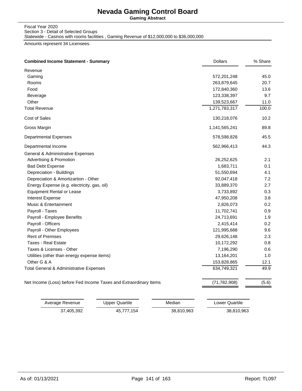**Gaming Abstract**

Fiscal Year 2020 Section 3 - Detail of Selected Groups

Statewide - Casinos with rooms facilities , Gaming Revenue of \$12,000,000 to \$36,000,000

Amounts represent 34 Licensees.

| <b>Combined Income Statement - Summary</b>                        | <b>Dollars</b> | % Share |
|-------------------------------------------------------------------|----------------|---------|
| Revenue                                                           |                |         |
| Gaming                                                            | 572,201,248    | 45.0    |
| Rooms                                                             | 263,879,645    | 20.7    |
| Food                                                              | 172,840,360    | 13.6    |
| Beverage                                                          | 123,338,397    | 9.7     |
| Other                                                             | 139,523,667    | 11.0    |
| <b>Total Revenue</b>                                              | 1,271,783,317  | 100.0   |
| Cost of Sales                                                     | 130,218,076    | 10.2    |
| Gross Margin                                                      | 1,141,565,241  | 89.8    |
| <b>Departmental Expenses</b>                                      | 578,598,828    | 45.5    |
| Departmental Income                                               | 562,966,413    | 44.3    |
| General & Administrative Expenses                                 |                |         |
| <b>Advertising &amp; Promotion</b>                                | 26,252,625     | 2.1     |
| <b>Bad Debt Expense</b>                                           | 1,683,711      | 0.1     |
| Depreciation - Buildings                                          | 51,550,694     | 4.1     |
| Depreciation & Amortizartion - Other                              | 92,047,418     | 7.2     |
| Energy Expense (e.g. electricity, gas, oil)                       | 33,889,370     | 2.7     |
| <b>Equipment Rental or Lease</b>                                  | 3,733,892      | 0.3     |
| Interest Expense                                                  | 47,950,208     | 3.8     |
| Music & Entertainment                                             | 2,826,073      | 0.2     |
| Payroll - Taxes                                                   | 11,702,741     | 0.9     |
| Payroll - Employee Benefits                                       | 24,713,691     | 1.9     |
| Payroll - Officers                                                | 2,415,414      | 0.2     |
| Payroll - Other Employees                                         | 121,995,688    | 9.6     |
| <b>Rent of Premises</b>                                           | 29,626,148     | 2.3     |
| <b>Taxes - Real Estate</b>                                        | 10,172,292     | 0.8     |
| Taxes & Licenses - Other                                          | 7,196,290      | 0.6     |
| Utilities (other than energy expense items)                       | 13,164,201     | 1.0     |
| Other G & A                                                       | 153,828,865    | 12.1    |
| Total General & Administrative Expenses                           | 634,749,321    | 49.9    |
| Net Income (Loss) before Fed Income Taxes and Extraordinary Items | (71, 782, 908) | (5.6)   |

| Average Revenue | Upper Quartile | Median     | Lower Quartile |
|-----------------|----------------|------------|----------------|
| 37.405.392      | 45.777.154     | 38,810,963 | 38.810.963     |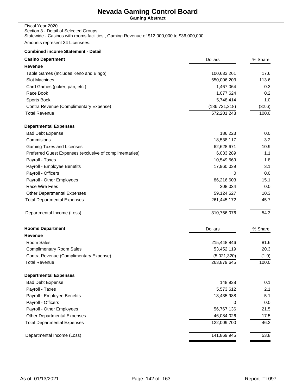**Gaming Abstract**

### Fiscal Year 2020 Section 3 - Detail of Selected Groups

Statewide - Casinos with rooms facilities , Gaming Revenue of \$12,000,000 to \$36,000,000

Amounts represent 34 Licensees.

| <b>Casino Department</b>                                | <b>Dollars</b>  | % Share |
|---------------------------------------------------------|-----------------|---------|
| Revenue                                                 |                 |         |
| Table Games (Includes Keno and Bingo)                   | 100,633,261     | 17.6    |
| Slot Machines                                           | 650,006,203     | 113.6   |
| Card Games (poker, pan, etc.)                           | 1,467,064       | 0.3     |
| Race Book                                               | 1,077,624       | 0.2     |
| Sports Book                                             | 5,748,414       | 1.0     |
| Contra Revenue (Complimentary Expense)                  | (186, 731, 318) | (32.6)  |
| <b>Total Revenue</b>                                    | 572,201,248     | 100.0   |
| <b>Departmental Expenses</b>                            |                 |         |
| <b>Bad Debt Expense</b>                                 | 186,223         | 0.0     |
| Commisions                                              | 18,538,117      | 3.2     |
| Gaming Taxes and Licenses                               | 62,628,671      | 10.9    |
| Preferred Guest Expenses (exclusive of complimentaries) | 6,033,289       | 1.1     |
| Payroll - Taxes                                         | 10,549,569      | 1.8     |
| Payroll - Employee Benefits                             | 17,960,039      | 3.1     |
| Payroll - Officers                                      | 0               | 0.0     |
| Payroll - Other Employees                               | 86,216,603      | 15.1    |
| Race Wire Fees                                          | 208,034         | 0.0     |
| <b>Other Departmental Expenses</b>                      | 59,124,627      | 10.3    |
| <b>Total Departmental Expenses</b>                      | 261,445,172     | 45.7    |
| Departmental Income (Loss)                              | 310,756,076     | 54.3    |
| <b>Rooms Department</b>                                 | <b>Dollars</b>  | % Share |
| Revenue                                                 |                 |         |
| Room Sales                                              | 215,448,846     | 81.6    |
| <b>Complimentary Room Sales</b>                         | 53,452,119      | 20.3    |
| Contra Revenue (Complimentary Expense)                  | (5,021,320)     | (1.9)   |
| <b>Total Revenue</b>                                    | 263,879,645     | 100.0   |
| Departmental Expenses                                   |                 |         |
| <b>Bad Debt Expense</b>                                 | 148,938         | 0.1     |
| Payroll - Taxes                                         | 5,573,612       | 2.1     |
| Payroll - Employee Benefits                             | 13,435,988      | 5.1     |
| Payroll - Officers                                      | 0               | 0.0     |
| Payroll - Other Employees                               | 56,767,136      | 21.5    |
| <b>Other Departmental Expenses</b>                      | 46,084,026      | 17.5    |
| <b>Total Departmental Expenses</b>                      | 122,009,700     | 46.2    |
| Departmental Income (Loss)                              | 141,869,945     | 53.8    |
|                                                         |                 |         |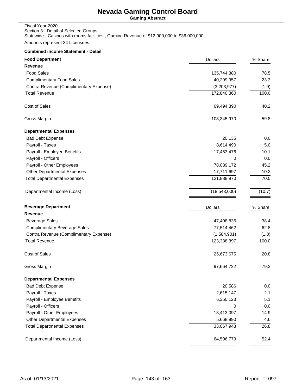**Gaming Abstract**

#### Fiscal Year 2020 Section 3 - Detail of Selected Groups Statewide - Casinos with rooms facilities , Gaming Revenue of \$12,000,000 to \$36,000,000

Amounts represent 34 Licensees.

| <b>Food Department</b>                 | <b>Dollars</b> | % Share |
|----------------------------------------|----------------|---------|
| Revenue                                |                |         |
| <b>Food Sales</b>                      | 135,744,380    | 78.5    |
| <b>Complimentary Food Sales</b>        | 40,299,957     | 23.3    |
| Contra Revenue (Complimentary Expense) | (3,203,977)    | (1.9)   |
| <b>Total Revenue</b>                   | 172,840,360    | 100.0   |
| Cost of Sales                          | 69,494,390     | 40.2    |
| Gross Margin                           | 103,345,970    | 59.8    |
| <b>Departmental Expenses</b>           |                |         |
| <b>Bad Debt Expense</b>                | 20,135         | 0.0     |
| Payroll - Taxes                        | 8,614,490      | 5.0     |
| Payroll - Employee Benefits            | 17,453,476     | 10.1    |
| Payroll - Officers                     | 0              | 0.0     |
| Payroll - Other Employees              | 78,089,172     | 45.2    |
| <b>Other Departmental Expenses</b>     | 17,711,697     | 10.2    |
| <b>Total Departmental Expenses</b>     | 121,888,970    | 70.5    |
| Departmental Income (Loss)             | (18,543,000)   | (10.7)  |
| <b>Beverage Department</b>             | <b>Dollars</b> | % Share |
| Revenue                                |                |         |
| <b>Beverage Sales</b>                  | 47,408,836     | 38.4    |
| <b>Complimentary Beverage Sales</b>    | 77,514,462     | 62.8    |
| Contra Revenue (Complimentary Expense) | (1,584,901)    | (1.3)   |
| <b>Total Revenue</b>                   | 123,338,397    | 100.0   |
| Cost of Sales                          | 25,673,675     | 20.8    |
| Gross Margin                           | 97,664,722     | 79.2    |
| <b>Departmental Expenses</b>           |                |         |
| <b>Bad Debt Expense</b>                | 20,586         | 0.0     |
| Payroll - Taxes                        | 2,615,147      | 2.1     |
| Payroll - Employee Benefits            | 6,350,123      | 5.1     |
| Payroll - Officers                     | 0              | 0.0     |
| Payroll - Other Employees              | 18,413,097     | 14.9    |
| <b>Other Departmental Expenses</b>     | 5,668,990      | 4.6     |
| <b>Total Departmental Expenses</b>     | 33,067,943     | 26.8    |
| Departmental Income (Loss)             | 64,596,779     | 52.4    |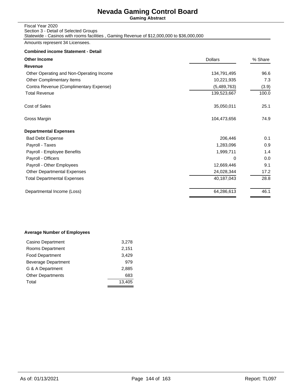**Gaming Abstract**

### Fiscal Year 2020 Section 3 - Detail of Selected Groups Statewide - Casinos with rooms facilities , Gaming Revenue of \$12,000,000 to \$36,000,000

Amounts represent 34 Licensees.

### **Combined income Statement - Detail**

| <b>Other Income</b>                      | <b>Dollars</b> | % Share |
|------------------------------------------|----------------|---------|
| Revenue                                  |                |         |
| Other Operating and Non-Operating Income | 134,791,495    | 96.6    |
| Other Complimentary Items                | 10,221,935     | 7.3     |
| Contra Revenue (Complimentary Expense)   | (5,489,763)    | (3.9)   |
| <b>Total Revenue</b>                     | 139,523,667    | 100.0   |
| Cost of Sales                            | 35,050,011     | 25.1    |
| Gross Margin                             | 104,473,656    | 74.9    |
| <b>Departmental Expenses</b>             |                |         |
| <b>Bad Debt Expense</b>                  | 206,446        | 0.1     |
| Payroll - Taxes                          | 1,283,096      | 0.9     |
| Payroll - Employee Benefits              | 1,999,711      | 1.4     |
| Payroll - Officers                       | 0              | 0.0     |
| Payroll - Other Employees                | 12,669,446     | 9.1     |
| <b>Other Departmental Expenses</b>       | 24,028,344     | 17.2    |
| <b>Total Departmental Expenses</b>       | 40,187,043     | 28.8    |
| Departmental Income (Loss)               | 64,286,613     | 46.1    |
|                                          |                |         |

### **Average Number of Employees**

| Casino Department          | 3,278  |
|----------------------------|--------|
| Rooms Department           | 2,151  |
| <b>Food Department</b>     | 3,429  |
| <b>Beverage Department</b> | 979    |
| G & A Department           | 2.885  |
| <b>Other Departments</b>   | 683    |
| Total                      | 13,405 |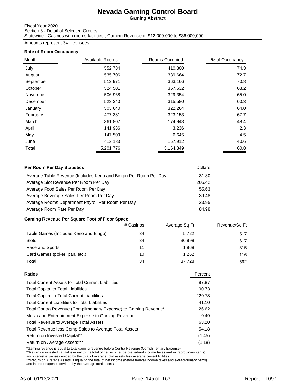**Gaming Abstract**

Fiscal Year 2020

Section 3 - Detail of Selected Groups

Statewide - Casinos with rooms facilities , Gaming Revenue of \$12,000,000 to \$36,000,000

Amounts represent 34 Licensees.

### **Rate of Room Occupancy**

| Month     | Available Rooms | Rooms Occupied | % of Occupancy |
|-----------|-----------------|----------------|----------------|
| July      | 552,784         | 410,800        | 74.3           |
| August    | 535,706         | 389,664        | 72.7           |
| September | 512,971         | 363,166        | 70.8           |
| October   | 524,501         | 357,632        | 68.2           |
| November  | 506,968         | 329,354        | 65.0           |
| December  | 523,340         | 315,580        | 60.3           |
| January   | 503,640         | 322,264        | 64.0           |
| February  | 477,381         | 323,153        | 67.7           |
| March     | 361,807         | 174,943        | 48.4           |
| April     | 141,986         | 3,236          | 2.3            |
| May       | 147,509         | 6,645          | 4.5            |
| June      | 413,183         | 167,912        | 40.6           |
| Total     | 5,201,776       | 3,164,349      | 60.8           |

| <b>Per Room Per Day Statistics</b>                               | <b>Dollars</b> |
|------------------------------------------------------------------|----------------|
| Average Table Revenue (Includes Keno and Bingo) Per Room Per Day | 31.80          |
| Average Slot Revenue Per Room Per Day                            | 205.42         |
| Average Food Sales Per Room Per Day                              | 55.63          |
| Average Beverage Sales Per Room Per Day                          | 39.48          |
| Average Rooms Department Payroll Per Room Per Day                | 23.95          |
| Average Room Rate Per Day                                        | 84.98          |

### **Gaming Revenue Per Square Foot of Floor Space**

|                                       | # Casinos | Average Sq Ft | Revenue/Sq Ft |
|---------------------------------------|-----------|---------------|---------------|
| Table Games (Includes Keno and Bingo) | 34        | 5,722         | 517           |
| Slots                                 | 34        | 30,998        | 617           |
| Race and Sports                       | 11        | 1.968         | 315           |
| Card Games (poker, pan, etc.)         | 10        | 1.262         | 116           |
| Total                                 | 34        | 37.728        | 592           |

| Ratios                                                          | Percent |
|-----------------------------------------------------------------|---------|
| <b>Total Current Assets to Total Current Liabilities</b>        | 97.87   |
| <b>Total Capital to Total Liabilities</b>                       | 90.73   |
| <b>Total Capital to Total Current Liabilities</b>               | 220.78  |
| <b>Total Current Liabilities to Total Liabilities</b>           | 41.10   |
| Total Contra Revenue (Complimentary Expense) to Gaming Revenue* | 26.62   |
| Music and Entertainment Expense to Gaming Revenue               | 0.49    |
| <b>Total Revenue to Average Total Assets</b>                    | 63.20   |
| Total Revenue less Comp Sales to Average Total Assets           | 54.18   |
| Return on Invested Capital**                                    | (1.45)  |
| Return on Average Assets***                                     | (1.18)  |
|                                                                 |         |

\*Gaming revenue is equal to total gaming revenue before Contra Revenue (Complimentary Expense)<br>\*\*Return on invested capital is equal to the total of net income (before federal income taxes and extraorduinary items)<br>and int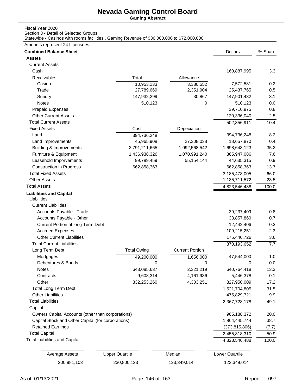**Gaming Abstract**

### Fiscal Year 2020

Section 3 - Detail of Selected Groups

Statewide - Casinos with rooms facilities , Gaming Revenue of \$36,000,000 to \$72,000,000

Amounts represent 24 Licensees.

| Assets                                             |                       |                        |                       | % Share |
|----------------------------------------------------|-----------------------|------------------------|-----------------------|---------|
|                                                    |                       |                        |                       |         |
| <b>Current Assets</b>                              |                       |                        |                       |         |
| Cash                                               |                       |                        | 160,887,995           | 3.3     |
| <b>Receivables</b>                                 | Total                 | Allowance              |                       |         |
| Casino                                             | 10,953,133            | 3,380,552              | 7,572,581             | 0.2     |
| Trade                                              | 27,789,669            | 2,351,904              | 25,437,765            | 0.5     |
| Sundry                                             | 147,932,299           | 30,867                 | 147,901,432           | 3.1     |
| Notes                                              | 510,123               | 0                      | 510,123               | 0.0     |
| <b>Prepaid Expenses</b>                            |                       |                        | 39,710,975            | 0.8     |
| <b>Other Current Assets</b>                        |                       |                        | 120,336,040           | 2.5     |
| <b>Total Current Assets</b>                        |                       |                        | 502,356,911           | 10.4    |
| <b>Fixed Assets</b>                                | Cost                  | Depeciation            |                       |         |
| Land                                               | 394,736,248           |                        | 394,736,248           | 8.2     |
| Land Improvements                                  | 45,965,908            | 27,308,038             | 18,657,870            | 0.4     |
| <b>Building &amp; Improvements</b>                 | 2,791,211,665         | 1,092,568,542          | 1,698,643,123         | 35.2    |
| Furniture & Equipment                              | 1,436,938,326         | 1,070,991,240          | 365,947,086           | 7.6     |
| Leasehold Imporvements                             | 99,789,459            | 55, 154, 144           | 44,635,315            | 0.9     |
| <b>Construction in Progress</b>                    | 662,858,363           |                        | 662,858,363           | 13.7    |
| <b>Total Fixed Assets</b>                          |                       |                        | 3,185,478,005         | 66.0    |
| <b>Other Assets</b>                                |                       |                        | 1,135,711,572         | 23.5    |
| <b>Total Assets</b>                                |                       |                        | 4,823,546,488         | 100.0   |
| <b>Liabilities and Capital</b><br>Liabilities      |                       |                        |                       |         |
| <b>Current Liabilities</b>                         |                       |                        |                       |         |
| Accounts Payable - Trade                           |                       |                        | 39,237,409            | 0.8     |
| Accounts Payable - Other                           |                       |                        | 33,857,860            | 0.7     |
| Current Portion of long Term Debt                  |                       |                        | 12,442,406            | 0.3     |
| <b>Accrued Expenses</b>                            |                       |                        | 109,215,251           | 2.3     |
| <b>Other Current Liabilities</b>                   |                       |                        | 175,440,726           | 3.6     |
| <b>Total Current Liabilities</b>                   |                       |                        | 370,193,652           | 7.7     |
| Long Term Debt                                     | <b>Total Owing</b>    | <b>Current Portion</b> |                       |         |
| Mortgages                                          | 49,200,000            | 1,656,000              | 47,544,000            | 1.0     |
| Debentures & Bonds                                 | 0                     | 0                      | 0                     | 0.0     |
| <b>Notes</b>                                       | 643,085,637           | 2,321,219              | 640,764,418           | 13.3    |
| Contracts                                          | 9,608,314             | 4,161,936              | 5,446,378             | 0.1     |
| Other                                              | 832,253,260           | 4,303,251              | 827,950,009           | 17.2    |
| <b>Total Long Term Debt</b>                        |                       |                        | 1,521,704,805         | 31.5    |
| <b>Other Liabilities</b>                           |                       |                        | 475,829,721           | 9.9     |
| <b>Total Liabilities</b>                           |                       |                        | 2,367,728,178         | 49.1    |
| Capital                                            |                       |                        |                       |         |
| Owners Capital Accounts (other than corporations)  |                       |                        | 965, 188, 372         | 20.0    |
| Capital Stock and Other Capital (for corporations) |                       |                        | 1,864,445,744         | 38.7    |
| <b>Retained Earnings</b>                           |                       |                        | (373, 815, 806)       | (7.7)   |
| <b>Total Capital</b>                               |                       |                        | 2,455,818,310         | 50.9    |
| <b>Total Liabilities and Capital</b>               |                       |                        | 4,823,546,488         | 100.0   |
| <b>Average Assets</b>                              | <b>Upper Quartile</b> | Median                 | <b>Lower Quartile</b> |         |
| 200,981,103                                        | 230,800,123           | 123,349,014            | 123,349,014           |         |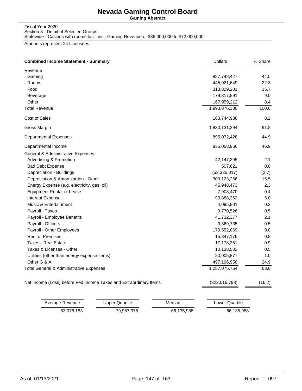**Gaming Abstract**

Fiscal Year 2020 Section 3 - Detail of Selected Groups

Statewide - Casinos with rooms facilities , Gaming Revenue of \$36,000,000 to \$72,000,000

Amounts represent 24 Licensees.

| <b>Combined Income Statement - Summary</b>                        | <b>Dollars</b> | % Share |
|-------------------------------------------------------------------|----------------|---------|
| Revenue                                                           |                |         |
| Gaming                                                            | 887,748,427    | 44.5    |
| Rooms                                                             | 445,021,649    | 22.3    |
| Food                                                              | 313,829,201    | 15.7    |
| Beverage                                                          | 179,317,891    | 9.0     |
| Other                                                             | 167,959,212    | 8.4     |
| <b>Total Revenue</b>                                              | 1,993,876,380  | 100.0   |
| Cost of Sales                                                     | 163,744,986    | 8.2     |
| Gross Margin                                                      | 1,830,131,394  | 91.8    |
| <b>Departmental Expenses</b>                                      | 895,072,428    | 44.9    |
| Departmental Income                                               | 935,058,966    | 46.9    |
| General & Administrative Expenses                                 |                |         |
| <b>Advertising &amp; Promotion</b>                                | 42,147,295     | 2.1     |
| <b>Bad Debt Expense</b>                                           | 507,621        | $0.0\,$ |
| Depreciation - Buildings                                          | (53, 335, 017) | (2.7)   |
| Depreciation & Amortizartion - Other                              | 309,123,266    | 15.5    |
| Energy Expense (e.g. electricity, gas, oil)                       | 45,948,473     | 2.3     |
| <b>Equipment Rental or Lease</b>                                  | 7,908,470      | 0.4     |
| Interest Expense                                                  | 99,888,362     | 5.0     |
| Music & Entertainment                                             | 4,095,801      | 0.2     |
| Payroll - Taxes                                                   | 9,770,526      | 0.5     |
| Payroll - Employee Benefits                                       | 41,732,377     | 2.1     |
| Payroll - Officers                                                | 9,369,735      | 0.5     |
| Payroll - Other Employees                                         | 179,552,069    | 9.0     |
| <b>Rent of Premises</b>                                           | 15,847,176     | 0.8     |
| <b>Taxes - Real Estate</b>                                        | 17,178,251     | 0.9     |
| Taxes & Licenses - Other                                          | 10,138,532     | 0.5     |
| Utilities (other than energy expense items)                       | 20,005,877     | 1.0     |
| Other G & A                                                       | 497,196,950    | 24.9    |
| Total General & Administrative Expenses                           | 1,257,075,764  | 63.0    |
| Net Income (Loss) before Fed Income Taxes and Extraordinary Items | (322,016,798)  | (16.2)  |

| Average Revenue | Upper Quartile | Median     | Lower Quartile |
|-----------------|----------------|------------|----------------|
| 83.078.183      | 79,957,378     | 66.135.988 | 66,135,988     |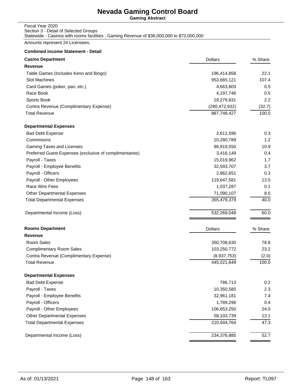**Gaming Abstract**

## Fiscal Year 2020 Section 3 - Detail of Selected Groups

Statewide - Casinos with rooms facilities , Gaming Revenue of \$36,000,000 to \$72,000,000

Amounts represent 24 Licensees.

| <b>Casino Department</b>                                | <b>Dollars</b>  | % Share |
|---------------------------------------------------------|-----------------|---------|
| Revenue                                                 |                 |         |
| Table Games (Includes Keno and Bingo)                   | 196,414,858     | 22.1    |
| Slot Machines                                           | 953,665,121     | 107.4   |
| Card Games (poker, pan, etc.)                           | 4,663,803       | 0.5     |
| Race Book                                               | 4,197,746       | 0.5     |
| Sports Book                                             | 19,279,831      | 2.2     |
| Contra Revenue (Complimentary Expense)                  | (290, 472, 932) | (32.7)  |
| <b>Total Revenue</b>                                    | 887,748,427     | 100.0   |
| <b>Departmental Expenses</b>                            |                 |         |
| <b>Bad Debt Expense</b>                                 | 2,611,596       | 0.3     |
| Commisions                                              | 10,280,789      | 1.2     |
| Gaming Taxes and Licenses                               | 96,919,550      | 10.9    |
| Preferred Guest Expenses (exclusive of complimentaries) | 3,416,149       | 0.4     |
| Payroll - Taxes                                         | 15,019,962      | 1.7     |
| Payroll - Employee Benefits                             | 32,593,707      | 3.7     |
| Payroll - Officers                                      | 2,862,651       | 0.3     |
| Payroll - Other Employees                               | 119,647,581     | 13.5    |
| Race Wire Fees                                          | 1,037,287       | 0.1     |
| <b>Other Departmental Expenses</b>                      | 71,090,107      | 8.0     |
| <b>Total Departmental Expenses</b>                      | 355,479,379     | 40.0    |
| Departmental Income (Loss)                              | 532,269,048     | 60.0    |
| <b>Rooms Department</b>                                 | <b>Dollars</b>  | % Share |
| Revenue                                                 |                 |         |
| Room Sales                                              | 350,708,630     | 78.8    |
| <b>Complimentary Room Sales</b>                         | 103,250,772     | 23.2    |
| Contra Revenue (Complimentary Expense)                  | (8,937,753)     | (2.0)   |
| <b>Total Revenue</b>                                    | 445,021,649     | 100.0   |
| <b>Departmental Expenses</b>                            |                 |         |
| <b>Bad Debt Expense</b>                                 | 786,713         | 0.2     |
| Payroll - Taxes                                         | 10,350,585      | 2.3     |
| Payroll - Employee Benefits                             | 32,961,181      | 7.4     |
| Payroll - Officers                                      | 1,789,296       | 0.4     |
| Payroll - Other Employees                               | 106,653,250     | 24.0    |
| <b>Other Departmental Expenses</b>                      | 58,103,739      | 13.1    |
| <b>Total Departmental Expenses</b>                      | 210,644,764     | 47.3    |
| Departmental Income (Loss)                              | 234,376,885     | 52.7    |
|                                                         |                 |         |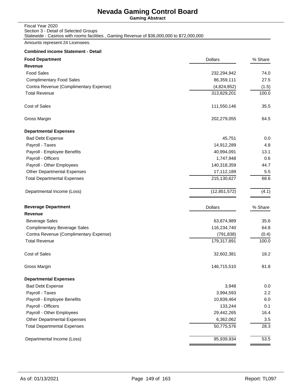**Gaming Abstract**

### Fiscal Year 2020 Section 3 - Detail of Selected Groups Statewide - Casinos with rooms facilities , Gaming Revenue of \$36,000,000 to \$72,000,000

Amounts represent 24 Licensees.

| <b>Food Department</b>                 | <b>Dollars</b> | % Share |
|----------------------------------------|----------------|---------|
| Revenue                                |                |         |
| <b>Food Sales</b>                      | 232,294,942    | 74.0    |
| <b>Complimentary Food Sales</b>        | 86,359,111     | 27.5    |
| Contra Revenue (Complimentary Expense) | (4,824,852)    | (1.5)   |
| <b>Total Revenue</b>                   | 313,829,201    | 100.0   |
| Cost of Sales                          | 111,550,146    | 35.5    |
| Gross Margin                           | 202,279,055    | 64.5    |
| <b>Departmental Expenses</b>           |                |         |
| <b>Bad Debt Expense</b>                | 45,751         | 0.0     |
| Payroll - Taxes                        | 14,912,289     | 4.8     |
| Payroll - Employee Benefits            | 40,994,091     | 13.1    |
| Payroll - Officers                     | 1,747,948      | 0.6     |
| Payroll - Other Employees              | 140,318,359    | 44.7    |
| <b>Other Departmental Expenses</b>     | 17,112,189     | 5.5     |
| <b>Total Departmental Expenses</b>     | 215,130,627    | 68.6    |
| Departmental Income (Loss)             | (12, 851, 572) | (4.1)   |
| <b>Beverage Department</b>             | <b>Dollars</b> | % Share |
| Revenue                                |                |         |
| <b>Beverage Sales</b>                  | 63,874,989     | 35.6    |
| <b>Complimentary Beverage Sales</b>    | 116,234,740    | 64.8    |
| Contra Revenue (Complimentary Expense) | (791, 838)     | (0.4)   |
| <b>Total Revenue</b>                   | 179,317,891    | 100.0   |
| <b>Cost of Sales</b>                   | 32,602,381     | 18.2    |
| Gross Margin                           | 146,715,510    | 81.8    |
| <b>Departmental Expenses</b>           |                |         |
| <b>Bad Debt Expense</b>                | 3,948          | 0.0     |
| Payroll - Taxes                        | 3,994,593      | 2.2     |
| Payroll - Employee Benefits            | 10,839,464     | 6.0     |
| Payroll - Officers                     | 133,244        | 0.1     |
| Payroll - Other Employees              | 29,442,265     | 16.4    |
| Other Departmental Expenses            | 6,362,062      | 3.5     |
| <b>Total Departmental Expenses</b>     | 50,775,576     | 28.3    |
| Departmental Income (Loss)             | 95,939,934     | 53.5    |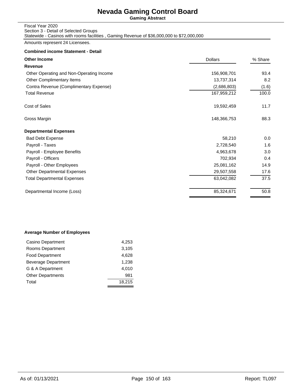**Gaming Abstract**

### Fiscal Year 2020 Section 3 - Detail of Selected Groups Statewide - Casinos with rooms facilities , Gaming Revenue of \$36,000,000 to \$72,000,000

Amounts represent 24 Licensees.

### **Combined income Statement - Detail**

| <b>Other Income</b><br><b>Dollars</b>    |             | % Share |  |
|------------------------------------------|-------------|---------|--|
| Revenue                                  |             |         |  |
| Other Operating and Non-Operating Income | 156,908,701 | 93.4    |  |
| Other Complimentary Items                | 13,737,314  | 8.2     |  |
| Contra Revenue (Complimentary Expense)   | (2,686,803) | (1.6)   |  |
| <b>Total Revenue</b>                     | 167,959,212 | 100.0   |  |
| Cost of Sales                            | 19,592,459  | 11.7    |  |
| Gross Margin                             | 148,366,753 | 88.3    |  |
| <b>Departmental Expenses</b>             |             |         |  |
| <b>Bad Debt Expense</b>                  | 58,210      | 0.0     |  |
| Payroll - Taxes                          | 2,728,540   | 1.6     |  |
| Payroll - Employee Benefits              | 4,963,678   | 3.0     |  |
| Payroll - Officers                       | 702,934     | 0.4     |  |
| Payroll - Other Employees                | 25,081,162  | 14.9    |  |
| <b>Other Departmental Expenses</b>       | 29,507,558  | 17.6    |  |
| <b>Total Departmental Expenses</b>       | 63,042,082  | 37.5    |  |
| Departmental Income (Loss)               | 85,324,671  | 50.8    |  |
|                                          |             |         |  |

### **Average Number of Employees**

| Casino Department        | 4,253  |
|--------------------------|--------|
| Rooms Department         | 3,105  |
| <b>Food Department</b>   | 4,628  |
| Beverage Department      | 1,238  |
| G & A Department         | 4.010  |
| <b>Other Departments</b> | 981    |
| Total                    | 18.215 |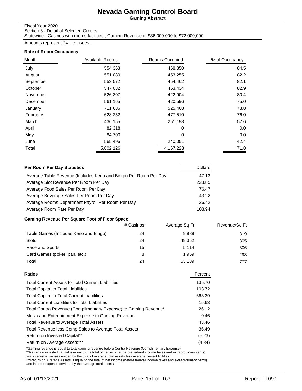**Gaming Abstract**

Fiscal Year 2020

Section 3 - Detail of Selected Groups

Statewide - Casinos with rooms facilities , Gaming Revenue of \$36,000,000 to \$72,000,000

Amounts represent 24 Licensees.

### **Rate of Room Occupancy**

| Month     | Available Rooms<br>Rooms Occupied |           |      |  | % of Occupancy |
|-----------|-----------------------------------|-----------|------|--|----------------|
| July      | 554,363                           | 468,350   | 84.5 |  |                |
| August    | 551,080                           | 453,255   | 82.2 |  |                |
| September | 553,572                           | 454,462   | 82.1 |  |                |
| October   | 547,032                           | 453,434   | 82.9 |  |                |
| November  | 526,307                           | 422,904   | 80.4 |  |                |
| December  | 561,165                           | 420,596   | 75.0 |  |                |
| January   | 711,686                           | 525,468   | 73.8 |  |                |
| February  | 628,252                           | 477,510   | 76.0 |  |                |
| March     | 436,155                           | 251,198   | 57.6 |  |                |
| April     | 82,318                            | 0         | 0.0  |  |                |
| May       | 84,700                            | 0         | 0.0  |  |                |
| June      | 565,496                           | 240,051   | 42.4 |  |                |
| Total     | 5,802,126                         | 4,167,228 | 71.8 |  |                |

| Per Room Per Day Statistics                                      | <b>Dollars</b> |
|------------------------------------------------------------------|----------------|
| Average Table Revenue (Includes Keno and Bingo) Per Room Per Day | 47.13          |
| Average Slot Revenue Per Room Per Day                            | 228.85         |
| Average Food Sales Per Room Per Day                              | 76.47          |
| Average Beverage Sales Per Room Per Day                          | 43.22          |
| Average Rooms Department Payroll Per Room Per Day                | 36.42          |
| Average Room Rate Per Day                                        | 108.94         |

### **Gaming Revenue Per Square Foot of Floor Space**

|                                       | # Casinos | Average Sq Ft | Revenue/Sq Ft |
|---------------------------------------|-----------|---------------|---------------|
| Table Games (Includes Keno and Bingo) | 24        | 9.989         | 819           |
| Slots                                 | 24        | 49.352        | 805           |
| Race and Sports                       | 15        | 5.114         | 306           |
| Card Games (poker, pan, etc.)         | 8         | 1.959         | 298           |
| Total                                 | 24        | 63.189        | 777           |

|                                                                 | 135.70 |
|-----------------------------------------------------------------|--------|
| <b>Total Current Assets to Total Current Liabilities</b>        |        |
| <b>Total Capital to Total Liabilities</b>                       | 103.72 |
| <b>Total Capital to Total Current Liabilities</b>               | 663.39 |
| <b>Total Current Liabilities to Total Liabilities</b>           | 15.63  |
| Total Contra Revenue (Complimentary Expense) to Gaming Revenue* | 26.12  |
| Music and Entertainment Expense to Gaming Revenue               | 0.46   |
| Total Revenue to Average Total Assets                           | 43.46  |
| Total Revenue less Comp Sales to Average Total Assets           | 36.49  |
| Return on Invested Capital**                                    | (5.23) |
| Return on Average Assets***                                     | (4.84) |

\*Gaming revenue is equal to total gaming revenue before Contra Revenue (Complimentary Expense)<br>\*\*Return on invested capital is equal to the total of net income (before federal income taxes and extraorduinary items)<br>and int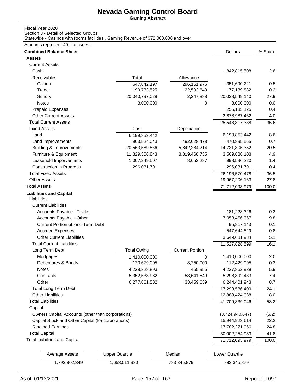**Gaming Abstract**

### Fiscal Year 2020

Section 3 - Detail of Selected Groups

Statewide - Casinos with rooms facilities , Gaming Revenue of \$72,000,000 and over

### Amounts represent 40 Licensees.

| <b>Combined Balance Sheet</b>                      |                       |                        | <b>Dollars</b>  | % Share |
|----------------------------------------------------|-----------------------|------------------------|-----------------|---------|
| <b>Assets</b>                                      |                       |                        |                 |         |
| <b>Current Assets</b>                              |                       |                        |                 |         |
| Cash                                               |                       |                        | 1,842,815,508   | 2.6     |
| Receivables                                        | Total                 | Allowance              |                 |         |
| Casino                                             | 647,842,197           | 296, 151, 976          | 351,690,221     | 0.5     |
| Trade                                              | 199,733,525           | 22,593,643             | 177,139,882     | 0.2     |
| Sundry                                             | 20,040,797,028        | 2,247,888              | 20,038,549,140  | 27.9    |
| Notes                                              | 3,000,000             | 0                      | 3,000,000       | 0.0     |
| <b>Prepaid Expenses</b>                            |                       |                        | 256,135,125     | 0.4     |
| <b>Other Current Assets</b>                        |                       |                        | 2,878,987,462   | 4.0     |
| <b>Total Current Assets</b>                        |                       |                        | 25,548,317,338  | 35.6    |
| <b>Fixed Assets</b>                                | Cost                  | Depeciation            |                 |         |
| Land                                               | 6,199,853,442         |                        | 6,199,853,442   | 8.6     |
| Land Improvements                                  | 963,524,043           | 492,628,478            | 470,895,565     | 0.7     |
| <b>Building &amp; Improvements</b>                 | 20,563,589,566        | 5,842,284,214          | 14,721,305,352  | 20.5    |
| Furniture & Equipment                              | 11,829,356,843        | 8,319,468,735          | 3,509,888,108   | 4.9     |
| Leasehold Imporvements                             | 1,007,249,507         | 8,653,287              | 998,596,220     | 1.4     |
| <b>Construction in Progress</b>                    | 296,031,791           |                        | 296,031,791     | 0.4     |
| <b>Total Fixed Assets</b>                          |                       |                        | 26,196,570,478  | 36.5    |
| <b>Other Assets</b>                                |                       |                        | 19,967,206,163  | 27.8    |
| <b>Total Assets</b>                                |                       |                        | 71,712,093,979  | 100.0   |
| <b>Liabilities and Capital</b><br>Liabilities      |                       |                        |                 |         |
| <b>Current Liabilities</b>                         |                       |                        |                 |         |
| Accounts Payable - Trade                           |                       |                        | 181,228,326     | 0.3     |
| Accounts Payable - Other                           |                       |                        | 7,053,456,367   | 9.8     |
| Current Portion of long Term Debt                  |                       |                        | 95,817,143      | 0.1     |
| <b>Accrued Expenses</b>                            |                       |                        | 547,644,829     | 0.8     |
| <b>Other Current Liabilities</b>                   |                       |                        | 3,649,681,934   | 5.1     |
| <b>Total Current Liabilities</b>                   |                       |                        | 11,527,828,599  | 16.1    |
| Long Term Debt                                     | <b>Total Owing</b>    | <b>Current Portion</b> |                 |         |
| Mortgages                                          | 1,410,000,000         | $\mathbf 0$            | 1,410,000,000   | 2.0     |
| Debentures & Bonds                                 | 120,679,095           | 8,250,000              | 112,429,095     | 0.2     |
| Notes                                              | 4,228,328,893         | 465,955                | 4,227,862,938   | 5.9     |
| Contracts                                          | 5,352,533,982         | 53,641,549             | 5,298,892,433   | 7.4     |
| Other                                              | 6,277,861,582         | 33,459,639             | 6,244,401,943   | 8.7     |
| <b>Total Long Term Debt</b>                        |                       |                        | 17,293,586,409  | 24.1    |
| <b>Other Liabilities</b>                           |                       |                        | 12,888,424,038  | 18.0    |
| <b>Total Liabilities</b>                           |                       |                        | 41,709,839,046  | 58.2    |
| Capital                                            |                       |                        |                 |         |
| Owners Capital Accounts (other than corporations)  |                       |                        | (3,724,940,647) | (5.2)   |
| Capital Stock and Other Capital (for corporations) |                       |                        | 15,944,923,614  | 22.2    |
| <b>Retained Earnings</b>                           |                       |                        | 17,782,271,966  | 24.8    |
| <b>Total Capital</b>                               |                       |                        | 30,002,254,933  | 41.8    |
| <b>Total Liabilities and Capital</b>               |                       |                        | 71,712,093,979  | 100.0   |
|                                                    |                       |                        |                 |         |
| <b>Average Assets</b>                              | <b>Upper Quartile</b> | Median                 | Lower Quartile  |         |
| 1,792,802,349                                      | 1,653,511,930         | 783,345,879            | 783,345,879     |         |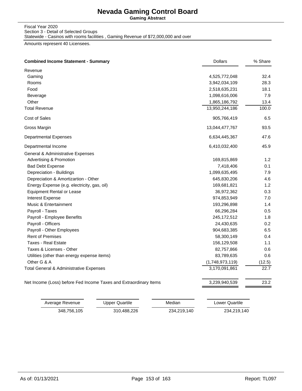**Gaming Abstract**

Fiscal Year 2020 Section 3 - Detail of Selected Groups Statewide - Casinos with rooms facilities , Gaming Revenue of \$72,000,000 and over

Amounts represent 40 Licensees.

| <b>Combined Income Statement - Summary</b>                        | <b>Dollars</b>  | % Share |
|-------------------------------------------------------------------|-----------------|---------|
| Revenue                                                           |                 |         |
| Gaming                                                            | 4,525,772,048   | 32.4    |
| Rooms                                                             | 3,942,034,109   | 28.3    |
| Food                                                              | 2,518,635,231   | 18.1    |
| Beverage                                                          | 1,098,616,006   | 7.9     |
| Other                                                             | 1,865,186,792   | 13.4    |
| <b>Total Revenue</b>                                              | 13,950,244,186  | 100.0   |
| Cost of Sales                                                     | 905,766,419     | 6.5     |
| Gross Margin                                                      | 13,044,477,767  | 93.5    |
| <b>Departmental Expenses</b>                                      | 6,634,445,367   | 47.6    |
| Departmental Income                                               | 6,410,032,400   | 45.9    |
| General & Administrative Expenses                                 |                 |         |
| Advertising & Promotion                                           | 169,815,869     | 1.2     |
| <b>Bad Debt Expense</b>                                           | 7,418,406       | 0.1     |
| Depreciation - Buildings                                          | 1,099,635,495   | 7.9     |
| Depreciation & Amortizartion - Other                              | 645,830,206     | 4.6     |
| Energy Expense (e.g. electricity, gas, oil)                       | 169,681,821     | 1.2     |
| <b>Equipment Rental or Lease</b>                                  | 36,972,362      | 0.3     |
| <b>Interest Expense</b>                                           | 974,853,949     | 7.0     |
| Music & Entertainment                                             | 193,296,898     | 1.4     |
| Payroll - Taxes                                                   | 66,296,284      | 0.5     |
| Payroll - Employee Benefits                                       | 245, 172, 512   | 1.8     |
| Payroll - Officers                                                | 24,430,635      | 0.2     |
| Payroll - Other Employees                                         | 904,683,385     | 6.5     |
| <b>Rent of Premises</b>                                           | 58,300,149      | 0.4     |
| <b>Taxes - Real Estate</b>                                        | 156,129,508     | 1.1     |
| Taxes & Licenses - Other                                          | 82,757,866      | 0.6     |
| Utilities (other than energy expense items)                       | 83,789,635      | 0.6     |
| Other G & A                                                       | (1,748,973,119) | (12.5)  |
| Total General & Administrative Expenses                           | 3,170,091,861   | 22.7    |
| Net Income (Loss) before Fed Income Taxes and Extraordinary Items | 3,239,940,539   | 23.2    |

| Average Revenue | Upper Quartile | Median      | Lower Quartile |
|-----------------|----------------|-------------|----------------|
| 348.756.105     | 310.488.226    | 234,219,140 | 234,219,140    |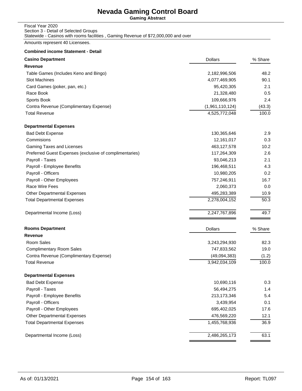**Gaming Abstract**

### Fiscal Year 2020 Section 3 - Detail of Selected Groups Statewide - Casinos with rooms facilities , Gaming Revenue of \$72,000,000 and over

Amounts represent 40 Licensees.

| <b>Casino Department</b>                                | <b>Dollars</b>  | % Share |
|---------------------------------------------------------|-----------------|---------|
| Revenue                                                 |                 |         |
| Table Games (Includes Keno and Bingo)                   | 2,182,996,506   | 48.2    |
| Slot Machines                                           | 4,077,469,905   | 90.1    |
| Card Games (poker, pan, etc.)                           | 95,420,305      | 2.1     |
| Race Book                                               | 21,328,480      | 0.5     |
| Sports Book                                             | 109,666,976     | 2.4     |
| Contra Revenue (Complimentary Expense)                  | (1,961,110,124) | (43.3)  |
| <b>Total Revenue</b>                                    | 4,525,772,048   | 100.0   |
| <b>Departmental Expenses</b>                            |                 |         |
| <b>Bad Debt Expense</b>                                 | 130,365,646     | 2.9     |
| Commisions                                              | 12,161,017      | 0.3     |
| Gaming Taxes and Licenses                               | 463,127,578     | 10.2    |
| Preferred Guest Expenses (exclusive of complimentaries) | 117,264,309     | 2.6     |
| Payroll - Taxes                                         | 93,046,213      | 2.1     |
| Payroll - Employee Benefits                             | 196,468,511     | 4.3     |
| Payroll - Officers                                      | 10,980,205      | 0.2     |
| Payroll - Other Employees                               | 757,246,911     | 16.7    |
| Race Wire Fees                                          | 2,060,373       | 0.0     |
| <b>Other Departmental Expenses</b>                      | 495,283,389     | 10.9    |
| <b>Total Departmental Expenses</b>                      | 2,278,004,152   | 50.3    |
| Departmental Income (Loss)                              | 2,247,767,896   | 49.7    |
| <b>Rooms Department</b>                                 | <b>Dollars</b>  | % Share |
| <b>Revenue</b>                                          |                 |         |
| Room Sales                                              | 3,243,294,930   | 82.3    |
| <b>Complimentary Room Sales</b>                         | 747,833,562     | 19.0    |
| Contra Revenue (Complimentary Expense)                  | (49,094,383)    | (1.2)   |
| <b>Total Revenue</b>                                    | 3,942,034,109   | 100.0   |
| <b>Departmental Expenses</b>                            |                 |         |
| <b>Bad Debt Expense</b>                                 | 10,690,116      | 0.3     |
| Payroll - Taxes                                         | 56,494,275      | 1.4     |
| Payroll - Employee Benefits                             | 213,173,346     | 5.4     |
| Payroll - Officers                                      | 3,439,954       | 0.1     |
| Payroll - Other Employees                               | 695,402,025     | 17.6    |
| <b>Other Departmental Expenses</b>                      | 476,569,220     | 12.1    |
| <b>Total Departmental Expenses</b>                      | 1,455,768,936   | 36.9    |
| Departmental Income (Loss)                              | 2,486,265,173   | 63.1    |
|                                                         |                 |         |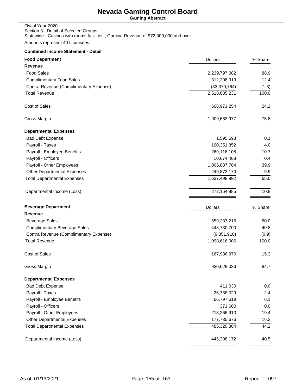**Gaming Abstract**

### Fiscal Year 2020 Section 3 - Detail of Selected Groups Statewide - Casinos with rooms facilities , Gaming Revenue of \$72,000,000 and over

Amounts represent 40 Licensees.

| <b>Food Department</b>                 | <b>Dollars</b> | % Share |
|----------------------------------------|----------------|---------|
| Revenue                                |                |         |
| <b>Food Sales</b>                      | 2,239,797,082  | 88.9    |
| <b>Complimentary Food Sales</b>        | 312,208,913    | 12.4    |
| Contra Revenue (Complimentary Expense) | (33, 370, 764) | (1.3)   |
| <b>Total Revenue</b>                   | 2,518,635,231  | 100.0   |
| Cost of Sales                          | 608,971,254    | 24.2    |
| Gross Margin                           | 1,909,663,977  | 75.8    |
| <b>Departmental Expenses</b>           |                |         |
| <b>Bad Debt Expense</b>                | 1,595,593      | 0.1     |
| Payroll - Taxes                        | 100,351,852    | 4.0     |
| Payroll - Employee Benefits            | 269,116,105    | 10.7    |
| Payroll - Officers                     | 10,674,488     | 0.4     |
| Payroll - Other Employees              | 1,005,887,784  | 39.9    |
| <b>Other Departmental Expenses</b>     | 249,873,170    | 9.9     |
| <b>Total Departmental Expenses</b>     | 1,637,498,992  | 65.0    |
| Departmental Income (Loss)             | 272,164,985    | 10.8    |
| <b>Beverage Department</b>             | <b>Dollars</b> | % Share |
| Revenue                                |                |         |
| <b>Beverage Sales</b>                  | 659,237,216    | 60.0    |
| <b>Complimentary Beverage Sales</b>    | 448,730,700    | 40.8    |
| Contra Revenue (Complimentary Expense) | (9,351,910)    | (0.9)   |
| <b>Total Revenue</b>                   | 1,098,616,006  | 100.0   |
| Cost of Sales                          | 167,986,970    | 15.3    |
| Gross Margin                           | 930,629,036    | 84.7    |
| <b>Departmental Expenses</b>           |                |         |
| <b>Bad Debt Expense</b>                | 411,030        | 0.0     |
| Payroll - Taxes                        | 26,738,029     | 2.4     |
| Payroll - Employee Benefits            | 66,797,619     | 6.1     |
| Payroll - Officers                     | 371,600        | 0.0     |
| Payroll - Other Employees              | 213,266,910    | 19.4    |
| <b>Other Departmental Expenses</b>     | 177,735,676    | 16.2    |
| <b>Total Departmental Expenses</b>     | 485,320,864    | 44.2    |
| Departmental Income (Loss)             | 445,308,172    | 40.5    |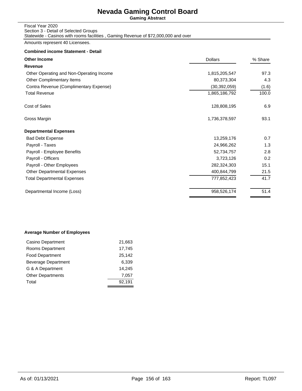**Gaming Abstract**

### Fiscal Year 2020 Section 3 - Detail of Selected Groups Statewide - Casinos with rooms facilities , Gaming Revenue of \$72,000,000 and over

Amounts represent 40 Licensees.

### **Combined income Statement - Detail**

| <b>Dollars</b> | % Share |  |
|----------------|---------|--|
|                |         |  |
| 1,815,205,547  | 97.3    |  |
| 80,373,304     | 4.3     |  |
| (30, 392, 059) | (1.6)   |  |
| 1,865,186,792  | 100.0   |  |
| 128,808,195    | 6.9     |  |
| 1,736,378,597  | 93.1    |  |
|                |         |  |
| 13,259,176     | 0.7     |  |
| 24,966,262     | 1.3     |  |
| 52,734,757     | 2.8     |  |
| 3,723,126      | 0.2     |  |
| 282,324,303    | 15.1    |  |
| 400,844,799    | 21.5    |  |
| 777,852,423    | 41.7    |  |
| 958,526,174    | 51.4    |  |
|                |         |  |

### **Average Number of Employees**

| Casino Department          | 21,663 |
|----------------------------|--------|
| Rooms Department           | 17,745 |
| <b>Food Department</b>     | 25,142 |
| <b>Beverage Department</b> | 6.339  |
| G & A Department           | 14.245 |
| <b>Other Departments</b>   | 7.057  |
| Total                      | 92,191 |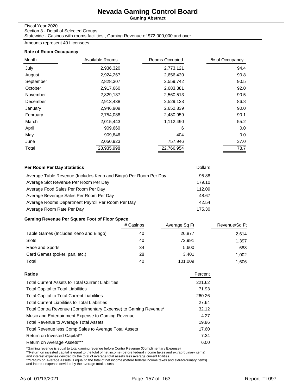**Gaming Abstract**

### Fiscal Year 2020

Section 3 - Detail of Selected Groups

Statewide - Casinos with rooms facilities , Gaming Revenue of \$72,000,000 and over

Amounts represent 40 Licensees.

### **Rate of Room Occupancy**

| Month     | Available Rooms | Rooms Occupied | % of Occupancy |
|-----------|-----------------|----------------|----------------|
| July      | 2,936,320       | 2,773,121      | 94.4           |
| August    | 2,924,267       | 2,656,430      | 90.8           |
| September | 2,828,307       | 2,559,742      | 90.5           |
| October   | 2,917,660       | 2,683,381      | 92.0           |
| November  | 2,829,137       | 2,560,513      | 90.5           |
| December  | 2,913,438       | 2,529,123      | 86.8           |
| January   | 2,946,909       | 2,652,839      | 90.0           |
| February  | 2,754,088       | 2,480,959      | 90.1           |
| March     | 2,015,443       | 1,112,490      | 55.2           |
| April     | 909,660         | 6              | 0.0            |
| May       | 909,846         | 404            | 0.0            |
| June      | 2,050,923       | 757,946        | 37.0           |
| Total     | 28,935,998      | 22,766,954     | 78.7           |

| Per Room Per Day Statistics                                      | <b>Dollars</b> |
|------------------------------------------------------------------|----------------|
| Average Table Revenue (Includes Keno and Bingo) Per Room Per Day | 95.88          |
| Average Slot Revenue Per Room Per Day                            | 179.10         |
| Average Food Sales Per Room Per Day                              | 112.09         |
| Average Beverage Sales Per Room Per Day                          | 48.67          |
| Average Rooms Department Payroll Per Room Per Day                | 42.54          |
| Average Room Rate Per Day                                        | 175.30         |

## **Gaming Revenue Per Square Foot of Floor Space**

|                                       | # Casinos | Average Sq Ft | Revenue/Sq Ft |
|---------------------------------------|-----------|---------------|---------------|
| Table Games (Includes Keno and Bingo) | 40        | 20,877        | 2,614         |
| Slots                                 | 40        | 72.991        | 1,397         |
| Race and Sports                       | 34        | 5.600         | 688           |
| Card Games (poker, pan, etc.)         | 28        | 3.401         | 1.002         |
| Total                                 | 40        | 101,009       | 1.606         |

| Ratios                                                          | Percent |
|-----------------------------------------------------------------|---------|
| <b>Total Current Assets to Total Current Liabilities</b>        | 221.62  |
| <b>Total Capital to Total Liabilities</b>                       | 71.93   |
| <b>Total Capital to Total Current Liabilities</b>               | 260.26  |
| <b>Total Current Liabilities to Total Liabilities</b>           | 27.64   |
| Total Contra Revenue (Complimentary Expense) to Gaming Revenue* | 32.12   |
| Music and Entertainment Expense to Gaming Revenue               | 4.27    |
| Total Revenue to Average Total Assets                           | 19.86   |
| Total Revenue less Comp Sales to Average Total Assets           | 17.60   |
| Return on Invested Capital**                                    | 7.34    |
| Return on Average Assets***                                     | 6.00    |
|                                                                 |         |

\*Gaming revenue is equal to total gaming revenue before Contra Revenue (Complimentary Expense)<br>\*\*Return on invested capital is equal to the total of net income (before federal income taxes and extraorduinary items)<br>and int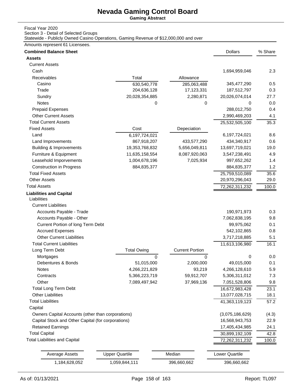**Gaming Abstract**

## Fiscal Year 2020

Section 3 - Detail of Selected Groups

Statewide - Publicly Owned Casino Operations, Gaming Revenue of \$12,000,000 and over

Amounts represent 61 Licensees.

| <b>Combined Balance Sheet</b>                           |                                |                          | <b>Dollars</b>                   | % Share    |
|---------------------------------------------------------|--------------------------------|--------------------------|----------------------------------|------------|
| Assets                                                  |                                |                          |                                  |            |
| <b>Current Assets</b>                                   |                                |                          |                                  |            |
| Cash                                                    |                                |                          | 1,694,959,046                    | 2.3        |
| <b>Receivables</b>                                      | Total                          | Allowance                |                                  |            |
| Casino                                                  | 630,540,778                    | 285,063,488              | 345,477,290                      | 0.5        |
| Trade                                                   | 204,636,128                    | 17,123,331               | 187,512,797                      | 0.3        |
| Sundry                                                  | 20,028,354,885                 | 2,280,871                | 20,026,074,014                   | 27.7       |
| Notes                                                   | 0                              | 0                        | 0                                | 0.0        |
| <b>Prepaid Expenses</b>                                 |                                |                          | 288,012,750                      | 0.4        |
| <b>Other Current Assets</b>                             |                                |                          | 2,990,469,203                    | 4.1        |
| <b>Total Current Assets</b>                             |                                |                          | 25,532,505,100                   | 35.3       |
| <b>Fixed Assets</b>                                     | Cost                           | Depeciation              |                                  |            |
| Land                                                    | 6,197,724,021                  |                          | 6,197,724,021                    | 8.6        |
| Land Improvements                                       | 867,918,207                    | 433,577,290              | 434,340,917                      | 0.6        |
| <b>Building &amp; Improvements</b>                      | 19,353,768,832                 | 5,656,049,811            | 13,697,719,021                   | 19.0       |
| Furniture & Equipment                                   | 11,635,158,554                 | 8,087,920,063            | 3,547,238,491                    | 4.9        |
| Leasehold Imporvements                                  | 1,004,678,196                  | 7,025,934                | 997,652,262                      | 1.4        |
| <b>Construction in Progress</b>                         | 884,835,377                    |                          | 884,835,377                      | 1.2        |
| <b>Total Fixed Assets</b>                               |                                |                          | 25,759,510,089                   | 35.6       |
| <b>Other Assets</b>                                     |                                |                          | 20,970,296,043                   | 29.0       |
| <b>Total Assets</b>                                     |                                |                          | 72,262,311,232                   | 100.0      |
| <b>Liabilities and Capital</b><br>Liabilities           |                                |                          |                                  |            |
| <b>Current Liabilities</b><br>Accounts Payable - Trade  |                                |                          |                                  | 0.3        |
| Accounts Payable - Other                                |                                |                          | 190,971,973                      | 9.8        |
| Current Portion of long Term Debt                       |                                |                          | 7,062,838,195<br>99,975,062      | 0.1        |
| <b>Accrued Expenses</b>                                 |                                |                          | 542,102,865                      | 0.8        |
| <b>Other Current Liabilities</b>                        |                                |                          | 3,717,218,885                    | 5.1        |
| <b>Total Current Liabilities</b>                        |                                |                          |                                  |            |
| Long Term Debt                                          | <b>Total Owing</b>             | <b>Current Portion</b>   | 11,613,106,980                   | 16.1       |
| Mortgages                                               |                                |                          | 0                                | 0.0        |
| Debentures & Bonds                                      | 0<br>51,015,000                | $\Omega$<br>2,000,000    | 49,015,000                       | 0.1        |
|                                                         |                                |                          |                                  |            |
| <b>Notes</b><br>Contracts                               | 4,266,221,829                  | 93,219                   | 4,266,128,610                    | 5.9<br>7.3 |
| Other                                                   | 5,366,223,719<br>7,089,497,942 | 59,912,707<br>37,969,136 | 5,306,311,012                    | 9.8        |
|                                                         |                                |                          | 7,051,528,806                    |            |
| <b>Total Long Term Debt</b><br><b>Other Liabilities</b> |                                |                          | 16,672,983,428<br>13,077,028,715 | 23.1       |
| <b>Total Liabilities</b>                                |                                |                          |                                  | 18.1       |
|                                                         |                                |                          | 41,363,119,123                   | 57.2       |
| Capital                                                 |                                |                          |                                  |            |
| Owners Capital Accounts (other than corporations)       |                                |                          | (3,075,186,629)                  | (4.3)      |
| Capital Stock and Other Capital (for corporations)      |                                |                          | 16,568,943,753                   | 22.9       |
| <b>Retained Earnings</b>                                |                                |                          | 17,405,434,985                   | 24.1       |
| <b>Total Capital</b>                                    |                                |                          | 30,899,192,109                   | 42.8       |
| <b>Total Liabilities and Capital</b>                    |                                |                          | 72,262,311,232                   | 100.0      |
| <b>Average Assets</b>                                   | <b>Upper Quartile</b>          | Median                   | Lower Quartile                   |            |
| 1,184,628,052                                           | 1,059,844,111                  | 396,660,662              | 396,660,662                      |            |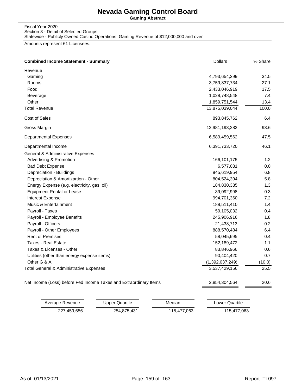**Gaming Abstract**

Fiscal Year 2020 Section 3 - Detail of Selected Groups Statewide - Publicly Owned Casino Operations, Gaming Revenue of \$12,000,000 and over

Amounts represent 61 Licensees.

| <b>Combined Income Statement - Summary</b>                        | <b>Dollars</b>  | % Share |
|-------------------------------------------------------------------|-----------------|---------|
| Revenue                                                           |                 |         |
| Gaming                                                            | 4,793,654,299   | 34.5    |
| Rooms                                                             | 3,759,837,734   | 27.1    |
| Food                                                              | 2,433,046,919   | 17.5    |
| Beverage                                                          | 1,028,748,548   | 7.4     |
| Other                                                             | 1,859,751,544   | 13.4    |
| <b>Total Revenue</b>                                              | 13,875,039,044  | 100.0   |
| Cost of Sales                                                     | 893,845,762     | 6.4     |
| Gross Margin                                                      | 12,981,193,282  | 93.6    |
| <b>Departmental Expenses</b>                                      | 6,589,459,562   | 47.5    |
| Departmental Income                                               | 6,391,733,720   | 46.1    |
| General & Administrative Expenses                                 |                 |         |
| <b>Advertising &amp; Promotion</b>                                | 166,101,175     | 1.2     |
| <b>Bad Debt Expense</b>                                           | 6,577,031       | 0.0     |
| Depreciation - Buildings                                          | 945,619,954     | 6.8     |
| Depreciation & Amortizartion - Other                              | 804,524,394     | 5.8     |
| Energy Expense (e.g. electricity, gas, oil)                       | 184,830,385     | 1.3     |
| <b>Equipment Rental or Lease</b>                                  | 39,092,998      | 0.3     |
| <b>Interest Expense</b>                                           | 994,701,360     | 7.2     |
| Music & Entertainment                                             | 188,511,410     | 1.4     |
| Payroll - Taxes                                                   | 59,105,032      | 0.4     |
| Payroll - Employee Benefits                                       | 245,906,916     | 1.8     |
| Payroll - Officers                                                | 21,438,713      | 0.2     |
| Payroll - Other Employees                                         | 888,570,484     | 6.4     |
| <b>Rent of Premises</b>                                           | 58,045,695      | 0.4     |
| Taxes - Real Estate                                               | 152,189,472     | 1.1     |
| Taxes & Licenses - Other                                          | 83,846,966      | 0.6     |
| Utilities (other than energy expense items)                       | 90,404,420      | 0.7     |
| Other G & A                                                       | (1,392,037,249) | (10.0)  |
| Total General & Administrative Expenses                           | 3,537,429,156   | 25.5    |
| Net Income (Loss) before Fed Income Taxes and Extraordinary Items | 2,854,304,564   | 20.6    |

| Average Revenue | Upper Quartile | Median      | Lower Quartile |
|-----------------|----------------|-------------|----------------|
| 227.459.656     | 254,875,431    | 115.477.063 | 115,477,063    |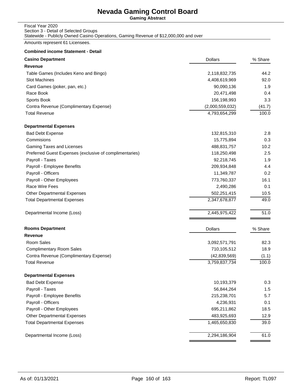**Gaming Abstract**

#### Fiscal Year 2020 Section 3 - Detail of Selected Groups Statewide - Publicly Owned Casino Operations, Gaming Revenue of \$12,000,000 and over

Amounts represent 61 Licensees.

| <b>Casino Department</b>                                | <b>Dollars</b>  | % Share |
|---------------------------------------------------------|-----------------|---------|
| Revenue                                                 |                 |         |
| Table Games (Includes Keno and Bingo)                   | 2,118,832,735   | 44.2    |
| <b>Slot Machines</b>                                    | 4,408,619,969   | 92.0    |
| Card Games (poker, pan, etc.)                           | 90,090,136      | 1.9     |
| Race Book                                               | 20,471,498      | 0.4     |
| Sports Book                                             | 156,198,993     | 3.3     |
| Contra Revenue (Complimentary Expense)                  | (2,000,559,032) | (41.7)  |
| <b>Total Revenue</b>                                    | 4,793,654,299   | 100.0   |
| <b>Departmental Expenses</b>                            |                 |         |
| <b>Bad Debt Expense</b>                                 | 132,815,310     | 2.8     |
| Commisions                                              | 15,775,894      | 0.3     |
| Gaming Taxes and Licenses                               | 488,831,757     | 10.2    |
| Preferred Guest Expenses (exclusive of complimentaries) | 118,250,498     | 2.5     |
| Payroll - Taxes                                         | 92,218,745      | 1.9     |
| Payroll - Employee Benefits                             | 209,934,848     | 4.4     |
| Payroll - Officers                                      | 11,349,787      | 0.2     |
| Payroll - Other Employees                               | 773,760,337     | 16.1    |
| Race Wire Fees                                          | 2,490,286       | 0.1     |
| <b>Other Departmental Expenses</b>                      | 502,251,415     | 10.5    |
| <b>Total Departmental Expenses</b>                      | 2,347,678,877   | 49.0    |
| Departmental Income (Loss)                              | 2,445,975,422   | 51.0    |
| <b>Rooms Department</b>                                 | <b>Dollars</b>  | % Share |
| Revenue                                                 |                 |         |
| Room Sales                                              | 3,092,571,791   | 82.3    |
| <b>Complimentary Room Sales</b>                         | 710,105,512     | 18.9    |
| Contra Revenue (Complimentary Expense)                  | (42, 839, 569)  | (1.1)   |
| <b>Total Revenue</b>                                    | 3,759,837,734   | 100.0   |
| <b>Departmental Expenses</b>                            |                 |         |
| <b>Bad Debt Expense</b>                                 | 10,193,379      | 0.3     |
| Payroll - Taxes                                         | 56,844,264      | 1.5     |
| Payroll - Employee Benefits                             | 215,238,701     | 5.7     |
| Payroll - Officers                                      | 4,236,931       | 0.1     |
| Payroll - Other Employees                               | 695,211,862     | 18.5    |
| Other Departmental Expenses                             | 483,925,693     | 12.9    |
| <b>Total Departmental Expenses</b>                      | 1,465,650,830   | 39.0    |
| Departmental Income (Loss)                              | 2,294,186,904   | 61.0    |
|                                                         |                 |         |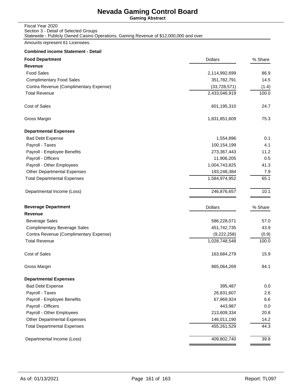**Gaming Abstract**

| Fiscal Year 2020                                                                      |
|---------------------------------------------------------------------------------------|
| Section 3 - Detail of Selected Groups                                                 |
| Statewide - Publicly Owned Casino Operations, Gaming Revenue of \$12,000,000 and over |

Amounts represent 61 Licensees.

| <b>Food Department</b>                 | <b>Dollars</b> | % Share |
|----------------------------------------|----------------|---------|
| Revenue                                |                |         |
| <b>Food Sales</b>                      | 2,114,992,699  | 86.9    |
| <b>Complimentary Food Sales</b>        | 351,782,791    | 14.5    |
| Contra Revenue (Complimentary Expense) | (33, 728, 571) | (1.4)   |
| <b>Total Revenue</b>                   | 2,433,046,919  | 100.0   |
| Cost of Sales                          | 601,195,310    | 24.7    |
| Gross Margin                           | 1,831,851,609  | 75.3    |
| <b>Departmental Expenses</b>           |                |         |
| <b>Bad Debt Expense</b>                | 1,554,896      | 0.1     |
| Payroll - Taxes                        | 100,154,199    | 4.1     |
| Payroll - Employee Benefits            | 273,367,443    | 11.2    |
| Payroll - Officers                     | 11,906,205     | 0.5     |
| Payroll - Other Employees              | 1,004,743,825  | 41.3    |
| <b>Other Departmental Expenses</b>     | 193,248,384    | 7.9     |
| <b>Total Departmental Expenses</b>     | 1,584,974,952  | 65.1    |
| Departmental Income (Loss)             | 246,876,657    | 10.1    |
| <b>Beverage Department</b>             | <b>Dollars</b> | % Share |
| Revenue                                |                |         |
| <b>Beverage Sales</b>                  | 586,228,071    | 57.0    |
| <b>Complimentary Beverage Sales</b>    | 451,742,735    | 43.9    |
| Contra Revenue (Complimentary Expense) | (9,222,258)    | (0.9)   |
| <b>Total Revenue</b>                   | 1,028,748,548  | 100.0   |
| <b>Cost of Sales</b>                   | 163,684,279    | 15.9    |
| Gross Margin                           | 865,064,269    | 84.1    |
| <b>Departmental Expenses</b>           |                |         |
| <b>Bad Debt Expense</b>                | 395,487        | 0.0     |
| Payroll - Taxes                        | 26,831,607     | 2.6     |
| Payroll - Employee Benefits            | 67,969,924     | 6.6     |
| Payroll - Officers                     | 443,987        | 0.0     |
| Payroll - Other Employees              | 213,609,334    | 20.8    |
| <b>Other Departmental Expenses</b>     | 146,011,190    | 14.2    |
| <b>Total Departmental Expenses</b>     | 455,261,529    | 44.3    |
| Departmental Income (Loss)             | 409,802,740    | 39.8    |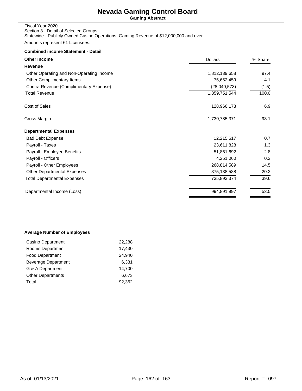**Gaming Abstract**

| Fiscal Year 2020                                                                      |
|---------------------------------------------------------------------------------------|
| Section 3 - Detail of Selected Groups                                                 |
| Statewide - Publicly Owned Casino Operations, Gaming Revenue of \$12,000,000 and over |

Amounts represent 61 Licensees.

## **Combined income Statement - Detail**

| <b>Dollars</b> | % Share |
|----------------|---------|
|                |         |
| 1,812,139,658  | 97.4    |
| 75,652,459     | 4.1     |
| (28,040,573)   | (1.5)   |
| 1,859,751,544  | 100.0   |
| 128,966,173    | 6.9     |
| 1,730,785,371  | 93.1    |
|                |         |
| 12,215,617     | 0.7     |
| 23,611,828     | 1.3     |
| 51,861,692     | 2.8     |
| 4,251,060      | 0.2     |
| 268,814,589    | 14.5    |
| 375,138,588    | 20.2    |
| 735,893,374    | 39.6    |
| 994,891,997    | 53.5    |
|                |         |

## **Average Number of Employees**

| Casino Department          | 22,288 |
|----------------------------|--------|
| Rooms Department           | 17,430 |
| <b>Food Department</b>     | 24.940 |
| <b>Beverage Department</b> | 6,331  |
| G & A Department           | 14.700 |
| <b>Other Departments</b>   | 6,673  |
| Total                      | 92,362 |